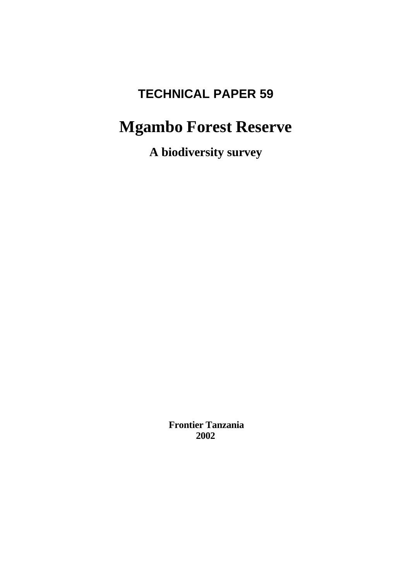# **TECHNICAL PAPER 59**

# **Mgambo Forest Reserve**

**A biodiversity survey**

 **Frontier Tanzania 2002**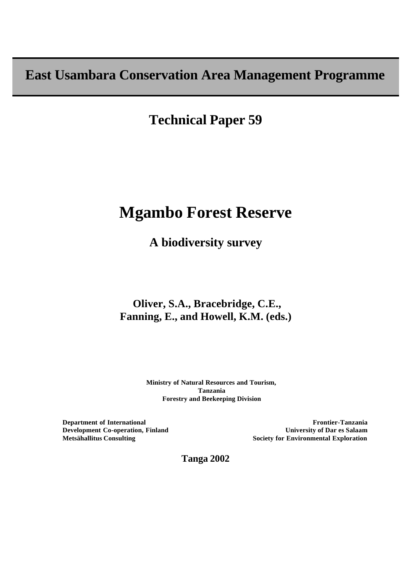**East Usambara Conservation Area Management Programme**

**Technical Paper 59**

# **Mgambo Forest Reserve**

**A biodiversity survey**

## **Oliver, S.A., Bracebridge, C.E., Fanning, E., and Howell, K.M. (eds.)**

**Ministry of Natural Resources and Tourism, Tanzania Forestry and Beekeeping Division**

**Department of International Development Co-operation, Finland Metsähallitus Consulting**

**Frontier-Tanzania University of Dar es Salaam Society for Environmental Exploration**

**Tanga 2002**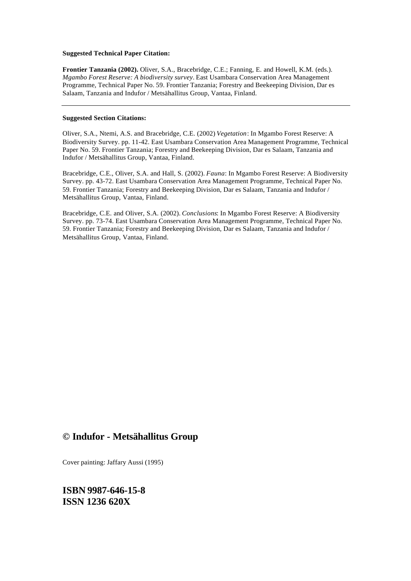#### **Suggested Technical Paper Citation:**

**Frontier Tanzania (2002).** Oliver, S.A., Bracebridge, C.E.; Fanning, E. and Howell, K.M. (eds.). *Mgambo Forest Reserve: A biodiversity survey*. East Usambara Conservation Area Management Programme, Technical Paper No. 59. Frontier Tanzania; Forestry and Beekeeping Division, Dar es Salaam, Tanzania and Indufor / Metsähallitus Group, Vantaa, Finland.

#### **Suggested Section Citations:**

Oliver, S.A., Ntemi, A.S. and Bracebridge, C.E. (2002) *Vegetation*: In Mgambo Forest Reserve: A Biodiversity Survey. pp. 11-42. East Usambara Conservation Area Management Programme, Technical Paper No. 59. Frontier Tanzania; Forestry and Beekeeping Division, Dar es Salaam, Tanzania and Indufor / Metsähallitus Group, Vantaa, Finland.

Bracebridge, C.E., Oliver, S.A. and Hall, S. (2002). *Fauna*: In Mgambo Forest Reserve: A Biodiversity Survey. pp. 43-72. East Usambara Conservation Area Management Programme, Technical Paper No. 59. Frontier Tanzania; Forestry and Beekeeping Division, Dar es Salaam, Tanzania and Indufor / Metsähallitus Group, Vantaa, Finland.

Bracebridge, C.E. and Oliver, S.A. (2002). *Conclusions*: In Mgambo Forest Reserve: A Biodiversity Survey. pp. 73-74. East Usambara Conservation Area Management Programme, Technical Paper No. 59. Frontier Tanzania; Forestry and Beekeeping Division, Dar es Salaam, Tanzania and Indufor / Metsähallitus Group, Vantaa, Finland.

### **© Indufor - Metsähallitus Group**

Cover painting: Jaffary Aussi (1995)

**ISBN 9987-646-15-8 ISSN 1236 620X**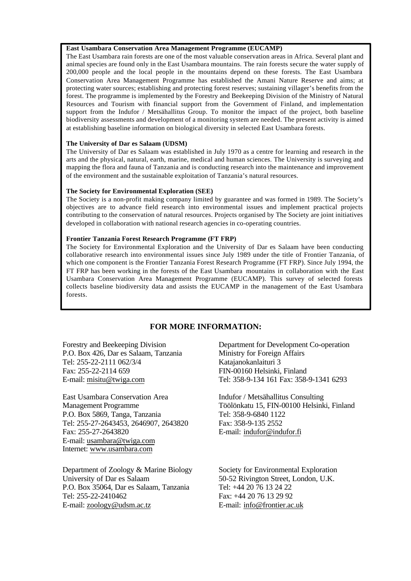#### **East Usambara Conservation Area Management Programme (EUCAMP)**

The East Usambara rain forests are one of the most valuable conservation areas in Africa. Several plant and animal species are found only in the East Usambara mountains. The rain forests secure the water supply of 200,000 people and the local people in the mountains depend on these forests. The East Usambara Conservation Area Management Programme has established the Amani Nature Reserve and aims; at protecting water sources; establishing and protecting forest reserves; sustaining villager's benefits from the forest. The programme is implemented by the Forestry and Beekeeping Division of the Ministry of Natural Resources and Tourism with financial support from the Government of Finland, and implementation support from the Indufor / Metsähallitus Group. To monitor the impact of the project, both baseline biodiversity assessments and development of a monitoring system are needed. The present activity is aimed at establishing baseline information on biological diversity in selected East Usambara forests.

#### **The University of Dar es Salaam (UDSM)**

The University of Dar es Salaam was established in July 1970 as a centre for learning and research in the arts and the physical, natural, earth, marine, medical and human sciences. The University is surveying and mapping the flora and fauna of Tanzania and is conducting research into the maintenance and improvement of the environment and the sustainable exploitation of Tanzania's natural resources.

#### **The Society for Environmental Exploration (SEE)**

The Society is a non-profit making company limited by guarantee and was formed in 1989. The Society's objectives are to advance field research into environmental issues and implement practical projects contributing to the conservation of natural resources. Projects organised by The Society are joint initiatives developed in collaboration with national research agencies in co-operating countries.

#### **Frontier Tanzania Forest Research Programme (FT FRP)**

The Society for Environmental Exploration and the University of Dar es Salaam have been conducting collaborative research into environmental issues since July 1989 under the title of Frontier Tanzania, of which one component is the Frontier Tanzania Forest Research Programme (FT FRP). Since July 1994, the FT FRP has been working in the forests of the East Usambara mountains in collaboration with the East Usambara Conservation Area Management Programme (EUCAMP). This survey of selected forests collects baseline biodiversity data and assists the EUCAMP in the management of the East Usambara forests.

### **FOR MORE INFORMATION:**

Forestry and Beekeeping Division P.O. Box 426, Dar es Salaam, Tanzania Tel: 255-22-2111 062/3/4 Fax: 255-22-2114 659 E-mail: misitu@twiga.com

East Usambara Conservation Area Management Programme P.O. Box 5869, Tanga, Tanzania Tel: 255-27-2643453, 2646907, 2643820 Fax: 255-27-2643820 E-mail: usambara@twiga.com Internet: www.usambara.com

Department of Zoology & Marine Biology University of Dar es Salaam P.O. Box 35064, Dar es Salaam, Tanzania Tel: 255-22-2410462 E-mail: zoology@udsm.ac.tz

Department for Development Co-operation Ministry for Foreign Affairs Katajanokanlaituri 3 FIN-00160 Helsinki, Finland Tel: 358-9-134 161 Fax: 358-9-1341 6293

Indufor / Metsähallitus Consulting Töölönkatu 15, FIN-00100 Helsinki, Finland Tel: 358-9-6840 1122 Fax: 358-9-135 2552 E-mail: indufor@indufor.fi

Society for Environmental Exploration 50-52 Rivington Street, London, U.K. Tel: +44 20 76 13 24 22  $Fax \cdot +44$  20 76 13 29 92 E-mail: info@frontier.ac.uk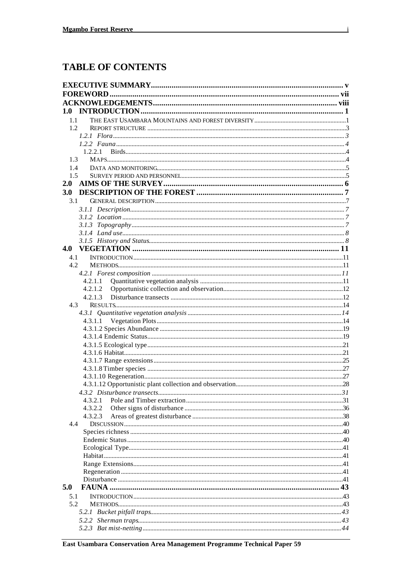### **TABLE OF CONTENTS**

| 1.0              |  |
|------------------|--|
| $1.1 -$          |  |
| 1.2 <sub>1</sub> |  |
|                  |  |
|                  |  |
| 1.2.2.1          |  |
| 1.3              |  |
| 1.4              |  |
| 1.5              |  |
| 2.0              |  |
| <b>3.0</b>       |  |
| 3.1              |  |
|                  |  |
|                  |  |
|                  |  |
|                  |  |
|                  |  |
|                  |  |
| 4.1              |  |
| 4.2.             |  |
|                  |  |
| 4.2.1.1          |  |
| 4.2.1.2          |  |
| 4.2.1.3          |  |
| 4.3              |  |
|                  |  |
| 4.3.1.1          |  |
|                  |  |
|                  |  |
|                  |  |
|                  |  |
|                  |  |
|                  |  |
|                  |  |
|                  |  |
|                  |  |
| 4.3.2.1          |  |
| 4.3.2.2          |  |
| 4.3.2.3          |  |
| 4.4              |  |
|                  |  |
|                  |  |
|                  |  |
|                  |  |
|                  |  |
|                  |  |
|                  |  |
| 5.0              |  |
| 5.1              |  |
| 5.2              |  |
|                  |  |
|                  |  |
|                  |  |
|                  |  |

 $\mathbf{i}$ 

East Usambara Conservation Area Management Programme Technical Paper 59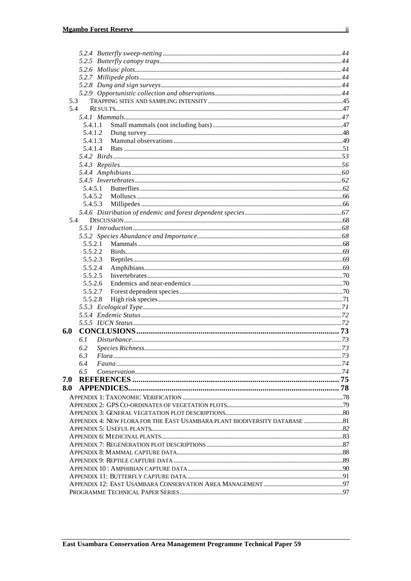| 5.3 |                                                                             |  |
|-----|-----------------------------------------------------------------------------|--|
| 5.4 |                                                                             |  |
|     |                                                                             |  |
|     | 5.4.1.1                                                                     |  |
|     | 5.4.1.2                                                                     |  |
|     | 5.4.1.3                                                                     |  |
|     | 5.4.1.4                                                                     |  |
|     |                                                                             |  |
|     |                                                                             |  |
|     |                                                                             |  |
|     |                                                                             |  |
|     | 5.4.5.1                                                                     |  |
|     | 5.4.5.2                                                                     |  |
|     |                                                                             |  |
|     | 5.4.5.3                                                                     |  |
|     |                                                                             |  |
|     | 5.4                                                                         |  |
|     |                                                                             |  |
|     |                                                                             |  |
|     | 5.5.2.1                                                                     |  |
|     | 5.5.2.2                                                                     |  |
|     | 5.5.2.3                                                                     |  |
|     | 5.5.2.4                                                                     |  |
|     | 5.5.2.5                                                                     |  |
|     | 5.5.2.6                                                                     |  |
|     | 5.5.2.7                                                                     |  |
|     | 5.5.2.8                                                                     |  |
|     |                                                                             |  |
|     |                                                                             |  |
|     |                                                                             |  |
| 6.0 |                                                                             |  |
|     | 6.1                                                                         |  |
|     | 6.2                                                                         |  |
|     | 6.3                                                                         |  |
|     | 6.4                                                                         |  |
|     | 6.5                                                                         |  |
| 7.0 |                                                                             |  |
|     |                                                                             |  |
|     |                                                                             |  |
|     |                                                                             |  |
|     |                                                                             |  |
|     | APPENDIX 4: NEW FLORA FOR THE EAST USAMBARA PLANT BIODIVERSITY DATABASE  81 |  |
|     |                                                                             |  |
|     |                                                                             |  |
|     |                                                                             |  |
|     |                                                                             |  |
|     |                                                                             |  |
|     |                                                                             |  |
|     |                                                                             |  |
|     |                                                                             |  |
|     |                                                                             |  |
|     |                                                                             |  |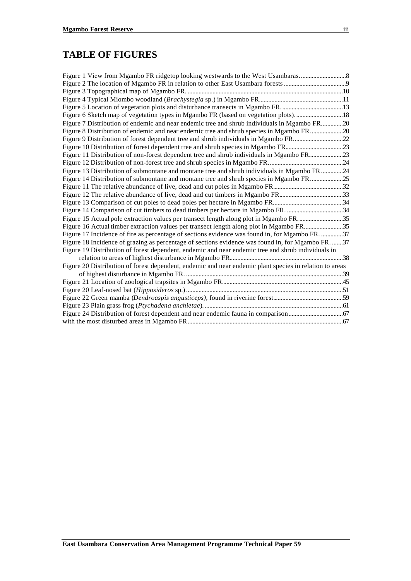### **TABLE OF FIGURES**

| Figure 6 Sketch map of vegetation types in Mgambo FR (based on vegetation plots)18                      |  |
|---------------------------------------------------------------------------------------------------------|--|
| Figure 7 Distribution of endemic and near endemic tree and shrub individuals in Mgambo FR20             |  |
| Figure 8 Distribution of endemic and near endemic tree and shrub species in Mgambo FR20                 |  |
| Figure 9 Distribution of forest dependent tree and shrub individuals in Mgambo FR22                     |  |
|                                                                                                         |  |
| Figure 11 Distribution of non-forest dependent tree and shrub individuals in Mgambo FR23                |  |
|                                                                                                         |  |
| Figure 13 Distribution of submontane and montane tree and shrub individuals in Mgambo FR24              |  |
| Figure 14 Distribution of submontane and montane tree and shrub species in Mgambo FR25                  |  |
|                                                                                                         |  |
|                                                                                                         |  |
|                                                                                                         |  |
| Figure 14 Comparison of cut timbers to dead timbers per hectare in Mgambo FR. 34                        |  |
| Figure 15 Actual pole extraction values per transect length along plot in Mgambo FR35                   |  |
| Figure 16 Actual timber extraction values per transect length along plot in Mgambo FR35                 |  |
| Figure 17 Incidence of fire as percentage of sections evidence was found in, for Mgambo FR. 37          |  |
| Figure 18 Incidence of grazing as percentage of sections evidence was found in, for Mgambo FR. 37       |  |
| Figure 19 Distribution of forest dependent, endemic and near endemic tree and shrub individuals in      |  |
|                                                                                                         |  |
| Figure 20 Distribution of forest dependent, endemic and near endemic plant species in relation to areas |  |
|                                                                                                         |  |
|                                                                                                         |  |
|                                                                                                         |  |
|                                                                                                         |  |
|                                                                                                         |  |
|                                                                                                         |  |
|                                                                                                         |  |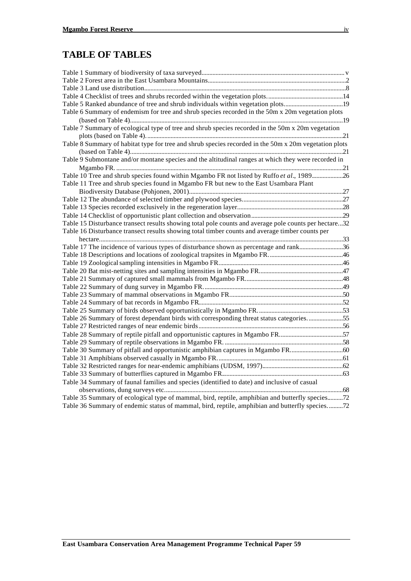### **TABLE OF TABLES**

| Table 5 Ranked abundance of tree and shrub individuals within vegetation plots19                      |  |
|-------------------------------------------------------------------------------------------------------|--|
| Table 6 Summary of endemism for tree and shrub species recorded in the 50m x 20m vegetation plots     |  |
|                                                                                                       |  |
| Table 7 Summary of ecological type of tree and shrub species recorded in the 50m x 20m vegetation     |  |
|                                                                                                       |  |
| Table 8 Summary of habitat type for tree and shrub species recorded in the 50m x 20m vegetation plots |  |
|                                                                                                       |  |
| Table 9 Submontane and/or montane species and the altitudinal ranges at which they were recorded in   |  |
|                                                                                                       |  |
| Table 10 Tree and shrub species found within Mgambo FR not listed by Ruffo et al., 198926             |  |
| Table 11 Tree and shrub species found in Mgambo FR but new to the East Usambara Plant                 |  |
|                                                                                                       |  |
|                                                                                                       |  |
|                                                                                                       |  |
|                                                                                                       |  |
| Table 15 Disturbance transect results showing total pole counts and average pole counts per hectare32 |  |
| Table 16 Disturbance transect results showing total timber counts and average timber counts per       |  |
|                                                                                                       |  |
| Table 17 The incidence of various types of disturbance shown as percentage and rank36                 |  |
|                                                                                                       |  |
|                                                                                                       |  |
|                                                                                                       |  |
|                                                                                                       |  |
|                                                                                                       |  |
|                                                                                                       |  |
|                                                                                                       |  |
|                                                                                                       |  |
| Table 26 Summary of forest dependant birds with corresponding threat status categories55              |  |
|                                                                                                       |  |
| Table 28 Summary of reptile pitfall and opportunistic captures in Mgambo FR57                         |  |
|                                                                                                       |  |
| Table 30 Summary of pitfall and opportunistic amphibian captures in Mgambo FR60                       |  |
|                                                                                                       |  |
|                                                                                                       |  |
|                                                                                                       |  |
| Table 34 Summary of faunal families and species (identified to date) and inclusive of casual          |  |
|                                                                                                       |  |
| Table 35 Summary of ecological type of mammal, bird, reptile, amphibian and butterfly species72       |  |
| Table 36 Summary of endemic status of mammal, bird, reptile, amphibian and butterfly species72        |  |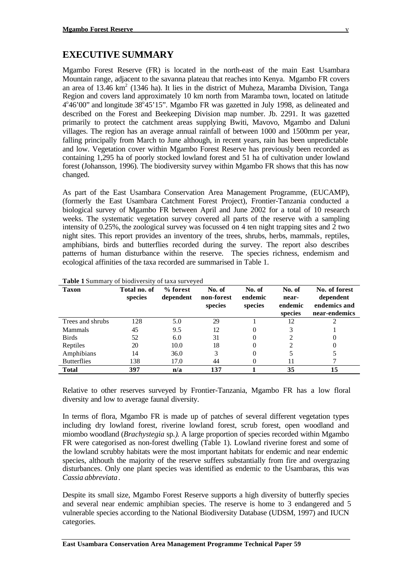### **EXECUTIVE SUMMARY**

Mgambo Forest Reserve (FR) is located in the north-east of the main East Usambara Mountain range, adjacent to the savanna plateau that reaches into Kenya. Mgambo FR covers an area of 13.46 km<sup>2</sup> (1346 ha). It lies in the district of Muheza, Maramba Division, Tanga Region and covers land approximately 10 km north from Maramba town, located on latitude  $4^{\circ}46'00''$  and longitude  $38^{\circ}45'15''$ . Mgambo FR was gazetted in July 1998, as delineated and described on the Forest and Beekeeping Division map number. Jb. 2291. It was gazetted primarily to protect the catchment areas supplying Bwiti, Mavovo, Mgambo and Daluni villages. The region has an average annual rainfall of between 1000 and 1500mm per year, falling principally from March to June although, in recent years, rain has been unpredictable and low. Vegetation cover within Mgambo Forest Reserve has previously been recorded as containing 1,295 ha of poorly stocked lowland forest and 51 ha of cultivation under lowland forest (Johansson, 1996). The biodiversity survey within Mgambo FR shows that this has now changed.

As part of the East Usambara Conservation Area Management Programme, (EUCAMP), (formerly the East Usambara Catchment Forest Project), Frontier-Tanzania conducted a biological survey of Mgambo FR between April and June 2002 for a total of 10 research weeks. The systematic vegetation survey covered all parts of the reserve with a sampling intensity of  $0.25\%$ , the zoological survey was focussed on 4 ten night trapping sites and  $\overline{2}$  two night sites. This report provides an inventory of the trees, shrubs, herbs, mammals, reptiles, amphibians, birds and butterflies recorded during the survey. The report also describes patterns of human disturbance within the reserve. The species richness, endemism and ecological affinities of the taxa recorded are summarised in Table 1.

| <b>Taxon</b>       | Total no. of<br>species | % forest<br>dependent | No. of<br>non-forest<br>species | No. of<br>endemic<br>species | No. of<br>near-<br>endemic<br>species | No. of forest<br>dependent<br>endemics and<br>near-endemics |
|--------------------|-------------------------|-----------------------|---------------------------------|------------------------------|---------------------------------------|-------------------------------------------------------------|
| Trees and shrubs   | 128                     | 5.0                   | 29                              |                              | 12                                    |                                                             |
| <b>Mammals</b>     | 45                      | 9.5                   | 12                              |                              |                                       |                                                             |
| <b>Birds</b>       | 52                      | 6.0                   | 31                              | 0                            |                                       | 0                                                           |
| Reptiles           | 20                      | 10.0                  | 18                              |                              |                                       | 0                                                           |
| Amphibians         | 14                      | 36.0                  | 3                               |                              |                                       |                                                             |
| <b>Butterflies</b> | 138                     | 17.0                  | 44                              |                              | 11                                    |                                                             |
| <b>Total</b>       | 397                     | n/a                   | 137                             |                              | 35                                    | 15                                                          |

#### **Table 1** Summary of biodiversity of taxa surveyed

Relative to other reserves surveyed by Frontier-Tanzania, Mgambo FR has a low floral diversity and low to average faunal diversity.

In terms of flora, Mgambo FR is made up of patches of several different vegetation types including dry lowland forest, riverine lowland forest, scrub forest, open woodland and miombo woodland (*Brachystegia* sp.*)*. A large proportion of species recorded within Mgambo FR were categorised as non-forest dwelling (Table 1). Lowland riverine forest and some of the lowland scrubby habitats were the most important habitats for endemic and near endemic species, althouth the majority of the reserve suffers substantially from fire and overgrazing disturbances. Only one plant species was identified as endemic to the Usambaras, this was *Cassia abbreviata*.

Despite its small size, Mgambo Forest Reserve supports a high diversity of butterfly species and several near endemic amphibian species. The reserve is home to 3 endangered and 5 vulnerable species according to the National Biodiversity Database (UDSM, 1997) and IUCN categories.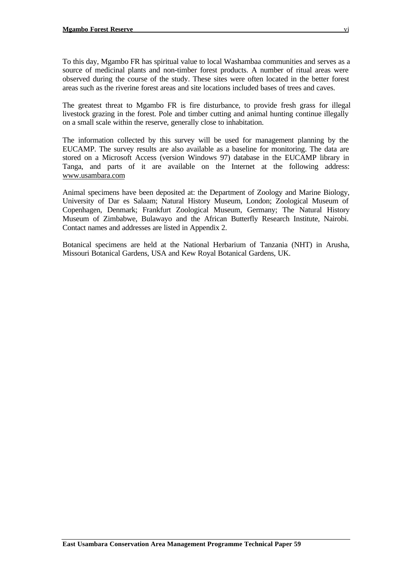To this day, Mgambo FR has spiritual value to local Washambaa communities and serves as a source of medicinal plants and non-timber forest products. A number of ritual areas were observed during the course of the study. These sites were often located in the better forest areas such as the riverine forest areas and site locations included bases of trees and caves.

The greatest threat to Mgambo FR is fire disturbance, to provide fresh grass for illegal livestock grazing in the forest. Pole and timber cutting and animal hunting continue illegally on a small scale within the reserve, generally close to inhabitation.

The information collected by this survey will be used for management planning by the EUCAMP. The survey results are also available as a baseline for monitoring. The data are stored on a Microsoft Access (version Windows 97) database in the EUCAMP library in Tanga, and parts of it are available on the Internet at the following address: www.usambara.com

Animal specimens have been deposited at: the Department of Zoology and Marine Biology, University of Dar es Salaam; Natural History Museum, London; Zoological Museum of Copenhagen, Denmark; Frankfurt Zoological Museum, Germany; The Natural History Museum of Zimbabwe, Bulawayo and the African Butterfly Research Institute, Nairobi. Contact names and addresses are listed in Appendix 2.

Botanical specimens are held at the National Herbarium of Tanzania (NHT) in Arusha, Missouri Botanical Gardens, USA and Kew Royal Botanical Gardens, UK.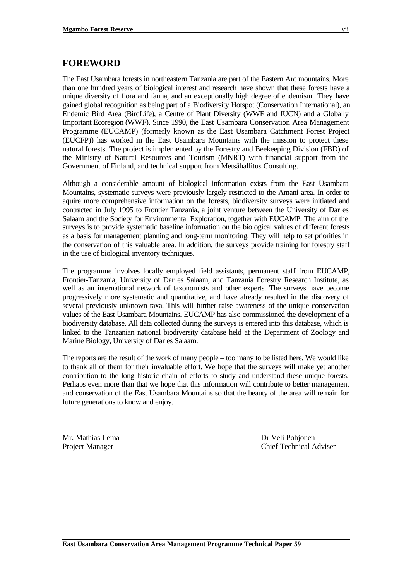### **FOREWORD**

The East Usambara forests in northeastern Tanzania are part of the Eastern Arc mountains. More than one hundred years of biological interest and research have shown that these forests have a unique diversity of flora and fauna, and an exceptionally high degree of endemism. They have gained global recognition as being part of a Biodiversity Hotspot (Conservation International), an Endemic Bird Area (BirdLife), a Centre of Plant Diversity (WWF and IUCN) and a Globally Important Ecoregion (WWF). Since 1990, the East Usambara Conservation Area Management Programme (EUCAMP) (formerly known as the East Usambara Catchment Forest Project (EUCFP)) has worked in the East Usambara Mountains with the mission to protect these natural forests. The project is implemented by the Forestry and Beekeeping Division (FBD) of the Ministry of Natural Resources and Tourism (MNRT) with financial support from the Government of Finland, and technical support from Metsähallitus Consulting.

Although a considerable amount of biological information exists from the East Usambara Mountains, systematic surveys were previously largely restricted to the Amani area. In order to aquire more comprehensive information on the forests, biodiversity surveys were initiated and contracted in July 1995 to Frontier Tanzania, a joint venture between the University of Dar es Salaam and the Society for Environmental Exploration, together with EUCAMP. The aim of the surveys is to provide systematic baseline information on the biological values of different forests as a basis for management planning and long-term monitoring. They will help to set priorities in the conservation of this valuable area. In addition, the surveys provide training for forestry staff in the use of biological inventory techniques.

The programme involves locally employed field assistants, permanent staff from EUCAMP, Frontier-Tanzania, University of Dar es Salaam, and Tanzania Forestry Research Institute, as well as an international network of taxonomists and other experts. The surveys have become progressively more systematic and quantitative, and have already resulted in the discovery of several previously unknown taxa. This will further raise awareness of the unique conservation values of the East Usambara Mountains. EUCAMP has also commissioned the development of a biodiversity database. All data collected during the surveys is entered into this database, which is linked to the Tanzanian national biodiversity database held at the Department of Zoology and Marine Biology, University of Dar es Salaam.

The reports are the result of the work of many people – too many to be listed here. We would like to thank all of them for their invaluable effort. We hope that the surveys will make yet another contribution to the long historic chain of efforts to study and understand these unique forests. Perhaps even more than that we hope that this information will contribute to better management and conservation of the East Usambara Mountains so that the beauty of the area will remain for future generations to know and enjoy.

Mr. Mathias Lema Dr Veli Pohjonen

Project Manager Chief Technical Adviser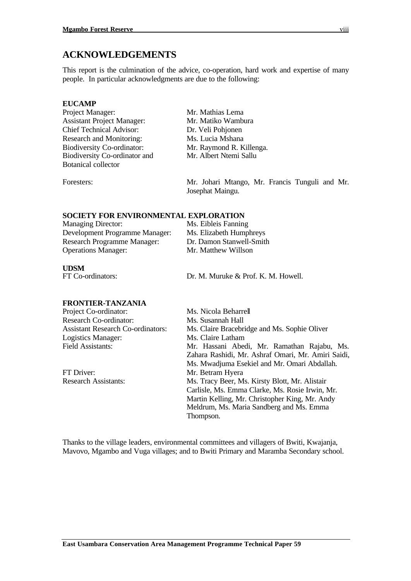### **ACKNOWLEDGEMENTS**

This report is the culmination of the advice, co-operation, hard work and expertise of many people. In particular acknowledgments are due to the following:

### **EUCAMP**

Project Manager: Mr. Mathias Lema Assistant Project Manager: Mr. Matiko Wambura Chief Technical Advisor: Dr. Veli Pohjonen Research and Monitoring: Ms. Lucia Mshana Biodiversity Co-ordinator: Mr. Raymond R. Killenga.<br>Biodiversity Co-ordinator and Mr. Albert Ntemi Sallu Biodiversity Co-ordinator and Botanical collector Foresters: Mr. Johari Mtango, Mr. Francis Tunguli and Mr. Josephat Maingu.

### **SOCIETY FOR ENVIRONMENTAL EXPLORATION**

| <b>Managing Director:</b>          | Ms. Eibleis Fanning      |
|------------------------------------|--------------------------|
| Development Programme Manager:     | Ms. Elizabeth Humphreys  |
| <b>Research Programme Manager:</b> | Dr. Damon Stanwell-Smith |
| <b>Operations Manager:</b>         | Mr. Matthew Willson      |
|                                    |                          |

**UDSM**<br>FT Co-ordinators:

Dr. M. Muruke & Prof. K. M. Howell.

### **FRONTIER-TANZANIA**

Project Co-ordinator: Ms. Nicola Beharrell Research Co-ordinator: Ms. Susannah Hall Logistics Manager: Ms. Claire Latham<br>Field Assistants: Mr. Hassani Abec

Assistant Research Co-ordinators: Ms. Claire Bracebridge and Ms. Sophie Oliver Mr. Hassani Abedi, Mr. Ramathan Rajabu, Ms. Zahara Rashidi, Mr. Ashraf Omari, Mr. Amiri Saidi, Ms. Mwadjuma Esekiel and Mr. Omari Abdallah. FT Driver: Mr. Betram Hyera Research Assistants: Ms. Tracy Beer, Ms. Kirsty Blott, Mr. Alistair Carlisle, Ms. Emma Clarke, Ms. Rosie Irwin, Mr. Martin Kelling, Mr. Christopher King, Mr. Andy Meldrum, Ms. Maria Sandberg and Ms. Emma Thompson.

Thanks to the village leaders, environmental committees and villagers of Bwiti, Kwajanja, Mavovo, Mgambo and Vuga villages; and to Bwiti Primary and Maramba Secondary school.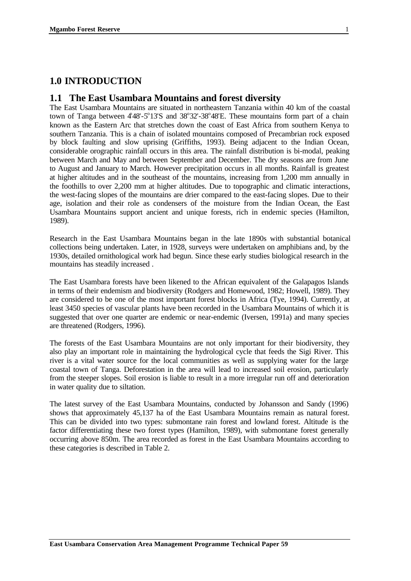### **1.0 INTRODUCTION**

### **1.1 The East Usambara Mountains and forest diversity**

The East Usambara Mountains are situated in northeastern Tanzania within 40 km of the coastal town of Tanga between  $448'$ -5°13'S and  $38°32'$ -38°48'E. These mountains form part of a chain known as the Eastern Arc that stretches down the coast of East Africa from southern Kenya to southern Tanzania. This is a chain of isolated mountains composed of Precambrian rock exposed by block faulting and slow uprising (Griffiths, 1993). Being adjacent to the Indian Ocean, considerable orographic rainfall occurs in this area. The rainfall distribution is bi-modal, peaking between March and May and between September and December. The dry seasons are from June to August and January to March. However precipitation occurs in all months. Rainfall is greatest at higher altitudes and in the southeast of the mountains, increasing from 1,200 mm annually in the foothills to over 2,200 mm at higher altitudes. Due to topographic and climatic interactions, the west-facing slopes of the mountains are drier compared to the east-facing slopes. Due to their age, isolation and their role as condensers of the moisture from the Indian Ocean, the East Usambara Mountains support ancient and unique forests, rich in endemic species (Hamilton, 1989).

Research in the East Usambara Mountains began in the late 1890s with substantial botanical collections being undertaken. Later, in 1928, surveys were undertaken on amphibians and, by the 1930s, detailed ornithological work had begun. Since these early studies biological research in the mountains has steadily increased .

The East Usambara forests have been likened to the African equivalent of the Galapagos Islands in terms of their endemism and biodiversity (Rodgers and Homewood, 1982; Howell, 1989). They are considered to be one of the most important forest blocks in Africa (Tye, 1994). Currently, at least 3450 species of vascular plants have been recorded in the Usambara Mountains of which it is suggested that over one quarter are endemic or near-endemic (Iversen, 1991a) and many species are threatened (Rodgers, 1996).

The forests of the East Usambara Mountains are not only important for their biodiversity, they also play an important role in maintaining the hydrological cycle that feeds the Sigi River. This river is a vital water source for the local communities as well as supplying water for the large coastal town of Tanga. Deforestation in the area will lead to increased soil erosion, particularly from the steeper slopes. Soil erosion is liable to result in a more irregular run off and deterioration in water quality due to siltation.

The latest survey of the East Usambara Mountains, conducted by Johansson and Sandy (1996) shows that approximately 45,137 ha of the East Usambara Mountains remain as natural forest. This can be divided into two types: submontane rain forest and lowland forest. Altitude is the factor differentiating these two forest types (Hamilton, 1989), with submontane forest generally occurring above 850m. The area recorded as forest in the East Usambara Mountains according to these categories is described in Table 2.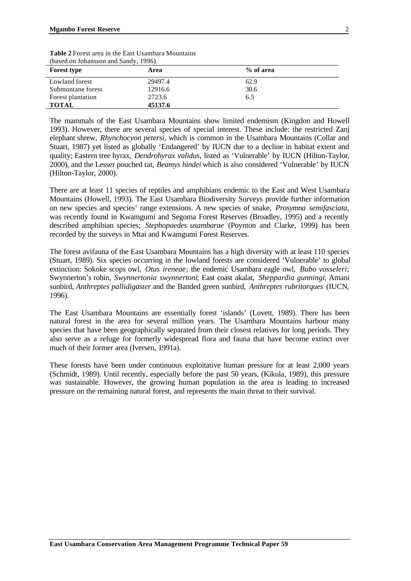| <b>Forest type</b> | Area    | % of area |  |
|--------------------|---------|-----------|--|
| Lowland forest     | 29497.4 | 62.9      |  |
| Submontane forest  | 12916.6 | 30.6      |  |
| Forest plantation  | 2723.6  | 6.5       |  |
| <b>TOTAL</b>       | 45137.6 |           |  |

**Table 2** Forest area in the East Usambara Mountains (based on Johansson and Sandy, 1996).

The mammals of the East Usambara Mountains show limited endemism (Kingdon and Howell 1993). However, there are several species of special interest. These include: the restricted Zanj elephant shrew, *Rhynchocyon petersi,* which is common in the Usambara Mountains (Collar and Stuart, 1987) yet listed as globally 'Endangered' by IUCN due to a decline in habitat extent and quality; Eastern tree hyrax, *Dendrohyrax validus*, listed as 'Vulnerable' by IUCN (Hilton-Taylor, 2000), and the Lesser pouched rat, *Beamys hindei* which is also considered 'Vulnerable' by IUCN (Hilton-Taylor, 2000).

There are at least 11 species of reptiles and amphibians endemic to the East and West Usambara Mountains (Howell, 1993). The East Usambara Biodiversity Surveys provide further information on new species and species' range extensions. A new species of snake, *Prosymna semifasciata,* was recently found in Kwamgumi and Segoma Forest Reserves (Broadley, 1995) and a recently described amphibian species; *Stephopaedes usambarae* (Poynton and Clarke, 1999) has been recorded by the surveys in Mtai and Kwamgumi Forest Reserves.

The forest avifauna of the East Usambara Mountains has a high diversity with at least 110 species (Stuart, 1989). Six species occurring in the lowland forests are considered 'Vulnerable' to global extinction: Sokoke scops owl, *Otus ireneae*; the endemic Usambara eagle owl, *Bubo vosseleri*; Swynnerton's robin, *Swynnertonia swynnertoni*; East coast akalat, *Sheppardia gunningi*; Amani sunbird, *Anthreptes pallidigaster* and the Banded green sunbird, *Anthreptes rubritorques* (IUCN*,* 1996).

The East Usambara Mountains are essentially forest 'islands' (Lovett, 1989). There has been natural forest in the area for several million years. The Usambara Mountains harbour many species that have been geographically separated from their closest relatives for long periods. They also serve as a refuge for formerly widespread flora and fauna that have become extinct over much of their former area (Iversen, 1991a).

These forests have been under continuous exploitative human pressure for at least 2,000 years (Schmidt, 1989). Until recently, especially before the past 50 years, (Kikula, 1989), this pressure was sustainable. However, the growing human population in the area is leading to increased pressure on the remaining natural forest, and represents the main threat to their survival.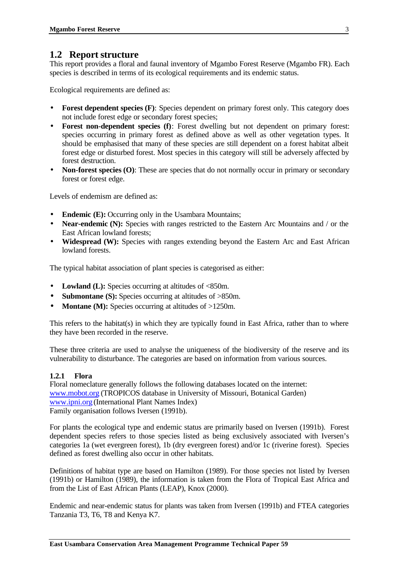### **1.2 Report structure**

This report provides a floral and faunal inventory of Mgambo Forest Reserve (Mgambo FR). Each species is described in terms of its ecological requirements and its endemic status.

Ecological requirements are defined as:

- **Forest dependent species (F)**: Species dependent on primary forest only. This category does not include forest edge or secondary forest species;
- **Forest non-dependent species (f)**: Forest dwelling but not dependent on primary forest: species occurring in primary forest as defined above as well as other vegetation types. It should be emphasised that many of these species are still dependent on a forest habitat albeit forest edge or disturbed forest. Most species in this category will still be adversely affected by forest destruction.
- **Non-forest species (O):** These are species that do not normally occur in primary or secondary forest or forest edge.

Levels of endemism are defined as:

- **Endemic (E):** Occurring only in the Usambara Mountains;
- **Near-endemic (N):** Species with ranges restricted to the Eastern Arc Mountains and / or the East African lowland forests;
- **Widespread (W):** Species with ranges extending beyond the Eastern Arc and East African lowland forests.

The typical habitat association of plant species is categorised as either:

- Lowland (L): Species occurring at altitudes of <850m.
- **Submontane (S):** Species occurring at altitudes of >850m.
- **Montane (M):** Species occurring at altitudes of >1250m.

This refers to the habitat(s) in which they are typically found in East Africa, rather than to where they have been recorded in the reserve.

These three criteria are used to analyse the uniqueness of the biodiversity of the reserve and its vulnerability to disturbance. The categories are based on information from various sources.

### **1.2.1 Flora**

Floral nomeclature generally follows the following databases located on the internet: www.mobot.org (TROPICOS database in University of Missouri, Botanical Garden) www.ipni.org (International Plant Names Index) Family organisation follows Iversen (1991b).

For plants the ecological type and endemic status are primarily based on Iversen (1991b). Forest dependent species refers to those species listed as being exclusively associated with Iversen's categories 1a (wet evergreen forest), 1b (dry evergreen forest) and/or 1c (riverine forest). Species defined as forest dwelling also occur in other habitats.

Definitions of habitat type are based on Hamilton (1989). For those species not listed by Iversen (1991b) or Hamilton (1989), the information is taken from the Flora of Tropical East Africa and from the List of East African Plants (LEAP), Knox (2000).

Endemic and near-endemic status for plants was taken from Iversen (1991b) and FTEA categories Tanzania T3, T6, T8 and Kenya K7.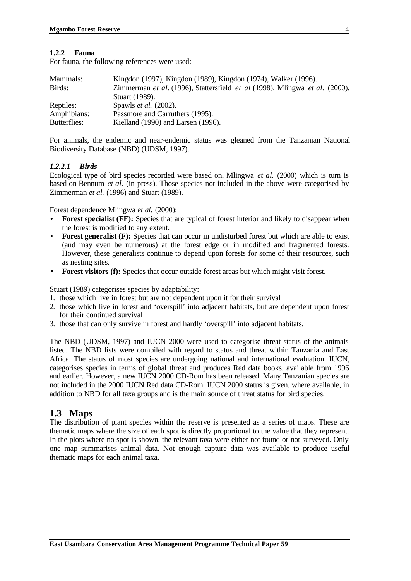#### **1.2.2 Fauna**

For fauna, the following references were used:

| Mammals:     | Kingdon (1997), Kingdon (1989), Kingdon (1974), Walker (1996).              |
|--------------|-----------------------------------------------------------------------------|
| Birds:       | Zimmerman et al. (1996), Stattersfield et al (1998), Mlingwa et al. (2000), |
|              | Stuart (1989).                                                              |
| Reptiles:    | Spawls <i>et al.</i> (2002).                                                |
| Amphibians:  | Passmore and Carruthers (1995).                                             |
| Butterflies: | Kielland (1990) and Larsen (1996).                                          |

For animals, the endemic and near-endemic status was gleaned from the Tanzanian National Biodiversity Database (NBD) (UDSM, 1997).

### *1.2.2.1 Birds*

Ecological type of bird species recorded were based on, Mlingwa *et al.* (2000) which is turn is based on Bennum *et al.* (in press). Those species not included in the above were categorised by Zimmerman *et al.* (1996) and Stuart (1989).

Forest dependence Mlingwa *et al.* (2000):

- **Forest specialist (FF):** Species that are typical of forest interior and likely to disappear when the forest is modified to any extent.
- **Forest generalist (F):** Species that can occur in undisturbed forest but which are able to exist (and may even be numerous) at the forest edge or in modified and fragmented forests. However, these generalists continue to depend upon forests for some of their resources, such as nesting sites.
- **Forest visitors (f):** Species that occur outside forest areas but which might visit forest.

Stuart (1989) categorises species by adaptability:

- 1. those which live in forest but are not dependent upon it for their survival
- 2. those which live in forest and 'overspill' into adjacent habitats, but are dependent upon forest for their continued survival
- 3. those that can only survive in forest and hardly 'overspill' into adjacent habitats.

The NBD (UDSM, 1997) and IUCN 2000 were used to categorise threat status of the animals listed. The NBD lists were compiled with regard to status and threat within Tanzania and East Africa. The status of most species are undergoing national and international evaluation. IUCN, categorises species in terms of global threat and produces Red data books, available from 1996 and earlier. However, a new IUCN 2000 CD-Rom has been released. Many Tanzanian species are not included in the 2000 IUCN Red data CD-Rom. IUCN 2000 status is given, where available, in addition to NBD for all taxa groups and is the main source of threat status for bird species.

### **1.3 Maps**

The distribution of plant species within the reserve is presented as a series of maps. These are thematic maps where the size of each spot is directly proportional to the value that they represent. In the plots where no spot is shown, the relevant taxa were either not found or not surveyed. Only one map summarises animal data. Not enough capture data was available to produce useful thematic maps for each animal taxa.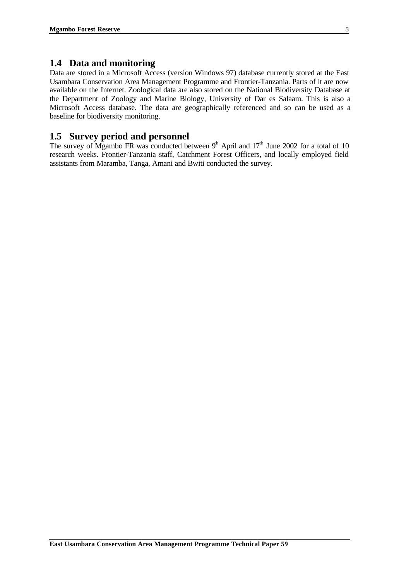### **1.4 Data and monitoring**

Data are stored in a Microsoft Access (version Windows 97) database currently stored at the East Usambara Conservation Area Management Programme and Frontier-Tanzania. Parts of it are now available on the Internet. Zoological data are also stored on the National Biodiversity Database at the Department of Zoology and Marine Biology, University of Dar es Salaam. This is also a Microsoft Access database. The data are geographically referenced and so can be used as a baseline for biodiversity monitoring.

### **1.5 Survey period and personnel**

The survey of Mgambo FR was conducted between  $9<sup>h</sup>$  April and  $17<sup>th</sup>$  June 2002 for a total of 10 research weeks. Frontier-Tanzania staff, Catchment Forest Officers, and locally employed field assistants from Maramba, Tanga, Amani and Bwiti conducted the survey.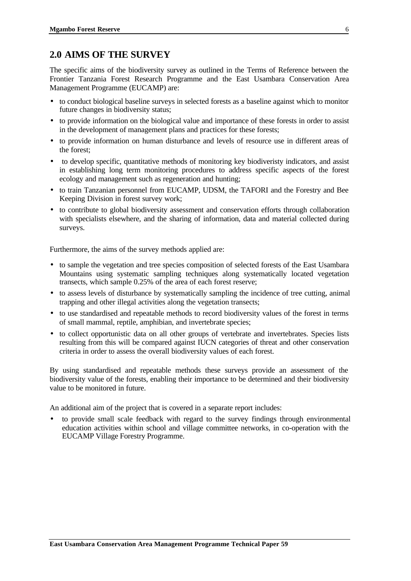### **2.0 AIMS OF THE SURVEY**

The specific aims of the biodiversity survey as outlined in the Terms of Reference between the Frontier Tanzania Forest Research Programme and the East Usambara Conservation Area Management Programme (EUCAMP) are:

- to conduct biological baseline surveys in selected forests as a baseline against which to monitor future changes in biodiversity status;
- to provide information on the biological value and importance of these forests in order to assist in the development of management plans and practices for these forests;
- to provide information on human disturbance and levels of resource use in different areas of the forest;
- to develop specific, quantitative methods of monitoring key biodiveristy indicators, and assist in establishing long term monitoring procedures to address specific aspects of the forest ecology and management such as regeneration and hunting;
- to train Tanzanian personnel from EUCAMP, UDSM, the TAFORI and the Forestry and Bee Keeping Division in forest survey work;
- to contribute to global biodiversity assessment and conservation efforts through collaboration with specialists elsewhere, and the sharing of information, data and material collected during surveys.

Furthermore, the aims of the survey methods applied are:

- to sample the vegetation and tree species composition of selected forests of the East Usambara Mountains using systematic sampling techniques along systematically located vegetation transects, which sample 0.25% of the area of each forest reserve;
- to assess levels of disturbance by systematically sampling the incidence of tree cutting, animal trapping and other illegal activities along the vegetation transects;
- to use standardised and repeatable methods to record biodiversity values of the forest in terms of small mammal, reptile, amphibian, and invertebrate species;
- to collect opportunistic data on all other groups of vertebrate and invertebrates. Species lists resulting from this will be compared against IUCN categories of threat and other conservation criteria in order to assess the overall biodiversity values of each forest.

By using standardised and repeatable methods these surveys provide an assessment of the biodiversity value of the forests, enabling their importance to be determined and their biodiversity value to be monitored in future.

An additional aim of the project that is covered in a separate report includes:

• to provide small scale feedback with regard to the survey findings through environmental education activities within school and village committee networks, in co-operation with the EUCAMP Village Forestry Programme.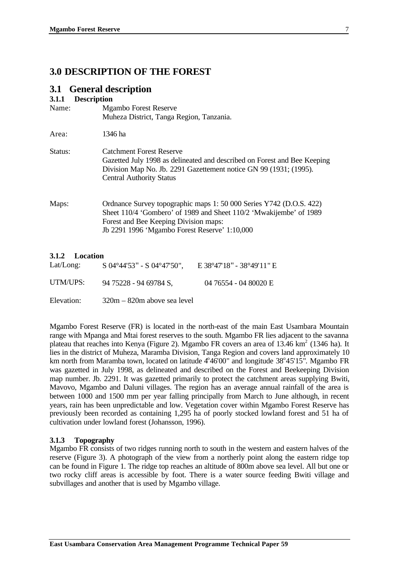### **3.0 DESCRIPTION OF THE FOREST**

### **3.1 General description**

### **3.1.1 Description**

| ◡•+•+   | Description                                                                                                                                                                                                                         |
|---------|-------------------------------------------------------------------------------------------------------------------------------------------------------------------------------------------------------------------------------------|
| Name:   | <b>Mgambo Forest Reserve</b>                                                                                                                                                                                                        |
|         | Muheza District, Tanga Region, Tanzania.                                                                                                                                                                                            |
| Area:   | 1346 ha                                                                                                                                                                                                                             |
| Status: | <b>Catchment Forest Reserve</b><br>Gazetted July 1998 as delineated and described on Forest and Bee Keeping<br>Division Map No. Jb. 2291 Gazettement notice GN 99 (1931; (1995).<br><b>Central Authority Status</b>                 |
| Maps:   | Ordnance Survey topographic maps 1: 50 000 Series Y742 (D.O.S. 422)<br>Sheet 110/4 'Gombero' of 1989 and Sheet 110/2 'Mwakijembe' of 1989<br>Forest and Bee Keeping Division maps:<br>Jb 2291 1996 'Mgambo Forest Reserve' 1:10,000 |

### **3.1.2 Location**

| Lat/Long:  | $S$ 04°44'53" - $S$ 04°47'50", | E 38°47'18" - 38°49'11" E |
|------------|--------------------------------|---------------------------|
| UTM/UPS:   | 94 75228 - 94 69784 S,         | 04 76554 - 04 80020 E     |
| Elevation: | $320m - 820m$ above sea level  |                           |

Mgambo Forest Reserve (FR) is located in the north-east of the main East Usambara Mountain range with Mpanga and Mtai forest reserves to the south. Mgambo FR lies adjacent to the savanna plateau that reaches into Kenya (Figure 2). Mgambo FR covers an area of  $13.46 \text{ km}^2$  (1346 ha). It lies in the district of Muheza, Maramba Division, Tanga Region and covers land approximately 10 km north from Maramba town, located on latitude  $4^{\circ}46'00''$  and longitude  $38^{\circ}45'15''$ . Mgambo FR was gazetted in July 1998, as delineated and described on the Forest and Beekeeping Division map number. Jb. 2291. It was gazetted primarily to protect the catchment areas supplying Bwiti, Mavovo, Mgambo and Daluni villages. The region has an average annual rainfall of the area is between 1000 and 1500 mm per year falling principally from March to June although, in recent years, rain has been unpredictable and low. Vegetation cover within Mgambo Forest Reserve has previously been recorded as containing 1,295 ha of poorly stocked lowland forest and 51 ha of cultivation under lowland forest (Johansson, 1996).

### **3.1.3 Topography**

Mgambo FR consists of two ridges running north to south in the western and eastern halves of the reserve (Figure 3). A photograph of the view from a northerly point along the eastern ridge top can be found in Figure 1. The ridge top reaches an altitude of 800m above sea level. All but one or two rocky cliff areas is accessible by foot. There is a water source feeding Bwiti village and subvillages and another that is used by Mgambo village.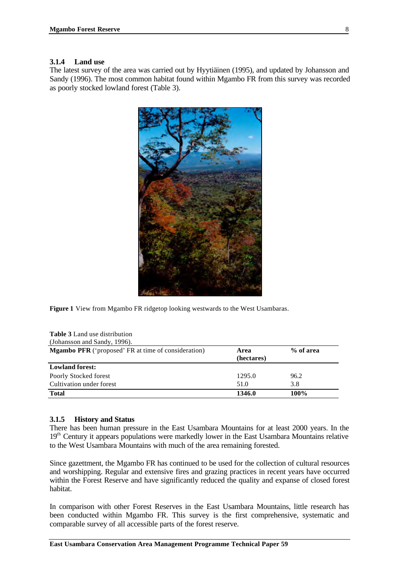### **3.1.4 Land use**

The latest survey of the area was carried out by Hyytiäinen (1995), and updated by Johansson and Sandy (1996). The most common habitat found within Mgambo FR from this survey was recorded as poorly stocked lowland forest (Table 3).



**Figure 1** View from Mgambo FR ridgetop looking westwards to the West Usambaras.

| <b>Table 3</b> Land use distribution                                                          |        |      |  |  |  |  |
|-----------------------------------------------------------------------------------------------|--------|------|--|--|--|--|
| (Johansson and Sandy, 1996).                                                                  |        |      |  |  |  |  |
| <b>Mgambo PFR</b> ('proposed' FR at time of consideration)<br>% of area<br>Area<br>(hectares) |        |      |  |  |  |  |
| <b>Lowland forest:</b>                                                                        |        |      |  |  |  |  |
| Poorly Stocked forest                                                                         | 1295.0 | 96.2 |  |  |  |  |
| Cultivation under forest                                                                      | 51.0   | 3.8  |  |  |  |  |
| <b>Total</b>                                                                                  | 1346.0 | 100% |  |  |  |  |

### **3.1.5 History and Status**

There has been human pressure in the East Usambara Mountains for at least 2000 years. In the 19<sup>th</sup> Century it appears populations were markedly lower in the East Usambara Mountains relative to the West Usambara Mountains with much of the area remaining forested.

Since gazettment, the Mgambo FR has continued to be used for the collection of cultural resources and worshipping. Regular and extensive fires and grazing practices in recent years have occurred within the Forest Reserve and have significantly reduced the quality and expanse of closed forest habitat.

In comparison with other Forest Reserves in the East Usambara Mountains, little research has been conducted within Mgambo FR. This survey is the first comprehensive, systematic and comparable survey of all accessible parts of the forest reserve.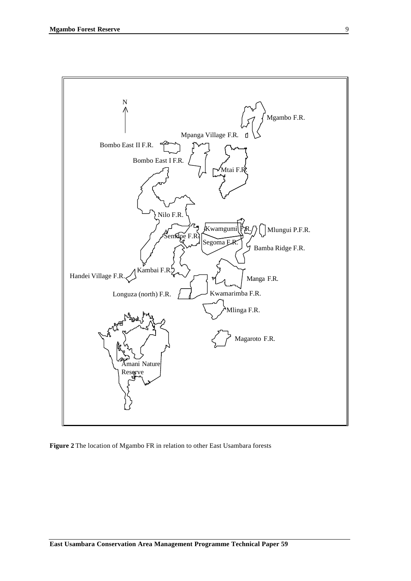

**Figure 2** The location of Mgambo FR in relation to other East Usambara forests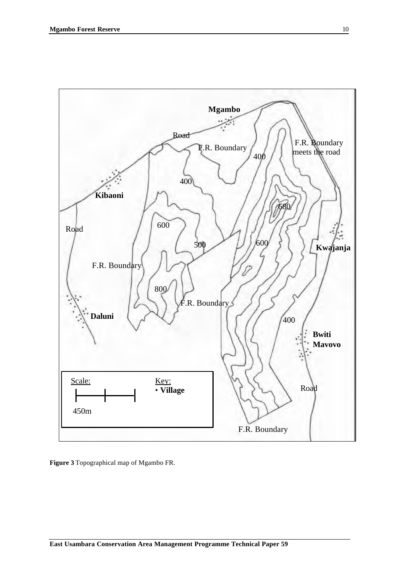

**Figure 3** Topographical map of Mgambo FR.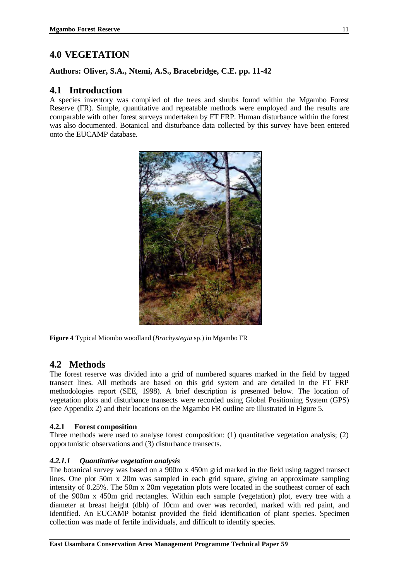### **4.0 VEGETATION**

### **Authors: Oliver, S.A., Ntemi, A.S., Bracebridge, C.E. pp. 11-42**

### **4.1 Introduction**

A species inventory was compiled of the trees and shrubs found within the Mgambo Forest Reserve (FR). Simple, quantitative and repeatable methods were employed and the results are comparable with other forest surveys undertaken by FT FRP. Human disturbance within the forest was also documented. Botanical and disturbance data collected by this survey have been entered onto the EUCAMP database.



**Figure 4** Typical Miombo woodland (*Brachystegia* sp.) in Mgambo FR

### **4.2 Methods**

The forest reserve was divided into a grid of numbered squares marked in the field by tagged transect lines. All methods are based on this grid system and are detailed in the FT FRP methodologies report (SEE, 1998). A brief description is presented below. The location of vegetation plots and disturbance transects were recorded using Global Positioning System (GPS) (see Appendix 2) and their locations on the Mgambo FR outline are illustrated in Figure 5.

### **4.2.1 Forest composition**

Three methods were used to analyse forest composition: (1) quantitative vegetation analysis; (2) opportunistic observations and (3) disturbance transects.

### *4.2.1.1 Quantitative vegetation analysis*

The botanical survey was based on a 900m x 450m grid marked in the field using tagged transect lines. One plot 50m x 20m was sampled in each grid square, giving an approximate sampling intensity of 0.25%. The 50m x 20m vegetation plots were located in the southeast corner of each of the 900m x 450m grid rectangles. Within each sample (vegetation) plot, every tree with a diameter at breast height (dbh) of 10cm and over was recorded, marked with red paint, and identified. An EUCAMP botanist provided the field identification of plant species. Specimen collection was made of fertile individuals, and difficult to identify species.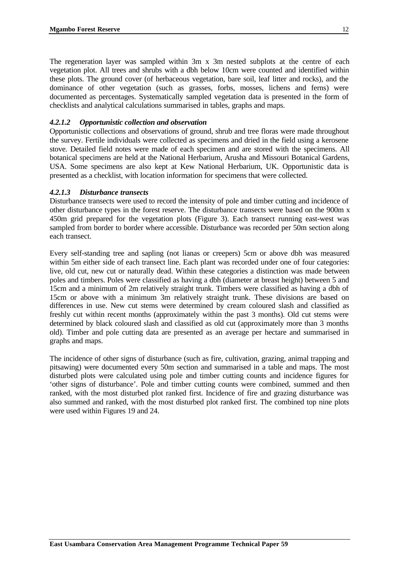The regeneration layer was sampled within 3m x 3m nested subplots at the centre of each vegetation plot. All trees and shrubs with a dbh below 10cm were counted and identified within these plots. The ground cover (of herbaceous vegetation, bare soil, leaf litter and rocks), and the dominance of other vegetation (such as grasses, forbs, mosses, lichens and ferns) were documented as percentages. Systematically sampled vegetation data is presented in the form of checklists and analytical calculations summarised in tables, graphs and maps.

### *4.2.1.2 Opportunistic collection and observation*

Opportunistic collections and observations of ground, shrub and tree floras were made throughout the survey. Fertile individuals were collected as specimens and dried in the field using a kerosene stove. Detailed field notes were made of each specimen and are stored with the specimens. All botanical specimens are held at the National Herbarium, Arusha and Missouri Botanical Gardens, USA. Some specimens are also kept at Kew National Herbarium, UK. Opportunistic data is presented as a checklist, with location information for specimens that were collected.

### *4.2.1.3 Disturbance transects*

Disturbance transects were used to record the intensity of pole and timber cutting and incidence of other disturbance types in the forest reserve. The disturbance transects were based on the 900m x 450m grid prepared for the vegetation plots (Figure 3). Each transect running east-west was sampled from border to border where accessible. Disturbance was recorded per 50m section along each transect.

Every self-standing tree and sapling (not lianas or creepers) 5cm or above dbh was measured within 5m either side of each transect line. Each plant was recorded under one of four categories: live, old cut, new cut or naturally dead. Within these categories a distinction was made between poles and timbers. Poles were classified as having a dbh (diameter at breast height) between 5 and 15cm and a minimum of 2m relatively straight trunk. Timbers were classified as having a dbh of 15cm or above with a minimum 3m relatively straight trunk. These divisions are based on differences in use. New cut stems were determined by cream coloured slash and classified as freshly cut within recent months (approximately within the past 3 months). Old cut stems were determined by black coloured slash and classified as old cut (approximately more than 3 months old). Timber and pole cutting data are presented as an average per hectare and summarised in graphs and maps.

The incidence of other signs of disturbance (such as fire, cultivation, grazing, animal trapping and pitsawing) were documented every 50m section and summarised in a table and maps. The most disturbed plots were calculated using pole and timber cutting counts and incidence figures for 'other signs of disturbance'. Pole and timber cutting counts were combined, summed and then ranked, with the most disturbed plot ranked first. Incidence of fire and grazing disturbance was also summed and ranked, with the most disturbed plot ranked first. The combined top nine plots were used within Figures 19 and 24.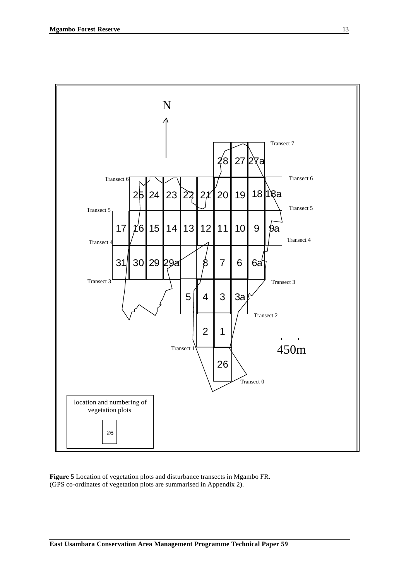

**Figure 5** Location of vegetation plots and disturbance transects in Mgambo FR. (GPS co-ordinates of vegetation plots are summarised in Appendix 2).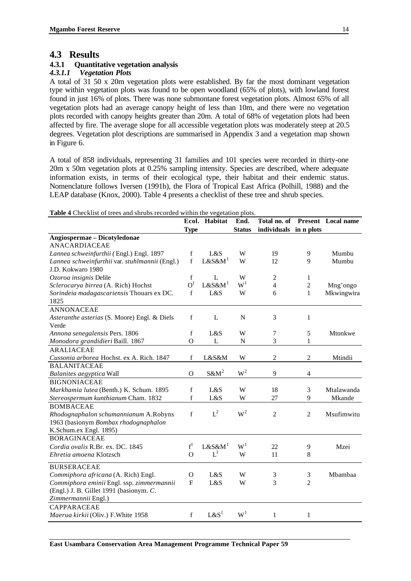### **4.3 Results**

# **4.3.1 Quantitative vegetation analysis**

### *4.3.1.1 Vegetation Plots*

A total of 31 50 x 20m vegetation plots were established. By far the most dominant vegetation type within vegetation plots was found to be open woodland (65% of plots), with lowland forest found in just 16% of plots. There was none submontane forest vegetation plots. Almost 65% of all vegetation plots had an average canopy height of less than 10m, and there were no vegetation plots recorded with canopy heights greater than 20m. A total of 68% of vegetation plots had been affected by fire. The average slope for all accessible vegetation plots was moderately steep at 20.5 degrees. Vegetation plot descriptions are summarised in Appendix 3 and a vegetation map shown in Figure 6.

A total of 858 individuals, representing 31 families and 101 species were recorded in thirty-one 20m x 50m vegetation plots at 0.25% sampling intensity. Species are described, where adequate information exists, in terms of their ecological type, their habitat and their endemic status. Nomenclature follows Iversen (1991b), the Flora of Tropical East Africa (Polhill, 1988) and the LEAP database (Knox, 2000). Table 4 presents a checklist of these tree and shrub species.

**Table 4** Checklist of trees and shrubs recorded within the vegetation plots.

|                                                | Ecol.          | Habitat            | End.           | Total no. of           |                | <b>Present</b> Local name |
|------------------------------------------------|----------------|--------------------|----------------|------------------------|----------------|---------------------------|
|                                                | <b>Type</b>    |                    | <b>Status</b>  | individuals in n plots |                |                           |
| Angiospermae - Dicotyledonae                   |                |                    |                |                        |                |                           |
| <b>ANACARDIACEAE</b>                           |                |                    |                |                        |                |                           |
| Lannea schweinfurthii (Engl.) Engl. 1897       | $\mathbf f$    | L&S                | W              | 19                     | 9              | Mumbu                     |
| Lannea schweinfurthii var. stuhlmannii (Engl.) | $\mathbf f$    | $L&S\&M1$          | W              | 12                     | 9              | Mumbu                     |
| J.D. Kokwaro 1980                              |                |                    |                |                        |                |                           |
| Ozoroa insignis Delile                         | $\mathbf f$    | L                  | W              | $\sqrt{2}$             | 1              |                           |
| Sclerocarya birrea (A. Rich) Hochst            | O <sup>1</sup> | L&S&M <sup>1</sup> | $\mathrm{W}^1$ | $\overline{4}$         | $\overline{c}$ | Mng'ongo                  |
| Sorindeia madagascariensis Thouars ex DC.      | $\mathbf f$    | L&S                | W              | 6                      | $\mathbf{1}$   | Mkwingwira                |
| 1825                                           |                |                    |                |                        |                |                           |
| <b>ANNONACEAE</b>                              |                |                    |                |                        |                |                           |
| Asteranthe asterias (S. Moore) Engl. & Diels   | $\mathbf f$    | L                  | $\mathbf N$    | 3                      | $\mathbf{1}$   |                           |
| Verde                                          |                |                    |                |                        |                |                           |
| Annona senegalensis Pers. 1806                 | $\mathbf f$    | L&S                | W              | 7                      | 5              | Mtonkwe                   |
| Monodora grandidieri Baill. 1867               | $\mathbf O$    | L                  | $\overline{N}$ | 3                      | $\mathbf{1}$   |                           |
| <b>ARALIACEAE</b>                              |                |                    |                |                        |                |                           |
| Cussonia arborea Hochst. ex A. Rich. 1847      | $\mathbf f$    | L&S&M              | W              | $\overline{c}$         | 2              | Mtindii                   |
| <b>BALANITACEAE</b>                            |                |                    |                |                        |                |                           |
| Balanites aegyptica Wall                       | $\mathcal{O}$  | $S\&M^2$           | $\mathbf{W}^2$ | 9                      | $\overline{4}$ |                           |
| <b>BIGNONIACEAE</b>                            |                |                    |                |                        |                |                           |
| Markhamia lutea (Benth.) K. Schum. 1895        | $\mathbf f$    | L&S                | W              | 18                     | 3              | Mtalawanda                |
| Stereospermum kunthianum Cham. 1832            | $\mathbf f$    | L&S                | W              | 27                     | 9              | Mkande                    |
| <b>BOMBACEAE</b>                               |                |                    |                |                        |                |                           |
| Rhodognaphalon schumannianum A.Robyns          | $\mathbf f$    | $L^2$              | $\mathbf{W}^2$ | $\overline{2}$         | $\overline{c}$ | Msufimwitu                |
| 1963 (basionym Bombax rhodognaphalon           |                |                    |                |                        |                |                           |
| K.Schum.ex Engl. 1895)                         |                |                    |                |                        |                |                           |
| <b>BORAGINACEAE</b>                            |                |                    |                |                        |                |                           |
| Cordia ovalis R.Br. ex. DC. 1845               | $f^1$          | L&S&M <sup>1</sup> | $W^1$          | 22                     | 9              | Mzei                      |
| Ehretia amoena Klotzsch                        | $\mathcal{O}$  | $L^1$              | W              | 11                     | 8              |                           |
| <b>BURSERACEAE</b>                             |                |                    |                |                        |                |                           |
| Commiphora africana (A. Rich) Engl.            | $\Omega$       | L&S                | W              | 3                      | 3              | Mbambaa                   |
| Commiphora eminii Engl. ssp. zimmermannii      | F              | L&S                | W              | 3                      | 2              |                           |
| (Engl.) J. B. Gillet 1991 (basionym. C.        |                |                    |                |                        |                |                           |
| Zimmermannii Engl.)                            |                |                    |                |                        |                |                           |
| <b>CAPPARACEAE</b>                             |                |                    |                |                        |                |                           |
| Maerua kirkii (Oliv.) F.White 1958             | $\mathbf f$    | L & S <sup>1</sup> | $W^1$          | $\mathbf{1}$           | 1              |                           |
|                                                |                |                    |                |                        |                |                           |

**East Usambara Conservation Area Management Programme Technical Paper 59**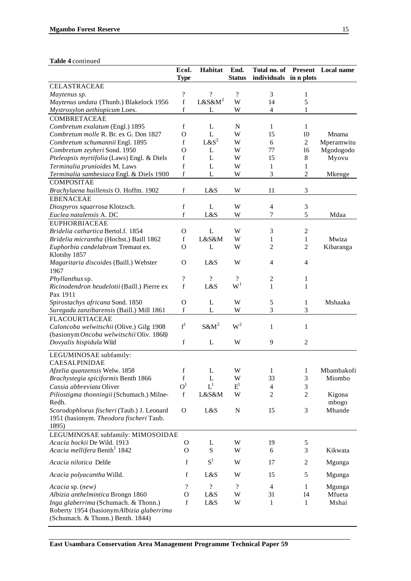### **Table 4** continued

|                                                                                                                       | Ecol.                    | Habitat            | End.                       |                        |                          | Total no. of Present Local name |
|-----------------------------------------------------------------------------------------------------------------------|--------------------------|--------------------|----------------------------|------------------------|--------------------------|---------------------------------|
|                                                                                                                       | <b>Type</b>              |                    | <b>Status</b>              | individuals in n plots |                          |                                 |
| <b>CELASTRACEAE</b>                                                                                                   |                          |                    |                            |                        |                          |                                 |
| Maytenus sp.                                                                                                          | $\overline{\mathcal{L}}$ | $\gamma$           | $\boldsymbol{\mathcal{P}}$ | 3                      | $\mathbf{1}$             |                                 |
| Maytenus undata (Thunb.) Blakelock 1956                                                                               | $\mathbf f$              | L&S&M <sup>2</sup> | W                          | 14                     | 5                        |                                 |
| Mystroxylon aethiopicum Loes.                                                                                         | $\mathbf f$              | L                  | W                          | $\overline{4}$         | 1                        |                                 |
| <b>COMBRETACEAE</b>                                                                                                   |                          |                    |                            |                        |                          |                                 |
| Combretum exalatum (Engl.) 1895                                                                                       | f                        | L                  | $\mathbf N$                | 1                      | 1                        |                                 |
| Combretum molle R. Br. ex G. Don 1827                                                                                 | $\mathbf O$              | L                  | W                          | 15                     | 10                       | Mnama                           |
| Combretum schumannii Engl. 1895                                                                                       | f                        | $L\&S^2$           | W                          | 6                      | $\overline{c}$           | Mperamwitu                      |
| Combretum zeyheri Sond. 1950                                                                                          | $\mathbf O$              | L                  | W                          | 77                     | 16                       | Mgodogodo                       |
| Pteleopsis myrtifolia (Laws) Engl. & Diels                                                                            | f                        | L                  | W                          | 15                     | $8\,$                    | Myovu                           |
| Terminalia prunioides M. Laws                                                                                         | $\mathbf f$              | L                  | W                          | 1                      | 1                        |                                 |
| Terminalia sambesiaca Engl. & Diels 1900                                                                              | $\mathbf f$              | L                  | W                          | 3                      | $\overline{c}$           | Mkenge                          |
| COMPOSITAE                                                                                                            |                          |                    |                            |                        |                          |                                 |
| Brachylaena huillensis O. Hoffm. 1902                                                                                 | $\mathbf f$              | L&S                | W                          | 11                     | 3                        |                                 |
| <b>EBENACEAE</b>                                                                                                      |                          |                    |                            |                        |                          |                                 |
|                                                                                                                       | $\mathbf f$              | L                  | W                          | 4                      | 3                        |                                 |
| Diospyros squarrosa Klotzsch.                                                                                         |                          |                    |                            |                        |                          |                                 |
| Euclea natalensis A. DC                                                                                               | f                        | L&S                | W                          | 7                      | 5                        | Mdaa                            |
| <b>EUPHORBIACEAE</b>                                                                                                  |                          |                    |                            |                        |                          |                                 |
| Bridelia cathartica Bertol.f. 1854                                                                                    | $\mathbf O$              | L                  | W                          | $\mathfrak{Z}$         | $\mathbf{2}$             |                                 |
| Bridelia micrantha (Hochst.) Baill 1862                                                                               | f                        | L&S&M              | W                          | 1                      | $\mathbf{1}$             | Mwiza                           |
| Euphorbia candelabrum Tremaut ex.                                                                                     | $\mathbf O$              | L                  | W                          | 2                      | $\overline{c}$           | Kibaranga                       |
| Klotshy 1857                                                                                                          |                          |                    |                            |                        |                          |                                 |
| Magaritaria discoides (Baill.) Webster                                                                                | O                        | L&S                | W                          | 4                      | $\overline{\mathcal{L}}$ |                                 |
| 1967                                                                                                                  |                          |                    |                            |                        |                          |                                 |
| Phyllanthus sp.                                                                                                       | ?                        | $\overline{\cdot}$ |                            | $\overline{c}$         | 1                        |                                 |
| Ricinodendron heudelotii (Baill.) Pierre ex                                                                           | $\mathbf f$              | L&S                | W <sup>1</sup>             | 1                      | 1                        |                                 |
| Pax 1911                                                                                                              |                          |                    |                            |                        |                          |                                 |
| Spirostachys africana Sond. 1850                                                                                      | $\mathbf{O}$             | L                  | W                          | 5                      | 1                        | Mshaaka                         |
| Suregada zanzibarensis (Baill.) Mill 1861                                                                             | f                        | L                  | W                          | 3                      | 3                        |                                 |
| <b>FLACOURTIACEAE</b>                                                                                                 |                          |                    |                            |                        |                          |                                 |
| Caloncoba welwitschii (Olive.) Gilg 1908                                                                              | $f^1$                    | $S\&M^2$           | $W^2$                      | 1                      | 1                        |                                 |
| (basionym Oncoba welwitschii Oliv. 1868)                                                                              |                          |                    |                            |                        |                          |                                 |
| Dovyalis hispidula Wild                                                                                               | f                        | L                  | W                          | 9                      | $\overline{2}$           |                                 |
|                                                                                                                       |                          |                    |                            |                        |                          |                                 |
| LEGUMINOSAE subfamily:                                                                                                |                          |                    |                            |                        |                          |                                 |
| <b>CAESALPINIDAE</b>                                                                                                  |                          |                    |                            |                        |                          |                                 |
| Afzelia quanzensis Welw. 1858                                                                                         | f                        | L                  | W                          | 1                      | 1                        | Mbambakofi                      |
| Brachystegia spiciformis Benth 1866                                                                                   | $\mathbf f$              | L                  | W                          | 33                     | $\sqrt{3}$               | Miombo                          |
| Cassia abbreviata Oliver                                                                                              | O <sup>1</sup>           | $L^1$              | $E^1$                      | $\overline{4}$         | $\mathfrak{Z}$           |                                 |
| Piliostigma thonningii (Schumach.) Milne-                                                                             | $\mathbf f$              | L&S&M              | W                          | $\overline{c}$         | $\overline{c}$           | Kigona                          |
| Redh.                                                                                                                 |                          |                    |                            |                        |                          | mbogo                           |
| Scorodophloeus fischeri (Taub.) J. Leonard                                                                            | $\mathbf O$              | L&S                | ${\bf N}$                  | 15                     | $\mathfrak{Z}$           | Mhande                          |
| 1951 (basionym. Theodora fischeri Taub.                                                                               |                          |                    |                            |                        |                          |                                 |
| 1895)                                                                                                                 |                          |                    |                            |                        |                          |                                 |
| LEGUMINOSAE subfamily: MIMOSOIDAE                                                                                     |                          |                    |                            |                        |                          |                                 |
| Acacia hockii De Wild. 1913                                                                                           | O                        | L                  | W                          | 19                     | 5                        |                                 |
| Acacia mellifera Benth <sup>1</sup> 1842                                                                              | $\mathbf{O}$             | ${\bf S}$          | W                          | 6                      | 3                        | Kikwata                         |
| Acacia nilotica Delile                                                                                                | $\mathbf f$              | $S^1$              | W                          | 17                     | $\mathfrak{2}$           | Mgunga                          |
| Acacia polyacantha Willd.                                                                                             | f                        | L&S                | W                          | 15                     | 5                        | Mgunga                          |
| Acacia sp. (new)                                                                                                      | $\overline{\cdot}$       | $\gamma$           | $\overline{\mathcal{L}}$   | $\overline{4}$         | 1                        | Mgunga                          |
| Albizia anthelmintica Brongn 1860                                                                                     | $\mathbf{O}$             | L&S                | W                          | 31                     | 14                       | Mfueta                          |
|                                                                                                                       | $\mathbf f$              |                    |                            |                        |                          |                                 |
| Inga glaberrima (Schumach. & Thonn.)<br>Roberty 1954 (basionymAlbizia glaberrima<br>(Schumach. & Thonn.) Benth. 1844) |                          | L&S                | W                          | 1                      | $\mathbf{1}$             | Mshai                           |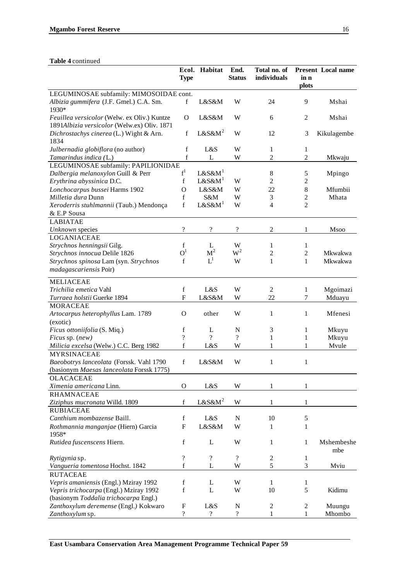### **Table 4** continued

|                                                                                            | <b>Type</b>              | Ecol. Habitat            | End.<br><b>Status</b>    | Total no. of<br>individuals | in n<br>plots  | <b>Present Local name</b> |
|--------------------------------------------------------------------------------------------|--------------------------|--------------------------|--------------------------|-----------------------------|----------------|---------------------------|
| LEGUMINOSAE subfamily: MIMOSOIDAE cont.                                                    |                          |                          |                          |                             |                |                           |
| Albizia gummifera (J.F. Gmel.) C.A. Sm.                                                    | f                        | L&S&M                    | W                        | 24                          | 9              | Mshai                     |
| 1930*                                                                                      |                          |                          |                          |                             |                |                           |
| Feuillea versicolor (Welw. ex Oliv.) Kuntze<br>1891Albizia versicolor (Welw.ex) Oliv. 1871 | O                        | L&S&M                    | W                        | 6                           | $\overline{c}$ | Mshai                     |
| Dichrostachys cinerea (L.) Wight & Arn.<br>1834                                            | f                        | $L&S\&M^2$               | W                        | 12                          | 3              | Kikulagembe               |
| Julbernadia globiflora (no author)                                                         | $\mathbf f$              | L&S                      | W                        | $\mathbf{1}$                | $\mathbf{1}$   |                           |
| Tamarindus indica (L.)                                                                     | $\mathbf f$              | L                        | W                        | $\overline{c}$              | 2              | Mkwaju                    |
| LEGUMINOSAE subfamily: PAPILIONIDAE                                                        |                          |                          |                          |                             |                |                           |
| Dalbergia melanoxylon Guill & Perr                                                         | $f^1$                    | $L&S\&M1$                |                          | 8                           | 5              | Mpingo                    |
| Erythrina abyssinica D.C.                                                                  | $\mathbf f$              | $L&S\&M1$                | W                        | $\overline{c}$              | 2              |                           |
| Lonchocarpus bussei Harms 1902                                                             | $\Omega$                 | L&S&M                    | W                        | 22                          | 8              | Mfumbii                   |
| Milletia dura Dunn                                                                         | f                        | S&M                      | W                        | 3                           | 2              | Mhata                     |
|                                                                                            | f                        | $L&S\&M1$                | W                        | 4                           | 2              |                           |
| Xeroderris stuhlmannii (Taub.) Mendonça                                                    |                          |                          |                          |                             |                |                           |
| & E.P Sousa                                                                                |                          |                          |                          |                             |                |                           |
| <b>LABIATAE</b>                                                                            |                          |                          |                          |                             |                |                           |
| Unknown species                                                                            |                          | ?                        | ?                        | 2                           | 1              | Msoo                      |
| <b>LOGANIACEAE</b>                                                                         |                          |                          |                          |                             |                |                           |
| Strychnos henningsii Gilg.                                                                 | f                        | L                        | W                        | 1                           | 1              |                           |
| Strychnos innocua Delile 1826                                                              | O <sup>1</sup>           | M <sup>2</sup>           | $W^2$                    | $\overline{c}$              | 2              | <b>Mkwakwa</b>            |
| Strychnos spinosa Lam (syn. Strychnos                                                      | f                        | $L^1$                    | W                        | 1                           | 1              | Mkwakwa                   |
| madagascariensis Poir)                                                                     |                          |                          |                          |                             |                |                           |
| <b>MELIACEAE</b>                                                                           |                          |                          |                          |                             |                |                           |
| Trichilia emetica Vahl                                                                     | $\mathbf f$              | L&S                      | W                        | $\mathfrak{2}$              | 1              | Mgoimazi                  |
| Turraea holstii Guerke 1894                                                                | $\mathbf{F}$             | L&S&M                    | W                        | 22                          | 7              | Mduayu                    |
| <b>MORACEAE</b>                                                                            |                          |                          |                          |                             |                |                           |
| Artocarpus heterophyllus Lam. 1789                                                         | O                        | other                    | W                        | 1                           | 1              | Mfenesi                   |
| (exotic)                                                                                   |                          |                          |                          |                             |                |                           |
| Ficus ottoniifolia (S. Miq.)                                                               | f                        | L                        | N                        | 3                           | 1              | Mkuyu                     |
| Ficus sp. (new)                                                                            | $\overline{\mathcal{L}}$ | $\overline{?}$           | $\overline{\mathcal{L}}$ | 1                           | 1              | Mkuyu                     |
| Milicia excelsa (Welw.) C.C. Berg 1982                                                     | $\mathbf f$              | L&S                      | W                        | 1                           | 1              | Mvule                     |
| <b>MYRSINACEAE</b><br>Baeobotrys lanceolata (Forssk. Vahl 1790                             | f                        | L&S&M                    | W                        | 1                           | 1              |                           |
| (basionym Maesas lanceolata Forssk 1775)                                                   |                          |                          |                          |                             |                |                           |
| <b>OLACACEAE</b>                                                                           |                          |                          |                          |                             |                |                           |
| Ximenia americana Linn.                                                                    | $\mathbf{O}$             | L&S                      | W                        | 1                           | 1              |                           |
| <b>RHAMNACEAE</b>                                                                          |                          |                          |                          |                             |                |                           |
| Ziziphus mucronata Willd. 1809                                                             | $\mathbf f$              | $L&S\&M^2$               | W                        | 1                           | $\mathbf{1}$   |                           |
| <b>RUBIACEAE</b>                                                                           |                          |                          |                          |                             |                |                           |
| Canthium mombazense Baill.                                                                 | $\mathbf f$              | L&S                      | ${\bf N}$                | $10\,$                      | 5              |                           |
| Rothmannia manganjae (Hiern) Garcia                                                        | ${\bf F}$                | L&S&M                    | W                        | 1                           | $\mathbf{1}$   |                           |
| 1958*                                                                                      |                          |                          |                          |                             |                |                           |
| Rutidea fuscenscens Hiern.                                                                 | $\mathbf f$              | L                        | W                        | $\mathbf{1}$                | 1              | Mshembeshe<br>mbe         |
| Rytigynia sp.                                                                              | $\overline{?}$           | $\overline{\mathcal{C}}$ | $\gamma$                 | $\mathfrak{2}$              | 1              |                           |
| Vangueria tomentosa Hochst. 1842                                                           | f                        | L                        | W                        | 5                           | 3              | Mviu                      |
| <b>RUTACEAE</b>                                                                            |                          |                          |                          |                             |                |                           |
| Vepris amaniensis (Engl.) Mziray 1992                                                      | f                        | L                        | W                        | 1                           | 1              |                           |
| Vepris trichocarpa (Engl.) Mziray 1992                                                     | $\mathbf f$              | L                        | W                        | 10                          | 5              | Kidimu                    |
| (basionym Toddalia trichocarpa Engl.)                                                      |                          |                          |                          |                             |                |                           |
| Zanthoxylum deremense (Engl.) Kokwaro                                                      | F                        | L&S                      | N                        | 2                           | $\mathbf{2}$   | Muungu                    |
| Zanthoxylum sp.                                                                            | $\overline{?}$           | $\overline{\mathcal{L}}$ | $\overline{?}$           | 1                           | 1              | Mhombo                    |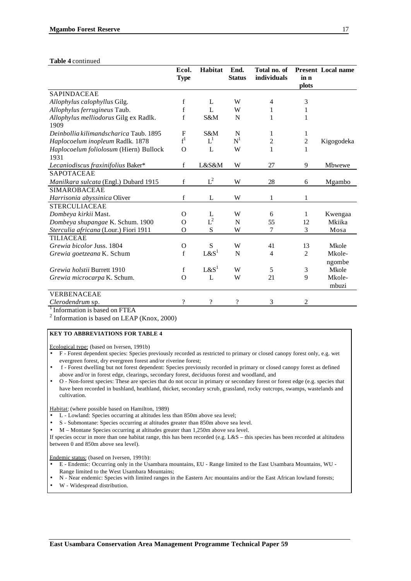#### **Table 4** continued

|                                                         | Ecol.<br><b>Type</b> | Habitat                  | End.<br><b>Status</b> | Total no. of<br>individuals | in n<br>plots  | <b>Present Local name</b> |
|---------------------------------------------------------|----------------------|--------------------------|-----------------------|-----------------------------|----------------|---------------------------|
| <b>SAPINDACEAE</b>                                      |                      |                          |                       |                             |                |                           |
| Allophylus calophyllus Gilg.                            | f                    | L                        | W                     | 4                           | 3              |                           |
| Allophylus ferrugineus Taub.                            | f                    | $\mathbf{L}$             | W                     | 1                           | 1              |                           |
| Allophylus melliodorus Gilg ex Radlk.<br>1909           | f                    | S&M                      | N                     | 1                           | 1              |                           |
| Deinbollia kilimandscharica Taub. 1895                  | F                    | S&M                      | N                     | 1                           | 1              |                           |
| Haplocoelum inopleum Radlk. 1878                        | $f^1$                | $L^1$                    | $N^1$                 | 2                           | $\overline{c}$ | Kigogodeka                |
| Haplocoelum foliolosum (Hiern) Bullock                  | $\Omega$             | L                        | W                     | 1                           | $\mathbf{1}$   |                           |
| 1931                                                    |                      | L&S&M                    | W                     | 27                          | 9              |                           |
| Lecaniodiscus fraxinifolius Baker*<br><b>SAPOTACEAE</b> | f                    |                          |                       |                             |                | Mbwewe                    |
|                                                         |                      | $L^2$                    |                       |                             |                |                           |
| Manilkara sulcata (Engl.) Dubard 1915                   | f                    |                          | W                     | 28                          | 6              | Mgambo                    |
| <b>SIMAROBACEAE</b>                                     |                      |                          |                       |                             |                |                           |
| Harrisonia abyssinica Oliver                            | f                    | L                        | W                     | 1                           | 1              |                           |
| <b>STERCULIACEAE</b>                                    |                      |                          |                       |                             |                |                           |
| Dombeya kirkii Mast.                                    | $\Omega$             | L                        | W                     | 6                           | 1              | Kwengaa                   |
| Dombeya shupangae K. Schum. 1900                        | $\Omega$             | ${\cal L}^2$             | N                     | 55                          | 12             | Mkiika                    |
| Sterculia africana (Lour.) Fiori 1911                   | O                    | ${\bf S}$                | W                     | 7                           | 3              | Mosa                      |
| <b>TILIACEAE</b>                                        |                      |                          |                       |                             |                |                           |
| Grewia bicolor Juss. 1804                               | O                    | S                        | W                     | 41                          | 13             | Mkole                     |
| Grewia goetzeana K. Schum                               | f                    | L & S <sup>1</sup>       | N                     | 4                           | 2              | Mkole-                    |
|                                                         |                      |                          |                       |                             |                | ngombe                    |
| Grewia holstii Burrett 1910                             | f                    | L & S <sup>1</sup>       | W                     | 5                           | $\mathfrak{Z}$ | Mkole                     |
| Grewia microcarpa K. Schum.                             | $\Omega$             | L                        | W                     | 21                          | 9              | Mkole-                    |
|                                                         |                      |                          |                       |                             |                | mbuzi                     |
| VERBENACEAE                                             |                      |                          |                       |                             |                |                           |
| Clerodendrum sp.                                        | ?                    | $\overline{\mathcal{L}}$ | ?                     | 3                           | $\overline{c}$ |                           |

<sup>1</sup> Information is based on FTEA

 $2$  Information is based on LEAP (Knox, 2000)

#### **KEY TO ABBREVIATIONS FOR TABLE 4**

Ecological type: (based on Iversen, 1991b)

- F Forest dependent species: Species previously recorded as restricted to primary or closed canopy forest only, e.g. wet evergreen forest, dry evergreen forest and/or riverine forest;
- f Forest dwelling but not forest dependent: Species previously recorded in primary or closed canopy forest as defined above and/or in forest edge, clearings, secondary forest, deciduous forest and woodland, and
- O Non-forest species: These are species that do not occur in primary or secondary forest or forest edge (e.g. species that have been recorded in bushland, heathland, thicket, secondary scrub, grassland, rocky outcrops, swamps, wastelands and cultivation.

Habitat: (where possible based on Hamilton, 1989)

- L Lowland: Species occurring at altitudes less than 850m above sea level;
- S Submontane: Species occurring at altitudes greater than 850m above sea level.
- M Montane Species occurring at altitudes greater than 1,250m above sea level.

If species occur in more than one habitat range, this has been recorded (e.g. L&S – this species has been recorded at altitudess between 0 and 850m above sea level).

Endemic status: (based on Iversen, 1991b):

- E Endemic: Occurring only in the Usambara mountains, EU Range limited to the East Usambara Mountains, WU Range limited to the West Usambara Mountains;
- N Near endemic: Species with limited ranges in the Eastern Arc mountains and/or the East African lowland forests;
- W Widespread distribution.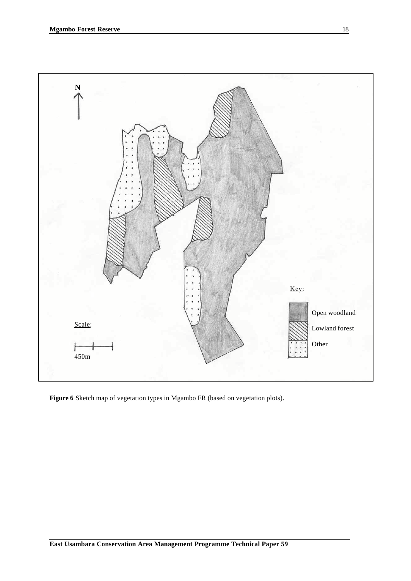

**Figure 6** Sketch map of vegetation types in Mgambo FR (based on vegetation plots).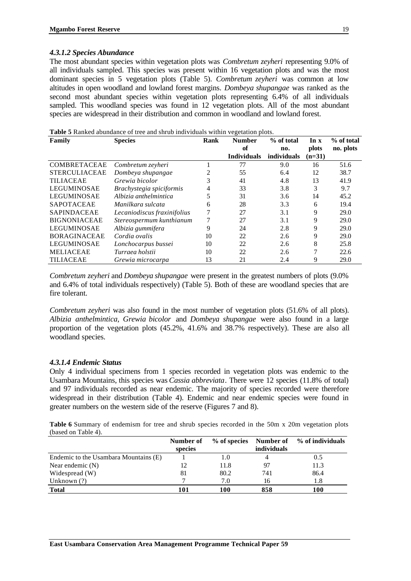### *4.3.1.2 Species Abundance*

The most abundant species within vegetation plots was *Combretum zeyheri* representing 9.0% of all individuals sampled. This species was present within 16 vegetation plots and was the most dominant species in 5 vegetation plots (Table 5). *Combretum zeyheri* was common at low altitudes in open woodland and lowland forest margins. *Dombeya shupangae* was ranked as the second most abundant species within vegetation plots representing 6.4% of all individuals sampled. This woodland species was found in 12 vegetation plots. All of the most abundant species are widespread in their distribution and common in woodland and lowland forest.

| Family               | <b>Tuble</b> of Kaliked abundance of tree and sin ab murvidadis within vegetation prots.<br><b>Species</b> | Rank | <b>Number</b>      | % of total  | $\ln x$      | % of total |
|----------------------|------------------------------------------------------------------------------------------------------------|------|--------------------|-------------|--------------|------------|
|                      |                                                                                                            |      | of                 | no.         | <b>plots</b> | no. plots  |
|                      |                                                                                                            |      | <b>Individuals</b> | individuals | $(n=31)$     |            |
| <b>COMBRETACEAE</b>  | Combretum zeyheri                                                                                          |      | 77                 | 9.0         | 16           | 51.6       |
| <b>STERCULIACEAE</b> | Dombeya shupangae                                                                                          | 2    | 55                 | 6.4         | 12           | 38.7       |
| <b>TILIACEAE</b>     | Grewia bicolor                                                                                             | 3    | 41                 | 4.8         | 13           | 41.9       |
| <b>LEGUMINOSAE</b>   | Brachystegia spiciformis                                                                                   | 4    | 33                 | 3.8         | 3            | 9.7        |
| <b>LEGUMINOSAE</b>   | Albizia anthelmintica                                                                                      | 5    | 31                 | 3.6         | 14           | 45.2       |
| <b>SAPOTACEAE</b>    | Manilkara sulcata                                                                                          | 6    | 28                 | 3.3         | 6            | 19.4       |
| <b>SAPINDACEAE</b>   | Lecaniodiscus fraxinifolius                                                                                | 7    | 27                 | 3.1         | 9            | 29.0       |
| <b>BIGNONIACEAE</b>  | Stereospermum kunthianum                                                                                   |      | 27                 | 3.1         | 9            | 29.0       |
| LEGUMINOSAE          | Albizia gummifera                                                                                          | 9    | 24                 | 2.8         | 9            | 29.0       |
| <b>BORAGINACEAE</b>  | Cordia ovalis                                                                                              | 10   | 22                 | 2.6         | 9            | 29.0       |
| <b>LEGUMINOSAE</b>   | Lonchocarpus bussei                                                                                        | 10   | 22                 | 2.6         | 8            | 25.8       |
| <b>MELIACEAE</b>     | Turraea holstii                                                                                            | 10   | 22                 | 2.6         | 7            | 22.6       |
| <b>TILIACEAE</b>     | Grewia microcarpa                                                                                          | 13   | 21                 | 2.4         | 9            | 29.0       |

**Table 5** Ranked abundance of tree and shrub individuals within vegetation plots.

*Combretum zeyheri* and *Dombeya shupangae* were present in the greatest numbers of plots (9.0% and 6.4% of total individuals respectively) (Table 5). Both of these are woodland species that are fire tolerant.

*Combretum zeyheri* was also found in the most number of vegetation plots (51.6% of all plots). *Albizia anthelmintica, Grewia bicolor* and *Dombeya shupangae* were also found in a large proportion of the vegetation plots (45.2%, 41.6% and 38.7% respectively). These are also all woodland species.

### *4.3.1.4 Endemic Status*

Only 4 individual specimens from 1 species recorded in vegetation plots was endemic to the Usambara Mountains, this species was *Cassia abbreviata*. There were 12 species (11.8% of total) and 97 individuals recorded as near endemic. The majority of species recorded were therefore widespread in their distribution (Table 4). Endemic and near endemic species were found in greater numbers on the western side of the reserve (Figures 7 and 8).

**Table 6** Summary of endemism for tree and shrub species recorded in the 50m x 20m vegetation plots (based on Table 4).

|                                       | Number of |      |                    | % of species Number of % of individuals |
|---------------------------------------|-----------|------|--------------------|-----------------------------------------|
|                                       | species   |      | <i>individuals</i> |                                         |
| Endemic to the Usambara Mountains (E) |           | 1.0  |                    |                                         |
| Near endemic $(N)$                    | 12        | 11.8 | -97                | 11.3                                    |
| Widespread (W)                        | 81        | 80.2 | 741                | 86.4                                    |
| Unknown $(?)$                         |           | 7.0  | 16                 | 1.8                                     |
| <b>Total</b>                          | 101       | 100  | 858                | 100                                     |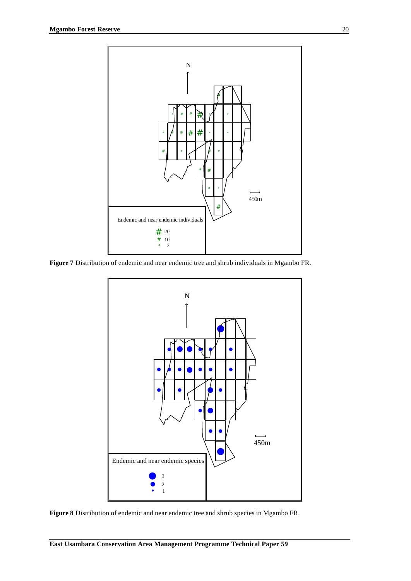

**Figure 7** Distribution of endemic and near endemic tree and shrub individuals in Mgambo FR.



**Figure 8** Distribution of endemic and near endemic tree and shrub species in Mgambo FR.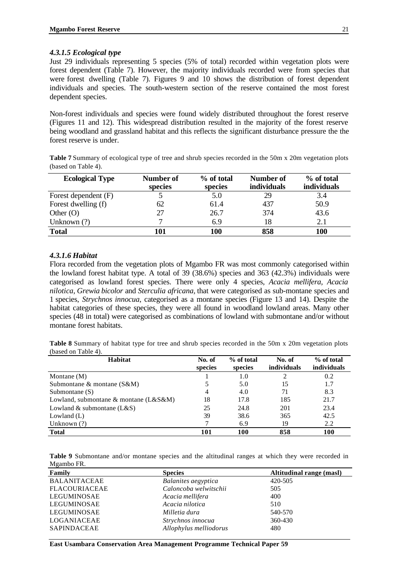### *4.3.1.5 Ecological type*

Just 29 individuals representing 5 species (5% of total) recorded within vegetation plots were forest dependent (Table 7). However, the majority individuals recorded were from species that were forest dwelling (Table 7). Figures 9 and 10 shows the distribution of forest dependent individuals and species. The south-western section of the reserve contained the most forest dependent species.

Non-forest individuals and species were found widely distributed throughout the forest reserve (Figures 11 and 12). This widespread distribution resulted in the majority of the forest reserve being woodland and grassland habitat and this reflects the significant disturbance pressure the the forest reserve is under.

| Table 7 Summary of ecological type of tree and shrub species recorded in the 50m x 20m vegetation plots |  |  |  |  |  |
|---------------------------------------------------------------------------------------------------------|--|--|--|--|--|
| (based on Table 4).                                                                                     |  |  |  |  |  |

| <b>Ecological Type</b> | Number of<br>species | % of total<br>species | Number of<br>individuals | % of total<br><b>individuals</b> |
|------------------------|----------------------|-----------------------|--------------------------|----------------------------------|
| Forest dependent (F)   |                      | 5.0                   | 29                       | 3.4                              |
| Forest dwelling (f)    | 62                   | 61.4                  | 437                      | 50.9                             |
| Other $(O)$            | 27                   | 26.7                  | 374                      | 43.6                             |
| Unknown $(?)$          |                      | 6.9                   | 18                       | 2.1                              |
| <b>Total</b>           | 101                  | 100                   | 858                      | 100                              |

### *4.3.1.6 Habitat*

Flora recorded from the vegetation plots of Mgambo FR was most commonly categorised within the lowland forest habitat type. A total of 39 (38.6%) species and 363 (42.3%) individuals were categorised as lowland forest species. There were only 4 species, *Acacia mellifera, Acacia nilotica*, *Grewia bicolor* and *Sterculia africana,* that were categorised as sub-montane species and 1 species, *Strychnos innocua*, categorised as a montane species (Figure 13 and 14). Despite the habitat categories of these species, they were all found in woodland lowland areas. Many other species (48 in total) were categorised as combinations of lowland with submontane and/or without montane forest habitats.

**Table 8** Summary of habitat type for tree and shrub species recorded in the 50m x 20m vegetation plots (based on Table 4).

| Habitat                                            | No. of<br>species | % of total<br>species | No. of<br>individuals | % of total<br>individuals |
|----------------------------------------------------|-------------------|-----------------------|-----------------------|---------------------------|
| Montane $(M)$                                      |                   | 1.0                   |                       | 0.2                       |
| Submontane $\&$ montane ( $S\&M$ )                 |                   | 5.0                   | 15                    | 1.7                       |
| Submontane $(S)$                                   | 4                 | 4.0                   | 71                    | 8.3                       |
| Lowland, submontane $\&$ montane (L $\&$ S $\&$ M) | 18                | 17.8                  | 185                   | 21.7                      |
| Lowland & submontane $(L&S)$                       | 25                | 24.8                  | 201                   | 23.4                      |
| Lowland $(L)$                                      | 39                | 38.6                  | 365                   | 42.5                      |
| Unknown $(?)$                                      |                   | 6.9                   | 19                    | 2.2                       |
| <b>Total</b>                                       | 101               | 100                   | 858                   | 100                       |

**Table 9** Submontane and/or montane species and the altitudinal ranges at which they were recorded in Mgambo FR.

| Family               | <b>Species</b>         | Altitudinal range (masl) |
|----------------------|------------------------|--------------------------|
| <b>BALANITACEAE</b>  | Balanites aegyptica    | 420-505                  |
| <b>FLACOURIACEAE</b> | Caloncoba welwitschii  | 505                      |
| LEGUMINOSAE          | Acacia mellifera       | 400                      |
| LEGUMINOSAE          | Acacia nilotica        | 510                      |
| LEGUMINOSAE          | Milletia dura          | 540-570                  |
| LOGANIACEAE          | Strychnos innocua      | 360-430                  |
| <b>SAPINDACEAE</b>   | Allophylus melliodorus | 480                      |

**East Usambara Conservation Area Management Programme Technical Paper 59**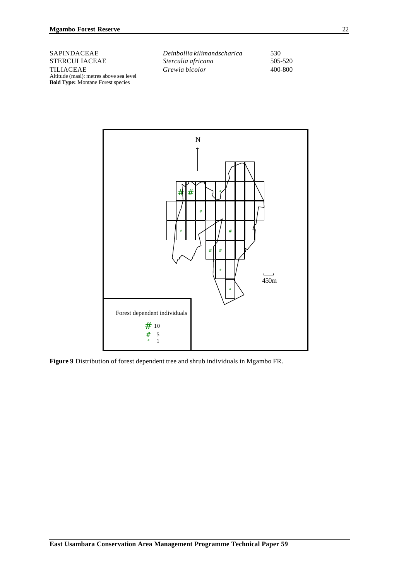| <b>SAPINDACEAE</b>                      | Deinbollia kilimandscharica | 530     |
|-----------------------------------------|-----------------------------|---------|
| <b>STERCULIACEAE</b>                    | Sterculia africana          | 505-520 |
| <b>TILIACEAE</b>                        | Grewia bicolor              | 400-800 |
| Altitude (masl): metres above sea level |                             |         |

**Bold Type:** Montane Forest species



**Figure 9** Distribution of forest dependent tree and shrub individuals in Mgambo FR.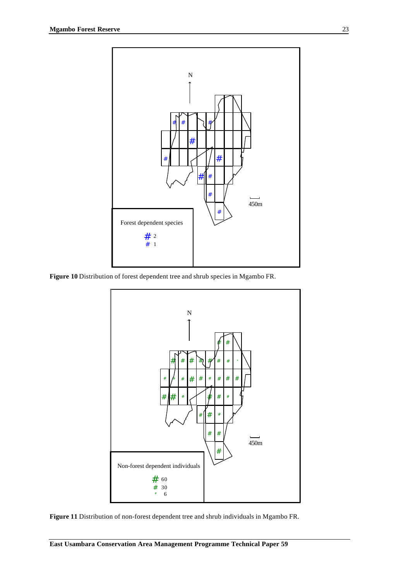

**Figure 10** Distribution of forest dependent tree and shrub species in Mgambo FR.



**Figure 11** Distribution of non-forest dependent tree and shrub individuals in Mgambo FR.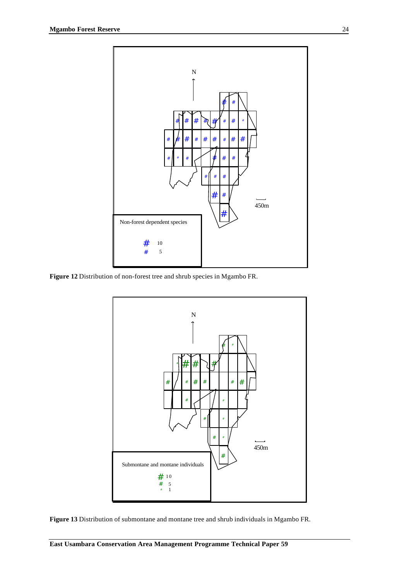

**Figure 12** Distribution of non-forest tree and shrub species in Mgambo FR.



**Figure 13** Distribution of submontane and montane tree and shrub individuals in Mgambo FR.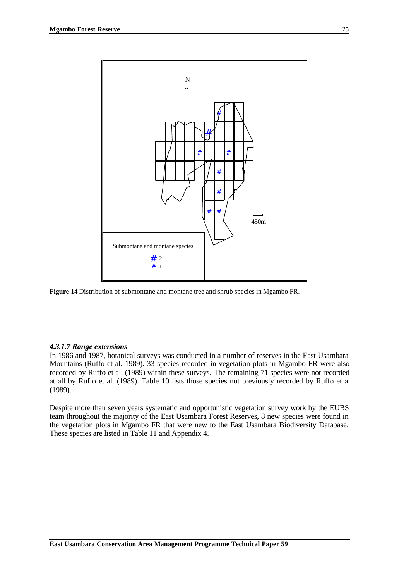

**Figure 14** Distribution of submontane and montane tree and shrub species in Mgambo FR.

#### *4.3.1.7 Range extensions*

In 1986 and 1987, botanical surveys was conducted in a number of reserves in the East Usambara Mountains (Ruffo et al. 1989). 33 species recorded in vegetation plots in Mgambo FR were also recorded by Ruffo et al. (1989) within these surveys. The remaining 71 species were not recorded at all by Ruffo et al. (1989). Table 10 lists those species not previously recorded by Ruffo et al (1989).

Despite more than seven years systematic and opportunistic vegetation survey work by the EUBS team throughout the majority of the East Usambara Forest Reserves, 8 new species were found in the vegetation plots in Mgambo FR that were new to the East Usambara Biodiversity Database. These species are listed in Table 11 and Appendix 4.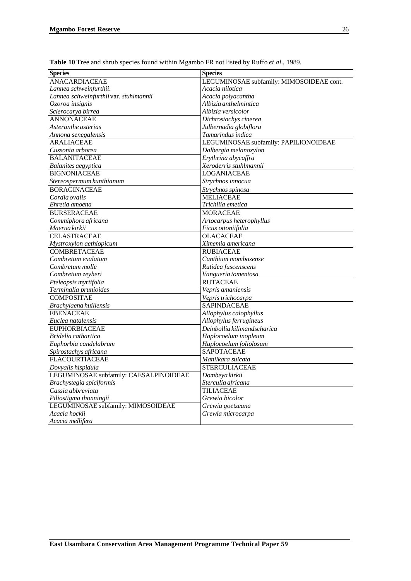| <b>Species</b>                         | <b>Species</b>                           |
|----------------------------------------|------------------------------------------|
| <b>ANACARDIACEAE</b>                   | LEGUMINOSAE subfamily: MIMOSOIDEAE cont. |
| Lannea schweinfurthii.                 | Acacia nilotica                          |
| Lannea schweinfurthii var. stuhlmannii | Acacia polyacantha                       |
| Ozoroa insignis                        | Albizia anthelmintica                    |
| Sclerocarya birrea                     | Albizia versicolor                       |
| <b>ANNONACEAE</b>                      | Dichrostachys cinerea                    |
| Asteranthe asterias                    | Julbernadia globiflora                   |
| Annona senegalensis                    | Tamarindus indica                        |
| <b>ARALIACEAE</b>                      | LEGUMINOSAE subfamily: PAPILIONOIDEAE    |
| Cussonia arborea                       | Dalbergia melanoxylon                    |
| <b>BALANITACEAE</b>                    | Erythrina abycaffra                      |
| Balanites aegyptica                    | Xeroderris stuhlmannii                   |
| <b>BIGNONIACEAE</b>                    | <b>LOGANIACEAE</b>                       |
| Stereospermum kunthianum               | Strychnos innocua                        |
| <b>BORAGINACEAE</b>                    | Strychnos spinosa                        |
| Cordia ovalis                          | <b>MELIACEAE</b>                         |
| Ehretia amoena                         | Trichilia emetica                        |
| <b>BURSERACEAE</b>                     | <b>MORACEAE</b>                          |
| Commiphora africana                    | Artocarpus heterophyllus                 |
| Maerua kirkii                          | Ficus ottoniifolia                       |
| <b>CELASTRACEAE</b>                    | <b>OLACACEAE</b>                         |
| Mystroxylon aethiopicum                | Ximemia americana                        |
| <b>COMBRETACEAE</b>                    | <b>RUBIACEAE</b>                         |
| Combretum exalatum                     | Canthium mombazense                      |
| Combretum molle                        | Rutidea fuscenscens                      |
| Combretum zeyheri                      | Vangueria tomentosa                      |
| Pteleopsis myrtifolia                  | <b>RUTACEAE</b>                          |
| Terminalia prunioides                  | Vepris amaniensis                        |
| <b>COMPOSITAE</b>                      | Vepris trichocarpa                       |
| Brachylaena huillensis                 | <b>SAPINDACEAE</b>                       |
| <b>EBENACEAE</b>                       | Allophylus calophyllus                   |
| Euclea natalensis                      | Allophylus ferrugineus                   |
| <b>EUPHORBIACEAE</b>                   | Deinbollia kilimandscharica              |
| Bridelia cathartica                    | Haplocoelum inopleum                     |
| Euphorbia candelabrum                  | Haplocoelum foliolosum                   |
| Spirostachys africana                  | <b>SAPOTACEAE</b>                        |
| <b>FLACOURTIACEAE</b>                  | Manilkara sulcata                        |
| Dovyalis hispidula                     | <b>STERCULIACEAE</b>                     |
| LEGUMINOSAE subfamily: CAESALPINOIDEAE | Dombeya kirkii                           |
| Brachystegia spiciformis               | Sterculia africana                       |
| Cassia abbreviata                      | <b>TILIACEAE</b>                         |
| Piliostigma thonningii                 | Grewia bicolor                           |
| LEGUMINOSAE subfamily: MIMOSOIDEAE     | Grewia goetzeana                         |
| Acacia hockii                          | Grewia microcarpa                        |
| Acacia mellifera                       |                                          |

**Table 10** Tree and shrub species found within Mgambo FR not listed by Ruffo *et al.*, 1989.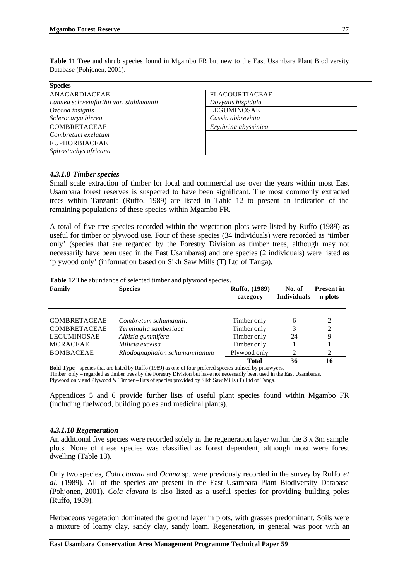| <b>Species</b>                         |                       |
|----------------------------------------|-----------------------|
| ANACARDIACEAE                          | <b>FLACOURTIACEAE</b> |
| Lannea schweinfurthii var. stuhlmannii | Dovyalis hispidula    |
| Ozoroa insignis                        | LEGUMINOSAE           |
| Sclerocarya birrea                     | Cassia abbreviata     |
| COMBRETACEAE                           | Erythrina abyssinica  |
| Combretum exelatum                     |                       |
| <b>EUPHORBIACEAE</b>                   |                       |
| Spirostachys africana                  |                       |

**Table 11** Tree and shrub species found in Mgambo FR but new to the East Usambara Plant Biodiversity Database (Pohjonen, 2001).

#### *4.3.1.8 Timber species*

Small scale extraction of timber for local and commercial use over the years within most East Usambara forest reserves is suspected to have been significant. The most commonly extracted trees within Tanzania (Ruffo, 1989) are listed in Table 12 to present an indication of the remaining populations of these species within Mgambo FR.

A total of five tree species recorded within the vegetation plots were listed by Ruffo (1989) as useful for timber or plywood use. Four of these species (34 individuals) were recorded as 'timber only' (species that are regarded by the Forestry Division as timber trees, although may not necessarily have been used in the East Usambaras) and one species (2 individuals) were listed as 'plywood only' (information based on Sikh Saw Mills (T) Ltd of Tanga).

#### **Table 12** The abundance of selected timber and plywood species**.**

| Family              | <b>Species</b>               | Ruffo, (1989)<br>category | No. of<br><b>Individuals</b> | <b>Present in</b><br>n plots |
|---------------------|------------------------------|---------------------------|------------------------------|------------------------------|
| <b>COMBRETACEAE</b> | Combretum schumannii.        | Timber only               | 6                            | 2                            |
| <b>COMBRETACEAE</b> | Terminalia sambesiaca        | Timber only               | 3                            | $\overline{c}$               |
| LEGUMINOSAE         | Albizia gummifera            | Timber only               | 24                           | 9                            |
| <b>MORACEAE</b>     | Milicia excelsa              | Timber only               |                              |                              |
| <b>BOMBACEAE</b>    | Rhodognaphalon schumannianum | Plywood only              | 2                            | 2                            |
|                     |                              | <b>Total</b>              | 36                           | 16                           |

**Bold Type** – species that are listed by Ruffo (1989) as one of four prefered species utilised by pitsawyers.

Timber only – regarded as timber trees by the Forestry Division but have not necessarily been used in the East Usambaras.

Plywood only and Plywood & Timber – lists of species provided by Sikh Saw Mills (T) Ltd of Tanga.

Appendices 5 and 6 provide further lists of useful plant species found within Mgambo FR (including fuelwood, building poles and medicinal plants).

#### *4.3.1.10 Regeneration*

An additional five species were recorded solely in the regeneration layer within the 3 x 3m sample plots. None of these species was classified as forest dependent, although most were forest dwelling (Table 13).

Only two species, *Cola clavata* and *Ochna* sp. were previously recorded in the survey by Ruffo *et al.* (1989). All of the species are present in the East Usambara Plant Biodiversity Database (Pohjonen, 2001). *Cola clavata* is also listed as a useful species for providing building poles (Ruffo, 1989).

Herbaceous vegetation dominated the ground layer in plots, with grasses predominant. Soils were a mixture of loamy clay, sandy clay, sandy loam. Regeneration, in general was poor with an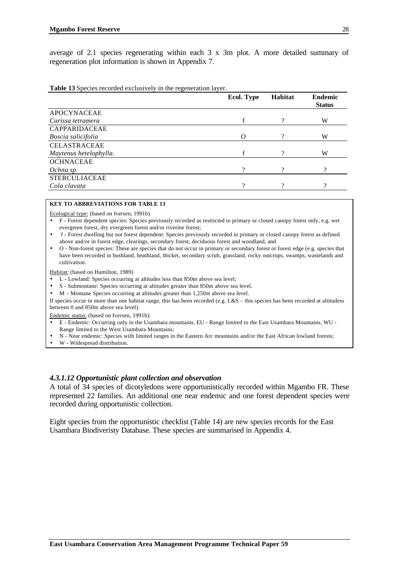average of 2.1 species regenerating within each 3 x 3m plot. A more detailed summary of regeneration plot information is shown in Appendix 7.

**Table 13** Species recorded exclusively in the regeneration layer.

|                        | Ecol. Type | Habitat | <b>Endemic</b><br><b>Status</b> |
|------------------------|------------|---------|---------------------------------|
| <b>APOCYNACEAE</b>     |            |         |                                 |
| Carissa tetramera      |            | റ       | W                               |
| <b>CAPPARIDACEAE</b>   |            |         |                                 |
| Boscia salicifolia     | ∩          | റ       | W                               |
| <b>CELASTRACEAE</b>    |            |         |                                 |
| Maytenus hetelophylla. |            | റ       | W                               |
| <b>OCHNACEAE</b>       |            |         |                                 |
| Ochna sp.              |            |         |                                 |
| <b>STERCULIACEAE</b>   |            |         |                                 |
| Cola clavata           | റ          | റ       |                                 |

#### **KEY TO ABBREVIATIONS FOR TABLE 13**

Ecological type: (based on Iversen, 1991b)

- F Forest dependent species: Species previously recorded as restricted to primary or closed canopy forest only, e.g. wet evergreen forest, dry evergreen forest and/or riverine forest;
- f Forest dwelling but not forest dependent: Species previously recorded in primary or closed canopy forest as defined above and/or in forest edge, clearings, secondary forest, deciduous forest and woodland, and
- O Non-forest species: These are species that do not occur in primary or secondary forest or forest edge (e.g. species that have been recorded in bushland, heathland, thicket, secondary scrub, grassland, rocky outcrops, swamps, wastelands and cultivation.

Habitat: (based on Hamilton, 1989)

- L Lowland: Species occurring at altitudes less than 850m above sea level;
- S Submontane: Species occurring at altitudes greater than 850m above sea level.
- M Montane Species occurring at altitudes greater than 1,250m above sea level.

If species occur in more than one habitat range, this has been recorded (e.g. L&S – this species has been recorded at altitudess between 0 and 850m above sea level).

Endemic status: (based on Iversen, 1991b):

- E Endemic: Occurring only in the Usambara mountains, EU Range limited to the East Usambara Mountains, WU -
- Range limited to the West Usambara Mountains;
- N Near endemic: Species with limited ranges in the Eastern Arc mountains and/or the East African lowland forests;
- W Widespread distribution.

#### *4.3.1.12 Opportunistic plant collection and observation*

A total of 34 species of dicotyledons were opportunistically recorded within Mgambo FR. These represented 22 families. An additional one near endemic and one forest dependent species were recorded during opportunistic collection.

Eight species from the opportunistic checklist (Table 14) are new species records for the East Usambara Biodiveristy Database. These species are summarised in Appendix 4.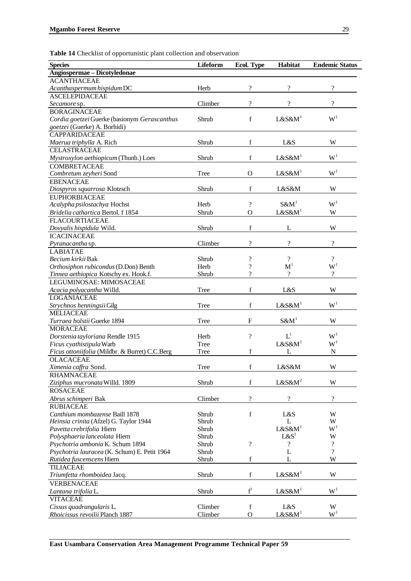| Angiospermae - Dicotyledonae<br><b>ACANTHACEAE</b><br>$\overline{\mathcal{L}}$<br>$\overline{\cdot}$<br>$\overline{\mathcal{L}}$<br>Acanthaspermum hispidum DC<br>Herb<br><b>ASCELEPIDACEAE</b><br>$\gamma$<br>$\gamma$<br>$\gamma$<br>Climber<br>Secamore sp.<br><b>BORAGINACEAE</b><br>W <sup>1</sup><br>$\mathbf f$<br>$L&S\&M1$<br>Cordia goetzei Guerke (basionym Gerascanthus<br>Shrub<br>goetzei (Guerke) A. Borhidi)<br><b>CAPPARIDACEAE</b><br>f<br>Shrub<br>L&S<br>W<br>Maerua triphylla A. Rich<br><b>CELASTRACEAE</b><br>W <sup>1</sup><br>$\mathbf f$<br>$L&S\&M1$<br>Mystroxylon aethiopicum (Thunb.) Loes<br>Shrub<br><b>COMBRETACEAE</b><br>W <sup>1</sup><br>$L&S\&M1$<br>Combretum zeyheri Sond<br>Tree<br>$\mathbf{O}$<br><b>EBENACEAE</b><br>f<br>W<br>Shrub<br>L&S&M<br>Diospyros squarrosa Klotzsch<br><b>EUPHORBIACEAE</b><br>W <sup>1</sup><br>$S\&M1$<br>$\gamma$<br>Acalypha psilostachya Hochst<br>Herb<br>$L&S\&M1$<br>Bridelia cathartica Bertol. f 1854<br>Shrub<br>$\Omega$<br>W<br><b>FLACOURTIACEAE</b><br>$\mathbf f$<br>W<br>Shrub<br>L<br>Dovyalis hispidula Wild.<br><b>ICACINACEAE</b><br>$\overline{\mathcal{L}}$<br>$\overline{?}$<br>$\overline{\mathcal{L}}$<br>Climber<br>Pyranacantha sp.<br><b>LABIATAE</b><br>$\gamma$<br>$\gamma$<br>$\overline{\cdot}$<br>Becium kirkii Bak<br>Shrub<br>$W^1$<br>$\mathbf{M}^1$<br>?<br>Orthosiphon rubicondus (D.Don) Benth<br>Herb<br>$\gamma$<br>$\overline{?}$<br>$\gamma$<br>Tinnea aethiopica Kotschy ex. Hook.f.<br>Shrub<br>LEGUMINOSAE: MIMOSACEAE<br>$\mathbf f$<br>W<br>L&S<br>Acacia polyacantha Willd.<br>Tree<br><b>LOGANIACEAE</b><br>W <sup>1</sup><br>$\mathbf f$<br>L&S&M <sup>1</sup><br>Strychnos henningsii Gilg<br>Tree<br><b>MELIACEAE</b><br>$S\&M1$<br>Turraea holstii Guerke 1894<br>F<br>W<br>Tree<br><b>MORACEAE</b><br>$L^1$<br>W <sup>1</sup><br>$\overline{\mathcal{L}}$<br>Dorstenia tayloriana Rendle 1915<br>Herb<br>W <sup>1</sup><br>L&S&M <sup>1</sup><br>Ficus cyathistipula Warb<br>Tree<br>f<br>N<br>Ficus ottoniifolia (Mildbr. & Burret) C.C.Berg<br>Tree<br>L<br><b>OLACACEAE</b><br>$\mathbf f$<br>Ximenia caffra Sond.<br>Tree<br>L&S&M<br>W<br><b>RHAMNACEAE</b><br>L&S&M <sup>2</sup><br>Shrub<br>f<br>W<br>Ziziphus mucronata Willd. 1809<br><b>ROSACEAE</b><br>$\overline{\mathcal{L}}$<br>$\boldsymbol{\mathcal{P}}$<br>$\overline{\cdot}$<br>Abrus schimperi Bak<br>Climber<br><b>RUBIACEAE</b><br>$\mathbf f$<br>Canthium mombazense Baill 1878<br>Shrub<br>L&S<br>W<br>Heinsia crinita (Afzel) G. Taylor 1944<br>Shrub<br>L<br>W<br>$W^1$<br>L&S&M <sup>1</sup><br>Pavetta crebrifolia Hiern<br>Shrub<br>L & S <sup>1</sup><br>Polysphaeria lanceolata Hiern<br>Shrub<br>W<br>$\boldsymbol{\mathcal{P}}$<br>$\overline{\mathcal{L}}$<br>$\overline{\cdot}$<br>Psychotria ambonia K. Schum 1894<br>Shrub<br>$\gamma$<br>L<br>Psychotria lauracea (K. Schum) E. Petit 1964<br>Shrub<br>$\mathbf f$<br>L<br>W<br>Shrub<br>Rutidea fuscenscens Hiern<br><b>TILIACEAE</b><br>$L&S\&M1$<br>$\mathbf f$<br>Shrub<br>W<br>Triumfetta rhomboidea Jacq.<br>VERBENACEAE<br>$f^1$<br>W <sup>1</sup><br>$L&S\&M1$<br>Shrub<br>Lantana trifolia L.<br><b>VITACEAE</b><br>L&S<br>Cissus quadrangularis L.<br>Climber<br>f<br>W<br>W <sup>1</sup><br>$L&S\&M1$<br>Climber<br>Rhoicissus revoilii Planch 1887<br>$\mathbf{O}$ | <b>Species</b> | Lifeform | Ecol. Type | Habitat | <b>Endemic Status</b> |
|---------------------------------------------------------------------------------------------------------------------------------------------------------------------------------------------------------------------------------------------------------------------------------------------------------------------------------------------------------------------------------------------------------------------------------------------------------------------------------------------------------------------------------------------------------------------------------------------------------------------------------------------------------------------------------------------------------------------------------------------------------------------------------------------------------------------------------------------------------------------------------------------------------------------------------------------------------------------------------------------------------------------------------------------------------------------------------------------------------------------------------------------------------------------------------------------------------------------------------------------------------------------------------------------------------------------------------------------------------------------------------------------------------------------------------------------------------------------------------------------------------------------------------------------------------------------------------------------------------------------------------------------------------------------------------------------------------------------------------------------------------------------------------------------------------------------------------------------------------------------------------------------------------------------------------------------------------------------------------------------------------------------------------------------------------------------------------------------------------------------------------------------------------------------------------------------------------------------------------------------------------------------------------------------------------------------------------------------------------------------------------------------------------------------------------------------------------------------------------------------------------------------------------------------------------------------------------------------------------------------------------------------------------------------------------------------------------------------------------------------------------------------------------------------------------------------------------------------------------------------------------------------------------------------------------------------------------------------------------------------------------------------------------------------------------------------------------------------------------------------------------------------------------------------------------------------------------------------------------------------------------------------------------------------------------------------------------------------------|----------------|----------|------------|---------|-----------------------|
|                                                                                                                                                                                                                                                                                                                                                                                                                                                                                                                                                                                                                                                                                                                                                                                                                                                                                                                                                                                                                                                                                                                                                                                                                                                                                                                                                                                                                                                                                                                                                                                                                                                                                                                                                                                                                                                                                                                                                                                                                                                                                                                                                                                                                                                                                                                                                                                                                                                                                                                                                                                                                                                                                                                                                                                                                                                                                                                                                                                                                                                                                                                                                                                                                                                                                                                                                   |                |          |            |         |                       |
|                                                                                                                                                                                                                                                                                                                                                                                                                                                                                                                                                                                                                                                                                                                                                                                                                                                                                                                                                                                                                                                                                                                                                                                                                                                                                                                                                                                                                                                                                                                                                                                                                                                                                                                                                                                                                                                                                                                                                                                                                                                                                                                                                                                                                                                                                                                                                                                                                                                                                                                                                                                                                                                                                                                                                                                                                                                                                                                                                                                                                                                                                                                                                                                                                                                                                                                                                   |                |          |            |         |                       |
|                                                                                                                                                                                                                                                                                                                                                                                                                                                                                                                                                                                                                                                                                                                                                                                                                                                                                                                                                                                                                                                                                                                                                                                                                                                                                                                                                                                                                                                                                                                                                                                                                                                                                                                                                                                                                                                                                                                                                                                                                                                                                                                                                                                                                                                                                                                                                                                                                                                                                                                                                                                                                                                                                                                                                                                                                                                                                                                                                                                                                                                                                                                                                                                                                                                                                                                                                   |                |          |            |         |                       |
|                                                                                                                                                                                                                                                                                                                                                                                                                                                                                                                                                                                                                                                                                                                                                                                                                                                                                                                                                                                                                                                                                                                                                                                                                                                                                                                                                                                                                                                                                                                                                                                                                                                                                                                                                                                                                                                                                                                                                                                                                                                                                                                                                                                                                                                                                                                                                                                                                                                                                                                                                                                                                                                                                                                                                                                                                                                                                                                                                                                                                                                                                                                                                                                                                                                                                                                                                   |                |          |            |         |                       |
|                                                                                                                                                                                                                                                                                                                                                                                                                                                                                                                                                                                                                                                                                                                                                                                                                                                                                                                                                                                                                                                                                                                                                                                                                                                                                                                                                                                                                                                                                                                                                                                                                                                                                                                                                                                                                                                                                                                                                                                                                                                                                                                                                                                                                                                                                                                                                                                                                                                                                                                                                                                                                                                                                                                                                                                                                                                                                                                                                                                                                                                                                                                                                                                                                                                                                                                                                   |                |          |            |         |                       |
|                                                                                                                                                                                                                                                                                                                                                                                                                                                                                                                                                                                                                                                                                                                                                                                                                                                                                                                                                                                                                                                                                                                                                                                                                                                                                                                                                                                                                                                                                                                                                                                                                                                                                                                                                                                                                                                                                                                                                                                                                                                                                                                                                                                                                                                                                                                                                                                                                                                                                                                                                                                                                                                                                                                                                                                                                                                                                                                                                                                                                                                                                                                                                                                                                                                                                                                                                   |                |          |            |         |                       |
|                                                                                                                                                                                                                                                                                                                                                                                                                                                                                                                                                                                                                                                                                                                                                                                                                                                                                                                                                                                                                                                                                                                                                                                                                                                                                                                                                                                                                                                                                                                                                                                                                                                                                                                                                                                                                                                                                                                                                                                                                                                                                                                                                                                                                                                                                                                                                                                                                                                                                                                                                                                                                                                                                                                                                                                                                                                                                                                                                                                                                                                                                                                                                                                                                                                                                                                                                   |                |          |            |         |                       |
|                                                                                                                                                                                                                                                                                                                                                                                                                                                                                                                                                                                                                                                                                                                                                                                                                                                                                                                                                                                                                                                                                                                                                                                                                                                                                                                                                                                                                                                                                                                                                                                                                                                                                                                                                                                                                                                                                                                                                                                                                                                                                                                                                                                                                                                                                                                                                                                                                                                                                                                                                                                                                                                                                                                                                                                                                                                                                                                                                                                                                                                                                                                                                                                                                                                                                                                                                   |                |          |            |         |                       |
|                                                                                                                                                                                                                                                                                                                                                                                                                                                                                                                                                                                                                                                                                                                                                                                                                                                                                                                                                                                                                                                                                                                                                                                                                                                                                                                                                                                                                                                                                                                                                                                                                                                                                                                                                                                                                                                                                                                                                                                                                                                                                                                                                                                                                                                                                                                                                                                                                                                                                                                                                                                                                                                                                                                                                                                                                                                                                                                                                                                                                                                                                                                                                                                                                                                                                                                                                   |                |          |            |         |                       |
|                                                                                                                                                                                                                                                                                                                                                                                                                                                                                                                                                                                                                                                                                                                                                                                                                                                                                                                                                                                                                                                                                                                                                                                                                                                                                                                                                                                                                                                                                                                                                                                                                                                                                                                                                                                                                                                                                                                                                                                                                                                                                                                                                                                                                                                                                                                                                                                                                                                                                                                                                                                                                                                                                                                                                                                                                                                                                                                                                                                                                                                                                                                                                                                                                                                                                                                                                   |                |          |            |         |                       |
|                                                                                                                                                                                                                                                                                                                                                                                                                                                                                                                                                                                                                                                                                                                                                                                                                                                                                                                                                                                                                                                                                                                                                                                                                                                                                                                                                                                                                                                                                                                                                                                                                                                                                                                                                                                                                                                                                                                                                                                                                                                                                                                                                                                                                                                                                                                                                                                                                                                                                                                                                                                                                                                                                                                                                                                                                                                                                                                                                                                                                                                                                                                                                                                                                                                                                                                                                   |                |          |            |         |                       |
|                                                                                                                                                                                                                                                                                                                                                                                                                                                                                                                                                                                                                                                                                                                                                                                                                                                                                                                                                                                                                                                                                                                                                                                                                                                                                                                                                                                                                                                                                                                                                                                                                                                                                                                                                                                                                                                                                                                                                                                                                                                                                                                                                                                                                                                                                                                                                                                                                                                                                                                                                                                                                                                                                                                                                                                                                                                                                                                                                                                                                                                                                                                                                                                                                                                                                                                                                   |                |          |            |         |                       |
|                                                                                                                                                                                                                                                                                                                                                                                                                                                                                                                                                                                                                                                                                                                                                                                                                                                                                                                                                                                                                                                                                                                                                                                                                                                                                                                                                                                                                                                                                                                                                                                                                                                                                                                                                                                                                                                                                                                                                                                                                                                                                                                                                                                                                                                                                                                                                                                                                                                                                                                                                                                                                                                                                                                                                                                                                                                                                                                                                                                                                                                                                                                                                                                                                                                                                                                                                   |                |          |            |         |                       |
|                                                                                                                                                                                                                                                                                                                                                                                                                                                                                                                                                                                                                                                                                                                                                                                                                                                                                                                                                                                                                                                                                                                                                                                                                                                                                                                                                                                                                                                                                                                                                                                                                                                                                                                                                                                                                                                                                                                                                                                                                                                                                                                                                                                                                                                                                                                                                                                                                                                                                                                                                                                                                                                                                                                                                                                                                                                                                                                                                                                                                                                                                                                                                                                                                                                                                                                                                   |                |          |            |         |                       |
|                                                                                                                                                                                                                                                                                                                                                                                                                                                                                                                                                                                                                                                                                                                                                                                                                                                                                                                                                                                                                                                                                                                                                                                                                                                                                                                                                                                                                                                                                                                                                                                                                                                                                                                                                                                                                                                                                                                                                                                                                                                                                                                                                                                                                                                                                                                                                                                                                                                                                                                                                                                                                                                                                                                                                                                                                                                                                                                                                                                                                                                                                                                                                                                                                                                                                                                                                   |                |          |            |         |                       |
|                                                                                                                                                                                                                                                                                                                                                                                                                                                                                                                                                                                                                                                                                                                                                                                                                                                                                                                                                                                                                                                                                                                                                                                                                                                                                                                                                                                                                                                                                                                                                                                                                                                                                                                                                                                                                                                                                                                                                                                                                                                                                                                                                                                                                                                                                                                                                                                                                                                                                                                                                                                                                                                                                                                                                                                                                                                                                                                                                                                                                                                                                                                                                                                                                                                                                                                                                   |                |          |            |         |                       |
|                                                                                                                                                                                                                                                                                                                                                                                                                                                                                                                                                                                                                                                                                                                                                                                                                                                                                                                                                                                                                                                                                                                                                                                                                                                                                                                                                                                                                                                                                                                                                                                                                                                                                                                                                                                                                                                                                                                                                                                                                                                                                                                                                                                                                                                                                                                                                                                                                                                                                                                                                                                                                                                                                                                                                                                                                                                                                                                                                                                                                                                                                                                                                                                                                                                                                                                                                   |                |          |            |         |                       |
|                                                                                                                                                                                                                                                                                                                                                                                                                                                                                                                                                                                                                                                                                                                                                                                                                                                                                                                                                                                                                                                                                                                                                                                                                                                                                                                                                                                                                                                                                                                                                                                                                                                                                                                                                                                                                                                                                                                                                                                                                                                                                                                                                                                                                                                                                                                                                                                                                                                                                                                                                                                                                                                                                                                                                                                                                                                                                                                                                                                                                                                                                                                                                                                                                                                                                                                                                   |                |          |            |         |                       |
|                                                                                                                                                                                                                                                                                                                                                                                                                                                                                                                                                                                                                                                                                                                                                                                                                                                                                                                                                                                                                                                                                                                                                                                                                                                                                                                                                                                                                                                                                                                                                                                                                                                                                                                                                                                                                                                                                                                                                                                                                                                                                                                                                                                                                                                                                                                                                                                                                                                                                                                                                                                                                                                                                                                                                                                                                                                                                                                                                                                                                                                                                                                                                                                                                                                                                                                                                   |                |          |            |         |                       |
|                                                                                                                                                                                                                                                                                                                                                                                                                                                                                                                                                                                                                                                                                                                                                                                                                                                                                                                                                                                                                                                                                                                                                                                                                                                                                                                                                                                                                                                                                                                                                                                                                                                                                                                                                                                                                                                                                                                                                                                                                                                                                                                                                                                                                                                                                                                                                                                                                                                                                                                                                                                                                                                                                                                                                                                                                                                                                                                                                                                                                                                                                                                                                                                                                                                                                                                                                   |                |          |            |         |                       |
|                                                                                                                                                                                                                                                                                                                                                                                                                                                                                                                                                                                                                                                                                                                                                                                                                                                                                                                                                                                                                                                                                                                                                                                                                                                                                                                                                                                                                                                                                                                                                                                                                                                                                                                                                                                                                                                                                                                                                                                                                                                                                                                                                                                                                                                                                                                                                                                                                                                                                                                                                                                                                                                                                                                                                                                                                                                                                                                                                                                                                                                                                                                                                                                                                                                                                                                                                   |                |          |            |         |                       |
|                                                                                                                                                                                                                                                                                                                                                                                                                                                                                                                                                                                                                                                                                                                                                                                                                                                                                                                                                                                                                                                                                                                                                                                                                                                                                                                                                                                                                                                                                                                                                                                                                                                                                                                                                                                                                                                                                                                                                                                                                                                                                                                                                                                                                                                                                                                                                                                                                                                                                                                                                                                                                                                                                                                                                                                                                                                                                                                                                                                                                                                                                                                                                                                                                                                                                                                                                   |                |          |            |         |                       |
|                                                                                                                                                                                                                                                                                                                                                                                                                                                                                                                                                                                                                                                                                                                                                                                                                                                                                                                                                                                                                                                                                                                                                                                                                                                                                                                                                                                                                                                                                                                                                                                                                                                                                                                                                                                                                                                                                                                                                                                                                                                                                                                                                                                                                                                                                                                                                                                                                                                                                                                                                                                                                                                                                                                                                                                                                                                                                                                                                                                                                                                                                                                                                                                                                                                                                                                                                   |                |          |            |         |                       |
|                                                                                                                                                                                                                                                                                                                                                                                                                                                                                                                                                                                                                                                                                                                                                                                                                                                                                                                                                                                                                                                                                                                                                                                                                                                                                                                                                                                                                                                                                                                                                                                                                                                                                                                                                                                                                                                                                                                                                                                                                                                                                                                                                                                                                                                                                                                                                                                                                                                                                                                                                                                                                                                                                                                                                                                                                                                                                                                                                                                                                                                                                                                                                                                                                                                                                                                                                   |                |          |            |         |                       |
|                                                                                                                                                                                                                                                                                                                                                                                                                                                                                                                                                                                                                                                                                                                                                                                                                                                                                                                                                                                                                                                                                                                                                                                                                                                                                                                                                                                                                                                                                                                                                                                                                                                                                                                                                                                                                                                                                                                                                                                                                                                                                                                                                                                                                                                                                                                                                                                                                                                                                                                                                                                                                                                                                                                                                                                                                                                                                                                                                                                                                                                                                                                                                                                                                                                                                                                                                   |                |          |            |         |                       |
|                                                                                                                                                                                                                                                                                                                                                                                                                                                                                                                                                                                                                                                                                                                                                                                                                                                                                                                                                                                                                                                                                                                                                                                                                                                                                                                                                                                                                                                                                                                                                                                                                                                                                                                                                                                                                                                                                                                                                                                                                                                                                                                                                                                                                                                                                                                                                                                                                                                                                                                                                                                                                                                                                                                                                                                                                                                                                                                                                                                                                                                                                                                                                                                                                                                                                                                                                   |                |          |            |         |                       |
|                                                                                                                                                                                                                                                                                                                                                                                                                                                                                                                                                                                                                                                                                                                                                                                                                                                                                                                                                                                                                                                                                                                                                                                                                                                                                                                                                                                                                                                                                                                                                                                                                                                                                                                                                                                                                                                                                                                                                                                                                                                                                                                                                                                                                                                                                                                                                                                                                                                                                                                                                                                                                                                                                                                                                                                                                                                                                                                                                                                                                                                                                                                                                                                                                                                                                                                                                   |                |          |            |         |                       |
|                                                                                                                                                                                                                                                                                                                                                                                                                                                                                                                                                                                                                                                                                                                                                                                                                                                                                                                                                                                                                                                                                                                                                                                                                                                                                                                                                                                                                                                                                                                                                                                                                                                                                                                                                                                                                                                                                                                                                                                                                                                                                                                                                                                                                                                                                                                                                                                                                                                                                                                                                                                                                                                                                                                                                                                                                                                                                                                                                                                                                                                                                                                                                                                                                                                                                                                                                   |                |          |            |         |                       |
|                                                                                                                                                                                                                                                                                                                                                                                                                                                                                                                                                                                                                                                                                                                                                                                                                                                                                                                                                                                                                                                                                                                                                                                                                                                                                                                                                                                                                                                                                                                                                                                                                                                                                                                                                                                                                                                                                                                                                                                                                                                                                                                                                                                                                                                                                                                                                                                                                                                                                                                                                                                                                                                                                                                                                                                                                                                                                                                                                                                                                                                                                                                                                                                                                                                                                                                                                   |                |          |            |         |                       |
|                                                                                                                                                                                                                                                                                                                                                                                                                                                                                                                                                                                                                                                                                                                                                                                                                                                                                                                                                                                                                                                                                                                                                                                                                                                                                                                                                                                                                                                                                                                                                                                                                                                                                                                                                                                                                                                                                                                                                                                                                                                                                                                                                                                                                                                                                                                                                                                                                                                                                                                                                                                                                                                                                                                                                                                                                                                                                                                                                                                                                                                                                                                                                                                                                                                                                                                                                   |                |          |            |         |                       |
|                                                                                                                                                                                                                                                                                                                                                                                                                                                                                                                                                                                                                                                                                                                                                                                                                                                                                                                                                                                                                                                                                                                                                                                                                                                                                                                                                                                                                                                                                                                                                                                                                                                                                                                                                                                                                                                                                                                                                                                                                                                                                                                                                                                                                                                                                                                                                                                                                                                                                                                                                                                                                                                                                                                                                                                                                                                                                                                                                                                                                                                                                                                                                                                                                                                                                                                                                   |                |          |            |         |                       |
|                                                                                                                                                                                                                                                                                                                                                                                                                                                                                                                                                                                                                                                                                                                                                                                                                                                                                                                                                                                                                                                                                                                                                                                                                                                                                                                                                                                                                                                                                                                                                                                                                                                                                                                                                                                                                                                                                                                                                                                                                                                                                                                                                                                                                                                                                                                                                                                                                                                                                                                                                                                                                                                                                                                                                                                                                                                                                                                                                                                                                                                                                                                                                                                                                                                                                                                                                   |                |          |            |         |                       |
|                                                                                                                                                                                                                                                                                                                                                                                                                                                                                                                                                                                                                                                                                                                                                                                                                                                                                                                                                                                                                                                                                                                                                                                                                                                                                                                                                                                                                                                                                                                                                                                                                                                                                                                                                                                                                                                                                                                                                                                                                                                                                                                                                                                                                                                                                                                                                                                                                                                                                                                                                                                                                                                                                                                                                                                                                                                                                                                                                                                                                                                                                                                                                                                                                                                                                                                                                   |                |          |            |         |                       |
|                                                                                                                                                                                                                                                                                                                                                                                                                                                                                                                                                                                                                                                                                                                                                                                                                                                                                                                                                                                                                                                                                                                                                                                                                                                                                                                                                                                                                                                                                                                                                                                                                                                                                                                                                                                                                                                                                                                                                                                                                                                                                                                                                                                                                                                                                                                                                                                                                                                                                                                                                                                                                                                                                                                                                                                                                                                                                                                                                                                                                                                                                                                                                                                                                                                                                                                                                   |                |          |            |         |                       |
|                                                                                                                                                                                                                                                                                                                                                                                                                                                                                                                                                                                                                                                                                                                                                                                                                                                                                                                                                                                                                                                                                                                                                                                                                                                                                                                                                                                                                                                                                                                                                                                                                                                                                                                                                                                                                                                                                                                                                                                                                                                                                                                                                                                                                                                                                                                                                                                                                                                                                                                                                                                                                                                                                                                                                                                                                                                                                                                                                                                                                                                                                                                                                                                                                                                                                                                                                   |                |          |            |         |                       |
|                                                                                                                                                                                                                                                                                                                                                                                                                                                                                                                                                                                                                                                                                                                                                                                                                                                                                                                                                                                                                                                                                                                                                                                                                                                                                                                                                                                                                                                                                                                                                                                                                                                                                                                                                                                                                                                                                                                                                                                                                                                                                                                                                                                                                                                                                                                                                                                                                                                                                                                                                                                                                                                                                                                                                                                                                                                                                                                                                                                                                                                                                                                                                                                                                                                                                                                                                   |                |          |            |         |                       |
|                                                                                                                                                                                                                                                                                                                                                                                                                                                                                                                                                                                                                                                                                                                                                                                                                                                                                                                                                                                                                                                                                                                                                                                                                                                                                                                                                                                                                                                                                                                                                                                                                                                                                                                                                                                                                                                                                                                                                                                                                                                                                                                                                                                                                                                                                                                                                                                                                                                                                                                                                                                                                                                                                                                                                                                                                                                                                                                                                                                                                                                                                                                                                                                                                                                                                                                                                   |                |          |            |         |                       |
|                                                                                                                                                                                                                                                                                                                                                                                                                                                                                                                                                                                                                                                                                                                                                                                                                                                                                                                                                                                                                                                                                                                                                                                                                                                                                                                                                                                                                                                                                                                                                                                                                                                                                                                                                                                                                                                                                                                                                                                                                                                                                                                                                                                                                                                                                                                                                                                                                                                                                                                                                                                                                                                                                                                                                                                                                                                                                                                                                                                                                                                                                                                                                                                                                                                                                                                                                   |                |          |            |         |                       |
|                                                                                                                                                                                                                                                                                                                                                                                                                                                                                                                                                                                                                                                                                                                                                                                                                                                                                                                                                                                                                                                                                                                                                                                                                                                                                                                                                                                                                                                                                                                                                                                                                                                                                                                                                                                                                                                                                                                                                                                                                                                                                                                                                                                                                                                                                                                                                                                                                                                                                                                                                                                                                                                                                                                                                                                                                                                                                                                                                                                                                                                                                                                                                                                                                                                                                                                                                   |                |          |            |         |                       |
|                                                                                                                                                                                                                                                                                                                                                                                                                                                                                                                                                                                                                                                                                                                                                                                                                                                                                                                                                                                                                                                                                                                                                                                                                                                                                                                                                                                                                                                                                                                                                                                                                                                                                                                                                                                                                                                                                                                                                                                                                                                                                                                                                                                                                                                                                                                                                                                                                                                                                                                                                                                                                                                                                                                                                                                                                                                                                                                                                                                                                                                                                                                                                                                                                                                                                                                                                   |                |          |            |         |                       |
|                                                                                                                                                                                                                                                                                                                                                                                                                                                                                                                                                                                                                                                                                                                                                                                                                                                                                                                                                                                                                                                                                                                                                                                                                                                                                                                                                                                                                                                                                                                                                                                                                                                                                                                                                                                                                                                                                                                                                                                                                                                                                                                                                                                                                                                                                                                                                                                                                                                                                                                                                                                                                                                                                                                                                                                                                                                                                                                                                                                                                                                                                                                                                                                                                                                                                                                                                   |                |          |            |         |                       |
|                                                                                                                                                                                                                                                                                                                                                                                                                                                                                                                                                                                                                                                                                                                                                                                                                                                                                                                                                                                                                                                                                                                                                                                                                                                                                                                                                                                                                                                                                                                                                                                                                                                                                                                                                                                                                                                                                                                                                                                                                                                                                                                                                                                                                                                                                                                                                                                                                                                                                                                                                                                                                                                                                                                                                                                                                                                                                                                                                                                                                                                                                                                                                                                                                                                                                                                                                   |                |          |            |         |                       |
|                                                                                                                                                                                                                                                                                                                                                                                                                                                                                                                                                                                                                                                                                                                                                                                                                                                                                                                                                                                                                                                                                                                                                                                                                                                                                                                                                                                                                                                                                                                                                                                                                                                                                                                                                                                                                                                                                                                                                                                                                                                                                                                                                                                                                                                                                                                                                                                                                                                                                                                                                                                                                                                                                                                                                                                                                                                                                                                                                                                                                                                                                                                                                                                                                                                                                                                                                   |                |          |            |         |                       |
|                                                                                                                                                                                                                                                                                                                                                                                                                                                                                                                                                                                                                                                                                                                                                                                                                                                                                                                                                                                                                                                                                                                                                                                                                                                                                                                                                                                                                                                                                                                                                                                                                                                                                                                                                                                                                                                                                                                                                                                                                                                                                                                                                                                                                                                                                                                                                                                                                                                                                                                                                                                                                                                                                                                                                                                                                                                                                                                                                                                                                                                                                                                                                                                                                                                                                                                                                   |                |          |            |         |                       |
|                                                                                                                                                                                                                                                                                                                                                                                                                                                                                                                                                                                                                                                                                                                                                                                                                                                                                                                                                                                                                                                                                                                                                                                                                                                                                                                                                                                                                                                                                                                                                                                                                                                                                                                                                                                                                                                                                                                                                                                                                                                                                                                                                                                                                                                                                                                                                                                                                                                                                                                                                                                                                                                                                                                                                                                                                                                                                                                                                                                                                                                                                                                                                                                                                                                                                                                                                   |                |          |            |         |                       |
|                                                                                                                                                                                                                                                                                                                                                                                                                                                                                                                                                                                                                                                                                                                                                                                                                                                                                                                                                                                                                                                                                                                                                                                                                                                                                                                                                                                                                                                                                                                                                                                                                                                                                                                                                                                                                                                                                                                                                                                                                                                                                                                                                                                                                                                                                                                                                                                                                                                                                                                                                                                                                                                                                                                                                                                                                                                                                                                                                                                                                                                                                                                                                                                                                                                                                                                                                   |                |          |            |         |                       |
|                                                                                                                                                                                                                                                                                                                                                                                                                                                                                                                                                                                                                                                                                                                                                                                                                                                                                                                                                                                                                                                                                                                                                                                                                                                                                                                                                                                                                                                                                                                                                                                                                                                                                                                                                                                                                                                                                                                                                                                                                                                                                                                                                                                                                                                                                                                                                                                                                                                                                                                                                                                                                                                                                                                                                                                                                                                                                                                                                                                                                                                                                                                                                                                                                                                                                                                                                   |                |          |            |         |                       |
|                                                                                                                                                                                                                                                                                                                                                                                                                                                                                                                                                                                                                                                                                                                                                                                                                                                                                                                                                                                                                                                                                                                                                                                                                                                                                                                                                                                                                                                                                                                                                                                                                                                                                                                                                                                                                                                                                                                                                                                                                                                                                                                                                                                                                                                                                                                                                                                                                                                                                                                                                                                                                                                                                                                                                                                                                                                                                                                                                                                                                                                                                                                                                                                                                                                                                                                                                   |                |          |            |         |                       |
|                                                                                                                                                                                                                                                                                                                                                                                                                                                                                                                                                                                                                                                                                                                                                                                                                                                                                                                                                                                                                                                                                                                                                                                                                                                                                                                                                                                                                                                                                                                                                                                                                                                                                                                                                                                                                                                                                                                                                                                                                                                                                                                                                                                                                                                                                                                                                                                                                                                                                                                                                                                                                                                                                                                                                                                                                                                                                                                                                                                                                                                                                                                                                                                                                                                                                                                                                   |                |          |            |         |                       |
|                                                                                                                                                                                                                                                                                                                                                                                                                                                                                                                                                                                                                                                                                                                                                                                                                                                                                                                                                                                                                                                                                                                                                                                                                                                                                                                                                                                                                                                                                                                                                                                                                                                                                                                                                                                                                                                                                                                                                                                                                                                                                                                                                                                                                                                                                                                                                                                                                                                                                                                                                                                                                                                                                                                                                                                                                                                                                                                                                                                                                                                                                                                                                                                                                                                                                                                                                   |                |          |            |         |                       |
|                                                                                                                                                                                                                                                                                                                                                                                                                                                                                                                                                                                                                                                                                                                                                                                                                                                                                                                                                                                                                                                                                                                                                                                                                                                                                                                                                                                                                                                                                                                                                                                                                                                                                                                                                                                                                                                                                                                                                                                                                                                                                                                                                                                                                                                                                                                                                                                                                                                                                                                                                                                                                                                                                                                                                                                                                                                                                                                                                                                                                                                                                                                                                                                                                                                                                                                                                   |                |          |            |         |                       |
|                                                                                                                                                                                                                                                                                                                                                                                                                                                                                                                                                                                                                                                                                                                                                                                                                                                                                                                                                                                                                                                                                                                                                                                                                                                                                                                                                                                                                                                                                                                                                                                                                                                                                                                                                                                                                                                                                                                                                                                                                                                                                                                                                                                                                                                                                                                                                                                                                                                                                                                                                                                                                                                                                                                                                                                                                                                                                                                                                                                                                                                                                                                                                                                                                                                                                                                                                   |                |          |            |         |                       |
|                                                                                                                                                                                                                                                                                                                                                                                                                                                                                                                                                                                                                                                                                                                                                                                                                                                                                                                                                                                                                                                                                                                                                                                                                                                                                                                                                                                                                                                                                                                                                                                                                                                                                                                                                                                                                                                                                                                                                                                                                                                                                                                                                                                                                                                                                                                                                                                                                                                                                                                                                                                                                                                                                                                                                                                                                                                                                                                                                                                                                                                                                                                                                                                                                                                                                                                                                   |                |          |            |         |                       |
|                                                                                                                                                                                                                                                                                                                                                                                                                                                                                                                                                                                                                                                                                                                                                                                                                                                                                                                                                                                                                                                                                                                                                                                                                                                                                                                                                                                                                                                                                                                                                                                                                                                                                                                                                                                                                                                                                                                                                                                                                                                                                                                                                                                                                                                                                                                                                                                                                                                                                                                                                                                                                                                                                                                                                                                                                                                                                                                                                                                                                                                                                                                                                                                                                                                                                                                                                   |                |          |            |         |                       |
|                                                                                                                                                                                                                                                                                                                                                                                                                                                                                                                                                                                                                                                                                                                                                                                                                                                                                                                                                                                                                                                                                                                                                                                                                                                                                                                                                                                                                                                                                                                                                                                                                                                                                                                                                                                                                                                                                                                                                                                                                                                                                                                                                                                                                                                                                                                                                                                                                                                                                                                                                                                                                                                                                                                                                                                                                                                                                                                                                                                                                                                                                                                                                                                                                                                                                                                                                   |                |          |            |         |                       |
|                                                                                                                                                                                                                                                                                                                                                                                                                                                                                                                                                                                                                                                                                                                                                                                                                                                                                                                                                                                                                                                                                                                                                                                                                                                                                                                                                                                                                                                                                                                                                                                                                                                                                                                                                                                                                                                                                                                                                                                                                                                                                                                                                                                                                                                                                                                                                                                                                                                                                                                                                                                                                                                                                                                                                                                                                                                                                                                                                                                                                                                                                                                                                                                                                                                                                                                                                   |                |          |            |         |                       |
|                                                                                                                                                                                                                                                                                                                                                                                                                                                                                                                                                                                                                                                                                                                                                                                                                                                                                                                                                                                                                                                                                                                                                                                                                                                                                                                                                                                                                                                                                                                                                                                                                                                                                                                                                                                                                                                                                                                                                                                                                                                                                                                                                                                                                                                                                                                                                                                                                                                                                                                                                                                                                                                                                                                                                                                                                                                                                                                                                                                                                                                                                                                                                                                                                                                                                                                                                   |                |          |            |         |                       |
|                                                                                                                                                                                                                                                                                                                                                                                                                                                                                                                                                                                                                                                                                                                                                                                                                                                                                                                                                                                                                                                                                                                                                                                                                                                                                                                                                                                                                                                                                                                                                                                                                                                                                                                                                                                                                                                                                                                                                                                                                                                                                                                                                                                                                                                                                                                                                                                                                                                                                                                                                                                                                                                                                                                                                                                                                                                                                                                                                                                                                                                                                                                                                                                                                                                                                                                                                   |                |          |            |         |                       |
|                                                                                                                                                                                                                                                                                                                                                                                                                                                                                                                                                                                                                                                                                                                                                                                                                                                                                                                                                                                                                                                                                                                                                                                                                                                                                                                                                                                                                                                                                                                                                                                                                                                                                                                                                                                                                                                                                                                                                                                                                                                                                                                                                                                                                                                                                                                                                                                                                                                                                                                                                                                                                                                                                                                                                                                                                                                                                                                                                                                                                                                                                                                                                                                                                                                                                                                                                   |                |          |            |         |                       |
|                                                                                                                                                                                                                                                                                                                                                                                                                                                                                                                                                                                                                                                                                                                                                                                                                                                                                                                                                                                                                                                                                                                                                                                                                                                                                                                                                                                                                                                                                                                                                                                                                                                                                                                                                                                                                                                                                                                                                                                                                                                                                                                                                                                                                                                                                                                                                                                                                                                                                                                                                                                                                                                                                                                                                                                                                                                                                                                                                                                                                                                                                                                                                                                                                                                                                                                                                   |                |          |            |         |                       |
|                                                                                                                                                                                                                                                                                                                                                                                                                                                                                                                                                                                                                                                                                                                                                                                                                                                                                                                                                                                                                                                                                                                                                                                                                                                                                                                                                                                                                                                                                                                                                                                                                                                                                                                                                                                                                                                                                                                                                                                                                                                                                                                                                                                                                                                                                                                                                                                                                                                                                                                                                                                                                                                                                                                                                                                                                                                                                                                                                                                                                                                                                                                                                                                                                                                                                                                                                   |                |          |            |         |                       |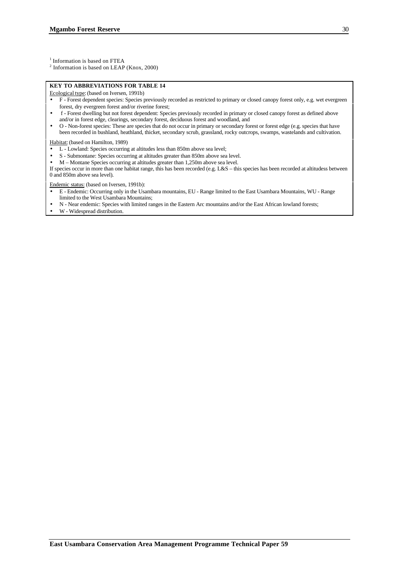<sup>1</sup> Information is based on FTEA

 $2$  Information is based on LEAP (Knox, 2000)

#### **KEY TO ABBREVIATIONS FOR TABLE 14**

Ecological type: (based on Iversen, 1991b)

- F Forest dependent species: Species previously recorded as restricted to primary or closed canopy forest only, e.g. wet evergreen forest, dry evergreen forest and/or riverine forest;
- f Forest dwelling but not forest dependent: Species previously recorded in primary or closed canopy forest as defined above and/or in forest edge, clearings, secondary forest, deciduous forest and woodland, and
- O Non-forest species: These are species that do not occur in primary or secondary forest or forest edge (e.g. species that have been recorded in bushland, heathland, thicket, secondary scrub, grassland, rocky outcrops, swamps, wastelands and cultivation.

Habitat: (based on Hamilton, 1989)

- L Lowland: Species occurring at altitudes less than 850m above sea level;
- S Submontane: Species occurring at altitudes greater than 850m above sea level.
- M Montane Species occurring at altitudes greater than 1,250m above sea level.

If species occur in more than one habitat range, this has been recorded (e.g. L&S – this species has been recorded at altitudess between 0 and 850m above sea level).

Endemic status: (based on Iversen, 1991b):

- E Endemic: Occurring only in the Usambara mountains, EU Range limited to the East Usambara Mountains, WU Range limited to the West Usambara Mountains;
- N Near endemic: Species with limited ranges in the Eastern Arc mountains and/or the East African lowland forests;
- W Widespread distribution.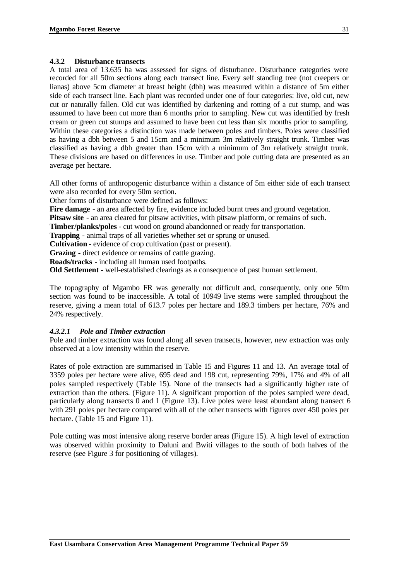#### **4.3.2 Disturbance transects**

A total area of 13.635 ha was assessed for signs of disturbance. Disturbance categories were recorded for all 50m sections along each transect line. Every self standing tree (not creepers or lianas) above 5cm diameter at breast height (dbh) was measured within a distance of 5m either side of each transect line. Each plant was recorded under one of four categories: live, old cut, new cut or naturally fallen. Old cut was identified by darkening and rotting of a cut stump, and was assumed to have been cut more than 6 months prior to sampling. New cut was identified by fresh cream or green cut stumps and assumed to have been cut less than six months prior to sampling. Within these categories a distinction was made between poles and timbers. Poles were classified as having a dbh between 5 and 15cm and a minimum 3m relatively straight trunk. Timber was classified as having a dbh greater than 15cm with a minimum of 3m relatively straight trunk. These divisions are based on differences in use. Timber and pole cutting data are presented as an average per hectare.

All other forms of anthropogenic disturbance within a distance of 5m either side of each transect were also recorded for every 50m section.

Other forms of disturbance were defined as follows:

**Fire damage** - an area affected by fire, evidence included burnt trees and ground vegetation.

**Pitsaw site** - an area cleared for pitsaw activities, with pitsaw platform, or remains of such.

**Timber/planks/poles** - cut wood on ground abandonned or ready for transportation.

**Trapping** - animal traps of all varieties whether set or sprung or unused.

**Cultivation** - evidence of crop cultivation (past or present).

**Grazing** - direct evidence or remains of cattle grazing.

**Roads/tracks** - including all human used footpaths.

**Old Settlement** - well-established clearings as a consequence of past human settlement.

The topography of Mgambo FR was generally not difficult and, consequently, only one 50m section was found to be inaccessible. A total of 10949 live stems were sampled throughout the reserve, giving a mean total of 613.7 poles per hectare and 189.3 timbers per hectare, 76% and 24% respectively.

### *4.3.2.1 Pole and Timber extraction*

Pole and timber extraction was found along all seven transects, however, new extraction was only observed at a low intensity within the reserve.

Rates of pole extraction are summarised in Table 15 and Figures 11 and 13. An average total of 3359 poles per hectare were alive, 695 dead and 198 cut, representing 79%, 17% and 4% of all poles sampled respectively (Table 15). None of the transects had a significantly higher rate of extraction than the others. (Figure 11). A significant proportion of the poles sampled were dead, particularly along transects 0 and 1 (Figure 13). Live poles were least abundant along transect 6 with 291 poles per hectare compared with all of the other transects with figures over 450 poles per hectare. (Table 15 and Figure 11).

Pole cutting was most intensive along reserve border areas (Figure 15). A high level of extraction was observed within proximity to Daluni and Bwiti villages to the south of both halves of the reserve (see Figure 3 for positioning of villages).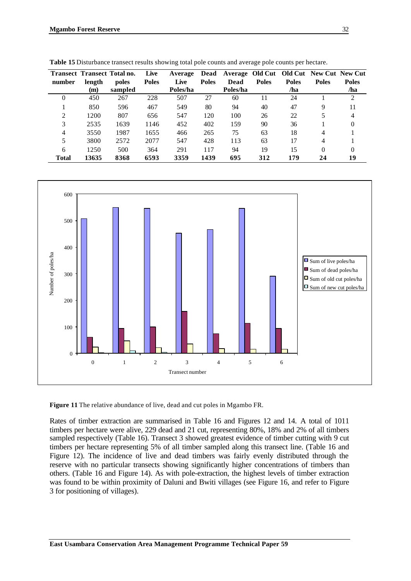| number   | length<br>(m) | <b>Transect Transect Total no.</b><br>poles<br>sampled | Live<br><b>Poles</b> | Average<br>Live<br>Poles/ha | Dead<br><b>Poles</b> | Dead<br>Poles/ha | <b>Poles</b> | <b>Poles</b><br>/ha | Average Old Cut Old Cut New Cut New Cut<br><b>Poles</b> | <b>Poles</b><br>/ha |
|----------|---------------|--------------------------------------------------------|----------------------|-----------------------------|----------------------|------------------|--------------|---------------------|---------------------------------------------------------|---------------------|
| $\theta$ | 450           | 267                                                    | 228                  | 507                         | 27                   | 60               | 11           | 24                  |                                                         | 2                   |
|          | 850           | 596                                                    | 467                  | 549                         | 80                   | 94               | 40           | 47                  | 9                                                       | 11                  |
| ↑        | 1200          | 807                                                    | 656                  | 547                         | 120                  | 100              | 26           | 22                  |                                                         |                     |
| 3        | 2535          | 1639                                                   | 1146                 | 452                         | 402                  | 159              | 90           | 36                  |                                                         | $\mathbf{0}$        |
| 4        | 3550          | 1987                                                   | 1655                 | 466                         | 265                  | 75               | 63           | 18                  | 4                                                       |                     |
|          | 3800          | 2572                                                   | 2077                 | 547                         | 428                  | 113              | 63           | 17                  | 4                                                       |                     |
| 6        | 1250          | 500                                                    | 364                  | 291                         | 117                  | 94               | 19           | 15                  | $\theta$                                                | 0                   |
| Total    | 13635         | 8368                                                   | 6593                 | 3359                        | 1439                 | 695              | 312          | 179                 | 24                                                      | 19                  |

**Table 15** Disturbance transect results showing total pole counts and average pole counts per hectare.



**Figure 11** The relative abundance of live, dead and cut poles in Mgambo FR.

Rates of timber extraction are summarised in Table 16 and Figures 12 and 14. A total of 1011 timbers per hectare were alive, 229 dead and 21 cut, representing 80%, 18% and 2% of all timbers sampled respectively (Table 16). Transect 3 showed greatest evidence of timber cutting with 9 cut timbers per hectare representing 5% of all timber sampled along this transect line. (Table 16 and Figure 12). The incidence of live and dead timbers was fairly evenly distributed through the reserve with no particular transects showing significantly higher concentrations of timbers than others. (Table 16 and Figure 14). As with pole-extraction, the highest levels of timber extraction was found to be within proximity of Daluni and Bwiti villages (see Figure 16, and refer to Figure 3 for positioning of villages).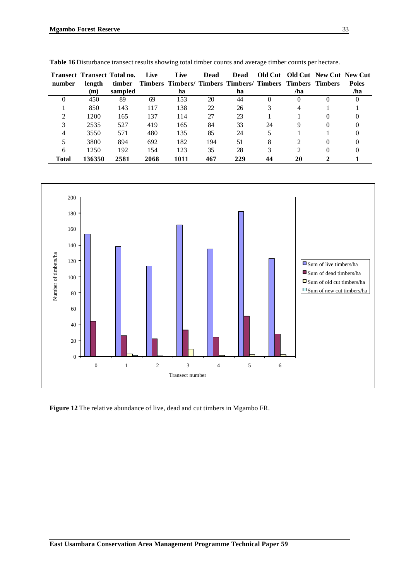|        |        | <b>Transect Transect Total no.</b> | Live | Live                                                             | Dead | <b>Dead</b> |    |                             | <b>Old Cut Old Cut New Cut New Cut</b> |              |
|--------|--------|------------------------------------|------|------------------------------------------------------------------|------|-------------|----|-----------------------------|----------------------------------------|--------------|
| number | length | timber                             |      | <b>Timbers Timbers/ Timbers Timbers/ Timbers Timbers Timbers</b> |      |             |    |                             |                                        | <b>Poles</b> |
|        | (m)    | sampled                            |      | ha                                                               |      | ha          |    | /ha                         |                                        | /ha          |
|        | 450    | 89                                 | 69   | 153                                                              | 20   | 44          |    | $^{(1)}$                    |                                        |              |
|        | 850    | 143                                | 117  | 138                                                              | 22   | 26          |    |                             |                                        |              |
|        | 1200   | 165                                | 137  | 114                                                              | 27   | 23          |    |                             |                                        |              |
|        | 2535   | 527                                | 419  | 165                                                              | 84   | 33          | 24 | 9                           |                                        |              |
|        | 3550   | 571                                | 480  | 135                                                              | 85   | 24          |    |                             |                                        |              |
|        | 3800   | 894                                | 692  | 182                                                              | 194  | 51          | 8  |                             |                                        |              |
| 6      | 1250   | 192                                | 154  | 123                                                              | 35   | 28          |    | $\mathcal{D}_{\mathcal{L}}$ |                                        |              |
| Total  | 136350 | 2581                               | 2068 | 1011                                                             | 467  | 229         |    | 20                          |                                        |              |

**Table 16** Disturbance transect results showing total timber counts and average timber counts per hectare.



**Figure 12** The relative abundance of live, dead and cut timbers in Mgambo FR.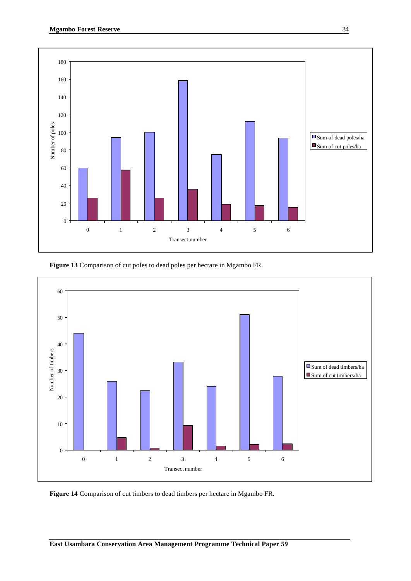





**Figure 14** Comparison of cut timbers to dead timbers per hectare in Mgambo FR.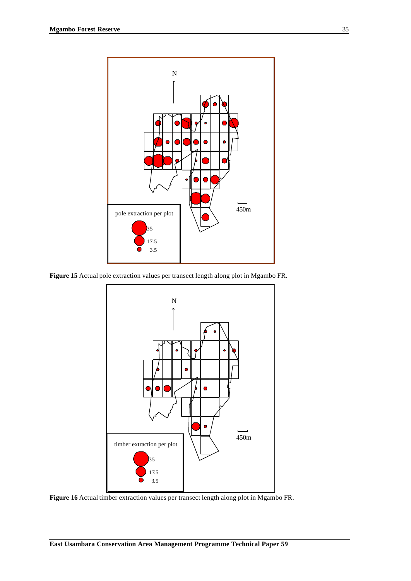

**Figure 15** Actual pole extraction values per transect length along plot in Mgambo FR.



**Figure 16** Actual timber extraction values per transect length along plot in Mgambo FR.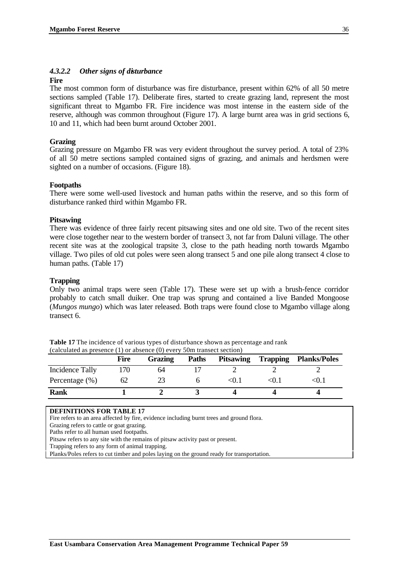### *4.3.2.2 Other signs of disturbance*

#### **Fire**

The most common form of disturbance was fire disturbance, present within 62% of all 50 metre sections sampled (Table 17). Deliberate fires, started to create grazing land, represent the most significant threat to Mgambo FR. Fire incidence was most intense in the eastern side of the reserve, although was common throughout (Figure 17). A large burnt area was in grid sections 6, 10 and 11, which had been burnt around October 2001.

#### **Grazing**

Grazing pressure on Mgambo FR was very evident throughout the survey period. A total of 23% of all 50 metre sections sampled contained signs of grazing, and animals and herdsmen were sighted on a number of occasions. (Figure 18).

#### **Footpaths**

There were some well-used livestock and human paths within the reserve, and so this form of disturbance ranked third within Mgambo FR.

#### **Pitsawing**

There was evidence of three fairly recent pitsawing sites and one old site. Two of the recent sites were close together near to the western border of transect 3, not far from Daluni village. The other recent site was at the zoological trapsite 3, close to the path heading north towards Mgambo village. Two piles of old cut poles were seen along transect 5 and one pile along transect 4 close to human paths. (Table 17)

#### **Trapping**

Only two animal traps were seen (Table 17). These were set up with a brush-fence corridor probably to catch small duiker. One trap was sprung and contained a live Banded Mongoose (*Mungos mungo*) which was later released. Both traps were found close to Mgambo village along transect 6.

**Table 17** The incidence of various types of disturbance shown as percentage and rank (calculated as presence (1) or absence (0) every 50m transect section)

|                   | <b>Fire</b> | Grazing | <b>Paths</b> | <b>Pitsawing</b>                                           | <b>Trapping</b>                | <b>Planks/Poles</b> |
|-------------------|-------------|---------|--------------|------------------------------------------------------------|--------------------------------|---------------------|
| Incidence Tally   | 70          | 64      |              |                                                            |                                |                     |
| Percentage $(\%)$ | 62          | 23      |              | <u.i< td=""><td><u. i<="" td=""><td></td></u.></td></u.i<> | <u. i<="" td=""><td></td></u.> |                     |
| <b>Rank</b>       |             |         |              |                                                            |                                |                     |

**DEFINITIONS FOR TABLE 17**

Fire refers to an area affected by fire, evidence including burnt trees and ground flora.

Grazing refers to cattle or goat grazing.

Paths refer to all human used footpaths.

Pitsaw refers to any site with the remains of pitsaw activity past or present.

Trapping refers to any form of animal trapping.

Planks/Poles refers to cut timber and poles laying on the ground ready for transportation.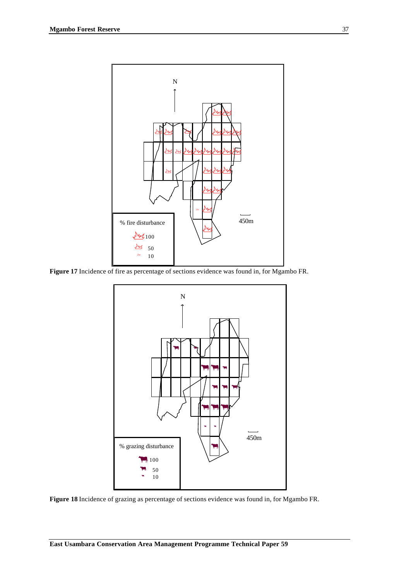

**Figure 17** Incidence of fire as percentage of sections evidence was found in, for Mgambo FR.



**Figure 18** Incidence of grazing as percentage of sections evidence was found in, for Mgambo FR.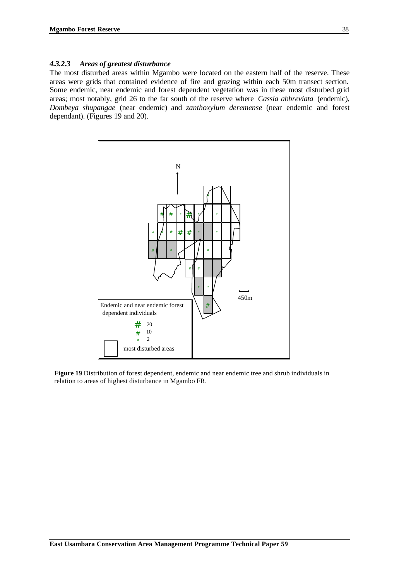#### *4.3.2.3 Areas of greatest disturbance*

The most disturbed areas within Mgambo were located on the eastern half of the reserve. These areas were grids that contained evidence of fire and grazing within each 50m transect section. Some endemic, near endemic and forest dependent vegetation was in these most disturbed grid areas; most notably, grid 26 to the far south of the reserve where *Cassia abbreviata* (endemic), *Dombeya shupangae* (near endemic) and *zanthoxylum deremense* (near endemic and forest dependant). (Figures 19 and 20).



**Figure 19** Distribution of forest dependent, endemic and near endemic tree and shrub individuals in relation to areas of highest disturbance in Mgambo FR.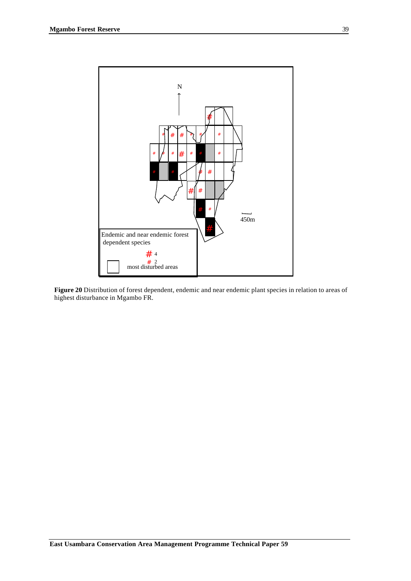

**Figure 20** Distribution of forest dependent, endemic and near endemic plant species in relation to areas of highest disturbance in Mgambo FR.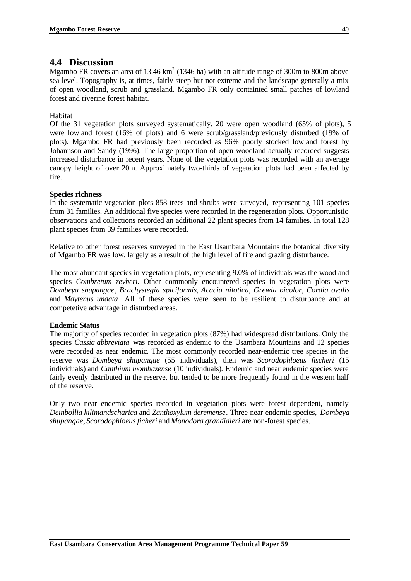## **4.4 Discussion**

Mgambo FR covers an area of 13.46  $km^2$  (1346 ha) with an altitude range of 300m to 800m above sea level. Topography is, at times, fairly steep but not extreme and the landscape generally a mix of open woodland, scrub and grassland. Mgambo FR only containted small patches of lowland forest and riverine forest habitat.

### Habitat

Of the 31 vegetation plots surveyed systematically, 20 were open woodland (65% of plots), 5 were lowland forest (16% of plots) and 6 were scrub/grassland/previously disturbed (19% of plots). Mgambo FR had previously been recorded as 96% poorly stocked lowland forest by Johannson and Sandy (1996). The large proportion of open woodland actually recorded suggests increased disturbance in recent years. None of the vegetation plots was recorded with an average canopy height of over 20m. Approximately two-thirds of vegetation plots had been affected by fire.

### **Species richness**

In the systematic vegetation plots 858 trees and shrubs were surveyed, representing 101 species from 31 families. An additional five species were recorded in the regeneration plots. Opportunistic observations and collections recorded an additional 22 plant species from 14 families. In total 128 plant species from 39 families were recorded.

Relative to other forest reserves surveyed in the East Usambara Mountains the botanical diversity of Mgambo FR was low, largely as a result of the high level of fire and grazing disturbance.

The most abundant species in vegetation plots, representing 9.0% of individuals was the woodland species *Combretum zeyheri*. Other commonly encountered species in vegetation plots were *Dombeya shupangae*, *Brachystegia spiciformis, Acacia nilotica, Grewia bicolor, Cordia ovalis* and *Maytenus undata*. All of these species were seen to be resilient to disturbance and at competetive advantage in disturbed areas.

#### **Endemic Status**

The majority of species recorded in vegetation plots (87%) had widespread distributions. Only the species *Cassia abbreviata* was recorded as endemic to the Usambara Mountains and 12 species were recorded as near endemic. The most commonly recorded near-endemic tree species in the reserve was *Dombeya shupangae* (55 individuals), then was *Scorodophloeus fischeri* (15 individuals) and *Canthium mombazense* (10 individuals)*.* Endemic and near endemic species were fairly evenly distributed in the reserve, but tended to be more frequently found in the western half of the reserve.

Only two near endemic species recorded in vegetation plots were forest dependent, namely *Deinbollia kilimandscharica* and *Zanthoxylum deremense*. Three near endemic species, *Dombeya shupangae*, *Scorodophloeus ficheri* and *Monodora grandidieri* are non-forest species.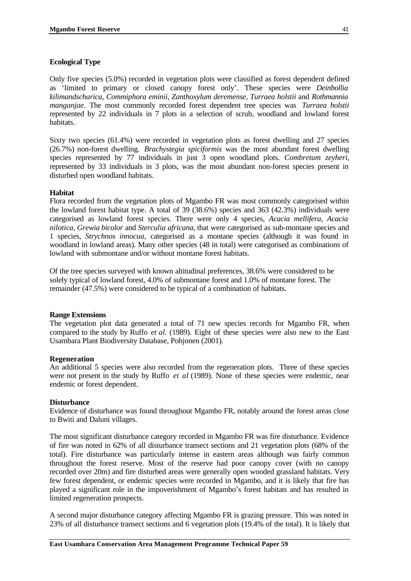### **Ecological Type**

Only five species (5.0%) recorded in vegetation plots were classified as forest dependent defined as 'limited to primary or closed canopy forest only'. These species were *Deinbollia kilimandscharica, Commiphora eminii, Zanthoxylum deremense, Turraea holstii* and *Rothmannia manganjae.* The most commonly recorded forest dependent tree species was *Turraea holstii* represented by 22 individuals in 7 plots in a selection of scrub, woodland and lowland forest habitats.

Sixty two species (61.4%) were recorded in vegetation plots as forest dwelling and 27 species (26.7%) non-forest dwelling. *Brachystegia spiciformis* was the most abundant forest dwelling species represented by 77 individuals in just 3 open woodland plots. *Combretum zeyheri*, represented by 33 individuals in 3 plots, was the most abundant non-forest species present in disturbed open woodland habitats.

#### **Habitat**

Flora recorded from the vegetation plots of Mgambo FR was most commonly categorised within the lowland forest habitat type. A total of 39 (38.6%) species and 363 (42.3%) individuals were categorised as lowland forest species. There were only 4 species, *Acacia mellifera, Acacia nilotica*, *Grewia bicolor* and *Sterculia africana,* that were categorised as sub-montane species and 1 species, *Strychnos innocua*, categorised as a montane species (although it was found in woodland in lowland areas). Many other species (48 in total) were categorised as combinations of lowland with submontane and/or without montane forest habitats.

Of the tree species surveyed with known altitudinal preferences, 38.6% were considered to be solely typical of lowland forest, 4.0% of submontane forest and 1.0% of montane forest. The remainder (47.5%) were considered to be typical of a combination of habitats.

#### **Range Extensions**

The vegetation plot data generated a total of 71 new species records for Mgambo FR, when compared to the study by Ruffo *et al.* (1989). Eight of these species were also new to the East Usambara Plant Biodiversity Database, Pohjonen (2001).

#### **Regeneration**

An additional 5 species were also recorded from the regeneration plots. Three of these species were not present in the study by Ruffo *et al* (1989). None of these species were endemic, near endemic or forest dependent.

#### **Disturbance**

Evidence of disturbance was found throughout Mgambo FR, notably around the forest areas close to Bwiti and Daluni villages.

The most significant disturbance category recorded in Mgambo FR was fire disturbance. Evidence of fire was noted in 62% of all disturbance transect sections and 21 vegetation plots (68% of the total). Fire disturbance was particularly intense in eastern areas although was fairly common throughout the forest reserve. Most of the reserve had poor canopy cover (with no canopy recorded over 20m) and fire disturbed areas were generally open wooded grassland habitats. Very few forest dependent, or endemic species were recorded in Mgambo, and it is likely that fire has played a significant role in the impoverishment of Mgambo's forest habitats and has resulted in limited regeneration prospects.

A second major disturbance category affecting Mgambo FR is grazing pressure. This was noted in 23% of all disturbance transect sections and 6 vegetation plots (19.4% of the total). It is likely that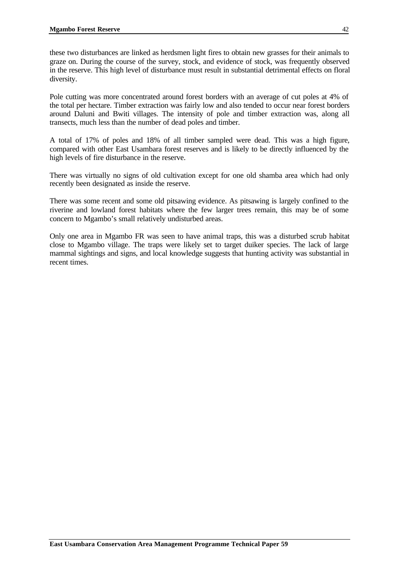these two disturbances are linked as herdsmen light fires to obtain new grasses for their animals to graze on. During the course of the survey, stock, and evidence of stock, was frequently observed in the reserve. This high level of disturbance must result in substantial detrimental effects on floral diversity.

Pole cutting was more concentrated around forest borders with an average of cut poles at 4% of the total per hectare. Timber extraction was fairly low and also tended to occur near forest borders around Daluni and Bwiti villages. The intensity of pole and timber extraction was, along all transects, much less than the number of dead poles and timber.

A total of 17% of poles and 18% of all timber sampled were dead. This was a high figure, compared with other East Usambara forest reserves and is likely to be directly influenced by the high levels of fire disturbance in the reserve.

There was virtually no signs of old cultivation except for one old shamba area which had only recently been designated as inside the reserve.

There was some recent and some old pitsawing evidence. As pitsawing is largely confined to the riverine and lowland forest habitats where the few larger trees remain, this may be of some concern to Mgambo's small relatively undisturbed areas.

Only one area in Mgambo FR was seen to have animal traps, this was a disturbed scrub habitat close to Mgambo village. The traps were likely set to target duiker species. The lack of large mammal sightings and signs, and local knowledge suggests that hunting activity was substantial in recent times.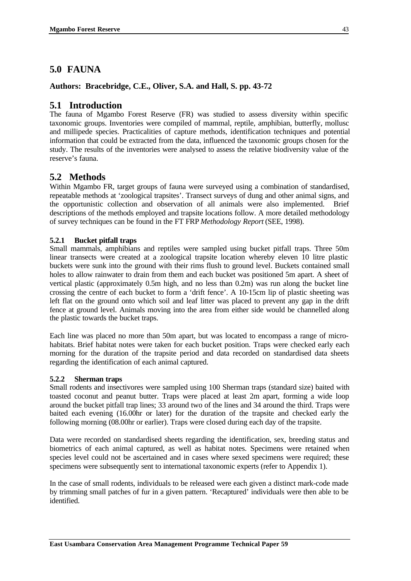# **5.0 FAUNA**

### **Authors: Bracebridge, C.E., Oliver, S.A. and Hall, S. pp. 43-72**

## **5.1 Introduction**

The fauna of Mgambo Forest Reserve (FR) was studied to assess diversity within specific taxonomic groups. Inventories were compiled of mammal, reptile, amphibian, butterfly, mollusc and millipede species. Practicalities of capture methods, identification techniques and potential information that could be extracted from the data, influenced the taxonomic groups chosen for the study. The results of the inventories were analysed to assess the relative biodiversity value of the reserve's fauna.

## **5.2 Methods**

Within Mgambo FR, target groups of fauna were surveyed using a combination of standardised, repeatable methods at 'zoological trapsites'. Transect surveys of dung and other animal signs, and the opportunistic collection and observation of all animals were also implemented. Brief descriptions of the methods employed and trapsite locations follow. A more detailed methodology of survey techniques can be found in the FT FRP *Methodology Report* (SEE, 1998).

### **5.2.1 Bucket pitfall traps**

Small mammals, amphibians and reptiles were sampled using bucket pitfall traps. Three 50m linear transects were created at a zoological trapsite location whereby eleven 10 litre plastic buckets were sunk into the ground with their rims flush to ground level. Buckets contained small holes to allow rainwater to drain from them and each bucket was positioned 5m apart. A sheet of vertical plastic (approximately 0.5m high, and no less than 0.2m) was run along the bucket line crossing the centre of each bucket to form a 'drift fence'. A 10-15cm lip of plastic sheeting was left flat on the ground onto which soil and leaf litter was placed to prevent any gap in the drift fence at ground level. Animals moving into the area from either side would be channelled along the plastic towards the bucket traps.

Each line was placed no more than 50m apart, but was located to encompass a range of microhabitats. Brief habitat notes were taken for each bucket position. Traps were checked early each morning for the duration of the trapsite period and data recorded on standardised data sheets regarding the identification of each animal captured.

#### **5.2.2 Sherman traps**

Small rodents and insectivores were sampled using 100 Sherman traps (standard size) baited with toasted coconut and peanut butter. Traps were placed at least 2m apart, forming a wide loop around the bucket pitfall trap lines; 33 around two of the lines and 34 around the third. Traps were baited each evening (16.00hr or later) for the duration of the trapsite and checked early the following morning (08.00hr or earlier). Traps were closed during each day of the trapsite.

Data were recorded on standardised sheets regarding the identification, sex, breeding status and biometrics of each animal captured, as well as habitat notes. Specimens were retained when species level could not be ascertained and in cases where sexed specimens were required; these specimens were subsequently sent to international taxonomic experts (refer to Appendix 1).

In the case of small rodents, individuals to be released were each given a distinct mark-code made by trimming small patches of fur in a given pattern. 'Recaptured' individuals were then able to be identified.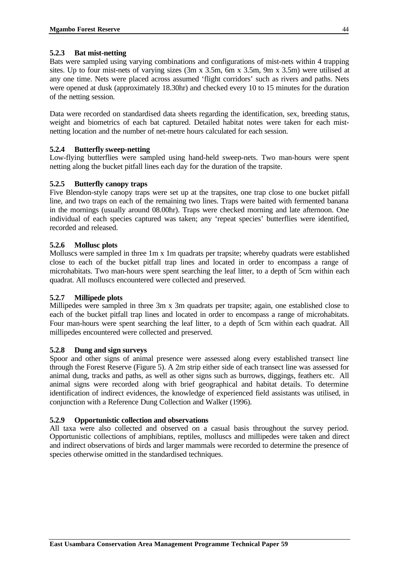### **5.2.3 Bat mist-netting**

Bats were sampled using varying combinations and configurations of mist-nets within 4 trapping sites. Up to four mist-nets of varying sizes (3m x 3.5m, 6m x 3.5m, 9m x 3.5m) were utilised at any one time. Nets were placed across assumed 'flight corridors' such as rivers and paths. Nets were opened at dusk (approximately 18.30hr) and checked every 10 to 15 minutes for the duration of the netting session.

Data were recorded on standardised data sheets regarding the identification, sex, breeding status, weight and biometrics of each bat captured. Detailed habitat notes were taken for each mistnetting location and the number of net-metre hours calculated for each session.

### **5.2.4 Butterfly sweep-netting**

Low-flying butterflies were sampled using hand-held sweep-nets. Two man-hours were spent netting along the bucket pitfall lines each day for the duration of the trapsite.

### **5.2.5 Butterfly canopy traps**

Five Blendon-style canopy traps were set up at the trapsites, one trap close to one bucket pitfall line, and two traps on each of the remaining two lines. Traps were baited with fermented banana in the mornings (usually around 08.00hr). Traps were checked morning and late afternoon. One individual of each species captured was taken; any 'repeat species' butterflies were identified, recorded and released.

### **5.2.6 Mollusc plots**

Molluscs were sampled in three 1m x 1m quadrats per trapsite; whereby quadrats were established close to each of the bucket pitfall trap lines and located in order to encompass a range of microhabitats. Two man-hours were spent searching the leaf litter, to a depth of 5cm within each quadrat. All molluscs encountered were collected and preserved.

#### **5.2.7 Millipede plots**

Millipedes were sampled in three 3m x 3m quadrats per trapsite; again, one established close to each of the bucket pitfall trap lines and located in order to encompass a range of microhabitats. Four man-hours were spent searching the leaf litter, to a depth of 5cm within each quadrat. All millipedes encountered were collected and preserved.

#### **5.2.8 Dung and sign surveys**

Spoor and other signs of animal presence were assessed along every established transect line through the Forest Reserve (Figure 5). A 2m strip either side of each transect line was assessed for animal dung, tracks and paths, as well as other signs such as burrows, diggings, feathers etc. All animal signs were recorded along with brief geographical and habitat details. To determine identification of indirect evidences, the knowledge of experienced field assistants was utilised, in conjunction with a Reference Dung Collection and Walker (1996).

#### **5.2.9 Opportunistic collection and observations**

All taxa were also collected and observed on a casual basis throughout the survey period. Opportunistic collections of amphibians, reptiles, molluscs and millipedes were taken and direct and indirect observations of birds and larger mammals were recorded to determine the presence of species otherwise omitted in the standardised techniques.

44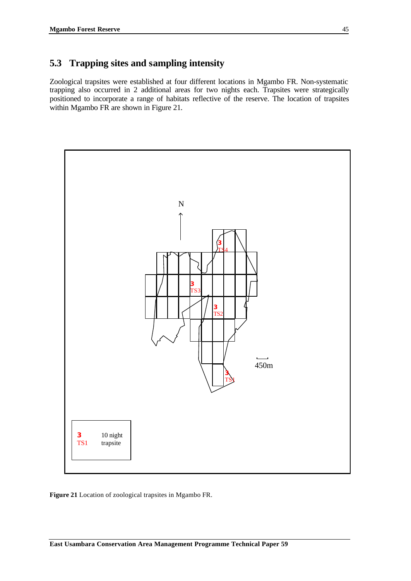# **5.3 Trapping sites and sampling intensity**

Zoological trapsites were established at four different locations in Mgambo FR. Non-systematic trapping also occurred in 2 additional areas for two nights each. Trapsites were strategically positioned to incorporate a range of habitats reflective of the reserve. The location of trapsites within Mgambo FR are shown in Figure 21.



**Figure 21** Location of zoological trapsites in Mgambo FR.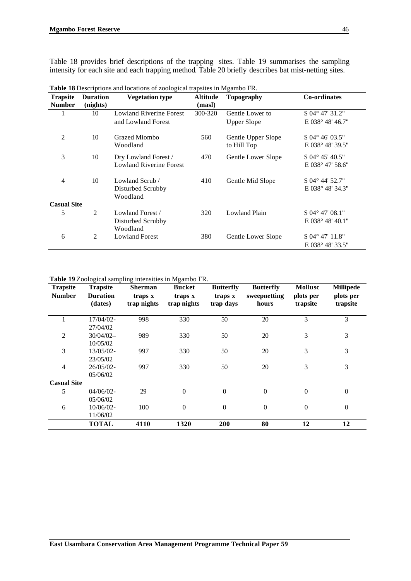Table 18 provides brief descriptions of the trapping sites. Table 19 summarises the sampling intensity for each site and each trapping method. Table 20 briefly describes bat mist-netting sites.

| <b>Trapsite</b><br><b>Number</b> | <b>Duration</b><br>(nights) | <b>Vegetation type</b>         | <b>Altitude</b><br>(masl) | <b>Topography</b>    | <b>Co-ordinates</b>         |
|----------------------------------|-----------------------------|--------------------------------|---------------------------|----------------------|-----------------------------|
| 1                                | 10                          | <b>Lowland Riverine Forest</b> | 300-320                   | Gentle Lower to      | S 04° 47' 31.2"             |
|                                  |                             | and Lowland Forest             |                           | <b>Upper Slope</b>   | E 038° 48′ 46.7″            |
| $\overline{2}$                   | 10                          | Grazed Miombo                  | 560                       | Gentle Upper Slope   | $S$ 04 $^{\circ}$ 46' 03.5" |
|                                  |                             | Woodland                       |                           | to Hill Top          | $E~038^{\circ}~48'~39.5''$  |
| 3                                | 10                          | Dry Lowland Forest /           | 470                       | Gentle Lower Slope   | S 04° 45' 40.5"             |
|                                  |                             | <b>Lowland Riverine Forest</b> |                           |                      | E 038° 47' 58.6"            |
| $\overline{4}$                   | 10                          | Lowland Scrub /                | 410                       | Gentle Mid Slope     | $S$ 04 $^{\circ}$ 44' 52.7" |
|                                  |                             | Disturbed Scrubby<br>Woodland  |                           |                      | E 038° 48′ 34.3″            |
| <b>Casual Site</b>               |                             |                                |                           |                      |                             |
| 5                                | 2                           | Lowland Forest /               | 320                       | <b>Lowland Plain</b> | $S$ 04° 47′ 08.1″           |
|                                  |                             | Disturbed Scrubby<br>Woodland  |                           |                      | $E~038^{\circ}~48'~40.1"$   |
| 6                                | 2                           | <b>Lowland Forest</b>          | 380                       | Gentle Lower Slope   | $S$ 04° 47′ 11.8″           |
|                                  |                             |                                |                           |                      | $E~038^{\circ}~48'~33.5''$  |

**Table 18** Descriptions and locations of zoological trapsites in Mgambo FR.

**Table 19** Zoological sampling intensities in Mgambo FR.

| <b>Trapsite</b>    | <b>Trapsite</b> | <b>Sherman</b> | <b>Bucket</b>  | <b>Butterfly</b> | <b>Butterfly</b> | <b>Mollusc</b>   | <b>Millipede</b> |
|--------------------|-----------------|----------------|----------------|------------------|------------------|------------------|------------------|
| <b>Number</b>      | <b>Duration</b> | traps x        | traps x        | traps x          | sweepnetting     | plots per        | plots per        |
|                    | (dates)         | trap nights    | trap nights    | trap days        | hours            | trapsite         | trapsite         |
|                    | $17/04/02$ -    | 998            | 330            | 50               | 20               | 3                | 3                |
|                    | 27/04/02        |                |                |                  |                  |                  |                  |
| 2                  | $30/04/02-$     | 989            | 330            | 50               | 20               | 3                | 3                |
|                    | 10/05/02        |                |                |                  |                  |                  |                  |
| 3                  | 13/05/02-       | 997            | 330            | 50               | 20               | 3                | 3                |
|                    | 23/05/02        |                |                |                  |                  |                  |                  |
| $\overline{4}$     | 26/05/02-       | 997            | 330            | 50               | 20               | 3                | 3                |
|                    | 05/06/02        |                |                |                  |                  |                  |                  |
| <b>Casual Site</b> |                 |                |                |                  |                  |                  |                  |
| 5                  | $04/06/02$ -    | 29             | $\overline{0}$ | $\boldsymbol{0}$ | $\theta$         | $\boldsymbol{0}$ | $\mathbf{0}$     |
|                    | 05/06/02        |                |                |                  |                  |                  |                  |
| 6                  | $10/06/02$ -    | 100            | $\overline{0}$ | $\boldsymbol{0}$ | $\theta$         | $\boldsymbol{0}$ | $\boldsymbol{0}$ |
|                    | 11/06/02        |                |                |                  |                  |                  |                  |
|                    | <b>TOTAL</b>    | 4110           | 1320           | 200              | 80               | 12               | 12               |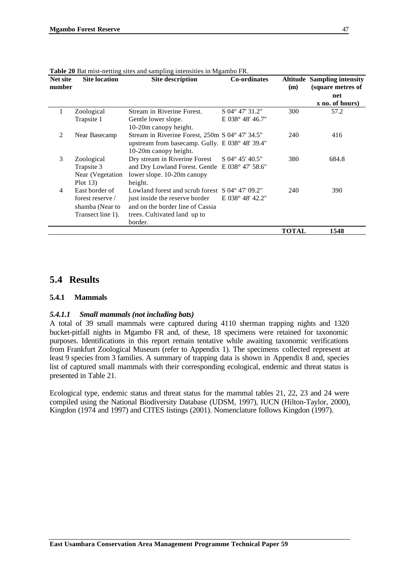| Net site<br>number | <b>Site location</b>                                                       | Site description                                                                                                                                                            | <b>Co-ordinates</b>        | (m)          | <b>Altitude Sampling intensity</b><br>(square metres of<br>net |
|--------------------|----------------------------------------------------------------------------|-----------------------------------------------------------------------------------------------------------------------------------------------------------------------------|----------------------------|--------------|----------------------------------------------------------------|
|                    |                                                                            |                                                                                                                                                                             |                            |              | x no. of hours)                                                |
| 1                  | Zoological                                                                 | Stream in Riverine Forest.                                                                                                                                                  | $S$ 04 $\degree$ 47' 31.2" | 300          | 57.2                                                           |
|                    | Trapsite 1                                                                 | Gentle lower slope.<br>10-20m canopy height.                                                                                                                                | $E~038^{\circ}~48'~46.7"$  |              |                                                                |
| 2                  | Near Basecamp                                                              | Stream in Riverine Forest, 250m S 04° 47′ 34.5″<br>upstream from basecamp. Gully. E 038° 48' 39.4"<br>10-20m canopy height.                                                 |                            | 240          | 416                                                            |
| 3                  | Zoological<br>Trapsite 3<br>Near (Vegetation<br>Plot $13$ )                | Dry stream in Riverine Forest<br>and Dry Lowland Forest. Gentle E 038° 47' 58.6"<br>lower slope. 10-20m canopy<br>height.                                                   | $S$ 04 $\degree$ 45' 40.5" | 380          | 684.8                                                          |
| 4                  | East border of<br>forest reserve /<br>shamba (Near to<br>Transect line 1). | Lowland forest and scrub forest $S$ 04 $\degree$ 47' 09.2"<br>just inside the reserve border<br>and on the border line of Cassia<br>trees. Cultivated land up to<br>border. | E 038° 48′ 42.2″           | 240          | 390                                                            |
|                    |                                                                            |                                                                                                                                                                             |                            | <b>TOTAL</b> | 1548                                                           |

**Table 20** Bat mist-netting sites and sampling intensities in Mgambo FR

# **5.4 Results**

#### **5.4.1 Mammals**

#### *5.4.1.1 Small mammals (not including bats)*

A total of 39 small mammals were captured during 4110 sherman trapping nights and 1320 bucket-pitfall nights in Mgambo FR and, of these, 18 specimens were retained for taxonomic purposes. Identifications in this report remain tentative while awaiting taxonomic verifications from Frankfurt Zoological Museum (refer to Appendix 1). The specimens collected represent at least 9 species from 3 families. A summary of trapping data is shown in Appendix 8 and, species list of captured small mammals with their corresponding ecological, endemic and threat status is presented in Table 21.

Ecological type, endemic status and threat status for the mammal tables 21, 22, 23 and 24 were compiled using the National Biodiversity Database (UDSM, 1997), IUCN (Hilton-Taylor, 2000), Kingdon (1974 and 1997) and CITES listings (2001). Nomenclature follows Kingdon (1997).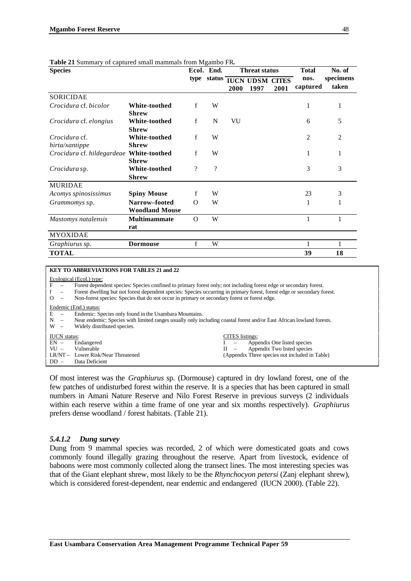| <b>Species</b>                           |                                        |                    | Ecol. End.         |      | <b>Threat status</b>           |      | <b>Total</b>     | No. of             |
|------------------------------------------|----------------------------------------|--------------------|--------------------|------|--------------------------------|------|------------------|--------------------|
|                                          |                                        | type               | status             | 2000 | <b>IUCN UDSM CITES</b><br>1997 | 2001 | nos.<br>captured | specimens<br>taken |
| <b>SORICIDAE</b>                         |                                        |                    |                    |      |                                |      |                  |                    |
| Crocidura cf. bicolor                    | <b>White-toothed</b><br><b>Shrew</b>   | f                  | W                  |      |                                |      | 1                | 1                  |
| Crocidura cf. elongius                   | White-toothed<br><b>Shrew</b>          | $\mathbf{f}$       | N                  | VU   |                                |      | 6                | 5                  |
| Crocidura cf.<br>hirta/xantippe          | <b>White-toothed</b><br><b>Shrew</b>   | f                  | W                  |      |                                |      | 2                | 2                  |
| Crocidura cf. hildegardeae White-toothed | <b>Shrew</b>                           | f                  | W                  |      |                                |      | 1                | 1                  |
| Crocidura sp.                            | White-toothed<br><b>Shrew</b>          | $\overline{\cdot}$ | $\overline{\cdot}$ |      |                                |      | 3                | 3                  |
| <b>MURIDAE</b>                           |                                        |                    |                    |      |                                |      |                  |                    |
| Acomys spinosissimus                     | <b>Spiny Mouse</b>                     | f                  | W                  |      |                                |      | 23               | 3                  |
| <i>Grammomys</i> sp.                     | Narrow-footed<br><b>Woodland Mouse</b> | $\Omega$           | W                  |      |                                |      | 1                | 1                  |
| Mastomys natalensis                      | Multimammate<br>rat                    | $\Omega$           | W                  |      |                                |      | 1                | 1                  |
| <b>MYOXIDAE</b>                          |                                        |                    |                    |      |                                |      |                  |                    |
| Graphiurus sp.                           | <b>Dormouse</b>                        | f                  | W                  |      |                                |      |                  |                    |
| <b>TOTAL</b>                             |                                        |                    |                    |      |                                |      | 39               | 18                 |

#### **Table 21** Summary of captured small mammals from Mgambo FR**.**

#### **KEY TO ABBREVIATIONS FOR TABLES 21 and 22**

#### Ecological (Ecol.) type:

F – Forest dependent species: Species confined to primary forest only; not including forest edge or secondary forest.

f – Forest dwelling but not forest dependent species: Species occurring in primary forest, forest edge or secondary forest.

O – Non-forest species: Species that do not occur in primary or secondary forest or forest edge.

#### Endemic (End.) status:

 $\overline{E}$  – Endemic: Species only found in the Usambara Mountains.

N – Near endemic: Species with limited ranges usually only including coastal forest and/or East African lowland forests.

|                     | W – Widely distributed species.    |                 |                                                |
|---------------------|------------------------------------|-----------------|------------------------------------------------|
| <b>IUCN</b> status: |                                    | CITES listings: |                                                |
|                     | $EN -$ Endangered                  |                 | I – Appendix One listed species                |
|                     | $VU = Vulnerable$                  |                 | $II$ – Appendix Two listed species             |
|                     | LR/NT – Lower Risk/Near Threatened |                 | (Appendix Three species not included in Table) |
| $DD -$              | Data Deficient                     |                 |                                                |

Of most interest was the *Graphiurus* sp. (Dormouse) captured in dry lowland forest, one of the few patches of undisturbed forest within the reserve. It is a species that has been captured in small numbers in Amani Nature Reserve and Nilo Forest Reserve in previous surveys (2 individuals within each reserve within a time frame of one year and six months respectively). *Graphiurus* prefers dense woodland / forest habitats. (Table 21).

#### *5.4.1.2 Dung survey*

Dung from 9 mammal species was recorded, 2 of which were domesticated goats and cows commonly found illegally grazing throughout the reserve. Apart from livestock, evidence of baboons were most commonly collected along the transect lines. The most interesting species was that of the Giant elephant shrew, most likely to be the *Rhynchocyon petersi* (Zanj elephant shrew), which is considered forest-dependent, near endemic and endangered (IUCN 2000). (Table 22).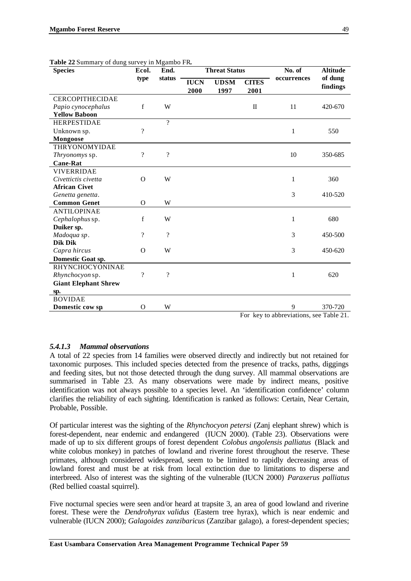| <b>rapic 22 Summary Or Gung survey in Nigamoo 1 K.</b><br><b>Species</b> | Ecol.                    | End.                     |                     | <b>Threat Status</b> |                      | No. of      | <b>Altitude</b>     |  |
|--------------------------------------------------------------------------|--------------------------|--------------------------|---------------------|----------------------|----------------------|-------------|---------------------|--|
|                                                                          | type                     | status                   | <b>IUCN</b><br>2000 | <b>UDSM</b><br>1997  | <b>CITES</b><br>2001 | occurrences | of dung<br>findings |  |
| <b>CERCOPITHECIDAE</b>                                                   |                          |                          |                     |                      |                      |             |                     |  |
| Papio cynocephalus                                                       | f                        | W                        |                     |                      | $\mathbf I$          | 11          | 420-670             |  |
| <b>Yellow Baboon</b>                                                     |                          |                          |                     |                      |                      |             |                     |  |
| <b>HERPESTIDAE</b>                                                       |                          | $\gamma$                 |                     |                      |                      |             |                     |  |
| Unknown sp.                                                              | $\overline{\mathcal{L}}$ |                          |                     |                      |                      | 1           | 550                 |  |
| Mongoose                                                                 |                          |                          |                     |                      |                      |             |                     |  |
| THRYONOMYIDAE                                                            |                          |                          |                     |                      |                      |             |                     |  |
| Thryonomys sp.                                                           | $\gamma$                 | $\overline{\mathcal{L}}$ |                     |                      |                      | 10          | 350-685             |  |
| <b>Cane-Rat</b>                                                          |                          |                          |                     |                      |                      |             |                     |  |
| <b>VIVERRIDAE</b>                                                        |                          |                          |                     |                      |                      |             |                     |  |
| Civettictis civetta                                                      | $\Omega$                 | W                        |                     |                      |                      | 1           | 360                 |  |
| <b>African Civet</b>                                                     |                          |                          |                     |                      |                      |             |                     |  |
| Genetta genetta.                                                         |                          |                          |                     |                      |                      | 3           | 410-520             |  |
| <b>Common Genet</b>                                                      | $\Omega$                 | W                        |                     |                      |                      |             |                     |  |
| <b>ANTILOPINAE</b>                                                       |                          |                          |                     |                      |                      |             |                     |  |
| Cephalophus sp.                                                          | f                        | W                        |                     |                      |                      | 1           | 680                 |  |
| Duiker sp.                                                               |                          |                          |                     |                      |                      |             |                     |  |
| Madoqua sp.                                                              | $\overline{\mathcal{L}}$ | $\gamma$                 |                     |                      |                      | 3           | 450-500             |  |
| Dik Dik                                                                  |                          |                          |                     |                      |                      |             |                     |  |
| Capra hircus                                                             | $\Omega$                 | W                        |                     |                      |                      | 3           | 450-620             |  |
| Domestic Goat sp.                                                        |                          |                          |                     |                      |                      |             |                     |  |
| RHYNCHOCYONINAE                                                          |                          |                          |                     |                      |                      |             |                     |  |
| Rhynchocyon sp.                                                          | $\overline{\mathcal{L}}$ | $\overline{\mathcal{L}}$ |                     |                      |                      | 1           | 620                 |  |
| <b>Giant Elephant Shrew</b>                                              |                          |                          |                     |                      |                      |             |                     |  |
| sp.                                                                      |                          |                          |                     |                      |                      |             |                     |  |
| <b>BOVIDAE</b>                                                           |                          |                          |                     |                      |                      |             |                     |  |
| Domestic cow sp                                                          | $\Omega$                 | W                        |                     |                      |                      | 9           | 370-720             |  |

|  | Table 22 Summary of dung survey in Mgambo FR. |  |  |  |
|--|-----------------------------------------------|--|--|--|
|  |                                               |  |  |  |

For key to abbreviations, see Table 21.

#### *5.4.1.3 Mammal observations*

A total of 22 species from 14 families were observed directly and indirectly but not retained for taxonomic purposes. This included species detected from the presence of tracks, paths, diggings and feeding sites, but not those detected through the dung survey. All mammal observations are summarised in Table 23. As many observations were made by indirect means, positive identification was not always possible to a species level. An 'identification confidence' column clarifies the reliability of each sighting. Identification is ranked as follows: Certain, Near Certain, Probable, Possible.

Of particular interest was the sighting of the *Rhynchocyon petersi* (Zanj elephant shrew) which is forest-dependent, near endemic and endangered (IUCN 2000). (Table 23). Observations were made of up to six different groups of forest dependent *Colobus angolensis palliatus* (Black and white colobus monkey) in patches of lowland and riverine forest throughout the reserve. These primates, although considered widespread, seem to be limited to rapidly decreasing areas of lowland forest and must be at risk from local extinction due to limitations to disperse and interbreed. Also of interest was the sighting of the vulnerable (IUCN 2000) *Paraxerus palliatus* (Red bellied coastal squirrel).

Five nocturnal species were seen and/or heard at trapsite 3, an area of good lowland and riverine forest. These were the *Dendrohyrax validus* (Eastern tree hyrax), which is near endemic and vulnerable (IUCN 2000); *Galagoides zanzibaricus* (Zanzibar galago), a forest-dependent species;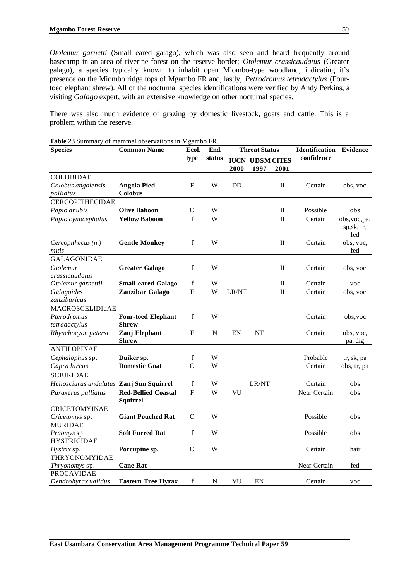*Otolemur garnetti* (Small eared galago), which was also seen and heard frequently around basecamp in an area of riverine forest on the reserve border; *Otolemur crassicaudatus* (Greater galago), a species typically known to inhabit open Miombo-type woodland, indicating it's presence on the Miombo ridge tops of Mgambo FR and, lastly, *Petrodromus tetradactylus* (Fourtoed elephant shrew). All of the nocturnal species identifications were verified by Andy Perkins, a visiting *Galago* expert, with an extensive knowledge on other nocturnal species.

There was also much evidence of grazing by domestic livestock, goats and cattle. This is a problem within the reserve.

| <b>Species</b>                           | <b>Common Name</b>         | Ecol.          | End.                     |           | <b>Threat Status</b>   |          | <b>Identification Evidence</b> |                      |
|------------------------------------------|----------------------------|----------------|--------------------------|-----------|------------------------|----------|--------------------------------|----------------------|
|                                          |                            | type           | status                   |           | <b>IUCN UDSM CITES</b> |          | confidence                     |                      |
|                                          |                            |                |                          | 2000      | 1997                   | 2001     |                                |                      |
| <b>COLOBIDAE</b>                         |                            |                |                          |           |                        |          |                                |                      |
| Colobus angolensis                       | <b>Angola Pied</b>         | F              | W                        | <b>DD</b> |                        | Π        | Certain                        | obs, voc             |
| palliatus                                | Colobus                    |                |                          |           |                        |          |                                |                      |
| <b>CERCOPITHECIDAE</b>                   |                            |                |                          |           |                        |          |                                |                      |
| Papio anubis                             | <b>Olive Baboon</b>        | O              | W                        |           |                        | $\rm II$ | Possible                       | obs                  |
| Papio cynocephalus                       | <b>Yellow Baboon</b>       | f              | W                        |           |                        | Π        | Certain                        | obs, voc, pa,        |
|                                          |                            |                |                          |           |                        |          |                                | sp,sk, tr,<br>fed    |
| Cercopithecus (n.)                       | <b>Gentle Monkey</b>       | f              | W                        |           |                        | П        | Certain                        | obs, voc,            |
| mitis                                    |                            |                |                          |           |                        |          |                                | fed                  |
| <b>GALAGONIDAE</b>                       |                            |                |                          |           |                        |          |                                |                      |
| <i>Otolemur</i>                          | <b>Greater Galago</b>      | f              | W                        |           |                        | Π        | Certain                        | obs, voc             |
| crassicaudatus                           |                            |                |                          |           |                        |          |                                |                      |
| Otolemur garnettii                       | <b>Small-eared Galago</b>  | f              | W                        |           |                        | П        | Certain                        | voc                  |
| Galagoides                               | Zanzibar Galago            | ${\bf F}$      | W                        | LR/NT     |                        | $\rm II$ | Certain                        | obs, voc             |
| zanzibaricus                             |                            |                |                          |           |                        |          |                                |                      |
| MACROSCELIDIdAE                          |                            |                |                          |           |                        |          |                                |                      |
| Pterodromus                              | <b>Four-toed Elephant</b>  | f              | W                        |           |                        |          | Certain                        | obs, voc             |
| tetradactylus                            | <b>Shrew</b>               |                |                          |           |                        |          |                                |                      |
| Rhynchocyon petersi                      | Zanj Elephant<br>Shrew     | F              | N                        | EN        | NT                     |          | Certain                        | obs, voc,<br>pa, dig |
| <b>ANTILOPINAE</b>                       |                            |                |                          |           |                        |          |                                |                      |
| Cephalophus sp.                          | Duiker sp.                 | f              | W                        |           |                        |          | Probable                       | tr, sk, pa           |
| Capra hircus                             | <b>Domestic Goat</b>       | $\Omega$       | W                        |           |                        |          | Certain                        | obs, tr, pa          |
| <b>SCIURIDAE</b>                         |                            |                |                          |           |                        |          |                                |                      |
| Heliosciurus undulatus Zanj Sun Squirrel |                            | f              | W                        |           | LR/NT                  |          | Certain                        | obs                  |
| Paraxerus palliatus                      | <b>Red-Bellied Coastal</b> | $\overline{F}$ | W                        | VU        |                        |          | Near Certain                   | obs                  |
|                                          | <b>Squirrel</b>            |                |                          |           |                        |          |                                |                      |
| <b>CRICETOMYINAE</b>                     |                            |                |                          |           |                        |          |                                |                      |
| Cricetomys sp.                           | <b>Giant Pouched Rat</b>   | O              | W                        |           |                        |          | Possible                       | obs                  |
| <b>MURIDAE</b>                           |                            |                |                          |           |                        |          |                                |                      |
| Praomys sp.                              | <b>Soft Furred Rat</b>     | $\mathbf f$    | W                        |           |                        |          | Possible                       | obs                  |
| <b>HYSTRICIDAE</b>                       |                            |                |                          |           |                        |          |                                |                      |
| <i>Hystrix</i> sp.                       | Porcupine sp.              | $\Omega$       | W                        |           |                        |          | Certain                        | hair                 |
| THRYONOMYIDAE                            |                            |                |                          |           |                        |          |                                |                      |
| <i>Thryonomys</i> sp.                    | <b>Cane Rat</b>            |                | $\overline{\phantom{a}}$ |           |                        |          | Near Certain                   | fed                  |
| <b>PROCAVIDAE</b>                        |                            |                |                          |           |                        |          |                                |                      |
| Dendrohyrax validus                      | <b>Eastern Tree Hyrax</b>  | f              | N                        | VU        | EN                     |          | Certain                        | voc                  |

**Table 23** Summary of mammal observations in Mgambo FR.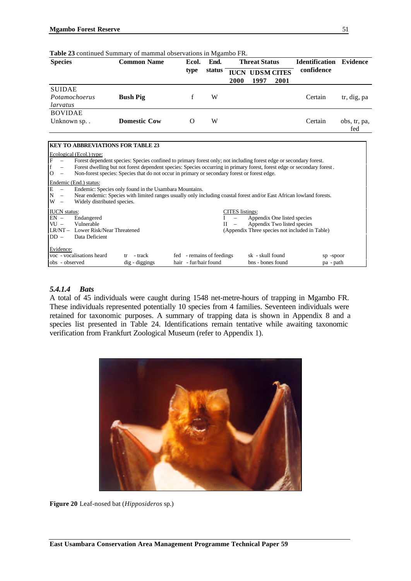| <b>Species</b>                             | <b>Common Name</b>  | Ecol.    | End.   | <b>Threat Status</b> |                                |      | <b>Identification</b> | <b>Evidence</b>     |
|--------------------------------------------|---------------------|----------|--------|----------------------|--------------------------------|------|-----------------------|---------------------|
|                                            |                     | type     | status | 2000                 | <b>IUCN UDSM CITES</b><br>1997 | 2001 | confidence            |                     |
| <b>SUIDAE</b><br>Potamochoerus<br>larvatus | <b>Bush Pig</b>     |          | W      |                      |                                |      | Certain               | tr, dig, pa         |
| <b>BOVIDAE</b><br>Unknown sp               | <b>Domestic Cow</b> | $\Omega$ | W      |                      |                                |      | Certain               | obs, tr, pa,<br>fed |

| Table 23 continued Summary of mammal observations in Mgambo FR. |  |
|-----------------------------------------------------------------|--|
|-----------------------------------------------------------------|--|

# **KEY TO ABBREVIATIONS FOR TABLE 23**

| Ecological (Ecol.) type:<br>$\mathbf F$<br>Forest dependent species: Species confined to primary forest only; not including forest edge or secondary forest.<br>f<br>Forest dwelling but not forest dependent species: Species occurring in primary forest, forest edge or secondary forest.<br>$\overline{O}$<br>Non-forest species: Species that do not occur in primary or secondary forest or forest edge. |                                                       |                                                                                                              |                        |
|----------------------------------------------------------------------------------------------------------------------------------------------------------------------------------------------------------------------------------------------------------------------------------------------------------------------------------------------------------------------------------------------------------------|-------------------------------------------------------|--------------------------------------------------------------------------------------------------------------|------------------------|
| Endemic (End.) status:<br>$\frac{E}{N}$<br>Endemic: Species only found in the Usambara Mountains.<br>Near endemic: Species with limited ranges usually only including coastal forest and/or East African lowland forests.<br>W<br>Widely distributed species.                                                                                                                                                  |                                                       |                                                                                                              |                        |
| <b>IUCN</b> status:<br>$EN -$<br>Endangered<br>$VU -$<br>Vulnerable<br>LR/NT - Lower Risk/Near Threatened<br>$DD -$<br>Data Deficient                                                                                                                                                                                                                                                                          | <b>CITES</b> listings:<br>$II -$                      | Appendix One listed species<br>Appendix Two listed species<br>(Appendix Three species not included in Table) |                        |
| Evidence:<br>voc - vocalisations heard<br>- track<br>dig - diggings<br>obs - observed                                                                                                                                                                                                                                                                                                                          | - remains of feedings<br>fed<br>hair - fur/hair found | sk - skull found<br>bns - bones found                                                                        | sp -spoor<br>pa - path |

### *5.4.1.4 Bats*

A total of 45 individuals were caught during 1548 net-metre-hours of trapping in Mgambo FR. These individuals represented potentially 10 species from 4 families. Seventeen individuals were retained for taxonomic purposes. A summary of trapping data is shown in Appendix 8 and a species list presented in Table 24. Identifications remain tentative while awaiting taxonomic verification from Frankfurt Zoological Museum (refer to Appendix 1).



**Figure 20** Leaf-nosed bat (*Hipposideros* sp.)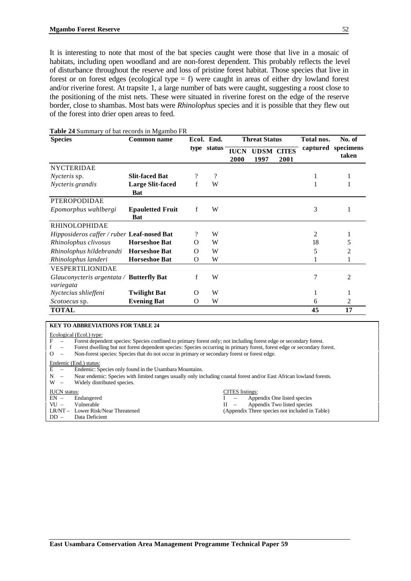It is interesting to note that most of the bat species caught were those that live in a mosaic of habitats, including open woodland and are non-forest dependent. This probably reflects the level of disturbance throughout the reserve and loss of pristine forest habitat. Those species that live in forest or on forest edges (ecological type = f) were caught in areas of either dry lowland forest and/or riverine forest. At trapsite 1, a large number of bats were caught, suggesting a roost close to the positioning of the mist nets. These were situated in riverine forest on the edge of the reserve border, close to shambas. Most bats were *Rhinolophus* species and it is possible that they flew out of the forest into drier open areas to feed.

| <b>Species</b>                                        | <b>Common name</b>                    |          | Ecol. End.  | <b>Threat Status</b> |                           |      | Total nos. | No. of                      |
|-------------------------------------------------------|---------------------------------------|----------|-------------|----------------------|---------------------------|------|------------|-----------------------------|
|                                                       |                                       |          | type status | <b>IUCN</b><br>2000  | <b>UDSM CITES</b><br>1997 | 2001 |            | captured specimens<br>taken |
| <b>NYCTERIDAE</b>                                     |                                       |          |             |                      |                           |      |            |                             |
| <i>Nycteris</i> sp.                                   | <b>Slit-faced Bat</b>                 |          | $\gamma$    |                      |                           |      |            |                             |
| Nycteris grandis                                      | <b>Large Slit-faced</b>               | f        | W           |                      |                           |      |            |                             |
|                                                       | Bat                                   |          |             |                      |                           |      |            |                             |
| <b>PTEROPODIDAE</b>                                   |                                       |          |             |                      |                           |      |            |                             |
| Epomorphus wahlbergi                                  | <b>Epauletted Fruit</b><br><b>Bat</b> | f        | W           |                      |                           |      | 3          |                             |
| <b>RHINOLOPHIDAE</b>                                  |                                       |          |             |                      |                           |      |            |                             |
| <i>Hipposideros caffer / ruber Leaf-nosed Bat</i>     |                                       | ?        | W           |                      |                           |      | 2          |                             |
| Rhinolophus clivosus                                  | <b>Horseshoe Bat</b>                  | O        | W           |                      |                           |      | 18         | 5                           |
| Rhinolophus hildebrandti                              | <b>Horseshoe Bat</b>                  | O        | W           |                      |                           |      | 5          | 2                           |
| Rhinolophus landeri                                   | <b>Horseshoe Bat</b>                  | O        | W           |                      |                           |      |            |                             |
| VESPERTILIONIDAE                                      |                                       |          |             |                      |                           |      |            |                             |
| Glauconycteris argentata / Butterfly Bat<br>variegata |                                       | f        | W           |                      |                           |      | 7          | 2                           |
| Nyctecius shlieffeni                                  | Twilight Bat                          | O        | W           |                      |                           |      |            |                             |
| <i>Scotoecus</i> sp.                                  | <b>Evening Bat</b>                    | $\Omega$ | W           |                      |                           |      | 6          | 2                           |
| <b>TOTAL</b>                                          |                                       |          |             |                      |                           |      | 45         | 17                          |

#### **Table 24** Summary of bat records in Mgambo FR

#### **KEY TO ABBREVIATIONS FOR TABLE 24**

# $\frac{\text{Ecological (Ecol.) type:}}{\text{F}}$

Forest dependent species: Species confined to primary forest only; not including forest edge or secondary forest.

f – Forest dwelling but not forest dependent species: Species occurring in primary forest, forest edge or secondary forest.

O – Non-forest species: Species that do not occur in primary or secondary forest or forest edge.

# Endemic (End.) status:<br>E  $-$  Endemic: S

- Endemic: Species only found in the Usambara Mountains.
- N Near endemic: Species with limited ranges usually only including coastal forest and/or East African lowland forests.<br>W Widely distributed species

Widely distributed species.

#### **IUCN** status: **CITES** listings: EN – Endangered I – Appendix One listed species<br>VU – Vulnerable II – Appendix Two listed species VU – Vulnerable Vulnerable II – Appendix Two listed species<br>
LR/NT – Lower Risk/Near Threatened (Appendix Three species not included in (Appendix Three species not included in Table) DD – Data Deficient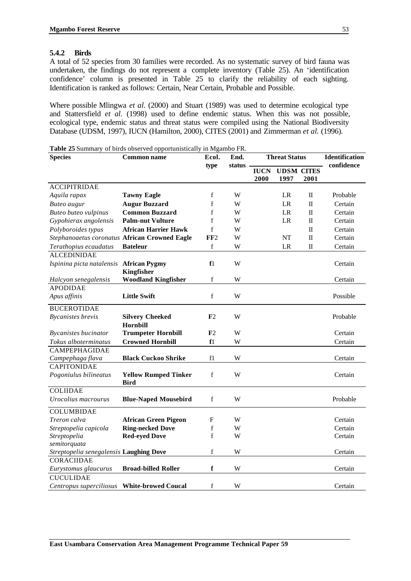### **5.4.2 Birds**

A total of 52 species from 30 families were recorded. As no systematic survey of bird fauna was undertaken, the findings do not represent a complete inventory (Table 25). An 'identification confidence' column is presented in Table 25 to clarify the reliability of each sighting. Identification is ranked as follows: Certain, Near Certain, Probable and Possible.

Where possible Mlingwa *et al.* (2000) and Stuart (1989) was used to determine ecological type and Stattersfield *et al.* (1998) used to define endemic status. When this was not possible, ecological type, endemic status and threat status were compiled using the National Biodiversity Database (UDSM, 1997), IUCN (Hamilton, 2000), CITES (2001) and Zimmerman *et al.* (1996).

| <b>Species</b>                              | <b>Common name</b>                            | Ecol.           | End.   | <b>Threat Status</b> |                           | <b>Identification</b> |            |
|---------------------------------------------|-----------------------------------------------|-----------------|--------|----------------------|---------------------------|-----------------------|------------|
|                                             |                                               | type            | status | <b>IUCN</b><br>2000  | <b>UDSM CITES</b><br>1997 | 2001                  | confidence |
| <b>ACCIPITRIDAE</b>                         |                                               |                 |        |                      |                           |                       |            |
| Aquila rapax                                | <b>Tawny Eagle</b>                            | f               | W      |                      | LR                        | П                     | Probable   |
| Buteo augur                                 | <b>Augur Buzzard</b>                          | f               | W      |                      | <b>LR</b>                 | $\rm II$              | Certain    |
| <b>Buteo buteo vulpinus</b>                 | <b>Common Buzzard</b>                         | f               | W      |                      | LR                        | П                     | Certain    |
| Gypohierax angolensis                       | <b>Palm-nut Vulture</b>                       | f               | W      |                      | LR                        | $\rm II$              | Certain    |
| Polyboroides typus                          | <b>African Harrier Hawk</b>                   | $\mathbf f$     | W      |                      |                           | $\rm II$              | Certain    |
|                                             | Stephanoaetus coronatus African Crowned Eagle | FF <sub>2</sub> | W      |                      | NT                        | $\rm II$              | Certain    |
| Terathopius ecaudatus                       | <b>Bateleur</b>                               | $\mathbf f$     | W      |                      | $\rm LR$                  | $\rm II$              | Certain    |
| <b>ALCEDINIDAE</b>                          |                                               |                 |        |                      |                           |                       |            |
| Ispinina picta natalensis                   | <b>African Pygmy</b>                          | f1              | W      |                      |                           |                       | Certain    |
|                                             | Kingfisher                                    |                 |        |                      |                           |                       |            |
| Halcyon senegalensis                        | <b>Woodland Kingfisher</b>                    | $\mathbf f$     | W      |                      |                           |                       | Certain    |
| <b>APODIDAE</b>                             |                                               |                 |        |                      |                           |                       |            |
| Apus affinis                                | <b>Little Swift</b>                           | $\mathbf f$     | W      |                      |                           |                       | Possible   |
| <b>BUCEROTIDAE</b>                          |                                               |                 |        |                      |                           |                       |            |
| <b>Bycanistes brevis</b>                    | <b>Silvery Cheeked</b>                        | F <sub>2</sub>  | W      |                      |                           |                       | Probable   |
|                                             | Hornbill                                      |                 |        |                      |                           |                       |            |
| <b>Bycanistes bucinator</b>                 | <b>Trumpeter Hornbill</b>                     | F <sub>2</sub>  | W      |                      |                           |                       | Certain    |
| Tokus alboterminatus                        | <b>Crowned Hornbill</b>                       | f1              | W      |                      |                           |                       | Certain    |
| <b>CAMPEPHAGIDAE</b>                        |                                               |                 |        |                      |                           |                       |            |
| Campephaga flava                            | <b>Black Cuckoo Shrike</b>                    | f1              | W      |                      |                           |                       | Certain    |
| <b>CAPITONIDAE</b>                          |                                               |                 |        |                      |                           |                       |            |
| Pogoniulus bilineatus                       | <b>Yellow Rumped Tinker</b><br><b>Bird</b>    | $\mathbf f$     | W      |                      |                           |                       | Certain    |
| <b>COLIIDAE</b>                             |                                               |                 |        |                      |                           |                       |            |
| Urocolius macrourus                         | <b>Blue-Naped Mousebird</b>                   | f               | W      |                      |                           |                       | Probable   |
| <b>COLUMBIDAE</b>                           |                                               |                 |        |                      |                           |                       |            |
| Treron calva                                | <b>African Green Pigeon</b>                   | F               | W      |                      |                           |                       | Certain    |
| Streptopelia capicola                       | <b>Ring-necked Dove</b>                       | f               | W      |                      |                           |                       | Certain    |
| Streptopelia<br>semitorquata                | <b>Red-eyed Dove</b>                          | $\mathbf f$     | W      |                      |                           |                       | Certain    |
| Streptopelia senegalensis Laughing Dove     |                                               | $\mathbf f$     | W      |                      |                           |                       | Certain    |
| <b>CORACIIDAE</b>                           |                                               |                 |        |                      |                           |                       |            |
| Eurystomus glaucurus                        | <b>Broad-billed Roller</b>                    | $\mathbf f$     | W      |                      |                           |                       | Certain    |
| <b>CUCULIDAE</b>                            |                                               |                 |        |                      |                           |                       |            |
| Centropus superciliosus White-browed Coucal |                                               | f               | W      |                      |                           |                       | Certain    |

**Table 25** Summary of birds observed opportunistically in Mgambo FR.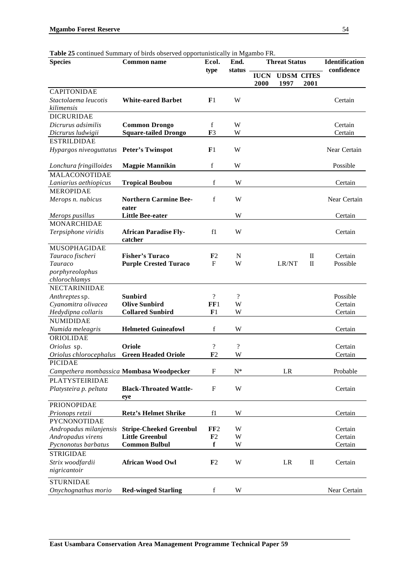54

| Table 25 continued Summary of birds observed opportunistically in Mgambo FR. |  |  |
|------------------------------------------------------------------------------|--|--|
|                                                                              |  |  |

| <b>Species</b>                           | <b>Common name</b>                             | Ecol.              | End.<br>status           |                     | <b>Threat Status</b>      |              | <b>Identification</b><br>confidence |
|------------------------------------------|------------------------------------------------|--------------------|--------------------------|---------------------|---------------------------|--------------|-------------------------------------|
|                                          |                                                | type               |                          | <b>IUCN</b><br>2000 | <b>UDSM CITES</b><br>1997 | 2001         |                                     |
| <b>CAPITONIDAE</b>                       |                                                |                    |                          |                     |                           |              |                                     |
| Stactolaema leucotis<br>kilimensis       | <b>White-eared Barbet</b>                      | F1                 | W                        |                     |                           |              | Certain                             |
| <b>DICRURIDAE</b>                        |                                                |                    |                          |                     |                           |              |                                     |
| Dicrurus adsimilis                       | <b>Common Drongo</b>                           | f                  | W                        |                     |                           |              | Certain                             |
| Dicrurus ludwigii                        | <b>Square-tailed Drongo</b>                    | F <sub>3</sub>     | W                        |                     |                           |              | Certain                             |
| <b>ESTRILDIDAE</b>                       |                                                |                    |                          |                     |                           |              |                                     |
| Hypargos niveoguttatus                   | <b>Peter's Twinspot</b>                        | F <sub>1</sub>     | W                        |                     |                           |              | Near Certain                        |
| Lonchura fringilloides                   | <b>Magpie Mannikin</b>                         | $\mathbf f$        | W                        |                     |                           |              | Possible                            |
| <b>MALACONOTIDAE</b>                     |                                                |                    |                          |                     |                           |              |                                     |
| Laniarius aethiopicus                    | <b>Tropical Boubou</b>                         | f                  | W                        |                     |                           |              | Certain                             |
| <b>MEROPIDAE</b>                         |                                                |                    |                          |                     |                           |              |                                     |
| Merops n. nubicus                        | <b>Northern Carmine Bee-</b>                   | f                  | W                        |                     |                           |              | Near Certain                        |
|                                          | eater                                          |                    |                          |                     |                           |              |                                     |
| Merops pusillus                          | <b>Little Bee-eater</b>                        |                    | W                        |                     |                           |              | Certain                             |
| <b>MONARCHIDAE</b>                       |                                                |                    |                          |                     |                           |              |                                     |
| Terpsiphone viridis                      | <b>African Paradise Fly-</b><br>catcher        | f1                 | W                        |                     |                           |              | Certain                             |
| <b>MUSOPHAGIDAE</b>                      |                                                |                    |                          |                     |                           |              |                                     |
| Tauraco fischeri                         | <b>Fisher's Turaco</b>                         | F <sub>2</sub>     | N                        |                     |                           | $\mathbf{I}$ | Certain                             |
| Tauraco                                  | <b>Purple Crested Turaco</b>                   | $\mathbf{F}$       | W                        |                     | LR/NT                     | $\mathbf{I}$ | Possible                            |
| porphyreolophus                          |                                                |                    |                          |                     |                           |              |                                     |
| chlorochlamys                            |                                                |                    |                          |                     |                           |              |                                     |
| <b>NECTARINIIDAE</b>                     |                                                |                    |                          |                     |                           |              |                                     |
| Anthreptes sp.                           | <b>Sunbird</b>                                 | $\overline{\cdot}$ | $\overline{\cdot}$       |                     |                           |              | Possible                            |
| Cyanomitra olivacea                      | <b>Olive Sunbird</b>                           | FF1                | W                        |                     |                           |              | Certain                             |
| Hedydipna collaris                       | <b>Collared Sunbird</b>                        | F1                 | W                        |                     |                           |              | Certain                             |
| <b>NUMIDIDAE</b>                         |                                                |                    |                          |                     |                           |              |                                     |
| Numida meleagris                         | <b>Helmeted Guineafowl</b>                     | f                  | W                        |                     |                           |              | Certain                             |
| ORIOLIDAE                                |                                                |                    |                          |                     |                           |              |                                     |
| Oriolus sp.                              | Oriole                                         | $\overline{\cdot}$ | $\overline{\mathcal{L}}$ |                     |                           |              | Certain                             |
| Oriolus chlorocephalus                   | <b>Green Headed Oriole</b>                     | F <sub>2</sub>     | W                        |                     |                           |              | Certain                             |
| PICIDAE                                  |                                                |                    |                          |                     |                           |              |                                     |
| Campethera mombassica Mombasa Woodpecker |                                                | $\mathbf{F}$       | $N^*$                    |                     | LR                        |              | Probable                            |
| PLATYSTEIRIDAE                           |                                                |                    |                          |                     |                           |              |                                     |
| Platysteira p. peltata                   | <b>Black-Throated Wattle-</b>                  | $\mathbf{F}$       | W                        |                     |                           |              | Certain                             |
|                                          | eye                                            |                    |                          |                     |                           |              |                                     |
| <b>PRIONOPIDAE</b>                       |                                                |                    |                          |                     |                           |              |                                     |
| Prionops retzii                          | <b>Retz's Helmet Shrike</b>                    | f1                 | W                        |                     |                           |              | Certain                             |
| <b>PYCNONOTIDAE</b>                      |                                                |                    |                          |                     |                           |              |                                     |
| Andropadus milanjensis                   | <b>Stripe-Cheeked Greenbul</b>                 | FF2                | W                        |                     |                           |              | Certain                             |
| Andropadus virens                        | <b>Little Greenbul</b><br><b>Common Bulbul</b> | F2<br>$\mathbf f$  | W                        |                     |                           |              | Certain                             |
| Pycnonotus barbatus                      |                                                |                    | W                        |                     |                           |              | Certain                             |
| <b>STRIGIDAE</b>                         |                                                |                    |                          |                     |                           |              |                                     |
| Strix woodfardii                         | <b>African Wood Owl</b>                        | F <sub>2</sub>     | W                        |                     | LR                        | $\mathbf H$  | Certain                             |
| nigricantoir                             |                                                |                    |                          |                     |                           |              |                                     |
| <b>STURNIDAE</b>                         |                                                |                    |                          |                     |                           |              |                                     |
| Onychognathus morio                      | <b>Red-winged Starling</b>                     | f                  | W                        |                     |                           |              | Near Certain                        |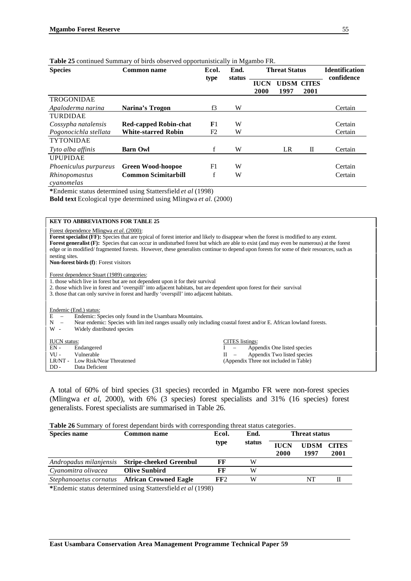| <b>Species</b>               | <b>Common name</b>           | Ecol.          | End.<br>status | <b>Threat Status</b> |                           |      | <b>Identification</b><br>confidence |
|------------------------------|------------------------------|----------------|----------------|----------------------|---------------------------|------|-------------------------------------|
|                              |                              | type           |                | <b>IUCN</b><br>2000  | <b>UDSM CITES</b><br>1997 | 2001 |                                     |
| TROGONIDAE                   |                              |                |                |                      |                           |      |                                     |
| Apaloderma narina            | Narina's Trogon              | f3             | W              |                      |                           |      | Certain                             |
| <b>TURDIDAE</b>              |                              |                |                |                      |                           |      |                                     |
| Cossypha natalensis          | <b>Red-capped Robin-chat</b> | F1             | W              |                      |                           |      | Certain                             |
| Pogonocichla stellata        | <b>White-starred Robin</b>   | F <sub>2</sub> | W              |                      |                           |      | Certain                             |
| <b>TYTONIDAE</b>             |                              |                |                |                      |                           |      |                                     |
| Tyto alba affinis            | <b>Barn Owl</b>              | f              | W              |                      | LR                        | П    | Certain                             |
| <b>UPUPIDAE</b>              |                              |                |                |                      |                           |      |                                     |
| <i>Phoeniculus purpureus</i> | <b>Green Wood-hoopoe</b>     | F1             | W              |                      |                           |      | Certain                             |
| Rhinopomastus<br>cvanomelas  | <b>Common Scimitarbill</b>   | f              | W              |                      |                           |      | Certain                             |

#### **Table 25** continued Summary of birds observed opportunistically in Mgambo FR.

**\***Endemic status determined using Stattersfield *et al* (1998)

**Bold text** Ecological type determined using Mlingwa *et al.* (2000)

#### **KEY TO ABBREVIATIONS FOR TABLE 25**

Forest dependence Mlingwa *et al.* (2000):

Forest specialist (FF): Species that are typical of forest interior and likely to disappear when the forest is modified to any extent. **Forest generalist (F):** Species that can occur in undisturbed forest but which are able to exist (and may even be numerous) at the forest edge or in modified/ fragmented forests. However, these generalists continue to depend upon forests for some of their resources, such as nesting sites. **Non-forest birds (f)**: Forest visitors

Forest dependence Stuart (1989) categories:

1. those which live in forest but are not dependent upon it for their survival

2. those which live in forest and 'overspill' into adjacent habitats, but are dependent upon forest for their survival 3. those that can only survive in forest and hardly 'overspill' into adjacent habitats.

#### Endemic (End.) status:

E – Endemic: Species only found in the Usambara Mountains.<br>N – Near endemic: Species with limited ranges usually only in

- Near endemic: Species with lim ited ranges usually only including coastal forest and/or E. African lowland forests.

W - Widely distributed species

| <b>IUCN</b> status: |                                  |  |  | CITES listings:                        |  |  |  |  |  |
|---------------------|----------------------------------|--|--|----------------------------------------|--|--|--|--|--|
| EN -                | Endangered                       |  |  | I – Appendix One listed species        |  |  |  |  |  |
| $VII -$             | Vulnerable                       |  |  | $II$ – Appendix Two listed species     |  |  |  |  |  |
|                     | LR/NT - Low Risk/Near Threatened |  |  | (Appendix Three not included in Table) |  |  |  |  |  |
| $DD -$              | Data Deficient                   |  |  |                                        |  |  |  |  |  |

A total of 60% of bird species (31 species) recorded in Mgambo FR were non-forest species (Mlingwa *et al*, 2000), with 6% (3 species) forest specialists and 31% (16 species) forest generalists. Forest specialists are summarised in Table 26.

#### **Table 26** Summary of forest dependant birds with corresponding threat status categories.

| <b>Species name</b>    | <b>Common name</b>             | Ecol. | End.   | Threat status       |                     |                      |  |
|------------------------|--------------------------------|-------|--------|---------------------|---------------------|----------------------|--|
|                        |                                | type  | status | <b>IUCN</b><br>2000 | <b>UDSM</b><br>1997 | <b>CITES</b><br>2001 |  |
| Andropadus milanjensis | <b>Stripe-cheeked Greenbul</b> | FF    | W      |                     |                     |                      |  |
| Cyanomitra olivacea    | <b>Olive Sunbird</b>           | FF    | W      |                     |                     |                      |  |
| Stephanoaetus cornatus | <b>African Crowned Eagle</b>   | FF2   | W      |                     | NT                  |                      |  |

**\***Endemic status determined using Stattersfield *et al* (1998)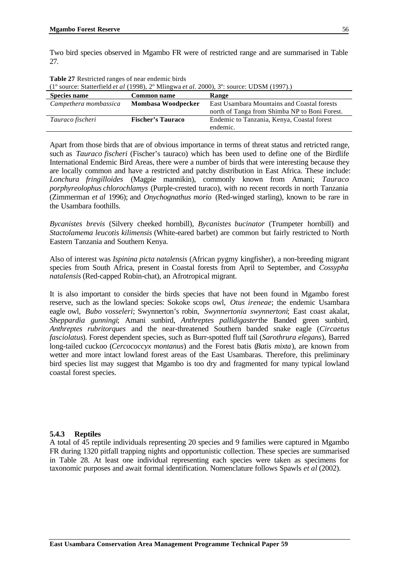Two bird species observed in Mgambo FR were of restricted range and are summarised in Table 27.

| $(1^{\circ}$ source: Statterfield <i>et al</i> (1998), 2° Mlingwa <i>et al.</i> 2000), 3°: source: UDSM (1997).) |                          |                                                                                              |  |  |  |
|------------------------------------------------------------------------------------------------------------------|--------------------------|----------------------------------------------------------------------------------------------|--|--|--|
| <b>Species name</b><br><b>Common name</b><br>Range                                                               |                          |                                                                                              |  |  |  |
| Campethera mombassica                                                                                            | Mombasa Woodpecker       | East Usambara Mountains and Coastal forests<br>north of Tanga from Shimba NP to Boni Forest. |  |  |  |
| Tauraco fischeri                                                                                                 | <b>Fischer's Tauraco</b> | Endemic to Tanzania, Kenya, Coastal forest                                                   |  |  |  |
|                                                                                                                  |                          | endemic.                                                                                     |  |  |  |

**Table 27** Restricted ranges of near endemic birds

Apart from those birds that are of obvious importance in terms of threat status and retricted range, such as *Tauraco fischeri* (Fischer's tauraco) which has been used to define one of the Birdlife International Endemic Bird Areas, there were a number of birds that were interesting because they are locally common and have a restricted and patchy distribution in East Africa. These include: *Lonchura fringilloides* (Magpie mannikin), commonly known from Amani; *Tauraco porphyreolophus chlorochlamys* (Purple-crested turaco), with no recent records in north Tanzania (Zimmerman *et al* 1996); and *Onychognathus morio* (Red-winged starling), known to be rare in the Usambara foothills.

*Bycanistes brevis* (Silvery cheeked hornbill), *Bycanistes bucinator* (Trumpeter hornbill) and *Stactolamema leucotis kilimensis* (White-eared barbet) are common but fairly restricted to North Eastern Tanzania and Southern Kenya.

Also of interest was *Ispinina picta natalensis* (African pygmy kingfisher), a non-breeding migrant species from South Africa, present in Coastal forests from April to September, and *Cossypha natalensis* (Red-capped Robin-chat), an Afrotropical migrant.

It is also important to consider the birds species that have not been found in Mgambo forest reserve, such as the lowland species: Sokoke scops owl, *Otus ireneae*; the endemic Usambara eagle owl, *Bubo vosseleri*; Swynnerton's robin, *Swynnertonia swynnertoni*; East coast akalat, *Sheppardia gunningi*; Amani sunbird, *Anthreptes pallidigaster*the Banded green sunbird, *Anthreptes rubritorques* and the near-threatened Southern banded snake eagle (*Circaetus fasciolatus*). Forest dependent species, such as Burr-spotted fluff tail (*Sarothrura elegans*), Barred long-tailed cuckoo (*Cercococcyx montanus*) and the Forest batis (*Batis mixta*), are known from wetter and more intact lowland forest areas of the East Usambaras. Therefore, this preliminary bird species list may suggest that Mgambo is too dry and fragmented for many typical lowland coastal forest species.

#### **5.4.3 Reptiles**

A total of 45 reptile individuals representing 20 species and 9 families were captured in Mgambo FR during 1320 pitfall trapping nights and opportunistic collection. These species are summarised in Table 28. At least one individual representing each species were taken as specimens for taxonomic purposes and await formal identification. Nomenclature follows Spawls *et al* (2002).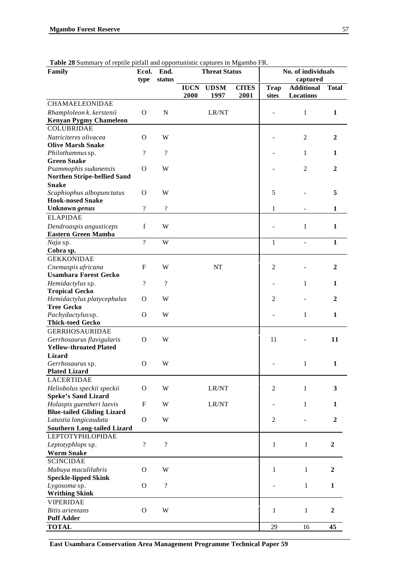| <b>Table 20 Summary Of replace prirait and opportunistic captures in Migamoo FK.</b><br>Family | Ecol.                    | End.                     | <b>Threat Status</b> |             | No. of individuals |                |                   |                  |
|------------------------------------------------------------------------------------------------|--------------------------|--------------------------|----------------------|-------------|--------------------|----------------|-------------------|------------------|
|                                                                                                | type                     | status                   |                      |             |                    | captured       |                   |                  |
|                                                                                                |                          |                          | <b>IUCN</b>          | <b>UDSM</b> | <b>CITES</b>       | <b>Trap</b>    | <b>Additional</b> | <b>Total</b>     |
| CHAMAELEONIDAE                                                                                 |                          |                          | 2000                 | 1997        | 2001               | sites          | Locations         |                  |
| Rhamploleon k. kerstenii                                                                       | $\Omega$                 | $\mathbf N$              |                      | LR/NT       |                    |                | $\mathbf{1}$      | $\mathbf{1}$     |
| <b>Kenyan Pygmy Chameleon</b>                                                                  |                          |                          |                      |             |                    |                |                   |                  |
| <b>COLUBRIDAE</b>                                                                              |                          |                          |                      |             |                    |                |                   |                  |
| Natriciteres olivacea                                                                          | $\Omega$                 | W                        |                      |             |                    |                | $\mathfrak{2}$    | $\mathbf{2}$     |
| <b>Olive Marsh Snake</b>                                                                       |                          |                          |                      |             |                    |                |                   |                  |
| Philothamnus sp.                                                                               | $\overline{\mathcal{L}}$ | $\gamma$                 |                      |             |                    |                | 1                 | 1                |
| <b>Green Snake</b>                                                                             |                          |                          |                      |             |                    |                |                   |                  |
| Psammophis sudanensis                                                                          | O                        | W                        |                      |             |                    |                | $\mathfrak{2}$    | $\mathbf{2}$     |
| <b>Northen Stripe-bellied Sand</b>                                                             |                          |                          |                      |             |                    |                |                   |                  |
| <b>Snake</b>                                                                                   |                          |                          |                      |             |                    |                |                   |                  |
| Scaphiophus albopunctatus                                                                      | O                        | W                        |                      |             |                    | 5              |                   | 5                |
| <b>Hook-nosed Snake</b>                                                                        |                          |                          |                      |             |                    |                |                   |                  |
| Unknown genus                                                                                  | $\ddot{?}$               | $\overline{\mathcal{L}}$ |                      |             |                    | 1              |                   | $\mathbf{1}$     |
| <b>ELAPIDAE</b>                                                                                |                          |                          |                      |             |                    |                |                   |                  |
| Dendroaspis angusticeps                                                                        | $\mathbf f$              | W                        |                      |             |                    |                | 1                 | $\mathbf{1}$     |
| <b>Eastern Green Mamba</b>                                                                     |                          |                          |                      |             |                    |                |                   |                  |
|                                                                                                | $\overline{\mathcal{L}}$ | W                        |                      |             |                    | $\mathbf{1}$   |                   | $\mathbf{1}$     |
| Naja sp.<br>Cobra sp.                                                                          |                          |                          |                      |             |                    |                |                   |                  |
| <b>GEKKONIDAE</b>                                                                              |                          |                          |                      |             |                    |                |                   |                  |
|                                                                                                | F                        | W                        |                      |             |                    | $\overline{2}$ |                   | $\mathbf{2}$     |
| Cnemaspis africana<br><b>Usambara Forest Gecko</b>                                             |                          |                          |                      | NT          |                    |                |                   |                  |
| Hemidactylus sp.                                                                               | $\ddot{?}$               | $\overline{?}$           |                      |             |                    |                | 1                 | 1                |
| <b>Tropical Gecko</b>                                                                          |                          |                          |                      |             |                    |                |                   |                  |
| Hemidactylus platycephalus                                                                     | O                        | W                        |                      |             |                    | 2              |                   | $\mathbf{2}$     |
| <b>Tree Gecko</b>                                                                              |                          |                          |                      |             |                    |                |                   |                  |
| Pachydactylussp.                                                                               | O                        | W                        |                      |             |                    |                | 1                 | $\mathbf{1}$     |
| <b>Thick-toed Gecko</b>                                                                        |                          |                          |                      |             |                    |                |                   |                  |
| <b>GERRHOSAURIDAE</b>                                                                          |                          |                          |                      |             |                    |                |                   |                  |
| Gerrhosaurus flavigularis                                                                      | O                        | W                        |                      |             |                    | 11             |                   | 11               |
| <b>Yellow-throated Plated</b>                                                                  |                          |                          |                      |             |                    |                |                   |                  |
| <b>Lizard</b>                                                                                  |                          |                          |                      |             |                    |                |                   |                  |
| Gerrhosaurus sp.                                                                               | O                        | W                        |                      |             |                    |                | 1                 | $\mathbf{1}$     |
| <b>Plated Lizard</b>                                                                           |                          |                          |                      |             |                    |                |                   |                  |
| <b>LACERTIDAE</b>                                                                              |                          |                          |                      |             |                    |                |                   |                  |
| Heliobolus speckii speckii                                                                     | O                        | W                        |                      | LR/NT       |                    | $\overline{c}$ | $\mathbf{1}$      | 3                |
| <b>Speke's Sand Lizard</b>                                                                     |                          |                          |                      |             |                    |                |                   |                  |
| Holaspis guentheri laevis                                                                      | F                        | W                        |                      | LR/NT       |                    |                | $\mathbf{1}$      | $\mathbf{1}$     |
| <b>Blue-tailed Gliding Lizard</b>                                                              |                          |                          |                      |             |                    |                |                   |                  |
| Latastia longicaudata                                                                          | $\mathbf O$              | W                        |                      |             |                    | $\overline{c}$ |                   | $\overline{2}$   |
| <b>Southern Long-tailed Lizard</b>                                                             |                          |                          |                      |             |                    |                |                   |                  |
| <b>LEPTOTYPHLOPIDAE</b>                                                                        |                          |                          |                      |             |                    |                |                   |                  |
| Leptotyphlops sp.                                                                              | $\overline{\cdot}$       | $\overline{?}$           |                      |             |                    | 1              | 1                 | $\overline{2}$   |
| <b>Worm Snake</b>                                                                              |                          |                          |                      |             |                    |                |                   |                  |
| <b>SCINCIDAE</b>                                                                               |                          |                          |                      |             |                    |                |                   |                  |
| Mabuya maculilabris                                                                            | O                        | W                        |                      |             |                    | 1              | 1                 | $\mathbf{2}$     |
| <b>Speckle-lipped Skink</b>                                                                    |                          |                          |                      |             |                    |                |                   |                  |
| Lygosoma sp.                                                                                   | O                        | $\overline{\mathcal{L}}$ |                      |             |                    |                | $\mathbf{1}$      | $\mathbf{1}$     |
| <b>Writhing Skink</b>                                                                          |                          |                          |                      |             |                    |                |                   |                  |
| <b>VIPERIDAE</b>                                                                               |                          |                          |                      |             |                    |                |                   |                  |
| <b>Bitis arientans</b>                                                                         | $\mathbf{O}$             | W                        |                      |             |                    | $\mathbf{1}$   | $\mathbf{1}$      | $\boldsymbol{2}$ |
| <b>Puff Adder</b>                                                                              |                          |                          |                      |             |                    |                |                   |                  |

**Table 28 Summary of reptile pitfall and opportunistic captures in Mgambo FR.** 

**East Usambara Conservation Area Management Programme Technical Paper 59**

**TOTAL** 29 16 **45**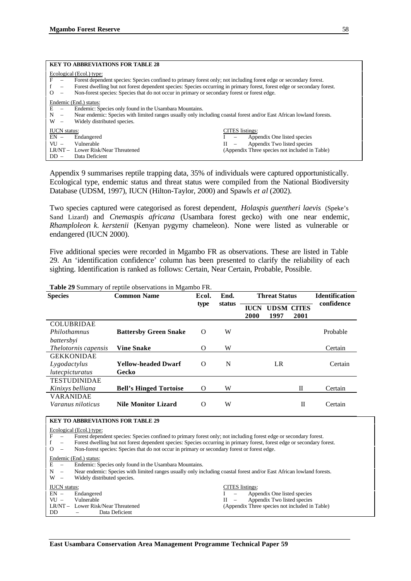|                                                                | <b>KEY TO ABBREVIATIONS FOR TABLE 28</b>                                                                                                                                                                                                                                                                                                                                 |                                                                                                                                                        |  |  |  |  |  |
|----------------------------------------------------------------|--------------------------------------------------------------------------------------------------------------------------------------------------------------------------------------------------------------------------------------------------------------------------------------------------------------------------------------------------------------------------|--------------------------------------------------------------------------------------------------------------------------------------------------------|--|--|--|--|--|
| F<br>$\overline{\phantom{m}}$<br>Ω<br>$\overline{\phantom{m}}$ | Ecological (Ecol.) type:<br>Forest dependent species: Species confined to primary forest only; not including forest edge or secondary forest.<br>Forest dwelling but not forest dependent species: Species occurring in primary forest, forest edge or secondary forest.<br>Non-forest species: Species that do not occur in primary or secondary forest or forest edge. |                                                                                                                                                        |  |  |  |  |  |
| $E =$<br>N<br>$\overline{\phantom{a}}$<br>W<br>$\overline{a}$  | Endemic (End.) status:<br>Endemic: Species only found in the Usambara Mountains.<br>Near endemic: Species with limited ranges usually only including coastal forest and/or East African lowland forests.<br>Widely distributed species.                                                                                                                                  |                                                                                                                                                        |  |  |  |  |  |
| <b>IUCN</b> status:<br>$EN -$<br>$VU -$<br>$DD -$              | Endangered<br>Vulnerable<br>LR/NT - Lower Risk/Near Threatened<br>Data Deficient                                                                                                                                                                                                                                                                                         | <b>CITES</b> listings:<br>Appendix One listed species<br>Appendix Two listed species<br>$\mathbf{H}$<br>(Appendix Three species not included in Table) |  |  |  |  |  |

Appendix 9 summarises reptile trapping data, 35% of individuals were captured opportunistically. Ecological type, endemic status and threat status were compiled from the National Biodiversity Database (UDSM, 1997), IUCN (Hilton-Taylor, 2000) and Spawls *et al* (2002).

Two species captured were categorised as forest dependent, *Holaspis guentheri laevis* (Speke's Sand Lizard) and *Cnemaspis africana* (Usambara forest gecko) with one near endemic, *Rhamploleon k. kerstenii* (Kenyan pygymy chameleon)*.* None were listed as vulnerable or endangered (IUCN 2000).

Five additional species were recorded in Mgambo FR as observations. These are listed in Table 29. An 'identification confidence' column has been presented to clarify the reliability of each sighting. Identification is ranked as follows: Certain, Near Certain, Probable, Possible.

| <b>Species</b>              | <b>Common Name</b>            | Ecol.    | End.   |                     | <b>Threat Status</b>      |      | <b>Identification</b> |
|-----------------------------|-------------------------------|----------|--------|---------------------|---------------------------|------|-----------------------|
|                             |                               | type     | status | <b>IUCN</b><br>2000 | <b>UDSM CITES</b><br>1997 | 2001 | confidence            |
| <b>COLUBRIDAE</b>           |                               |          |        |                     |                           |      |                       |
| Philothamnus                | <b>Battersby Green Snake</b>  | $\Omega$ | W      |                     |                           |      | Probable              |
| battersbyi                  |                               |          |        |                     |                           |      |                       |
| <i>Thelotornis capensis</i> | Vine Snake                    | O        | W      |                     |                           |      | Certain               |
| <b>GEKKONIDAE</b>           |                               |          |        |                     |                           |      |                       |
| Lygodactylus                | <b>Yellow-headed Dwarf</b>    | $\Omega$ | N      |                     | LR                        |      | Certain               |
| lutecpicturatus             | Gecko                         |          |        |                     |                           |      |                       |
| <b>TESTUDINIDAE</b>         |                               |          |        |                     |                           |      |                       |
| Kinixys belliana            | <b>Bell's Hinged Tortoise</b> | O        | W      |                     |                           | Π    | Certain               |
| <b>VARANIDAE</b>            |                               |          |        |                     |                           |      |                       |
| Varanus niloticus           | <b>Nile Monitor Lizard</b>    | $\Omega$ | W      |                     |                           | П    | Certain               |

**Table 29** Summary of reptile observations in Mgambo FR.

|                                      | <b>KEY TO ABBREVIATIONS FOR TABLE 29</b>                                                                                |                                                              |  |  |  |  |  |
|--------------------------------------|-------------------------------------------------------------------------------------------------------------------------|--------------------------------------------------------------|--|--|--|--|--|
|                                      | Ecological (Ecol.) type:                                                                                                |                                                              |  |  |  |  |  |
| F<br>$\overline{\phantom{0}}$        | Forest dependent species: Species confined to primary forest only; not including forest edge or secondary forest.       |                                                              |  |  |  |  |  |
| $\qquad \qquad -$                    | Forest dwelling but not forest dependent species: Species occurring in primary forest, forest edge or secondary forest. |                                                              |  |  |  |  |  |
| $\Omega$<br>$\overline{\phantom{0}}$ | Non-forest species: Species that do not occur in primary or secondary forest or forest edge.                            |                                                              |  |  |  |  |  |
|                                      | Endemic (End.) status:                                                                                                  |                                                              |  |  |  |  |  |
| E<br>$\overline{\phantom{0}}$        | Endemic: Species only found in the Usambara Mountains.                                                                  |                                                              |  |  |  |  |  |
| N<br>$\overline{\phantom{a}}$        | Near endemic: Species with limited ranges usually only including coastal forest and/or East African lowland forests.    |                                                              |  |  |  |  |  |
| W<br>$\overline{\phantom{a}}$        | Widely distributed species.                                                                                             |                                                              |  |  |  |  |  |
|                                      | <b>IUCN</b> status:<br><b>CITES</b> listings:                                                                           |                                                              |  |  |  |  |  |
| $EN -$                               | Endangered                                                                                                              | Appendix One listed species<br>$\qquad \qquad -$             |  |  |  |  |  |
| $VU -$                               | Vulnerable                                                                                                              | Appendix Two listed species<br>H<br>$\overline{\phantom{m}}$ |  |  |  |  |  |
|                                      | LR/NT - Lower Risk/Near Threatened                                                                                      | (Appendix Three species not included in Table)               |  |  |  |  |  |
| DD                                   | Data Deficient                                                                                                          |                                                              |  |  |  |  |  |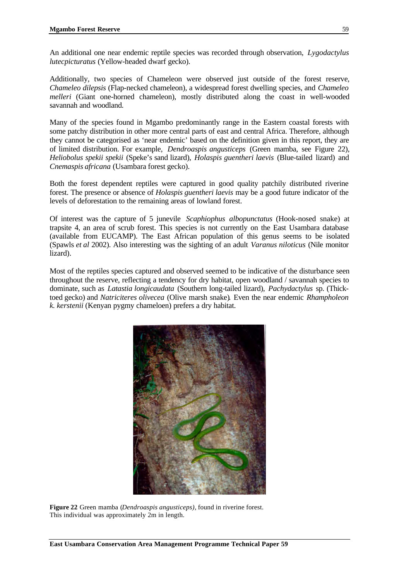An additional one near endemic reptile species was recorded through observation, *Lygodactylus lutecpicturatus* (Yellow-headed dwarf gecko).

Additionally, two species of Chameleon were observed just outside of the forest reserve, *Chameleo dilepsis* (Flap-necked chameleon), a widespread forest dwelling species, and *Chameleo melleri* (Giant one-horned chameleon), mostly distributed along the coast in well-wooded savannah and woodland.

Many of the species found in Mgambo predominantly range in the Eastern coastal forests with some patchy distribution in other more central parts of east and central Africa. Therefore, although they cannot be categorised as 'near endemic' based on the definition given in this report, they are of limited distribution. For example, *Dendroaspis angusticeps* (Green mamba, see Figure 22), *Heliobolus spekii spekii* (Speke's sand lizard), *Holaspis guentheri laevis* (Blue-tailed lizard) and *Cnemaspis africana* (Usambara forest gecko).

Both the forest dependent reptiles were captured in good quality patchily distributed riverine forest. The presence or absence of *Holaspis guentheri laevis* may be a good future indicator of the levels of deforestation to the remaining areas of lowland forest.

Of interest was the capture of 5 junevile *Scaphiophus albopunctatus* (Hook-nosed snake) at trapsite 4, an area of scrub forest. This species is not currently on the East Usambara database (available from EUCAMP). The East African population of this genus seems to be isolated (Spawls *et al* 2002). Also interesting was the sighting of an adult *Varanus niloticus* (Nile monitor lizard).

Most of the reptiles species captured and observed seemed to be indicative of the disturbance seen throughout the reserve, reflecting a tendency for dry habitat, open woodland / savannah species to dominate, such as *Latastia longicaudata* (Southern long-tailed lizard), *Pachydactylus* sp. (Thicktoed gecko) and *Natriciteres olivecea* (Olive marsh snake)*.* Even the near endemic *Rhampholeon k. kerstenii* (Kenyan pygmy chameloen) prefers a dry habitat.



**Figure 22** Green mamba (*Dendroaspis angusticeps),* found in riverine forest. This individual was approximately 2m in length.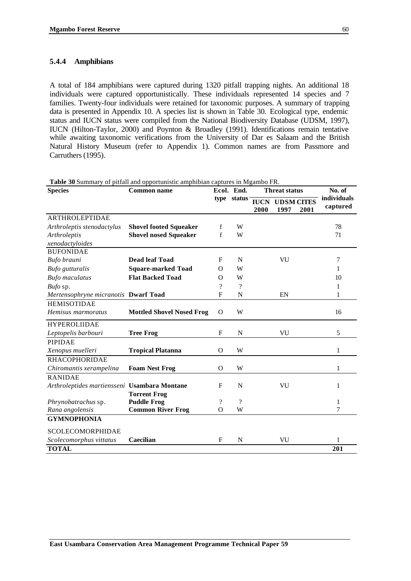### **5.4.4 Amphibians**

A total of 184 amphibians were captured during 1320 pitfall trapping nights. An additional 18 individuals were captured opportunistically. These individuals represented 14 species and 7 families. Twenty-four individuals were retained for taxonomic purposes. A summary of trapping data is presented in Appendix 10. A species list is shown in Table 30. Ecological type, endemic status and IUCN status were compiled from the National Biodiversity Database (UDSM, 1997), IUCN (Hilton-Taylor, 2000) and Poynton & Broadley (1991). Identifications remain tentative while awaiting taxonomic verifications from the University of Dar es Salaam and the British Natural History Museum (refer to Appendix 1). Common names are from Passmore and Carruthers (1995).

| <b>Species</b>                               | <b>Common name</b>               |                          | Ecol. End.  |                     | <b>Threat status</b>      |      | No. of                  |
|----------------------------------------------|----------------------------------|--------------------------|-------------|---------------------|---------------------------|------|-------------------------|
|                                              |                                  | type                     | status      | <b>IUCN</b><br>2000 | <b>UDSM CITES</b><br>1997 | 2001 | individuals<br>captured |
| <b>ARTHROLEPTIDAE</b>                        |                                  |                          |             |                     |                           |      |                         |
| Arthroleptis stenodactylus                   | <b>Shovel footed Squeaker</b>    | f                        | W           |                     |                           |      | 78                      |
| Arthroleptis                                 | <b>Shovel nosed Squeaker</b>     | f                        | W           |                     |                           |      | 71                      |
| xenodactyloides                              |                                  |                          |             |                     |                           |      |                         |
| <b>BUFONIDAE</b>                             |                                  |                          |             |                     |                           |      |                         |
| Bufo brauni                                  | <b>Dead leaf Toad</b>            | F                        | N           |                     | VU                        |      | 7                       |
| Bufo gutturalis                              | <b>Square-marked Toad</b>        | $\Omega$                 | W           |                     |                           |      | 1                       |
| <b>Bufo</b> maculatus                        | <b>Flat Backed Toad</b>          | $\Omega$                 | W           |                     |                           |      | 10                      |
| Bufo sp.                                     |                                  | $\overline{\mathcal{L}}$ | $\gamma$    |                     |                           |      | 1                       |
| Mertensophryne micranotis Dwarf Toad         |                                  | F                        | N           |                     | EN                        |      | 1                       |
| <b>HEMISOTIDAE</b>                           |                                  |                          |             |                     |                           |      |                         |
| Hemisus marmoratus                           | <b>Mottled Shovel Nosed Frog</b> | $\Omega$                 | W           |                     |                           |      | 16                      |
| <b>HYPEROLIIDAE</b>                          |                                  |                          |             |                     |                           |      |                         |
| Leptopelis barbouri                          | <b>Tree Frog</b>                 | $\mathbf{F}$             | $\mathbf N$ |                     | VU                        |      | 5                       |
| <b>PIPIDAE</b>                               |                                  |                          |             |                     |                           |      |                         |
| Xenopus muelleri                             | <b>Tropical Platanna</b>         | $\Omega$                 | W           |                     |                           |      | 1                       |
| <b>RHACOPHORIDAE</b>                         |                                  |                          |             |                     |                           |      |                         |
| Chiromantis xerampelina                      | <b>Foam Nest Frog</b>            | $\Omega$                 | W           |                     |                           |      | 1                       |
| <b>RANIDAE</b>                               |                                  |                          |             |                     |                           |      |                         |
| Arthroleptides martiensseni Usambara Montane |                                  | F                        | N           |                     | VU                        |      | 1                       |
|                                              | <b>Torrent Frog</b>              |                          |             |                     |                           |      |                         |
| Phrynobatrachus sp.                          | <b>Puddle Frog</b>               | $\gamma$                 | $\gamma$    |                     |                           |      | 1                       |
| Rana angolensis                              | <b>Common River Frog</b>         | $\Omega$                 | W           |                     |                           |      | 7                       |
| <b>GYMNOPHONIA</b>                           |                                  |                          |             |                     |                           |      |                         |
| <b>SCOLECOMORPHIDAE</b>                      |                                  |                          |             |                     |                           |      |                         |
| Scolecomorphus vittatus                      | Caecilian                        | $\mathbf{F}$             | N           |                     | VU                        |      | 1                       |
| <b>TOTAL</b>                                 |                                  |                          |             |                     |                           |      | 201                     |

**Table 30** Summary of pitfall and opportunistic amphibian captures in Mgambo FR.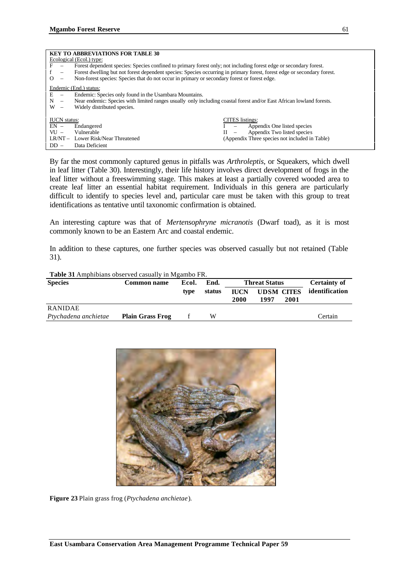|                                                                                      | <b>KEY TO ABBREVIATIONS FOR TABLE 30</b> |                                                                                                                         |                                                              |  |  |  |
|--------------------------------------------------------------------------------------|------------------------------------------|-------------------------------------------------------------------------------------------------------------------------|--------------------------------------------------------------|--|--|--|
|                                                                                      |                                          | Ecological (Ecol.) type:                                                                                                |                                                              |  |  |  |
| F                                                                                    | $\overline{\phantom{0}}$                 | Forest dependent species: Species confined to primary forest only; not including forest edge or secondary forest.       |                                                              |  |  |  |
| f                                                                                    | $\qquad \qquad -$                        | Forest dwelling but not forest dependent species: Species occurring in primary forest, forest edge or secondary forest. |                                                              |  |  |  |
| $\Omega$                                                                             | $\qquad \qquad -$                        | Non-forest species: Species that do not occur in primary or secondary forest or forest edge.                            |                                                              |  |  |  |
|                                                                                      |                                          | Endemic (End.) status:                                                                                                  |                                                              |  |  |  |
| E                                                                                    | $\overline{\phantom{0}}$                 | Endemic: Species only found in the Usambara Mountains.                                                                  |                                                              |  |  |  |
| N                                                                                    | $\overline{\phantom{m}}$                 | Near endemic: Species with limited ranges usually only including coastal forest and/or East African lowland forests.    |                                                              |  |  |  |
| W                                                                                    | $\overline{\phantom{0}}$                 | Widely distributed species.                                                                                             |                                                              |  |  |  |
|                                                                                      |                                          |                                                                                                                         |                                                              |  |  |  |
| <b>IUCN</b> status:                                                                  |                                          |                                                                                                                         | <b>CITES</b> listings:                                       |  |  |  |
| $EN -$                                                                               |                                          | Endangered                                                                                                              | Appendix One listed species                                  |  |  |  |
| $VU -$                                                                               |                                          | Vulnerable                                                                                                              | Appendix Two listed species<br>Н<br>$\overline{\phantom{a}}$ |  |  |  |
| (Appendix Three species not included in Table)<br>LR/NT - Lower Risk/Near Threatened |                                          |                                                                                                                         |                                                              |  |  |  |
| $DD -$                                                                               |                                          | Data Deficient                                                                                                          |                                                              |  |  |  |

By far the most commonly captured genus in pitfalls was *Arthroleptis*, or Squeakers, which dwell in leaf litter (Table 30). Interestingly, their life history involves direct development of frogs in the leaf litter without a freeswimming stage. This makes at least a partially covered wooded area to create leaf litter an essential habitat requirement. Individuals in this genera are particularly difficult to identify to species level and, particular care must be taken with this group to treat identifications as tentative until taxonomic confirmation is obtained.

An interesting capture was that of *Mertensophryne micranotis* (Dwarf toad), as it is most commonly known to be an Eastern Arc and coastal endemic.

In addition to these captures, one further species was observed casually but not retained (Table 31).

| Tuble extrampliferation opper red east and the announced red |                         |       |        |                      |                   |      |                     |  |
|--------------------------------------------------------------|-------------------------|-------|--------|----------------------|-------------------|------|---------------------|--|
| <b>Species</b>                                               | <b>Common name</b>      | Ecol. | End.   | <b>Threat Status</b> |                   |      | <b>Certainty of</b> |  |
|                                                              |                         | type  | status | <b>IUCN</b>          | <b>UDSM CITES</b> |      | identification      |  |
|                                                              |                         |       |        | 2000                 | 1997              | 2001 |                     |  |
| <b>RANIDAE</b>                                               |                         |       |        |                      |                   |      |                     |  |
| Ptychadena anchietae                                         | <b>Plain Grass Frog</b> |       | w      |                      |                   |      | Certain             |  |

**Table 31** Amphibians observed casually in Mgambo FR.



**Figure 23** Plain grass frog (*Ptychadena anchietae*).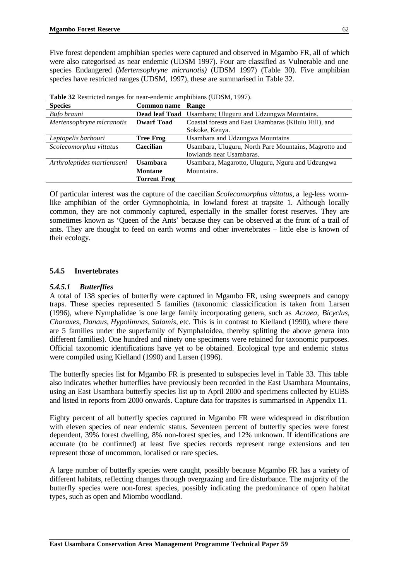Five forest dependent amphibian species were captured and observed in Mgambo FR, all of which were also categorised as near endemic (UDSM 1997). Four are classified as Vulnerable and one species Endangered (*Mertensophryne micranotis)* (UDSM 1997) (Table 30). Five amphibian species have restricted ranges (UDSM, 1997), these are summarised in Table 32.

| <b>Species</b>              | <b>Common name</b> Range |                                                                 |
|-----------------------------|--------------------------|-----------------------------------------------------------------|
| Bufo brauni                 |                          | <b>Dead leaf Toad</b> Usambara; Uluguru and Udzungwa Mountains. |
| Mertensophryne micranotis   | <b>Dwarf Toad</b>        | Coastal forests and East Usambaras (Kilulu Hill), and           |
|                             |                          | Sokoke, Kenya.                                                  |
| Leptopelis barbouri         | <b>Tree Frog</b>         | Usambara and Udzungwa Mountains                                 |
| Scolecomorphus vittatus     | Caecilian                | Usambara, Uluguru, North Pare Mountains, Magrotto and           |
|                             |                          | lowlands near Usambaras.                                        |
| Arthroleptides martiensseni | <b>Usambara</b>          | Usambara, Magarotto, Uluguru, Nguru and Udzungwa                |
|                             | <b>Montane</b>           | Mountains.                                                      |
|                             | <b>Torrent Frog</b>      |                                                                 |

| Table 32 Restricted ranges for near-endemic amphibians (UDSM, 1997). |  |  |
|----------------------------------------------------------------------|--|--|
|----------------------------------------------------------------------|--|--|

Of particular interest was the capture of the caecilian *Scolecomorphus vittatus,* a leg-less wormlike amphibian of the order Gymnophoinia, in lowland forest at trapsite 1. Although locally common, they are not commonly captured, especially in the smaller forest reserves. They are sometimes known as 'Queen of the Ants' because they can be observed at the front of a trail of ants. They are thought to feed on earth worms and other invertebrates – little else is known of their ecology.

#### **5.4.5 Invertebrates**

#### *5.4.5.1 Butterflies*

A total of 138 species of butterfly were captured in Mgambo FR, using sweepnets and canopy traps. These species represented 5 families (taxonomic classicification is taken from Larsen (1996), where Nymphalidae is one large family incorporating genera, such as *Acraea, Bicyclus, Charaxes, Danaus, Hypolimnas, Salamis,* etc. This is in contrast to Kielland (1990), where there are 5 families under the superfamily of Nymphaloidea, thereby splitting the above genera into different families). One hundred and ninety one specimens were retained for taxonomic purposes. Official taxonomic identifications have yet to be obtained. Ecological type and endemic status were compiled using Kielland (1990) and Larsen (1996).

The butterfly species list for Mgambo FR is presented to subspecies level in Table 33. This table also indicates whether butterflies have previously been recorded in the East Usambara Mountains, using an East Usambara butterfly species list up to April 2000 and specimens collected by EUBS and listed in reports from 2000 onwards. Capture data for trapsites is summarised in Appendix 11.

Eighty percent of all butterfly species captured in Mgambo FR were widespread in distribution with eleven species of near endemic status. Seventeen percent of butterfly species were forest dependent, 39% forest dwelling, 8% non-forest species, and 12% unknown. If identifications are accurate (to be confirmed) at least five species records represent range extensions and ten represent those of uncommon, localised or rare species.

A large number of butterfly species were caught, possibly because Mgambo FR has a variety of different habitats, reflecting changes through overgrazing and fire disturbance. The majority of the butterfly species were non-forest species, possibly indicating the predominance of open habitat types, such as open and Miombo woodland.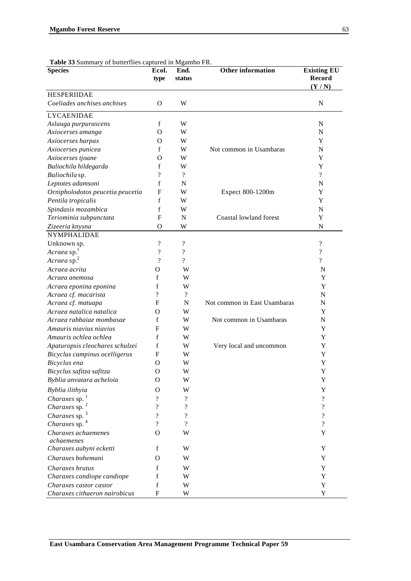| <b>Species</b>                    | Ecol.<br>type            | End.<br>status             | <b>Other information</b>     | <b>Existing EU</b><br><b>Record</b> |
|-----------------------------------|--------------------------|----------------------------|------------------------------|-------------------------------------|
|                                   |                          |                            |                              | (Y/N)                               |
| <b>HESPERIIDAE</b>                |                          |                            |                              |                                     |
| Coeliades anchises anchises       | O                        | W                          |                              | N                                   |
| <b>LYCAENIDAE</b>                 |                          |                            |                              |                                     |
| Aslauga purpurascens              | f                        | W                          |                              | $\mathbf N$                         |
| Axiocerses amanga                 | O                        | W                          |                              | ${\bf N}$                           |
| Axiocerses harpax                 | O                        | W                          |                              | Y                                   |
| Axiocerses punicea                | f                        | W                          | Not common in Usambaras      | $\mathbf N$                         |
| Axiocerses tjoane                 | О                        | W                          |                              | Y                                   |
| Baliochila hildegarda             | f                        | W                          |                              | Y                                   |
| Baliochila sp.                    | $\overline{\cdot}$       | $\overline{\mathcal{L}}$   |                              | $\overline{\mathcal{L}}$            |
| Leptotes adamsoni                 | f                        | N                          |                              | N                                   |
| Ornipholodotos peucetia peucetia  | F                        | W                          | Expect 800-1200m             | Y                                   |
| Pentila tropicalis                | f                        | W                          |                              | Y                                   |
| Spindasis mozambica               | f                        | W                          |                              | N                                   |
| Teriominia subpunctata            | F                        | N                          | Coastal lowland forest       | Y                                   |
| Zizeeria knysna                   | O                        | W                          |                              | $\mathbf N$                         |
| <b>NYMPHALIDAE</b>                |                          |                            |                              |                                     |
| Unknown sp.                       | $\overline{\mathcal{L}}$ | $\ddot{?}$                 |                              | $\boldsymbol{?}$                    |
| Acraea sp.                        | $\overline{\mathcal{L}}$ | $\overline{\mathcal{L}}$   |                              | $\overline{\mathcal{L}}$            |
| Acraea sp. <sup>2</sup>           | $\overline{\mathcal{L}}$ | $\overline{\mathcal{L}}$   |                              | $\overline{?}$                      |
| Acraea acrita                     | $\Omega$                 | W                          |                              | N                                   |
| Acraea anemosa                    | f                        | W                          |                              | Y                                   |
| Acraea eponina eponina            | f                        | W                          |                              | Y                                   |
| Acraea cf. macarista              | ?                        | $\overline{\mathcal{L}}$   |                              | N                                   |
| Acraea cf. matuapa                | F                        | N                          | Not common in East Usambaras | N                                   |
| Acraea natalica natalica          | Ω                        | W                          |                              | Y                                   |
| Acraea rabbaiae mombasae          | f                        | W                          | Not common in Usambaras      | N                                   |
| Amauris niavius niavius           | F                        | W                          |                              | Y                                   |
| Amauris ochlea ochlea             | f                        | W                          |                              | Y                                   |
| Apaturopsis cleochares schulzei   | f                        | W                          | Very local and uncommon      | Y                                   |
| Bicyclus campinus ocelligerus     | F                        | W                          |                              | Y                                   |
| Bicyclus ena                      | O                        | W                          |                              | Y                                   |
| Bicyclus safitza safitza          | $\Omega$                 | W                          |                              | Y                                   |
| Byblia anvatara acheloia          | O                        | W                          |                              | Y                                   |
| Byblia ilithyia                   | O                        | W                          |                              | Y                                   |
| Charaxes sp.                      | ?                        | $\boldsymbol{\mathcal{P}}$ |                              | $\gamma$                            |
| Charaxes sp. $2$                  | ?                        | $\overline{\cdot}$         |                              | $\overline{\mathcal{L}}$            |
| Charaxes sp. 3                    | $\gamma$                 | $\gamma$                   |                              | ?                                   |
| Charaxes sp. 4                    | 9                        | ?                          |                              | $\gamma$                            |
| Charaxes achaemenes<br>achaemenes | O                        | W                          |                              | Y                                   |
| Charaxes aubyni ecketti           | f                        | W                          |                              | Y                                   |
| Charaxes bohemani                 | O                        | W                          |                              | Y                                   |
| Charaxes brutus                   | f                        | W                          |                              | Y                                   |
| Charaxes candiope candiope        | f                        | W                          |                              | Y                                   |
| Charaxes castor castor            | $\mathbf f$              | W                          |                              | $\mathbf Y$                         |
| Charaxes cithaeron nairobicus     | F                        | W                          |                              | $\mathbf Y$                         |

**Table 33** Summary of butterflies captured in Mgambo FR.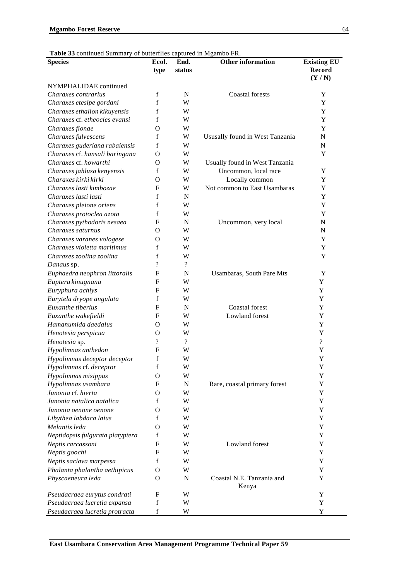| <b>Species</b>                   | Ecol.<br>type            | End.<br>status           | <b>Other information</b>           | <b>Existing EU</b><br>Record<br>(Y/N) |
|----------------------------------|--------------------------|--------------------------|------------------------------------|---------------------------------------|
| NYMPHALIDAE continued            |                          |                          |                                    |                                       |
| Charaxes contrarius              | f                        | N                        | <b>Coastal</b> forests             | Y                                     |
| Charaxes etesipe gordani         | f                        | W                        |                                    | Y                                     |
| Charaxes ethalion kikuyensis     | f                        | W                        |                                    | Y                                     |
| Charaxes cf. etheocles evansi    | f                        | W                        |                                    | Y                                     |
| Charaxes fionae                  | O                        | W                        |                                    | Y                                     |
| Charaxes fulvescens              | f                        | W                        | Ususally found in West Tanzania    | $\mathbf N$                           |
| Charaxes guderiana rabaiensis    | f                        | W                        |                                    | $\mathbf N$                           |
| Charaxes cf. hansali baringana   | O                        | W                        |                                    | Y                                     |
| Charaxes cf. howarthi            | О                        | W                        | Usually found in West Tanzania     |                                       |
| Charaxes jahlusa kenyensis       | f                        | W                        | Uncommon, local race               | Y                                     |
| Charaxes kirki kirki             | О                        | W                        | Locally common                     | Y                                     |
| Charaxes lasti kimbozae          | F                        | W                        | Not common to East Usambaras       | Y                                     |
| Charaxes lasti lasti             | f                        | N                        |                                    | Y                                     |
| Charaxes pleione oriens          | f                        | W                        |                                    | Y                                     |
| Charaxes protoclea azota         | f                        | W                        |                                    | Y                                     |
| Charaxes pythodoris nesaea       | F                        | N                        | Uncommon, very local               | ${\bf N}$                             |
| Charaxes saturnus                | O                        | W                        |                                    | ${\bf N}$                             |
| Charaxes varanes vologese        | O                        | W                        |                                    | Y                                     |
| Charaxes violetta maritimus      | f                        | W                        |                                    | $\mathbf Y$                           |
| Charaxes zoolina zoolina         | f                        | W                        |                                    | Y                                     |
| Danaus sp.                       | $\gamma$                 | $\overline{\mathcal{L}}$ |                                    |                                       |
| Euphaedra neophron littoralis    | F                        | N                        | Usambaras, South Pare Mts          | Y                                     |
| Euptera kinugnana                | F                        | W                        |                                    | Y                                     |
| Euryphura achlys                 | F                        | W                        |                                    | Y                                     |
| Eurytela dryope angulata         | f                        | W                        |                                    | Y                                     |
| Euxanthe tiberius                | F                        | N                        | <b>Coastal</b> forest              | Y                                     |
| Euxanthe wakefieldi              | F                        | W                        | Lowland forest                     | Y                                     |
| Hamanumida daedalus              | O                        | W                        |                                    | Y                                     |
| Henotesia perspicua              | O                        | W                        |                                    | Y                                     |
| Henotesia sp.                    | $\overline{\mathcal{L}}$ | $\overline{?}$           |                                    | $\overline{?}$                        |
| Hypolimnas anthedon              | F                        | W                        |                                    | Y                                     |
| Hypolimnas deceptor deceptor     | $\mathbf f$              | W                        |                                    | Y                                     |
| Hypolimnas cf. deceptor          | $\mathbf f$              | W                        |                                    | Y                                     |
| Hypolimnas misippus              | O                        | W                        |                                    | Y                                     |
| Hypolimnas usambara              | F                        | N                        | Rare, coastal primary forest       | Y                                     |
| Junonia cf. hierta               | O                        | W                        |                                    | Y                                     |
| Junonia natalica natalica        | f                        | W                        |                                    | Y                                     |
| Junonia oenone oenone            | O                        | W                        |                                    | Y                                     |
| Libythea labdaca laius           | f                        | W                        |                                    | Y                                     |
| Melantis leda                    | O                        | W                        |                                    | Y                                     |
| Neptidopsis fulgurata platyptera | f                        | W                        |                                    | Y                                     |
| Neptis carcassoni                | F                        | W                        | Lowland forest                     | Y                                     |
| Neptis goochi                    | F                        | W                        |                                    | Y                                     |
| Neptis saclava marpessa          | f                        | W                        |                                    | Y                                     |
| Phalanta phalantha aethipicus    | $\mathbf O$              | W                        |                                    | Y                                     |
| Physcaeneura leda                | $\mathbf{O}$             | N                        | Coastal N.E. Tanzania and<br>Kenya | Y                                     |
| Pseudacraea eurytus condrati     | F                        | W                        |                                    | Y                                     |
| Pseudacraea lucretia expansa     | $\mathbf f$              | W                        |                                    | Y                                     |
| Pseudacraea lucretia protracta   | $\mathbf f$              | W                        |                                    | $\mathbf Y$                           |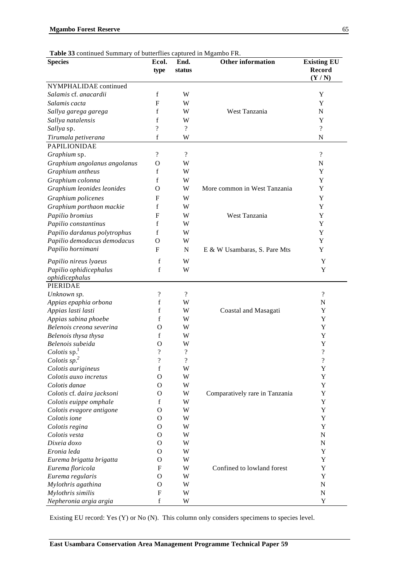| <b>Species</b>                           | Ecol.<br>type            | End.<br>status           | <b>Other information</b>       | <b>Existing EU</b><br><b>Record</b><br>(Y/N) |
|------------------------------------------|--------------------------|--------------------------|--------------------------------|----------------------------------------------|
| NYMPHALIDAE continued                    |                          |                          |                                |                                              |
| Salamis cf. anacardii                    | f                        | W                        |                                | Y                                            |
| Salamis cacta                            | F                        | W                        |                                | Y                                            |
| Sallya garega garega                     | f                        | W                        | West Tanzania                  | $\mathbf N$                                  |
| Sallya natalensis                        | f                        | W                        |                                | Y                                            |
| Sallya sp.                               | $\gamma$                 | $\overline{?}$           |                                | $\overline{?}$                               |
| Tirumala petiverana                      | f                        | W                        |                                | N                                            |
| <b>PAPILIONIDAE</b>                      |                          |                          |                                |                                              |
| Graphium sp.                             | $\overline{\mathcal{L}}$ | $\overline{?}$           |                                | $\overline{\mathcal{L}}$                     |
| Graphium angolanus angolanus             | O                        | W                        |                                | ${\bf N}$                                    |
| Graphium antheus                         | f                        | W                        |                                | Y                                            |
| Graphium colonna                         | $\mathbf f$              | W                        |                                | Y                                            |
| Graphium leonides leonides               | O                        | W                        | More common in West Tanzania   | Y                                            |
| Graphium policenes                       | F                        | W                        |                                | Y                                            |
| Graphium porthaon mackie                 | f                        | W                        |                                | Y                                            |
| Papilio bromius                          | F                        | W                        | West Tanzania                  | Y                                            |
|                                          | f                        | W                        |                                | Y                                            |
| Papilio constantinus                     |                          |                          |                                |                                              |
| Papilio dardanus polytrophus             | f                        | W                        |                                | Y                                            |
| Papilio demodacus demodacus              | O                        | W                        |                                | Y                                            |
| Papilio hornimani                        | F                        | $\mathbf N$              | E & W Usambaras, S. Pare Mts   | Y                                            |
| Papilio nireus lyaeus                    | f                        | W                        |                                | Y                                            |
| Papilio ophidicephalus<br>ophidicephalus | f                        | W                        |                                | Y                                            |
| PIERIDAE                                 |                          |                          |                                |                                              |
| Unknown sp.                              | $\overline{\mathcal{L}}$ | $\overline{?}$           |                                | $\overline{?}$                               |
| Appias epaphia orbona                    | f                        | W                        |                                | N                                            |
| Appias lasti lasti                       | f                        | W                        | Coastal and Masagati           | Y                                            |
| Appias sabina phoebe                     | f                        | W                        |                                | Y                                            |
| Belenois creona severina                 | O                        | W                        |                                | Y                                            |
| Belenois thysa thysa                     | f                        | W                        |                                | Y                                            |
| Belenois subeida                         | O                        | W                        |                                | Y                                            |
| Colotis $sp1$                            | $\dot{?}$                | $\overline{\cdot}$       |                                | $\overline{\mathcal{C}}$                     |
| Colotis $sp2$                            | $\overline{\mathcal{C}}$ | $\overline{\mathcal{L}}$ |                                | $\overline{\mathcal{L}}$                     |
| Colotis aurigineus                       | $\rm f$                  | W                        |                                | Y                                            |
| Colotis auxo incretus                    | $\mathbf O$              | W                        |                                | Y                                            |
| Colotis danae                            | $\mathbf O$              | W                        |                                | Y                                            |
| Colotis cf. daira jacksoni               | O                        | W                        | Comparatively rare in Tanzania | Y                                            |
| Colotis euippe omphale                   | f                        | W                        |                                | Y                                            |
| Colotis evagore antigone                 | O                        | W                        |                                | Y                                            |
| Colotis ione                             | O                        | W                        |                                | Y                                            |
| Colotis regina                           | O                        | W                        |                                | Y                                            |
| Colotis vesta                            | O                        | W                        |                                | ${\bf N}$                                    |
| Dixeia doxo                              | O                        | W                        |                                | ${\bf N}$                                    |
| Eronia leda                              | O                        | W                        |                                | Y                                            |
| Eurema brigatta brigatta                 | O                        | W                        |                                | Y                                            |
| Eurema floricola                         | F                        | W                        | Confined to lowland forest     | Y                                            |
| Eurema regularis                         | O                        | W                        |                                | Y                                            |
| Mylothris agathina                       | O                        | W                        |                                | ${\bf N}$                                    |
| Mylothris similis                        | F                        | W                        |                                | ${\bf N}$                                    |
| Nepheronia argia argia                   | $\mathbf f$              | W                        |                                | Y                                            |

Existing EU record: Yes (Y) or No (N). This column only considers specimens to species level.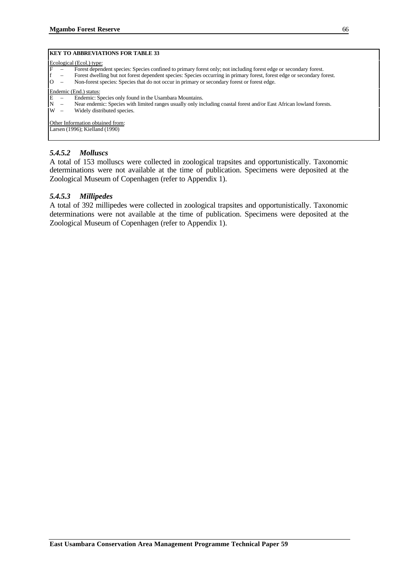#### **KEY TO ABBREVIATIONS FOR TABLE 33**

#### Ecological (Ecol.) type:

- Forest dependent species: Species confined to primary forest only; not including forest edge or secondary forest.
- f Forest dwelling but not forest dependent species: Species occurring in primary forest, forest edge or secondary forest.
- Non-forest species: Species that do not occur in primary or secondary forest or forest edge.

#### Endemic (End.) status:

- E Endemic: Species only found in the Usambara Mountains.
- N Near endemic: Species with limited ranges usually only including coastal forest and/or East African lowland forests.
- W Widely distributed species.

Other Information obtained from:

Larsen (1996); Kielland (1990)

#### *5.4.5.2 Molluscs*

A total of 153 molluscs were collected in zoological trapsites and opportunistically. Taxonomic determinations were not available at the time of publication. Specimens were deposited at the Zoological Museum of Copenhagen (refer to Appendix 1).

#### *5.4.5.3 Millipedes*

A total of 392 millipedes were collected in zoological trapsites and opportunistically. Taxonomic determinations were not available at the time of publication. Specimens were deposited at the Zoological Museum of Copenhagen (refer to Appendix 1).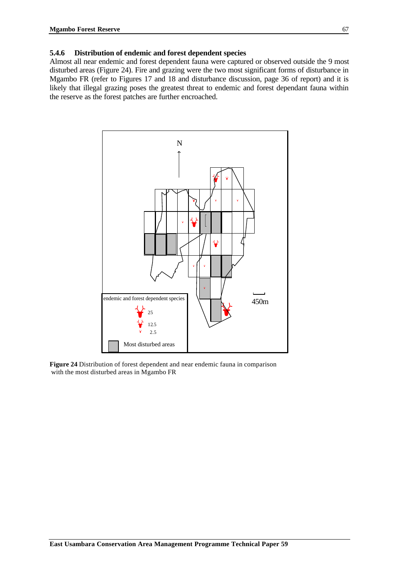#### **5.4.6 Distribution of endemic and forest dependent species**

Almost all near endemic and forest dependent fauna were captured or observed outside the 9 most disturbed areas (Figure 24). Fire and grazing were the two most significant forms of disturbance in Mgambo FR (refer to Figures 17 and 18 and disturbance discussion, page 36 of report) and it is likely that illegal grazing poses the greatest threat to endemic and forest dependant fauna within the reserve as the forest patches are further encroached.



**Figure 24** Distribution of forest dependent and near endemic fauna in comparison with the most disturbed areas in Mgambo FR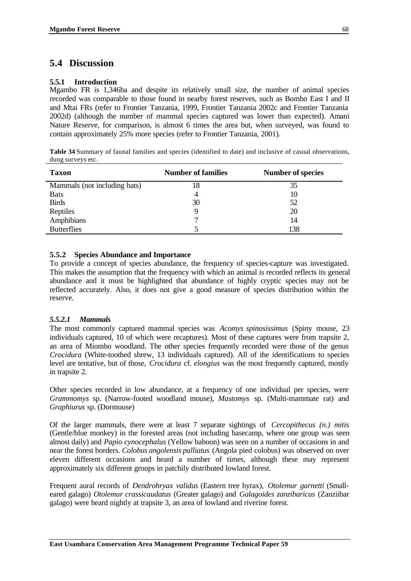## **5.4 Discussion**

#### **5.5.1 Introduction**

Mgambo FR is 1,346ha and despite its relatively small size, the number of animal species recorded was comparable to those found in nearby forest reserves, such as Bombo East I and II and Mtai FRs (refer to Frontier Tanzania, 1999, Frontier Tanzania 2002c and Frontier Tanzania 2002d) (although the number of mammal species captured was lower than expected). Amani Nature Reserve, for comparison, is almost 6 times the area but, when surveyed, was found to contain approximately 25% more species (refer to Frontier Tanzania, 2001).

**Table 34** Summary of faunal families and species (identified to date) and inclusive of casual observations, dung surveys etc.

| <b>Taxon</b>                 | <b>Number of families</b> | <b>Number of species</b> |
|------------------------------|---------------------------|--------------------------|
| Mammals (not including bats) | 18                        | 35                       |
| <b>Bats</b>                  |                           | 10                       |
| <b>Birds</b>                 | 30                        | 52                       |
| Reptiles                     |                           | 20                       |
| Amphibians                   | ⇁                         | 14                       |
| <b>Butterflies</b>           |                           | 138                      |

#### **5.5.2 Species Abundance and Importance**

To provide a concept of species abundance, the frequency of species-capture was investigated. This makes the assumption that the frequency with which an animal is recorded reflects its general abundance and it must be highlighted that abundance of highly cryptic species may not be reflected accurately. Also, it does not give a good measure of species distribution within the reserve.

#### *5.5.2.1 Mammals*

The most commonly captured mammal species was *Acomys spinosissimus* (Spiny mouse, 23 individuals captured, 10 of which were recaptures). Most of these captures were from trapsite 2, an area of Miombo woodland. The other species frequently recorded were those of the genus *Crocidura* (White-toothed shrew, 13 individuals captured). All of the identifications to species level are tentative, but of those, *Crocidura* cf. *elongius* was the most frequently captured, mostly in trapsite 2.

Other species recorded in low abundance, at a frequency of one individual per species, were *Grammomys* sp. (Narrow-footed woodland mouse), *Mastomys* sp. (Multi-mammate rat) and *Graphiurus* sp. (Dormouse)

Of the larger mammals, there were at least 7 separate sightings of *Cercopithecus (n.) mitis* (Gentle/blue monkey) in the forested areas (not including basecamp, where one group was seen almost daily) and *Papio cynocephalus* (Yellow baboon) was seen on a number of occasions in and near the forest borders. *Colobus angolensis palliatus* (Angola pied colobus) was observed on over eleven different occasions and heard a number of times, although these may represent approximately six different groups in patchily distributed lowland forest.

Frequent aural records of *Dendrohryax validus* (Eastern tree hyrax), *Otolemur garnetti* (Smalleared galago) *Otolemur crassicaudatus* (Greater galago) and *Galagoides zanzibaricus* (Zanziibar galago) were heard nightly at trapsite 3, an area of lowland and riverine forest.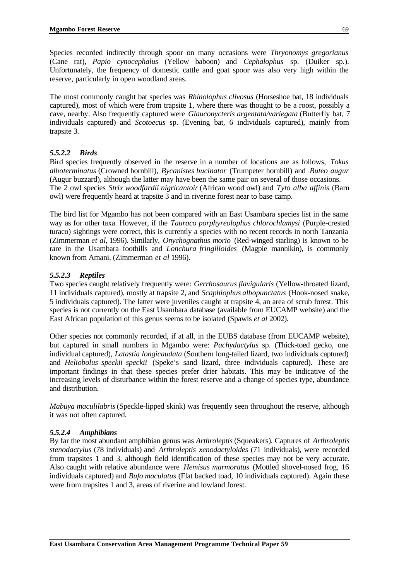Species recorded indirectly through spoor on many occasions were *Thryonomys gregorianus* (Cane rat), *Papio cynocephalus* (Yellow baboon) and *Cephalophus* sp. (Duiker sp.). Unfortunately, the frequency of domestic cattle and goat spoor was also very high within the reserve, particularly in open woodland areas.

The most commonly caught bat species was *Rhinolophus clivosus* (Horseshoe bat, 18 individuals captured), most of which were from trapsite 1, where there was thought to be a roost, possibly a cave, nearby. Also frequently captured were *Glauconycteris argentata/variegata* (Butterfly bat, 7 individuals captured) and *Scotoecus* sp. (Evening bat, 6 individuals captured), mainly from trapsite 3.

#### *5.5.2.2 Birds*

Bird species frequently observed in the reserve in a number of locations are as follows, *Tokus alboterminatus* (Crowned hornbill), *Bycanistes bucinator* (Trumpeter hornbill) and *Buteo augur* (Augur buzzard), although the latter may have been the same pair on several of those occasions. The 2 owl species *Strix woodfardii nigricantoir* (African wood owl) and *Tyto alba affinis* (Barn owl) were frequently heard at trapsite 3 and in riverine forest near to base camp.

The bird list for Mgambo has not been compared with an East Usambara species list in the same way as for other taxa. However, if the *Tauraco porphyreolophus chlorochlamysi* (Purple-crested turaco) sightings were correct, this is currently a species with no recent records in north Tanzania (Zimmerman *et al*, 1996). Similarly, *Onychognathus morio* (Red-winged starling) is known to be rare in the Usambara foothills and *Lonchura fringilloides* (Magpie mannikin), is commonly known from Amani, (Zimmerman *et al* 1996).

#### *5.5.2.3 Reptiles*

Two species caught relatively frequently were: *Gerrhosaurus flavigularis* (Yellow-throated lizard, 11 individuals captured), mostly at trapsite 2, and *Scaphiophus albopunctatus* (Hook-nosed snake, 5 individuals captured). The latter were juveniles caught at trapsite 4, an area of scrub forest. This species is not currently on the East Usambara database (available from EUCAMP website) and the East African population of this genus seems to be isolated (Spawls *et al* 2002).

Other species not commonly recorded, if at all, in the EUBS database (from EUCAMP website), but captured in small numbers in Mgambo were: *Pachydactylus* sp. (Thick-toed gecko, one individual captured), *Latastia longicaudata* (Southern long-tailed lizard, two individuals captured) and *Heliobolus speckii speckii* (Speke's sand lizard, three individuals captured). These are important findings in that these species prefer drier habitats. This may be indicative of the increasing levels of disturbance within the forest reserve and a change of species type, abundance and distribution.

*Mabuya maculilabris* (Speckle-lipped skink) was frequently seen throughout the reserve, although it was not often captured.

#### *5.5.2.4 Amphibians*

By far the most abundant amphibian genus was *Arthroleptis* (Squeakers)*.* Captures of *Arthroleptis stenodactylus* (78 individuals) and *Arthroleptis xenodactyloides* (71 individuals), were recorded from trapsites 1 and 3, although field identification of these species may not be very accurate. Also caught with relative abundance were *Hemisus marmoratus* (Mottled shovel-nosed frog, 16 individuals captured) and *Bufo maculatus* (Flat backed toad, 10 individuals captured). Again these were from trapsites 1 and 3, areas of riverine and lowland forest.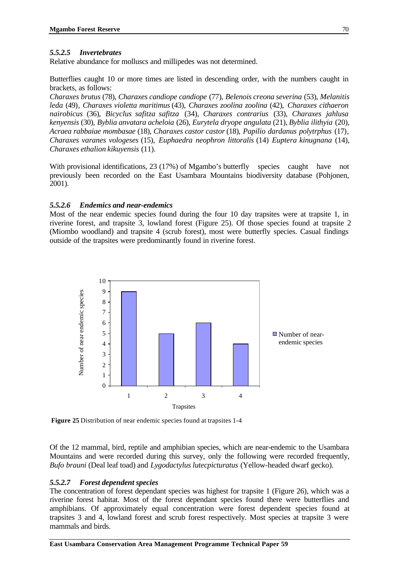#### *5.5.2.5 Invertebrates*

Relative abundance for molluscs and millipedes was not determined.

Butterflies caught 10 or more times are listed in descending order, with the numbers caught in brackets, as follows:

*Charaxes brutus* (78), *Charaxes candiope candiope* (77), *Belenois creona severina* (53), *Melanitis leda* (49)*, Charaxes violetta maritimus* (43), *Charaxes zoolina zoolina* (42), *Charaxes cithaeron nairobicus* (36), *Bicyclus safitza safitza* (34), *Charaxes contrarius* (33), *Charaxes jahlusa kenyensis* (30), *Byblia anvatara acheloia* (26), *Eurytela dryope angulata* (21), *Byblia ilithyia* (20), *Acraea rabbaiae mombasae* (18), *Charaxes castor castor* (18), *Papilio dardanus polytrphus* (17)*, Charaxes varanes vologeses* (15), *Euphaedra neophron littoralis* (14) *Euptera kinugnana* (14), *Charaxes ethalion kikuyensis* (11).

With provisional identifications, 23 (17%) of Mgambo's butterfly species caught have not previously been recorded on the East Usambara Mountains biodiversity database (Pohjonen, 2001).

#### *5.5.2.6 Endemics and near-endemics*

Most of the near endemic species found during the four 10 day trapsites were at trapsite 1, in riverine forest, and trapsite 3, lowland forest (Figure 25). Of those species found at trapsite 2 (Miombo woodland) and trapsite 4 (scrub forest), most were butterfly species. Casual findings outside of the trapsites were predominantly found in riverine forest.



**Figure 25** Distribution of near endemic species found at trapsites 1-4

Of the 12 mammal, bird, reptile and amphibian species, which are near-endemic to the Usambara Mountains and were recorded during this survey, only the following were recorded frequently, *Bufo brauni* (Deal leaf toad) and *Lygodactylus lutecpicturatus* (Yellow-headed dwarf gecko).

#### *5.5.2.7 Forest dependent species*

The concentration of forest dependant species was highest for trapsite 1 (Figure 26), which was a riverine forest habitat. Most of the forest dependant species found there were butterflies and amphibians. Of approximately equal concentration were forest dependent species found at trapsites 3 and 4, lowland forest and scrub forest respectively. Most species at trapsite 3 were mammals and birds.

**East Usambara Conservation Area Management Programme Technical Paper 59**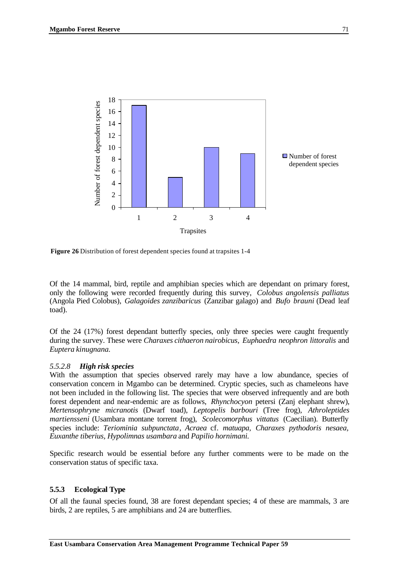

**Figure 26** Distribution of forest dependent species found at trapsites 1-4

Of the 14 mammal, bird, reptile and amphibian species which are dependant on primary forest, only the following were recorded frequently during this survey, *Colobus angolensis palliatus* (Angola Pied Colobus), *Galagoides zanzibaricus* (Zanzibar galago) and *Bufo brauni* (Dead leaf toad).

Of the 24 (17%) forest dependant butterfly species, only three species were caught frequently during the survey. These were *Charaxes cithaeron nairobicus, Euphaedra neophron littoralis* and *Euptera kinugnana.*

#### *5.5.2.8 High risk species*

With the assumption that species observed rarely may have a low abundance, species of conservation concern in Mgambo can be determined. Cryptic species, such as chameleons have not been included in the following list. The species that were observed infrequently and are both forest dependent and near-endemic are as follows, *Rhynchocyon* petersi (Zanj elephant shrew), *Mertensophryne micranotis* (Dwarf toad), *Leptopelis barbouri* (Tree frog), *Athroleptides martiensseni* (Usambara montane torrent frog), *Scolecomorphus vittatus* (Caecilian). Butterfly species include: *Teriominia subpunctata*, *Acraea* cf. *matuapa, Charaxes pythodoris nesaea, Euxanthe tiberius, Hypolimnas usambara* and *Papilio hornimani.*

Specific research would be essential before any further comments were to be made on the conservation status of specific taxa.

### **5.5.3 Ecological Type**

Of all the faunal species found, 38 are forest dependant species; 4 of these are mammals, 3 are birds, 2 are reptiles, 5 are amphibians and 24 are butterflies.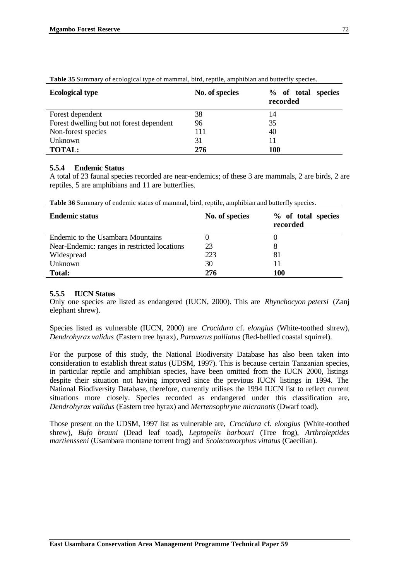| <b>Ecological type</b>                   | No. of species | % of total<br>species<br>recorded |
|------------------------------------------|----------------|-----------------------------------|
| Forest dependent                         | 38             | 14                                |
| Forest dwelling but not forest dependent | 96             | 35                                |
| Non-forest species                       | 111            | 40                                |
| Unknown                                  | 31             | 11                                |
| <b>TOTAL:</b>                            | 276            | 100                               |

**Table 35** Summary of ecological type of mammal, bird, reptile, amphibian and butterfly species.

#### **5.5.4 Endemic Status**

A total of 23 faunal species recorded are near-endemics; of these 3 are mammals, 2 are birds, 2 are reptiles, 5 are amphibians and 11 are butterflies.

| <b>Endemic status</b>                        | No. of species | % of total species<br>recorded |
|----------------------------------------------|----------------|--------------------------------|
| Endemic to the Usambara Mountains            |                |                                |
| Near-Endemic: ranges in restricted locations | 23             |                                |
| Widespread                                   | 223            | 81                             |
| Unknown                                      | 30             |                                |
| <b>Total:</b>                                | 276            | 100                            |

**Table 36** Summary of endemic status of mammal, bird, reptile, amphibian and butterfly species.

#### **5.5.5 IUCN Status**

Only one species are listed as endangered (IUCN, 2000). This are *Rhynchocyon petersi* (Zanj elephant shrew).

Species listed as vulnerable (IUCN, 2000) are *Crocidura* cf. *elongius* (White-toothed shrew), *Dendrohyrax validus* (Eastern tree hyrax)*, Paraxerus palliatus* (Red-bellied coastal squirrel).

For the purpose of this study, the National Biodiversity Database has also been taken into consideration to establish threat status (UDSM, 1997). This is because certain Tanzanian species, in particular reptile and amphibian species, have been omitted from the IUCN 2000, listings despite their situation not having improved since the previous IUCN listings in 1994. The National Biodiversity Database, therefore, currently utilises the 1994 IUCN list to reflect current situations more closely. Species recorded as endangered under this classification are, *Dendrohyrax validus* (Eastern tree hyrax) and *Mertensophryne micranotis* (Dwarf toad).

Those present on the UDSM, 1997 list as vulnerable are, *Crocidura* cf. *elongius* (White-toothed shrew), *Bufo brauni* (Dead leaf toad), *Leptopelis barbouri* (Tree frog), *Arthroleptides martiensseni* (Usambara montane torrent frog) and *Scolecomorphus vittatus* (Caecilian).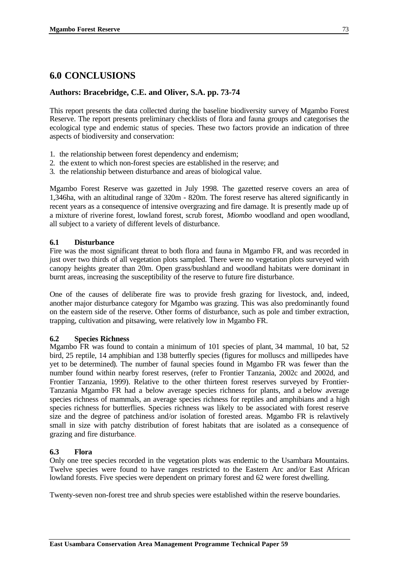### **6.0 CONCLUSIONS**

#### **Authors: Bracebridge, C.E. and Oliver, S.A. pp. 73-74**

This report presents the data collected during the baseline biodiversity survey of Mgambo Forest Reserve. The report presents preliminary checklists of flora and fauna groups and categorises the ecological type and endemic status of species. These two factors provide an indication of three aspects of biodiversity and conservation:

- 1. the relationship between forest dependency and endemism;
- 2. the extent to which non-forest species are established in the reserve; and
- 3. the relationship between disturbance and areas of biological value.

Mgambo Forest Reserve was gazetted in July 1998. The gazetted reserve covers an area of 1,346ha, with an altitudinal range of 320m - 820m. The forest reserve has altered significantly in recent years as a consequence of intensive overgrazing and fire damage. It is presently made up of a mixture of riverine forest, lowland forest, scrub forest, *Miombo* woodland and open woodland, all subject to a variety of different levels of disturbance.

#### **6.1 Disturbance**

Fire was the most significant threat to both flora and fauna in Mgambo FR, and was recorded in just over two thirds of all vegetation plots sampled. There were no vegetation plots surveyed with canopy heights greater than 20m. Open grass/bushland and woodland habitats were dominant in burnt areas, increasing the susceptibility of the reserve to future fire disturbance.

One of the causes of deliberate fire was to provide fresh grazing for livestock, and, indeed, another major disturbance category for Mgambo was grazing. This was also predominantly found on the eastern side of the reserve. Other forms of disturbance, such as pole and timber extraction, trapping, cultivation and pitsawing, were relatively low in Mgambo FR.

#### **6.2 Species Richness**

Mgambo FR was found to contain a minimum of 101 species of plant, 34 mammal, 10 bat, 52 bird, 25 reptile, 14 amphibian and 138 butterfly species (figures for molluscs and millipedes have yet to be determined). The number of faunal species found in Mgambo FR was fewer than the number found within nearby forest reserves, (refer to Frontier Tanzania, 2002c and 2002d, and Frontier Tanzania, 1999). Relative to the other thirteen forest reserves surveyed by Frontier-Tanzania Mgambo FR had a below average species richness for plants, and a below average species richness of mammals, an average species richness for reptiles and amphibians and a high species richness for butterflies. Species richness was likely to be associated with forest reserve size and the degree of patchiness and/or isolation of forested areas. Mgambo FR is relavtively small in size with patchy distribution of forest habitats that are isolated as a consequence of grazing and fire disturbance.

#### **6.3 Flora**

Only one tree species recorded in the vegetation plots was endemic to the Usambara Mountains. Twelve species were found to have ranges restricted to the Eastern Arc and/or East African lowland forests. Five species were dependent on primary forest and 62 were forest dwelling.

Twenty-seven non-forest tree and shrub species were established within the reserve boundaries.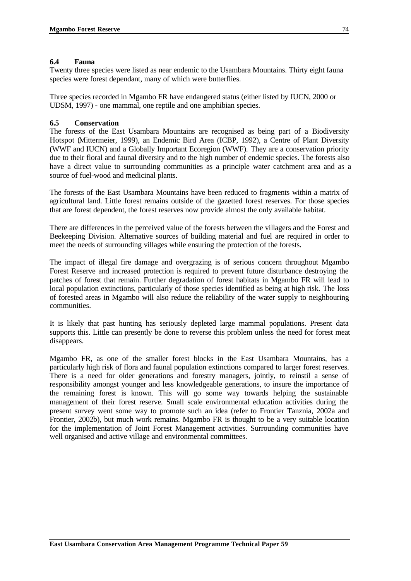#### **6.4 Fauna**

Twenty three species were listed as near endemic to the Usambara Mountains. Thirty eight fauna species were forest dependant, many of which were butterflies.

Three species recorded in Mgambo FR have endangered status (either listed by IUCN, 2000 or UDSM, 1997) - one mammal, one reptile and one amphibian species.

#### **6.5 Conservation**

The forests of the East Usambara Mountains are recognised as being part of a Biodiversity Hotspot (Mittermeier, 1999), an Endemic Bird Area (ICBP, 1992), a Centre of Plant Diversity (WWF and IUCN) and a Globally Important Ecoregion (WWF). They are a conservation priority due to their floral and faunal diversity and to the high number of endemic species. The forests also have a direct value to surrounding communities as a principle water catchment area and as a source of fuel-wood and medicinal plants.

The forests of the East Usambara Mountains have been reduced to fragments within a matrix of agricultural land. Little forest remains outside of the gazetted forest reserves. For those species that are forest dependent, the forest reserves now provide almost the only available habitat.

There are differences in the perceived value of the forests between the villagers and the Forest and Beekeeping Division. Alternative sources of building material and fuel are required in order to meet the needs of surrounding villages while ensuring the protection of the forests.

The impact of illegal fire damage and overgrazing is of serious concern throughout Mgambo Forest Reserve and increased protection is required to prevent future disturbance destroying the patches of forest that remain. Further degradation of forest habitats in Mgambo FR will lead to local population extinctions, particularly of those species identified as being at high risk. The loss of forested areas in Mgambo will also reduce the reliability of the water supply to neighbouring communities.

It is likely that past hunting has seriously depleted large mammal populations. Present data supports this. Little can presently be done to reverse this problem unless the need for forest meat disappears.

Mgambo FR, as one of the smaller forest blocks in the East Usambara Mountains, has a particularly high risk of flora and faunal population extinctions compared to larger forest reserves. There is a need for older generations and forestry managers, jointly, to reinstil a sense of responsibility amongst younger and less knowledgeable generations, to insure the importance of the remaining forest is known. This will go some way towards helping the sustainable management of their forest reserve. Small scale environmental education activities during the present survey went some way to promote such an idea (refer to Frontier Tanznia, 2002a and Frontier, 2002b), but much work remains. Mgambo FR is thought to be a very suitable location for the implementation of Joint Forest Management activities. Surrounding communities have well organised and active village and environmental committees.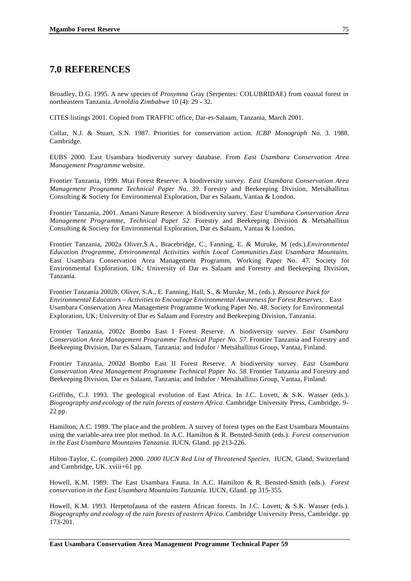### **7.0 REFERENCES**

Broadley, D.G. 1995. A new species of *Prosymna* Gray (Serpentes: COLUBRIDAE) from coastal forest in northeastern Tanzania. *Arnoldia Zimbabwe* 10 (4): 29 - 32.

CITES listings 2001. Copied from TRAFFIC office, Dar-es-Salaam, Tanzania, March 2001.

Collar, N.J. & Stuart, S.N. 1987. Priorities for conservation action*. ICBP Monograph* No. 3. 1988. Cambridge.

EUBS 2000. East Usambara biodiversity survey database. From *East Usambara Conservation Area Management Programme* website.

Frontier Tanzania, 1999. Mtai Forest Reserve: A biodiversity survey. *East Usambara Conservation Area Management Programme Technical Paper No. 39.* Forestry and Beekeeping Division, Metsähallitus Consulting & Society for Environmental Exploration, Dar es Salaam, Vantaa & London.

Frontier Tanzania, 2001. Amani Nature Reserve: A biodiversity survey. *East Usambara Conservation Area Management Programme, Technical Paper 52.* Forestry and Beekeeping Division & Metsähallitus Consulting & Society for Environmental Exploration, Dar es Salaam, Vantaa & London.

Frontier Tanzania, 2002a Oliver,S.A., Bracebridge, C., Fanning, E. & Muruke, M (eds.).*Environmental Education Programme, Environmental Activities within Local Communities.East Usambara Mountains.* East Usambara Conservation Area Management Programm, Working Paper No. 47. Society for Environmental Exploration, UK; University of Dar es Salaam and Forestry and Beekeeping Division, Tanzania.

Frontier Tanzania 2002b. Oliver, S.A., E. Fanning, Hall, S., & Muruke, M., (eds.). *Resource Pack for Environmental Educators – Activities to Encourage Environmental Awareness for Forest Reserves.* . East Usambara Conservation Area Management Programme Working Paper No. 48. Society for Environmental Exploration, UK; University of Dar es Salaam and Forestry and Beekeeping Division, Tanzania.

Frontier Tanzania, 2002c Bombo East I Forest Reserve. A biodiversity survey. *East Usambara Conservation Area Management Programme Technical Paper No. 57.* Frontier Tanzania and Forestry and Beekeeping Division, Dar es Salaam, Tanzania; and Indufor / Metsähallitus Group, Vantaa, Finland.

Frontier Tanzania, 2002d Bombo East II Forest Reserve. A biodiversity survey. *East Usambara Conservation Area Management Programme Technical Paper No. 58.* Frontier Tanzania and Forestry and Beekeeping Division, Dar es Salaam, Tanzania; and Indufor / Metsähallitus Group, Vantaa, Finland.

Griffiths, C.J. 1993. The geological evolution of East Africa. In J.C. Lovett, & S.K. Wasser (eds.). *Biogeography and ecology of the rain forests of eastern Africa.* Cambridge University Press, Cambridge. 9- 22 pp.

Hamilton, A.C. 1989. The place and the problem. A survey of forest types on the East Usambara Mountains using the variable-area tree plot method. In A.C. Hamilton & R. Bensted-Smith (eds.). *Forest conservation in the East Usambara Mountains Tanzania.* IUCN, Gland. pp 213-226.

Hilton-Taylor, C. (compiler) 2000. *2000 IUCN Red List of Threatened Species.* IUCN, Gland, Switzerland and Cambridge, UK. xviii+61 pp.

Howell, K.M. 1989. The East Usambara Fauna*.* In A.C. Hamilton & R. Bensted-Smith (eds.). *Forest conservation in the East Usambara Mountains Tanzania.* IUCN, Gland. pp 315-355.

Howell, K.M. 1993. Herpetofauna of the eastern African forests. In J.C. Lovett, & S.K. Wasser (eds.). *Biogeography and ecology of the rain forests of eastern Africa.* Cambridge University Press, Cambridge. pp 173-201.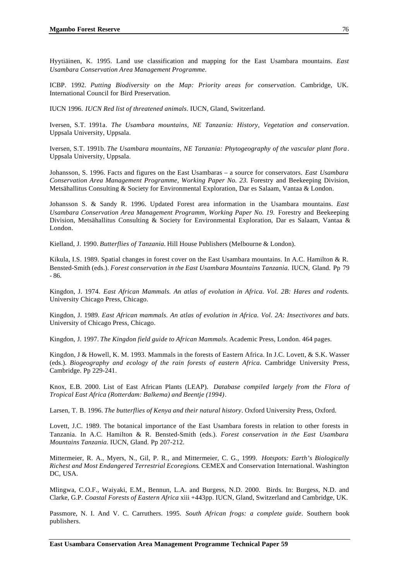Hyytiäinen, K. 1995. Land use classification and mapping for the East Usambara mountains. *East Usambara Conservation Area Management Programme.*

ICBP. 1992. *Putting Biodiversity on the Map: Priority areas for conservation*. Cambridge, UK. International Council for Bird Preservation.

IUCN 1996. *IUCN Red list of threatened animals*. IUCN, Gland, Switzerland.

Iversen, S.T. 1991a. *The Usambara mountains, NE Tanzania: History, Vegetation and conservation*. Uppsala University, Uppsala.

Iversen, S.T. 1991b. *The Usambara mountains, NE Tanzania: Phytogeography of the vascular plant flora*. Uppsala University, Uppsala.

Johansson, S. 1996. Facts and figures on the East Usambaras – a source for conservators. *East Usambara Conservation Area Management Programme, Working Paper No. 23.* Forestry and Beekeeping Division, Metsähallitus Consulting & Society for Environmental Exploration, Dar es Salaam, Vantaa & London.

Johansson S. & Sandy R. 1996. Updated Forest area information in the Usambara mountains. *East Usambara Conservation Area Management Programm, Working Paper No. 19. Forestry and Beekeeping* Division, Metsähallitus Consulting & Society for Environmental Exploration, Dar es Salaam, Vantaa & London.

Kielland, J. 1990. *Butterflies of Tanzania.* Hill House Publishers (Melbourne & London).

Kikula, I.S. 1989. Spatial changes in forest cover on the East Usambara mountains. In A.C. Hamilton & R. Bensted-Smith (eds.). *Forest conservation in the East Usambara Mountains Tanzania.* IUCN, Gland. Pp 79 - 86.

Kingdon, J. 1974. *East African Mammals. An atlas of evolution in Africa. Vol. 2B: Hares and rodents.* University Chicago Press, Chicago.

Kingdon, J. 1989. *East African mammals. An atlas of evolution in Africa. Vol. 2A: Insectivores and bats*. University of Chicago Press, Chicago.

Kingdon, J. 1997. *The Kingdon field guide to African Mammals*. Academic Press, London. 464 pages.

Kingdon, J & Howell, K. M. 1993. Mammals in the forests of Eastern Africa. In J.C. Lovett, & S.K. Wasser (eds.). *Biogeography and ecology of the rain forests of eastern Africa.* Cambridge University Press, Cambridge. Pp 229-241.

Knox, E.B. 2000. List of East African Plants (LEAP). *Database compiled largely from the Flora of Tropical East Africa (Rotterdam: Balkema) and Beentje (1994)*.

Larsen, T. B. 1996. *The butterflies of Kenya and their natural history*. Oxford University Press, Oxford.

Lovett, J.C. 1989. The botanical importance of the East Usambara forests in relation to other forests in Tanzania. In A.C. Hamilton & R. Bensted-Smith (eds.). *Forest conservation in the East Usambara Mountains Tanzania.* IUCN, Gland. Pp 207-212.

Mittermeier, R. A., Myers, N., Gil, P. R., and Mittermeier, C. G., 1999. *Hotspots: Earth's Biologically Richest and Most Endangered Terrestrial Ecoregions*. CEMEX and Conservation International. Washington DC, USA.

Mlingwa, C.O.F., Waiyaki, E.M., Bennun, L.A. and Burgess, N.D. 2000. Birds. In: Burgess, N.D. and Clarke, G.P. *Coastal Forests of Eastern Africa* xiii +443pp. IUCN, Gland, Switzerland and Cambridge, UK.

Passmore, N. I. And V. C. Carruthers. 1995. *South African frogs: a complete guide*. Southern book publishers.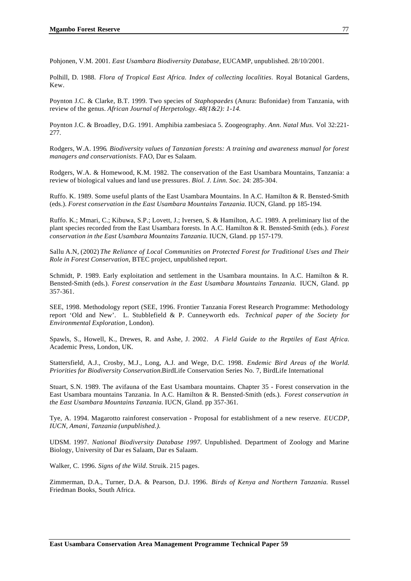Pohjonen, V.M. 2001. *East Usambara Biodiversity Database*, EUCAMP, unpublished. 28/10/2001.

Polhill, D. 1988. *Flora of Tropical East Africa. Index of collecting localities*. Royal Botanical Gardens, Kew.

Poynton J.C. & Clarke, B.T. 1999. Two species of *Staphopaedes* (Anura: Bufonidae) from Tanzania, with review of the genus. *African Journal of Herpetology. 48(1&2): 1-14.*

Poynton J.C. & Broadley, D.G. 1991. Amphibia zambesiaca 5. Zoogeography. *Ann. Natal Mus.* Vol 32:221- 277.

Rodgers, W.A. 1996*. Biodiversity values of Tanzanian forests: A training and awareness manual for forest managers and conservationists*. FAO, Dar es Salaam.

Rodgers, W.A. & Homewood, K.M. 1982. The conservation of the East Usambara Mountains, Tanzania: a review of biological values and land use pressures*. Biol. J. Linn. Soc.* 24: 285-304.

Ruffo. K. 1989. Some useful plants of the East Usambara Mountains. In A.C. Hamilton & R. Bensted-Smith (eds.). *Forest conservation in the East Usambara Mountains Tanzania.* IUCN, Gland. pp 185-194.

Ruffo. K.; Mmari, C.; Kibuwa, S.P.; Lovett, J.; Iversen, S. & Hamilton, A.C. 1989. A preliminary list of the plant species recorded from the East Usambara forests. In A.C. Hamilton & R. Bensted-Smith (eds.). *Forest conservation in the East Usambara Mountains Tanzania.* IUCN, Gland. pp 157-179.

Sallu A.N, (2002) *The Reliance of Local Communities on Protected Forest for Traditional Uses and Their Role in Forest Conservation*, BTEC project, unpublished report.

Schmidt, P. 1989. Early exploitation and settlement in the Usambara mountains. In A.C. Hamilton & R. Bensted-Smith (eds.). *Forest conservation in the East Usambara Mountains Tanzania.* IUCN, Gland. pp 357-361.

SEE, 1998. Methodology report (SEE, 1996. Frontier Tanzania Forest Research Programme: Methodology report 'Old and New'. L. Stubblefield & P. Cunneyworth eds. *Technical paper of the Society for Environmental Exploration*, London).

Spawls, S., Howell, K., Drewes, R. and Ashe, J. 2002*. A Field Guide to the Reptiles of East Africa.* Academic Press, London, UK.

Stattersfield, A.J., Crosby, M.J., Long, A.J. and Wege, D.C. 1998. *Endemic Bird Areas of the World. Priorities for Biodiversity Conservation.*BirdLife Conservation Series No. 7, BirdLife International

Stuart, S.N. 1989. The avifauna of the East Usambara mountains. Chapter 35 - Forest conservation in the East Usambara mountains Tanzania. In A.C. Hamilton & R. Bensted-Smith (eds.). *Forest conservation in the East Usambara Mountains Tanzania.* IUCN, Gland. pp 357-361.

Tye, A. 1994. Magarotto rainforest conservation - Proposal for establishment of a new reserve. *EUCDP, IUCN, Amani, Tanzania (unpublished.).*

UDSM. 1997. *National Biodiversity Database 1997.* Unpublished. Department of Zoology and Marine Biology, University of Dar es Salaam, Dar es Salaam.

Walker, C. 1996. *Signs of the Wild*. Struik. 215 pages.

Zimmerman, D.A., Turner, D.A. & Pearson, D.J. 1996. *Birds of Kenya and Northern Tanzania.* Russel Friedman Books, South Africa.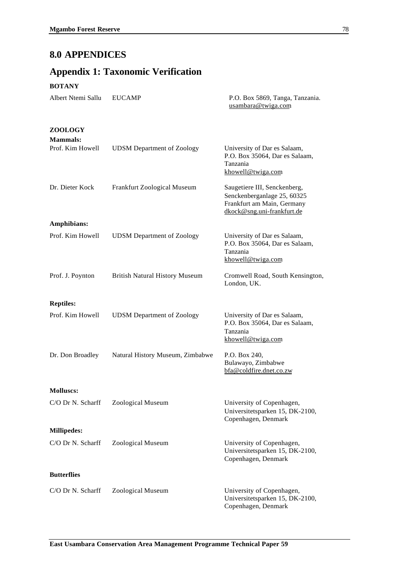# **8.0 APPENDICES**

# **Appendix 1: Taxonomic Verification**

#### **BOTANY**

| Albert Ntemi Sallu                | <b>EUCAMP</b>                         | P.O. Box 5869, Tanga, Tanzania.<br>usambara@twiga.com                                                                   |
|-----------------------------------|---------------------------------------|-------------------------------------------------------------------------------------------------------------------------|
| <b>ZOOLOGY</b><br><b>Mammals:</b> |                                       |                                                                                                                         |
| Prof. Kim Howell                  | <b>UDSM</b> Department of Zoology     | University of Dar es Salaam,<br>P.O. Box 35064, Dar es Salaam,<br>Tanzania<br>khowell@twiga.com                         |
| Dr. Dieter Kock                   | Frankfurt Zoological Museum           | Saugetiere III, Senckenberg,<br>Senckenberganlage 25, 60325<br>Frankfurt am Main, Germany<br>dkock@sng.uni-frankfurt.de |
| Amphibians:                       |                                       |                                                                                                                         |
| Prof. Kim Howell                  | <b>UDSM</b> Department of Zoology     | University of Dar es Salaam,<br>P.O. Box 35064, Dar es Salaam,<br>Tanzania<br>khowell@twiga.com                         |
| Prof. J. Poynton                  | <b>British Natural History Museum</b> | Cromwell Road, South Kensington,<br>London, UK.                                                                         |
| <b>Reptiles:</b>                  |                                       |                                                                                                                         |
| Prof. Kim Howell                  | <b>UDSM</b> Department of Zoology     | University of Dar es Salaam,<br>P.O. Box 35064, Dar es Salaam,<br>Tanzania<br>khowell@twiga.com                         |
| Dr. Don Broadley                  | Natural History Museum, Zimbabwe      | P.O. Box 240,<br>Bulawayo, Zimbabwe<br>bfa@coldfire.dnet.co.zw                                                          |
| <b>Molluscs:</b>                  |                                       |                                                                                                                         |
| C/O Dr N. Scharff                 | Zoological Museum                     | University of Copenhagen,<br>Universitetsparken 15, DK-2100,<br>Copenhagen, Denmark                                     |
| <b>Millipedes:</b>                |                                       |                                                                                                                         |
| C/O Dr N. Scharff                 | Zoological Museum                     | University of Copenhagen,<br>Universitetsparken 15, DK-2100,<br>Copenhagen, Denmark                                     |
| <b>Butterflies</b>                |                                       |                                                                                                                         |
| C/O Dr N. Scharff                 | Zoological Museum                     | University of Copenhagen,<br>Universitetsparken 15, DK-2100,<br>Copenhagen, Denmark                                     |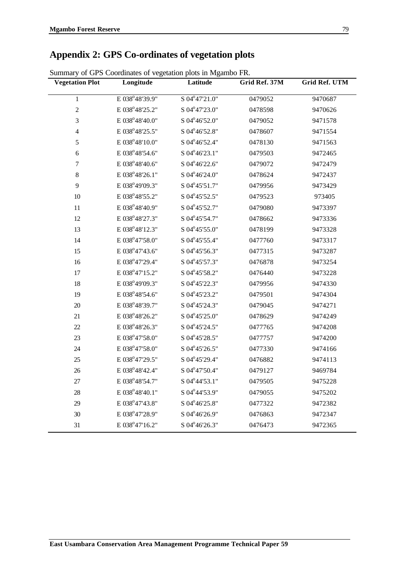# **Appendix 2: GPS Co-ordinates of vegetation plots**

| <b>Vegetation Plot</b> | Longitude      | Latitude                  | Grid Ref. 37M | <b>Grid Ref. UTM</b> |
|------------------------|----------------|---------------------------|---------------|----------------------|
| $\mathbf 1$            | E 038°48'39.9" | S 04°47'21.0"             | 0479052       | 9470687              |
| $\sqrt{2}$             | E 038°48'25.2" | S 04°47'23.0"             | 0478598       | 9470626              |
| 3                      | E 038°48'40.0" | S 04°46'52.0"             | 0479052       | 9471578              |
| 4                      | E 038°48'25.5" | S 04°46'52.8"             | 0478607       | 9471554              |
| 5                      | E 038°48'10.0" | S 04°46'52.4"             | 0478130       | 9471563              |
| $\sqrt{6}$             | E 038°48'54.6" | $S$ 04 $\degree$ 46'23.1" | 0479503       | 9472465              |
| $\boldsymbol{7}$       | E 038°48'40.6" | S 04°46'22.6"             | 0479072       | 9472479              |
| $\,8\,$                | E 038°48'26.1" | S 04°46'24.0"             | 0478624       | 9472437              |
| 9                      | E 038°49'09.3" | S 04°45'51.7"             | 0479956       | 9473429              |
| 10                     | E 038°48'55.2" | S 04°45'52.5"             | 0479523       | 973405               |
| 11                     | E 038°48'40.9" | S 04°45'52.7"             | 0479080       | 9473397              |
| 12                     | E 038°48'27.3" | S 04°45'54.7"             | 0478662       | 9473336              |
| 13                     | E 038°48'12.3" | S 04°45'55.0"             | 0478199       | 9473328              |
| 14                     | E 038°47'58.0" | S 04°45'55.4"             | 0477760       | 9473317              |
| 15                     | E 038°47'43.6" | S 04°45'56.3"             | 0477315       | 9473287              |
| 16                     | E 038°47'29.4" | S 04°45'57.3"             | 0476878       | 9473254              |
| 17                     | E 038°47'15.2" | S 04°45'58.2"             | 0476440       | 9473228              |
| 18                     | E 038°49'09.3" | S 04°45'22.3"             | 0479956       | 9474330              |
| 19                     | E 038°48'54.6" | S 04°45'23.2"             | 0479501       | 9474304              |
| 20                     | E 038°48'39.7" | S 04°45'24.3"             | 0479045       | 9474271              |
| 21                     | E 038°48'26.2" | S 04°45'25.0"             | 0478629       | 9474249              |
| 22                     | E 038°48'26.3" | S 04°45'24.5"             | 0477765       | 9474208              |
| 23                     | E 038°47'58.0" | S 04°45'28.5"             | 0477757       | 9474200              |
| 24                     | E 038°47'58.0" | S 04°45'26.5"             | 0477330       | 9474166              |
| 25                     | E 038°47'29.5" | S 04°45'29.4"             | 0476882       | 9474113              |
| 26                     | E 038°48'42.4" | S 04°47'50.4"             | 0479127       | 9469784              |
| 27                     | E 038°48'54.7" | S 04°44'53.1"             | 0479505       | 9475228              |
| 28                     | E 038°48'40.1" | S 04°44'53.9"             | 0479055       | 9475202              |
| 29                     | E 038°47'43.8" | S 04°46'25.8"             | 0477322       | 9472382              |
| 30                     | E 038°47'28.9" | S 04°46'26.9"             | 0476863       | 9472347              |
| 31                     | E 038°47'16.2" | S 04°46'26.3"             | 0476473       | 9472365              |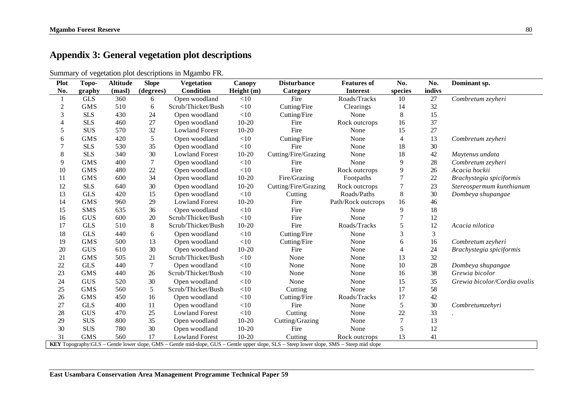# **Appendix 3: General vegetation plot descriptions**

|  | Summary of vegetation plot descriptions in Mgambo FR. |  |  |  |
|--|-------------------------------------------------------|--|--|--|
|  |                                                       |  |  |  |

| <b>Plot</b>    | Topo-      | <b>Altitude</b> | <b>Slope</b>   | <b>Vegetation</b>     | <b>Canopy</b> | <b>Disturbance</b>                                                                                                                        | <b>Features of</b> | No.                      | No.    | Dominant sp.                 |
|----------------|------------|-----------------|----------------|-----------------------|---------------|-------------------------------------------------------------------------------------------------------------------------------------------|--------------------|--------------------------|--------|------------------------------|
| No.            | graphy     | (masl)          | (degrees)      | <b>Condition</b>      | Height (m)    | Category                                                                                                                                  | <b>Interest</b>    | species                  | indivs |                              |
|                | <b>GLS</b> | 360             | 6              | Open woodland         | $<$ 10        | Fire                                                                                                                                      | Roads/Tracks       | 10                       | 27     | Combretum zeyheri            |
| $\overline{c}$ | <b>GMS</b> | 510             | 6              | Scrub/Thicket/Bush    | $<$ 10        | Cutting/Fire                                                                                                                              | Clearings          | 14                       | 32     |                              |
| 3              | <b>SLS</b> | 430             | 24             | Open woodland         | $<\!\!10$     | Cutting/Fire                                                                                                                              | None               | 8                        | 15     |                              |
| $\overline{4}$ | <b>SLS</b> | 460             | 27             | Open woodland         | $10-20$       | Fire                                                                                                                                      | Rock outcrops      | 16                       | 37     |                              |
| 5              | <b>SUS</b> | 570             | 32             | <b>Lowland Forest</b> | $10-20$       | Fire                                                                                                                                      | None               | 15                       | 27     |                              |
| 6              | <b>GMS</b> | 420             | 5              | Open woodland         | $<\!\!10$     | Cutting/Fire                                                                                                                              | None               | $\overline{4}$           | 13     | Combretum zeyheri            |
|                | <b>SLS</b> | 530             | 35             | Open woodland         | $<$ 10        | Fire                                                                                                                                      | None               | 18                       | 30     |                              |
| $8\,$          | <b>SLS</b> | 340             | 30             | <b>Lowland Forest</b> | $10 - 20$     | Cutting/Fire/Grazing                                                                                                                      | None               | 18                       | 42     | Maytenus undata              |
| 9              | <b>GMS</b> | 400             | $\overline{7}$ | Open woodland         | $<\!\!10$     | Fire                                                                                                                                      | None               | 9                        | 28     | Combretum zeyheri            |
| 10             | <b>GMS</b> | 480             | 22             | Open woodland         | $<\!\!10$     | Fire                                                                                                                                      | Rock outcrops      | 9                        | 26     | Acacia hockii                |
| 11             | <b>GMS</b> | 600             | 34             | Open woodland         | $10 - 20$     | Fire/Grazing                                                                                                                              | Footpaths          | $\overline{7}$           | 22     | Brachystegia spiciformis     |
| 12             | <b>SLS</b> | 640             | 30             | Open woodland         | $10 - 20$     | Cutting/Fire/Grazing                                                                                                                      | Rock outcrops      | $\overline{7}$           | 23     | Stereospermum kunthianum     |
| 13             | <b>GLS</b> | 420             | 15             | Open woodland         | $<$ 10        | Cutting                                                                                                                                   | Roads/Paths        | $8\,$                    | 30     | Dombeya shupangae            |
| 14             | <b>GMS</b> | 960             | 29             | <b>Lowland Forest</b> | $10 - 20$     | Fire                                                                                                                                      | Path/Rock outcrops | 16                       | 46     |                              |
| 15             | <b>SMS</b> | 635             | 36             | Open woodland         | $<$ 10        | Fire                                                                                                                                      | None               | 9                        | 18     |                              |
| 16             | <b>GUS</b> | 600             | 20             | Scrub/Thicket/Bush    | $<$ 10        | Fire                                                                                                                                      | None               | $\overline{7}$           | 12     |                              |
| 17             | <b>GLS</b> | 510             | 8              | Scrub/Thicket/Bush    | $10 - 20$     | Fire                                                                                                                                      | Roads/Tracks       | 5                        | 12     | Acacia nilotica              |
| 18             | <b>GLS</b> | 440             | 6              | Open woodland         | $<\!\!10$     | Cutting/Fire                                                                                                                              | None               | 3                        | 3      |                              |
| 19             | <b>GMS</b> | 500             | 13             | Open woodland         | $<\!\!10$     | Cutting/Fire                                                                                                                              | None               | 6                        | 16     | Combretum zeyheri            |
| 20             | <b>GUS</b> | 610             | 30             | Open woodland         | $10 - 20$     | Fire                                                                                                                                      | None               | $\overline{\mathcal{A}}$ | 24     | Brachystegia spiciformis     |
| 21             | <b>GMS</b> | 505             | 21             | Scrub/Thicket/Bush    | $<$ 10        | None                                                                                                                                      | None               | 13                       | 32     |                              |
| $22\,$         | <b>GLS</b> | 440             | $\tau$         | Open woodland         | < 10          | None                                                                                                                                      | None               | 10                       | $28\,$ | Dombeya shupangae            |
| 23             | <b>GMS</b> | 440             | 26             | Scrub/Thicket/Bush    | < 10          | None                                                                                                                                      | None               | 16                       | 38     | Grewia bicolor               |
| 24             | <b>GUS</b> | 520             | 30             | Open woodland         | < 10          | None                                                                                                                                      | None               | 15                       | 35     | Grewia bicolor/Cordia ovalis |
| 25             | <b>GMS</b> | 560             | 5              | Scrub/Thicket/Bush    | $<$ 10        | Cutting                                                                                                                                   | None               | 17                       | 58     |                              |
| 26             | <b>GMS</b> | 450             | 16             | Open woodland         | $<$ 10        | Cutting/Fire                                                                                                                              | Roads/Tracks       | 17                       | 42     |                              |
| 27             | <b>GLS</b> | 400             | 11             | Open woodland         | $<$ 10        | Fire                                                                                                                                      | None               | 5                        | 30     | Combretumzehyri              |
| 28             | <b>GUS</b> | 470             | 25             | <b>Lowland Forest</b> | $<$ 10        | Cutting                                                                                                                                   | None               | 22                       | 33     |                              |
| 29             | <b>SUS</b> | 800             | 35             | Open woodland         | $10 - 20$     | Cutting/Grazing                                                                                                                           | None               | $\overline{7}$           | 13     |                              |
| 30             | <b>SUS</b> | 780             | 30             | Open woodland         | $10 - 20$     | Fire                                                                                                                                      | None               | 5                        | 12     |                              |
| 31             | <b>GMS</b> | 560             | 17             | <b>Lowland Forest</b> | $10-20$       | Cutting                                                                                                                                   | Rock outcrops      | 13                       | 41     |                              |
|                |            |                 |                |                       |               | KEY Topography:GLS - Gentle lower slope, GMS - Gentle mid-slope, GUS - Gentle upper slope, SLS - Steep lower slope, SMS - Steep mid slope |                    |                          |        |                              |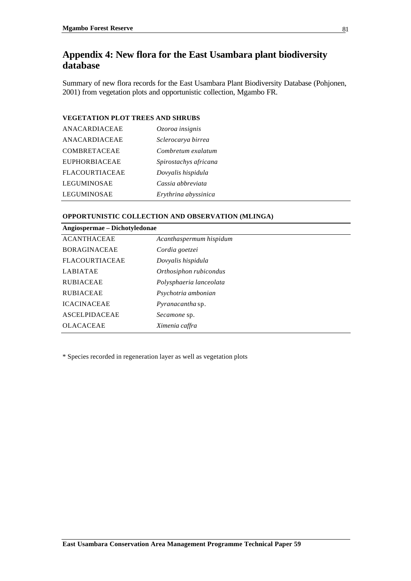## **Appendix 4: New flora for the East Usambara plant biodiversity database**

Summary of new flora records for the East Usambara Plant Biodiversity Database (Pohjonen, 2001) from vegetation plots and opportunistic collection, Mgambo FR.

#### **VEGETATION PLOT TREES AND SHRUBS**

| ANACARDIACEAE         | Ozoroa insignis       |
|-----------------------|-----------------------|
| ANACARDIACEAE         | Sclerocarya birrea    |
| <b>COMBRETACEAE</b>   | Combretum exalatum    |
| <b>EUPHORBIACEAE</b>  | Spirostachys africana |
| <b>FLACOURTIACEAE</b> | Dovyalis hispidula    |
| LEGUMINOSAE           | Cassia abbreviata     |
| <b>LEGUMINOSAE</b>    | Erythrina abyssinica  |

#### **OPPORTUNISTIC COLLECTION AND OBSERVATION (MLINGA)**

| Angiospermae - Dichotyledonae |                         |  |  |  |  |  |  |
|-------------------------------|-------------------------|--|--|--|--|--|--|
| <b>ACANTHACEAE</b>            | Acanthaspermum hispidum |  |  |  |  |  |  |
| <b>BORAGINACEAE</b>           | Cordia goetzei          |  |  |  |  |  |  |
| <b>FLACOURTIACEAE</b>         | Dovyalis hispidula      |  |  |  |  |  |  |
| <b>LABIATAE</b>               | Orthosiphon rubicondus  |  |  |  |  |  |  |
| <b>RUBIACEAE</b>              | Polysphaeria lanceolata |  |  |  |  |  |  |
| <b>RUBIACEAE</b>              | Psychotria ambonian     |  |  |  |  |  |  |
| <b>ICACINACEAE</b>            | <i>Pyranacantha sp.</i> |  |  |  |  |  |  |
| <b>ASCELPIDACEAE</b>          | Secamone sp.            |  |  |  |  |  |  |
| <b>OLACACEAE</b>              | Ximenia caffra          |  |  |  |  |  |  |

\* Species recorded in regeneration layer as well as vegetation plots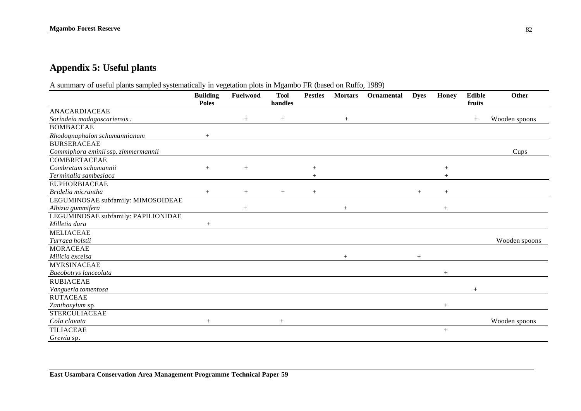# **Appendix 5: Useful plants**

A summary of useful plants sampled systematically in vegetation plots in Mgambo FR (based on Ruffo, 1989)

|                                     | <b>Building</b><br><b>Poles</b> | Fuelwood | <b>Tool</b><br>handles | <b>Pestles</b> | <b>Mortars</b> | Ornamental | <b>Dyes</b> | Honey | <b>Edible</b><br>fruits | Other         |
|-------------------------------------|---------------------------------|----------|------------------------|----------------|----------------|------------|-------------|-------|-------------------------|---------------|
| ANACARDIACEAE                       |                                 |          |                        |                |                |            |             |       |                         |               |
| Sorindeia madagascariensis.         |                                 |          |                        |                |                |            |             |       | $+$                     | Wooden spoons |
| <b>BOMBACEAE</b>                    |                                 | $^{+}$   | $+$                    |                | $+$            |            |             |       |                         |               |
|                                     |                                 |          |                        |                |                |            |             |       |                         |               |
| Rhodognaphalon schumannianum        |                                 |          |                        |                |                |            |             |       |                         |               |
| <b>BURSERACEAE</b>                  |                                 |          |                        |                |                |            |             |       |                         |               |
| Commiphora eminii ssp. zimmermannii |                                 |          |                        |                |                |            |             |       |                         | Cups          |
| <b>COMBRETACEAE</b>                 |                                 |          |                        |                |                |            |             |       |                         |               |
| Combretum schumannii                | $+$                             | $+$      |                        | $^{+}$         |                |            |             | $+$   |                         |               |
| Terminalia sambesiaca               |                                 |          |                        |                |                |            |             |       |                         |               |
| <b>EUPHORBIACEAE</b>                |                                 |          |                        |                |                |            |             |       |                         |               |
| Bridelia micrantha                  | $+$                             | $+$      | $+$                    | $^{+}$         |                |            | $+$         | $+$   |                         |               |
| LEGUMINOSAE subfamily: MIMOSOIDEAE  |                                 |          |                        |                |                |            |             |       |                         |               |
| Albizia gummifera                   |                                 |          |                        |                | $+$            |            |             |       |                         |               |
| LEGUMINOSAE subfamily: PAPILIONIDAE |                                 |          |                        |                |                |            |             |       |                         |               |
| Milletia dura                       | $+$                             |          |                        |                |                |            |             |       |                         |               |
| <b>MELIACEAE</b>                    |                                 |          |                        |                |                |            |             |       |                         |               |
| Turraea holstii                     |                                 |          |                        |                |                |            |             |       |                         | Wooden spoons |
| <b>MORACEAE</b>                     |                                 |          |                        |                |                |            |             |       |                         |               |
| Milicia excelsa                     |                                 |          |                        |                | $^{+}$         |            |             |       |                         |               |
| <b>MYRSINACEAE</b>                  |                                 |          |                        |                |                |            |             |       |                         |               |
| Baeobotrys lanceolata               |                                 |          |                        |                |                |            |             | $+$   |                         |               |
| <b>RUBIACEAE</b>                    |                                 |          |                        |                |                |            |             |       |                         |               |
| Vangueria tomentosa                 |                                 |          |                        |                |                |            |             |       |                         |               |
| <b>RUTACEAE</b>                     |                                 |          |                        |                |                |            |             |       |                         |               |
| Zanthoxylum sp.                     |                                 |          |                        |                |                |            |             | $+$   |                         |               |
| <b>STERCULIACEAE</b>                |                                 |          |                        |                |                |            |             |       |                         |               |
| Cola clavata                        | $\ddag$                         |          | $^{+}$                 |                |                |            |             |       |                         | Wooden spoons |
| <b>TILIACEAE</b>                    |                                 |          |                        |                |                |            |             | $+$   |                         |               |
| Grewia sp.                          |                                 |          |                        |                |                |            |             |       |                         |               |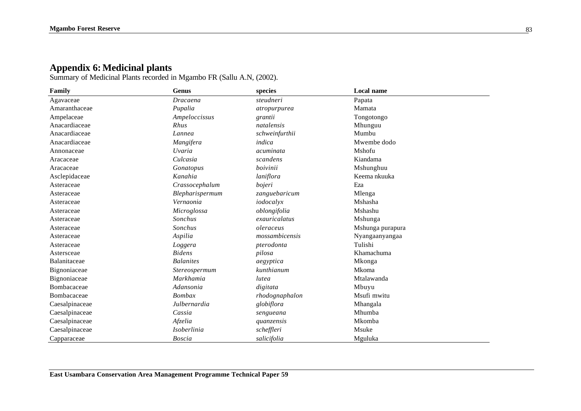### **Appendix 6:Medicinal plants**

Summary of Medicinal Plants recorded in Mgambo FR (Sallu A.N, (2002).

| Family         | <b>Genus</b>       | species        | <b>Local name</b> |  |
|----------------|--------------------|----------------|-------------------|--|
| Agavaceae      | Dracaena           | steudneri      | Papata            |  |
| Amaranthaceae  | Pupalia            | atropurpurea   | Mamata            |  |
| Ampelaceae     | Ampeloccissus      | grantii        | Tongotongo        |  |
| Anacardiaceae  | Rhus               | natalensis     | Mhunguu           |  |
| Anacardiaceae  | Lannea             | schweinfurthii | Mumbu             |  |
| Anacardiaceae  | Mangifera          | indica         | Mwembe dodo       |  |
| Annonaceae     | Uvaria             | acuminata      | Mshofu            |  |
| Aracaceae      | Culcasia           | scandens       | Kiandama          |  |
| Aracaceae      | Gonatopus          | boivinii       | Mshunghuu         |  |
| Asclepidaceae  | Kanahia            | laniflora      | Keema nkuuka      |  |
| Asteraceae     | Crassocephalum     | bojeri         | Eza               |  |
| Asteraceae     | Blepharispermum    | zanguebaricum  | Mlenga            |  |
| Asteraceae     | Vernaonia          | iodocalyx      | Mshasha           |  |
| Asteraceae     | Microglossa        | oblongifolia   | Mshashu           |  |
| Asteraceae     | Sonchus            | exauricalatus  | Mshunga           |  |
| Asteraceae     | Sonchus            | oleraceus      | Mshunga purapura  |  |
| Asteraceae     | Aspilia            | mossambicensis | Nyangaanyangaa    |  |
| Asteraceae     | Loggera            | pterodonta     | Tulishi           |  |
| Astersceae     | <b>Bidens</b>      | pilosa         | Khamachuma        |  |
| Balanitaceae   | <b>Balanites</b>   | aegyptica      | Mkonga            |  |
| Bignoniaceae   | Stereospermum      | kunthianum     | Mkoma             |  |
| Bignoniaceae   | Markhamia          | lutea          | Mtalawanda        |  |
| Bombacaceae    | Adansonia          | digitata       | Mbuyu             |  |
| Bombacaceae    | <b>Bombax</b>      | rhodognaphalon | Msufi mwitu       |  |
| Caesalpinaceae | Julbernardia       | globiflora     | Mhangala          |  |
| Caesalpinaceae | Cassia             | sengueana      | Mhumba            |  |
| Caesalpinaceae | Afzelia            | quanzensis     | Mkomba            |  |
| Caesalpinaceae | <i>Isoberlinia</i> | scheffleri     | Msuke             |  |
| Capparaceae    | <b>Boscia</b>      | salicifolia    | Mguluka           |  |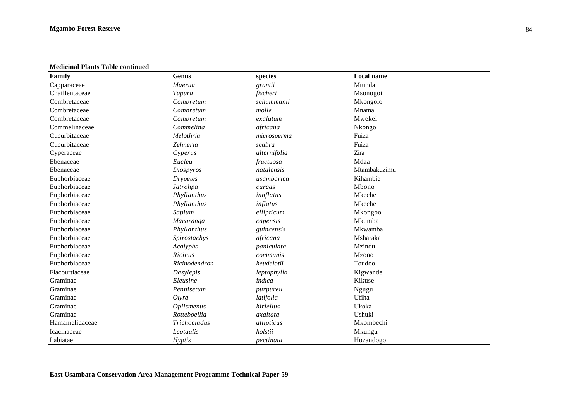**Medicinal Plants Table continued**

| Family         | <b>Genus</b>      | species      | <b>Local name</b> |
|----------------|-------------------|--------------|-------------------|
| Capparaceae    | Maerua            | grantii      | Mtunda            |
| Chaillentaceae | Tapura            | fischeri     | Msonogoi          |
| Combretaceae   | Combretum         | schummanii   | Mkongolo          |
| Combretaceae   | Combretum         | molle        | Mnama             |
| Combretaceae   | Combretum         | exalatum     | Mwekei            |
| Commelinaceae  | Commelina         | africana     | Nkongo            |
| Cucurbitaceae  | Melothria         | microsperma  | Fuiza             |
| Cucurbitaceae  | Zehneria          | scabra       | Fuiza             |
| Cyperaceae     | Cyperus           | alternifolia | Zira              |
| Ebenaceae      | Euclea            | fructuosa    | Mdaa              |
| Ebenaceae      | Diospyros         | natalensis   | Mtambakuzimu      |
| Euphorbiaceae  | <b>Drypetes</b>   | usambarica   | Kihambie          |
| Euphorbiaceae  | Jatrohpa          | curcas       | Mbono             |
| Euphorbiaceae  | Phyllanthus       | innflatus    | Mkeche            |
| Euphorbiaceae  | Phyllanthus       | inflatus     | Mkeche            |
| Euphorbiaceae  | Sapium            | ellipticum   | Mkongoo           |
| Euphorbiaceae  | Macaranga         | capensis     | Mkumba            |
| Euphorbiaceae  | Phyllanthus       | guincensis   | Mkwamba           |
| Euphorbiaceae  | Spirostachys      | africana     | Msharaka          |
| Euphorbiaceae  | Acalypha          | paniculata   | Mzindu            |
| Euphorbiaceae  | Ricinus           | communis     | Mzono             |
| Euphorbiaceae  | Ricinodendron     | heudelotii   | Toudoo            |
| Flacourtiaceae | Dasylepis         | leptophylla  | Kigwande          |
| Graminae       | Eleusine          | indica       | Kikuse            |
| Graminae       | Pennisetum        | purpureu     | Ngugu             |
| Graminae       | Olyra             | latifolia    | Ufiha             |
| Graminae       | <b>Oplismenus</b> | hirlellus    | Ukoka             |
| Graminae       | Rotteboellia      | axaltata     | Ushuki            |
| Hamamelidaceae | Trichocladus      | allipticus   | Mkombechi         |
| Icacinaceae    | Leptaulis         | holstii      | Mkungu            |
| Labiatae       | Hyptis            | pectinata    | Hozandogoi        |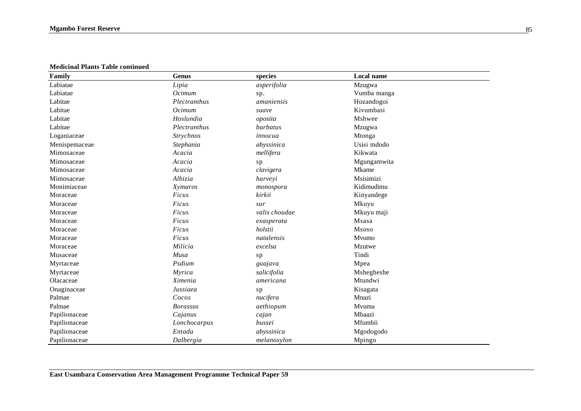**Medicinal Plants Table continued**

| Family        | <b>Genus</b>    | species       | Local name  |
|---------------|-----------------|---------------|-------------|
| Labiatae      | Lipia           | asperifolia   | Mzugwa      |
| Labiatae      | Ocimum          | sp.           | Vumba manga |
| Labitae       | Plectranthus    | amaniensis    | Hozandogoi  |
| Labitae       | Ocimum          | suave         | Kivumbasi   |
| Labitae       | Hoslundia       | oposita       | Mshwee      |
| Labitae       | Plectranthus    | barbatus      | Mzugwa      |
| Loganiaceae   | Strychnos       | innocua       | Mtonga      |
| Menispemaceae | Stephania       | abyssinica    | Usisi mdodo |
| Mimosaceae    | Acacia          | mellifera     | Kikwata     |
| Mimosaceae    | Acacia          | sp            | Mgungamwita |
| Mimosaceae    | Acacia          | clavigera     | Mkame       |
| Mimosaceae    | Albizia         | harveyi       | Msisimizi   |
| Monimiaceae   | Xymaros         | monospora     | Kidimudimu  |
| Moraceae      | Ficus           | kirkii        | Kinyandege  |
| Moraceae      | Ficus           | sur           | Mkuyu       |
| Moraceae      | Ficus           | valis choudae | Mkuyu maji  |
| Moraceae      | $Ficus$         | exasperata    | Msasa       |
| Moraceae      | Ficus           | holstii       | Msoso       |
| Moraceae      | Ficus           | natalensis    | Mvumo       |
| Moraceae      | Milicia         | excelsa       | Mzutwe      |
| Musaceae      | Musa            | sp            | Tindi       |
| Myrtaceae     | Psdium          | guajava       | Mpea        |
| Myrtaceae     | Myrica          | salicifolia   | Mshegheshe  |
| Olacaceae     | Ximenia         | americana     | Mtundwi     |
| Onaginaceae   | Jussiaea        | sp            | Kisagata    |
| Palmae        | Cocos           | nucifera      | Mnazi       |
| Palmae        | <b>Borassus</b> | aethiopum     | Mvuma       |
| Papilionaceae | Cajanus         | cajan         | Mbaazi      |
| Papilionaceae | Lonchocarpus    | bussei        | Mfumbii     |
| Papilionaceae | Entada          | abyssinica    | Mgodogodo   |
| Papilionaceae | Dalbergia       | melanoxylon   | Mpingo      |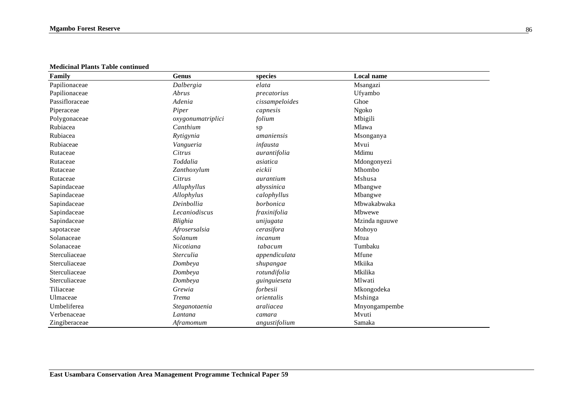**Medicinal Plants Table continued**

| Family         | <b>Genus</b>      | species        | Local name    |
|----------------|-------------------|----------------|---------------|
| Papilionaceae  | Dalbergia         | elata          | Msangazi      |
| Papilionaceae  | Abrus             | precatorius    | Ufyambo       |
| Passifloraceae | Adenia            | cissampeloides | Ghoe          |
| Piperaceae     | Piper             | capnesis       | Ngoko         |
| Polygonaceae   | oxygonumatriplici | folium         | Mbigili       |
| Rubiacea       | Canthium          | sp             | Mlawa         |
| Rubiacea       | Rytigynia         | amaniensis     | Msonganya     |
| Rubiaceae      | Vangueria         | infausta       | Mvui          |
| Rutaceae       | Citrus            | aurantifolia   | Mdimu         |
| Rutaceae       | Toddalia          | asiatica       | Mdongonyezi   |
| Rutaceae       | Zanthoxylum       | eickii         | Mhombo        |
| Rutaceae       | Citrus            | aurantium      | Mshusa        |
| Sapindaceae    | Alluphyllus       | abyssinica     | Mbangwe       |
| Sapindaceae    | Allophylus        | calophyllus    | Mbangwe       |
| Sapindaceae    | Deinbollia        | borbonica      | Mbwakabwaka   |
| Sapindaceae    | Lecaniodiscus     | fraxinifolia   | Mbwewe        |
| Sapindaceae    | Blighia           | unijugata      | Mzinda nguuwe |
| sapotaceae     | Afrosersalsia     | cerasifora     | Mohoyo        |
| Solanaceae     | Solanum           | incanum        | Mtua          |
| Solanaceae     | Nicotiana         | tabacum        | Tumbaku       |
| Sterculiaceae  | <i>Sterculia</i>  | appendiculata  | Mfune         |
| Sterculiaceae  | Dombeya           | shupangae      | Mkiika        |
| Sterculiaceae  | Dombeya           | rotundifolia   | Mkilika       |
| Sterculiaceae  | Dombeya           | guinguieseta   | Mlwati        |
| Tiliaceae      | Grewia            | forbesii       | Mkongodeka    |
| Ulmaceae       | <b>Trema</b>      | orientalis     | Mshinga       |
| Umbeliferea    | Steganotaenia     | araliacea      | Mnyongampembe |
| Verbenaceae    | Lantana           | camara         | Mvuti         |
| Zingiberaceae  | Aframomum         | angustifolium  | Samaka        |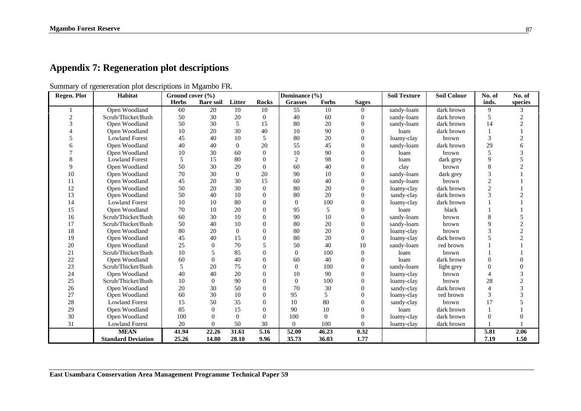# **Appendix 7: Regeneration plot descriptions**

Summary of rgenereration plot descriptions in Mgambo FR.

| Regen. Plot | Habitat                   | Ground cover $(\% )$ |                    |                |                | Dominance (%)  |          |                | <b>Soil Texture</b> | <b>Soil Colour</b> | No. of         | No. of         |
|-------------|---------------------------|----------------------|--------------------|----------------|----------------|----------------|----------|----------------|---------------------|--------------------|----------------|----------------|
|             |                           | <b>Herbs</b>         | <b>Bare soil</b>   | Litter         | <b>Rocks</b>   | <b>Grasses</b> | Forbs    | <b>Sages</b>   |                     |                    | inds.          | species        |
|             | Open Woodland             | 60                   | 20                 | 10             | 10             | 55             | 10       | $\Omega$       | sandy-loam          | dark brown         | 9              | 3              |
|             | Scrub/Thicket/Bush        | 50                   | 30                 | 20             | $\overline{0}$ | 40             | 60       | $\Omega$       | sandy-loam          | dark brown         | 5              | $\overline{2}$ |
|             | Open Woodland             | 50                   | 30                 | 5              | 15             | 80             | 20       | $\Omega$       | sandy-loam          | dark brown         | 14             | $\overline{c}$ |
|             | Open Woodland             | 10                   | 20                 | 30             | 40             | 10             | 90       | $\Omega$       | loam                | dark brown         |                |                |
|             | <b>Lowland Forest</b>     | 45                   | 40                 | 10             | 5              | 80             | 20       | $\Omega$       | loamy-clay          | brown              | 3              | $\overline{2}$ |
|             | Open Woodland             | 40                   | 40                 | $\theta$       | 20             | 55             | 45       | $\Omega$       | sandy-loam          | dark brown         | 29             |                |
|             | Open Woodland             | 10                   | 30                 | 60             | $\Omega$       | 10             | 90       | $\Omega$       | loam                | brown              | 5              | 3              |
|             | <b>Lowland Forest</b>     | 5                    | 15                 | 80             | $\Omega$       | $\overline{2}$ | 98       | $\Omega$       | loam                | dark grey          | 9              |                |
|             | Open Woodland             | 50                   | 30                 | 20             | $\Omega$       | 60             | 40       | $\Omega$       | clay                | brown              | 8              | $\gamma$       |
| 10          | Open Woodland             | 70                   | 30                 | $\overline{0}$ | 20             | 90             | 10       | $\Omega$       | sandy-loam          | dark grey          | 3              |                |
| 11          | Open Woodland             | 45                   | 20                 | 30             | 15             | 60             | 40       | $\Omega$       | sandy-loam          | brown              | $\overline{c}$ |                |
| 12          | Open Woodland             | 50                   | 20                 | 30             | $\Omega$       | 80             | 20       | $\theta$       | loamy-clay          | dark brown         | $\overline{2}$ |                |
| 13          | Open Woodland             | 50                   | 40                 | 10             | $\Omega$       | 80             | 20       | $\Omega$       | sandy-clay          | dark brown         | 3              | $\mathfrak{D}$ |
| 14          | <b>Lowland Forest</b>     | 10                   | 10                 | 80             | $\Omega$       | $\Omega$       | 100      | $\theta$       | loamy-clay          | dark brown         |                |                |
| 15          | Open Woodland             | 70                   | 10                 | 20             | $\Omega$       | 95             | 5        | $\Omega$       | loam                | black              |                |                |
| 16          | Scrub/Thicket/Bush        | 60                   | 30                 | 10             | $\Omega$       | 90             | 10       | $\Omega$       | sandy-loam          | brown              | 8              |                |
| 17          | Scrub/Thicket/Bush        | 50                   | 40                 | 10             | $\Omega$       | 80             | 20       | $\Omega$       | sandy-loam          | brown              | 9              | $\sqrt{2}$     |
| 18          | Open Woodland             | 80                   | 20                 | $\theta$       | $\Omega$       | 80             | 20       | $\Omega$       | loamy-clay          | brown              | 3              | $\overline{c}$ |
| 19          | Open Woodland             | 45                   | 40                 | 15             | $\mathbf{0}$   | 80             | 20       | $\overline{0}$ | loamy-clay          | dark brown         |                | $\overline{2}$ |
| 20          | Open Woodland             | 25                   | 0                  | 70             | 5              | 50             | 40       | 10             | sandy-loam          | red brown          |                |                |
| 21          | Scrub/Thicket/Bush        | 10                   | 5                  | 85             | $\Omega$       | $\theta$       | 100      | $\theta$       | loam                | brown              |                |                |
| 22          | Open Woodland             | 60                   | 0                  | 40             | $\Omega$       | 60             | 40       | $\Omega$       | loam                | dark brown         | 0              |                |
| 23          | Scrub/Thicket/Bush        | 5                    | 20                 | 75             | $\Omega$       | $\Omega$       | 100      | $\theta$       | sandy-loam          | light grey         | O              |                |
| 24          | Open Woodland             | 40                   | 40                 | 20             | $\Omega$       | 10             | 90       | $\Omega$       | loamy-clay          | brown              |                | 3              |
| 25          | Scrub/Thicket/Bush        | 10                   | $\Omega$           | 90             |                | $\theta$       | 100      | $\Omega$       | loamy-clay          | brown              | 28             | $\mathfrak{2}$ |
| 26          | Open Woodland             | 20                   | 30                 | 50             | $\Omega$       | 70             | 30       | $\Omega$       | sandy-clay          | dark brown         | Δ              |                |
| 27          | Open Woodland             | 60                   | 30                 | 10             | $\Omega$       | 95             | 5        | $\Omega$       | loamy-clay          | red brown          | 3              |                |
| 28          | <b>Lowland Forest</b>     | 15                   | 50                 | 35             | $\Omega$       | 10             | 80       | $\Omega$       | sandy-clay          | brown              | 17             |                |
| 29          | Open Woodland             | 85                   | 0                  | 15             | $\Omega$       | 90             | 10       | $\Omega$       | loam                | dark brown         |                |                |
| 30          | Open Woodland             | 100                  | $\Omega$           | $\theta$       | $\Omega$       | 100            | $\Omega$ | $\overline{0}$ | loamy-clay          | dark brown         | 0              |                |
| 31          | <b>Lowland Forest</b>     | 20                   | 0                  | 50             | 30             | $\Omega$       | 100      | $\Omega$       | loamy-clay          | dark brown         |                |                |
|             | <b>MEAN</b>               | 41.94                | $\overline{22.26}$ | 31.61          | 5.16           | 52.00          | 46.23    | 0.32           |                     |                    | 5.81           | 2.06           |
|             | <b>Standard Deviation</b> | 25.26                | 14.80              | 28.10          | 9.96           | 35.73          | 36.03    | 1.77           |                     |                    | 7.19           | 1.50           |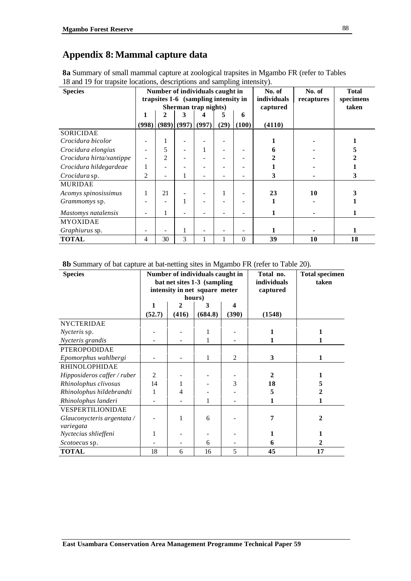# **Appendix 8:Mammal capture data**

| <b>8a</b> Summary of small mammal capture at zoological trapsites in Mgambo FR (refer to Tables |  |
|-------------------------------------------------------------------------------------------------|--|
| 18 and 19 for trapsite locations, descriptions and sampling intensity).                         |  |

| <b>Species</b>           |       |                                      |                     | Number of individuals caught in |      |          | No. of      | No. of     | <b>Total</b> |
|--------------------------|-------|--------------------------------------|---------------------|---------------------------------|------|----------|-------------|------------|--------------|
|                          |       | trapsites 1-6 (sampling intensity in |                     |                                 |      |          | individuals | recaptures | specimens    |
|                          |       |                                      |                     | Sherman trap nights)            |      |          | captured    |            | taken        |
|                          |       |                                      | 3                   |                                 |      | 6        |             |            |              |
|                          | (998) |                                      | $(989)$ (997) (997) |                                 | (29) | (100)    | (4110)      |            |              |
| <b>SORICIDAE</b>         |       |                                      |                     |                                 |      |          |             |            |              |
| Crocidura bicolor        |       |                                      |                     |                                 |      |          |             |            |              |
| Crocidura elongius       |       | 5                                    |                     |                                 |      |          |             |            |              |
| Crocidura hirta/xantippe |       | 2                                    |                     |                                 |      |          |             |            |              |
| Crocidura hildegardeae   | 1     |                                      |                     |                                 |      |          |             |            |              |
| Crocidura sp.            | 2     |                                      |                     |                                 |      |          | 3           |            |              |
| <b>MURIDAE</b>           |       |                                      |                     |                                 |      |          |             |            |              |
| Acomys spinosissimus     |       | 21                                   |                     |                                 |      |          | 23          | 10         |              |
| Grammomys sp.            |       |                                      |                     |                                 |      |          |             |            |              |
| Mastomys natalensis      | ۰     |                                      |                     |                                 |      |          |             |            |              |
| <b>MYOXIDAE</b>          |       |                                      |                     |                                 |      |          |             |            |              |
| <i>Graphiurus</i> sp.    |       |                                      |                     |                                 |      |          |             |            |              |
| <b>TOTAL</b>             | 4     | 30                                   | 3                   |                                 |      | $\theta$ | 39          | 10         | 18           |

**8b** Summary of bat capture at bat-netting sites in Mgambo FR (refer to Table 20).

| <b>Species</b>              |                |                             | Number of individuals caught in |       | Total no.   | <b>Total specimen</b> |
|-----------------------------|----------------|-----------------------------|---------------------------------|-------|-------------|-----------------------|
|                             |                | bat net sites 1-3 (sampling |                                 |       | individuals | taken                 |
|                             |                |                             | intensity in net square meter   |       | captured    |                       |
|                             |                |                             | hours)                          |       |             |                       |
|                             | 1              | $\mathbf{2}$                | 3                               | 4     |             |                       |
|                             | (52.7)         | (416)                       | (684.8)                         | (390) | (1548)      |                       |
| <b>NYCTERIDAE</b>           |                |                             |                                 |       |             |                       |
| <i>Nycteris</i> sp.         |                |                             |                                 |       |             |                       |
| Nycteris grandis            |                |                             | 1                               |       |             | 1                     |
| PTEROPODIDAE                |                |                             |                                 |       |             |                       |
| Epomorphus wahlbergi        |                |                             | 1                               | 2     | 3           | 1                     |
| <b>RHINOLOPHIDAE</b>        |                |                             |                                 |       |             |                       |
| Hipposideros caffer / ruber | $\overline{2}$ |                             |                                 |       | 2           |                       |
| Rhinolophus clivosus        | 14             | $\mathbf 1$                 |                                 | 3     | 18          | 5                     |
| Rhinolophus hildebrandti    |                | 4                           |                                 |       | 5           | 2                     |
| Rhinolophus landeri         |                |                             | 1                               |       | 1           | 1                     |
| VESPERTILIONIDAE            |                |                             |                                 |       |             |                       |
| Glauconycteris argentata /  |                |                             | 6                               |       | 7           | 2                     |
| variegata                   |                |                             |                                 |       |             |                       |
| Nyctecius shlieffeni        | 1              |                             |                                 |       | 1           | 1                     |
| Scotoecus sp.               |                |                             | 6                               |       | 6           | 2                     |
| <b>TOTAL</b>                | 18             | 6                           | 16                              | 5     | 45          | 17                    |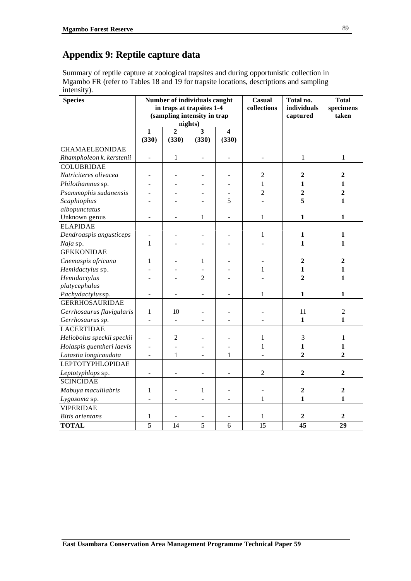# **Appendix 9: Reptile capture data**

Summary of reptile capture at zoological trapsites and during opportunistic collection in Mgambo FR (refer to Tables 18 and 19 for trapsite locations, descriptions and sampling intensity).

| <b>Species</b>             |                          | Number of individuals caught<br>in traps at trapsites 1-4<br>(sampling intensity in trap | nights)        |       | Casual<br>collections | Total no.<br>individuals<br>captured | <b>Total</b><br>specimens<br>taken |
|----------------------------|--------------------------|------------------------------------------------------------------------------------------|----------------|-------|-----------------------|--------------------------------------|------------------------------------|
|                            | 1                        | 2                                                                                        | 3              | 4     |                       |                                      |                                    |
|                            | (330)                    | (330)                                                                                    | (330)          | (330) |                       |                                      |                                    |
| <b>CHAMAELEONIDAE</b>      |                          |                                                                                          |                |       |                       |                                      |                                    |
| Rhampholeon k. kerstenii   | $\overline{\phantom{0}}$ | $1\,$                                                                                    | $\frac{1}{2}$  |       |                       | $\,1$                                | $\,1$                              |
| <b>COLUBRIDAE</b>          |                          |                                                                                          |                |       |                       |                                      |                                    |
| Natriciteres olivacea      |                          |                                                                                          |                |       | $\overline{c}$        | $\overline{2}$                       | $\overline{2}$                     |
| Philothamnus sp.           |                          |                                                                                          |                |       | $\mathbf{1}$          | 1                                    | 1                                  |
| Psammophis sudanensis      | ٠                        |                                                                                          | $\overline{a}$ |       | $\overline{c}$        | $\overline{2}$                       | $\overline{2}$                     |
| Scaphiophus                |                          |                                                                                          |                | 5     |                       | 5                                    | 1                                  |
| albopunctatus              |                          |                                                                                          |                |       |                       |                                      |                                    |
| Unknown genus              | $\overline{\phantom{a}}$ | $\blacksquare$                                                                           | $\mathbf 1$    | ÷     | 1                     | 1                                    | 1                                  |
| <b>ELAPIDAE</b>            |                          |                                                                                          |                |       |                       |                                      |                                    |
| Dendroaspis angusticeps    | $\overline{\phantom{a}}$ |                                                                                          |                |       | $\mathbf{1}$          | $\mathbf{1}$                         | 1                                  |
| Naja sp.                   | $\mathbf{1}$             |                                                                                          |                |       |                       | $\mathbf{1}$                         | 1                                  |
| <b>GEKKONIDAE</b>          |                          |                                                                                          |                |       |                       |                                      |                                    |
| Cnemaspis africana         | $\mathbf{1}$             |                                                                                          | $\mathbf{1}$   |       |                       | $\overline{2}$                       | $\mathbf{2}$                       |
| Hemidactylus sp.           |                          |                                                                                          |                |       | $\mathbf{1}$          | $\mathbf{1}$                         | 1                                  |
| Hemidactylus               |                          |                                                                                          | $\overline{2}$ |       |                       | $\overline{2}$                       | $\mathbf{1}$                       |
| platycephalus              |                          |                                                                                          |                |       |                       |                                      |                                    |
| Pachydactylussp.           |                          |                                                                                          |                |       | $\mathbf{1}$          | $\mathbf{1}$                         | 1                                  |
| <b>GERRHOSAURIDAE</b>      |                          |                                                                                          |                |       |                       |                                      |                                    |
| Gerrhosaurus flavigularis  | $\mathbf{1}$             | 10                                                                                       |                |       |                       | 11                                   | $\overline{2}$                     |
| Gerrhosaurus sp.           | ÷,                       |                                                                                          |                |       |                       | 1                                    | 1                                  |
| <b>LACERTIDAE</b>          |                          |                                                                                          |                |       |                       |                                      |                                    |
| Heliobolus speckii speckii | $\overline{a}$           | $\overline{2}$                                                                           |                |       | $\mathbf{1}$          | $\mathfrak{Z}$                       | 1                                  |
| Holaspis guentheri laevis  | ä,                       |                                                                                          |                |       | $\mathbf{1}$          | $\mathbf{1}$                         | $\mathbf{1}$                       |
| Latastia longicaudata      | L.                       | $\mathbf{1}$                                                                             |                | 1     | ÷                     | $\overline{2}$                       | $\overline{2}$                     |
| <b>LEPTOTYPHLOPIDAE</b>    |                          |                                                                                          |                |       |                       |                                      |                                    |
| Leptotyphlops sp.          | $\overline{a}$           |                                                                                          |                |       | $\overline{c}$        | $\overline{2}$                       | $\mathbf{2}$                       |
| <b>SCINCIDAE</b>           |                          |                                                                                          |                |       |                       |                                      |                                    |
| Mabuya maculilabris        | 1                        |                                                                                          | $\mathbf{1}$   |       |                       | $\boldsymbol{2}$                     | $\mathbf{2}$                       |
| Lygosoma sp.               | $\overline{a}$           |                                                                                          |                |       | $\mathbf{1}$          | $\mathbf{1}$                         | 1                                  |
| <b>VIPERIDAE</b>           |                          |                                                                                          |                |       |                       |                                      |                                    |
| <b>Bitis</b> arientans     | 1                        |                                                                                          |                |       | 1                     | 2                                    | 2                                  |
| <b>TOTAL</b>               | 5                        | 14                                                                                       | 5              | 6     | 15                    | 45                                   | 29                                 |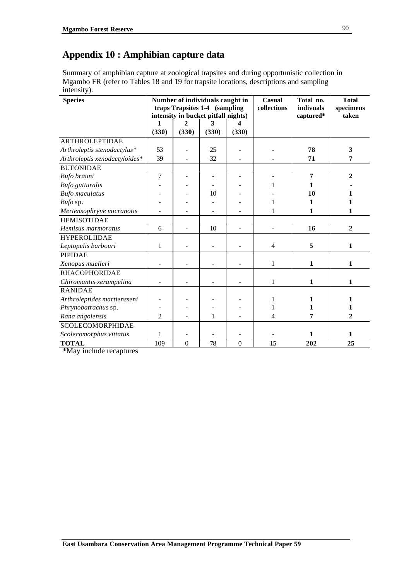# **Appendix 10 : Amphibian capture data**

Summary of amphibian capture at zoological trapsites and during opportunistic collection in Mgambo FR (refer to Tables 18 and 19 for trapsite locations, descriptions and sampling intensity).

| <b>Species</b>                |                |                  | Number of individuals caught in<br>traps Trapsites 1-4 (sampling<br>intensity in bucket pitfall nights) |                  | Casual<br>collections | Total no.<br>indivuals<br>captured* | <b>Total</b><br>specimens<br>taken |
|-------------------------------|----------------|------------------|---------------------------------------------------------------------------------------------------------|------------------|-----------------------|-------------------------------------|------------------------------------|
|                               | 1              | $\mathbf{2}$     | 3                                                                                                       | 4                |                       |                                     |                                    |
|                               | (330)          | (330)            | (330)                                                                                                   | (330)            |                       |                                     |                                    |
| <b>ARTHROLEPTIDAE</b>         |                |                  |                                                                                                         |                  |                       |                                     |                                    |
| Arthroleptis stenodactylus*   | 53             |                  | 25                                                                                                      |                  |                       | 78                                  | 3                                  |
| Arthroleptis xenodactyloides* | 39             |                  | 32                                                                                                      |                  |                       | 71                                  | 7                                  |
| <b>BUFONIDAE</b>              |                |                  |                                                                                                         |                  |                       |                                     |                                    |
| Bufo brauni                   | 7              |                  |                                                                                                         |                  |                       | 7                                   | $\overline{2}$                     |
| Bufo gutturalis               |                |                  |                                                                                                         |                  |                       | 1                                   |                                    |
| <b>Bufo</b> maculatus         |                |                  | 10                                                                                                      |                  |                       | 10                                  | 1                                  |
| Bufo sp.                      |                |                  |                                                                                                         |                  | 1                     | 1                                   | 1                                  |
| Mertensophryne micranotis     |                |                  |                                                                                                         |                  |                       | 1                                   | 1                                  |
| <b>HEMISOTIDAE</b>            |                |                  |                                                                                                         |                  |                       |                                     |                                    |
| Hemisus marmoratus            | 6              |                  | 10                                                                                                      |                  |                       | 16                                  | $\overline{2}$                     |
| <b>HYPEROLIIDAE</b>           |                |                  |                                                                                                         |                  |                       |                                     |                                    |
| Leptopelis barbouri           | 1              |                  |                                                                                                         |                  | $\overline{4}$        | 5                                   | 1                                  |
| <b>PIPIDAE</b>                |                |                  |                                                                                                         |                  |                       |                                     |                                    |
| Xenopus muelleri              |                |                  |                                                                                                         |                  | $\mathbf{1}$          | $\mathbf{1}$                        | 1                                  |
| <b>RHACOPHORIDAE</b>          |                |                  |                                                                                                         |                  |                       |                                     |                                    |
| Chiromantis xerampelina       | $\overline{a}$ |                  |                                                                                                         |                  | 1                     | 1                                   | $\mathbf{1}$                       |
| <b>RANIDAE</b>                |                |                  |                                                                                                         |                  |                       |                                     |                                    |
| Arthroleptides martiensseni   |                |                  |                                                                                                         |                  | 1                     | 1                                   | 1                                  |
| Phrynobatrachus sp.           |                |                  |                                                                                                         |                  | 1                     | 1                                   | 1                                  |
| Rana angolensis               | $\overline{c}$ |                  | 1                                                                                                       |                  | 4                     | 7                                   | $\mathbf{2}$                       |
| <b>SCOLECOMORPHIDAE</b>       |                |                  |                                                                                                         |                  |                       |                                     |                                    |
| Scolecomorphus vittatus       | 1              |                  |                                                                                                         |                  |                       | $\mathbf{1}$                        | 1                                  |
| <b>TOTAL</b>                  | 109            | $\boldsymbol{0}$ | 78                                                                                                      | $\boldsymbol{0}$ | 15                    | 202                                 | 25                                 |

\*May include recaptures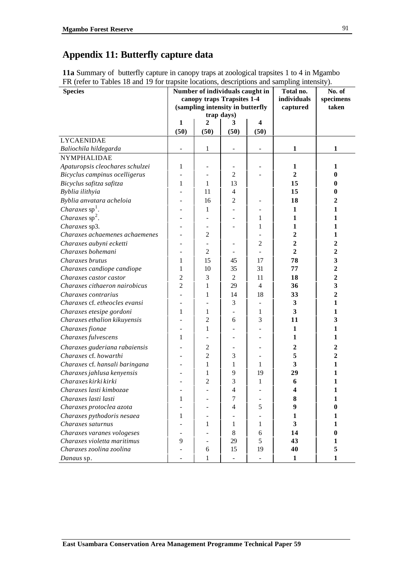# **Appendix 11: Butterfly capture data**

**11a** Summary of butterfly capture in canopy traps at zoological trapsites 1 to 4 in Mgambo FR (refer to Tables 18 and 19 for trapsite locations, descriptions and sampling intensity).

| <b>Species</b>                  |                          |                | Number of individuals caught in<br>canopy traps Trapsites 1-4<br>(sampling intensity in butterfly | Total no.<br>individuals<br>captured | No. of<br>specimens<br>taken |                |
|---------------------------------|--------------------------|----------------|---------------------------------------------------------------------------------------------------|--------------------------------------|------------------------------|----------------|
|                                 |                          |                | trap days)                                                                                        |                                      |                              |                |
|                                 | 1                        | 2              | 3                                                                                                 | 4                                    |                              |                |
|                                 | (50)                     | (50)           | (50)                                                                                              | (50)                                 |                              |                |
| <b>LYCAENIDAE</b>               |                          |                |                                                                                                   |                                      |                              |                |
| Baliochila hildegarda           | $\overline{\phantom{a}}$ | 1              | $\overline{\phantom{a}}$                                                                          | $\overline{\phantom{a}}$             | 1                            | 1              |
| NYMPHALIDAE                     |                          |                |                                                                                                   |                                      |                              |                |
| Apaturopsis cleochares schulzei | 1                        |                |                                                                                                   |                                      | 1                            | 1              |
| Bicyclus campinus ocelligerus   |                          |                | $\overline{c}$                                                                                    |                                      | $\overline{2}$               | 0              |
| Bicyclus safitza safitza        | 1                        | 1              | 13                                                                                                |                                      | 15                           | 0              |
| Byblia ilithyia                 |                          | 11             | 4                                                                                                 |                                      | 15                           | 0              |
| Byblia anvatara acheloia        |                          | 16             | 2                                                                                                 |                                      | 18                           | 2              |
| <i>Charaxes</i> $sp1$ .         |                          | 1              |                                                                                                   |                                      | $\mathbf{1}$                 | 1              |
| Charaxes $sp2$ .                |                          |                |                                                                                                   | 1                                    | 1                            | 1              |
| Charaxes sp3.                   |                          |                |                                                                                                   | 1                                    | $\mathbf{1}$                 | 1              |
| Charaxes achaemenes achaemenes  |                          | $\overline{2}$ |                                                                                                   |                                      | $\mathbf{2}$                 | $\mathbf{1}$   |
| Charaxes aubyni ecketti         |                          |                |                                                                                                   | $\overline{2}$                       | $\mathbf{2}$                 | $\overline{2}$ |
| Charaxes bohemani               |                          | $\overline{c}$ |                                                                                                   |                                      | $\overline{2}$               | $\overline{2}$ |
| Charaxes brutus                 | 1                        | 15             | 45                                                                                                | 17                                   | 78                           | 3              |
| Charaxes candiope candiope      | 1                        | 10             | 35                                                                                                | 31                                   | 77                           | $\overline{2}$ |
| Charaxes castor castor          | 2                        | 3              | $\overline{2}$                                                                                    | 11                                   | 18                           | $\overline{2}$ |
| Charaxes cithaeron nairobicus   | 2                        | 1              | 29                                                                                                | 4                                    | 36                           | 3              |
| Charaxes contrarius             |                          | 1              | 14                                                                                                | 18                                   | 33                           | $\overline{2}$ |
| Charaxes cf. etheocles evansi   |                          |                | 3                                                                                                 |                                      | 3                            | 1              |
| Charaxes etesipe gordoni        | 1                        | 1              |                                                                                                   | 1                                    | 3                            | $\mathbf{1}$   |
| Charaxes ethalion kikuyensis    |                          | $\overline{2}$ | 6                                                                                                 | 3                                    | 11                           | 3              |
| Charaxes fionae                 |                          | 1              |                                                                                                   |                                      | $\mathbf{1}$                 | 1              |
| Charaxes fulvescens             | 1                        |                |                                                                                                   |                                      | $\mathbf{1}$                 | 1              |
| Charaxes guderiana rabaiensis   |                          | $\overline{c}$ |                                                                                                   |                                      | $\overline{2}$               | 2              |
| Charaxes cf. howarthi           |                          | $\overline{2}$ | 3                                                                                                 |                                      | 5                            | 2              |
| Charaxes cf. hansali baringana  |                          | 1              | 1                                                                                                 | 1                                    | 3                            | 1              |
| Charaxes jahlusa kenyensis      |                          | 1              | 9                                                                                                 | 19                                   | 29                           | 1              |
| Charaxes kirki kirki            |                          | $\mathfrak{2}$ | 3                                                                                                 | 1                                    | 6                            | 1              |
| Charaxes lasti kimbozae         |                          |                | 4                                                                                                 |                                      | 4                            | 1              |
| Charaxes lasti lasti            | 1                        |                | 7                                                                                                 |                                      | 8                            | 1              |
| Charaxes protoclea azota        |                          |                | 4                                                                                                 | 5                                    | 9                            | 0              |
| Charaxes pythodoris nesaea      | $\mathbf{1}$             |                |                                                                                                   |                                      | $\mathbf{1}$                 | 1              |
| Charaxes saturnus               |                          | 1              | 1                                                                                                 | 1                                    | 3                            | $\mathbf{1}$   |
| Charaxes varanes vologeses      |                          |                | 8                                                                                                 | 6                                    | 14                           | $\bf{0}$       |
| Charaxes violetta maritimus     | 9                        | -              | 29                                                                                                | 5                                    | 43                           | $\mathbf{1}$   |
| Charaxes zoolina zoolina        |                          | 6              | 15                                                                                                | 19                                   | 40                           | 5              |
| Danaus sp.                      |                          | 1              |                                                                                                   |                                      | $\mathbf{1}$                 | 1              |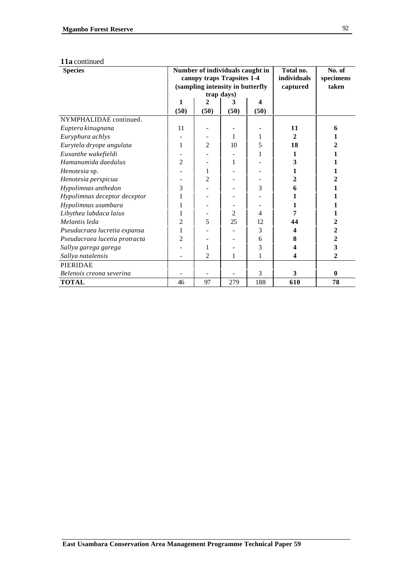#### **11a** continued

| <b>Species</b>                |      |                | Number of individuals caught in<br>canopy traps Trapsites 1-4<br>(sampling intensity in butterfly<br>trap days) | Total no.<br>individuals<br>captured | No. of<br>specimens<br>taken |              |
|-------------------------------|------|----------------|-----------------------------------------------------------------------------------------------------------------|--------------------------------------|------------------------------|--------------|
|                               | 1    | 2              | 3                                                                                                               | 4                                    |                              |              |
| NYMPHALIDAE continued.        | (50) | (50)           | (50)                                                                                                            | (50)                                 |                              |              |
|                               | 11   |                |                                                                                                                 |                                      | 11                           | 6            |
| Euptera kinugnana             |      |                |                                                                                                                 |                                      |                              |              |
| Euryphura achlys              |      |                | 1                                                                                                               | 1                                    | 2                            |              |
| Eurytela dryope angulata      | 1    | $\overline{2}$ | 10                                                                                                              | 5                                    | 18                           |              |
| Euxanthe wakefieldi           |      |                |                                                                                                                 | 1                                    | 1                            |              |
| Hamanumida daedalus           | 2    |                | 1                                                                                                               |                                      | 3                            |              |
| Henotesia sp.                 |      | 1              |                                                                                                                 |                                      | 1                            |              |
| Henotesia perspicua           |      | $\overline{c}$ |                                                                                                                 |                                      | 2                            |              |
| Hypolimnas anthedon           | 3    |                |                                                                                                                 | 3                                    | 6                            |              |
| Hypolimnas deceptor deceptor  |      |                |                                                                                                                 |                                      |                              |              |
| Hypolimnas usambara           |      |                |                                                                                                                 |                                      |                              |              |
| Libythea labdaca laius        |      |                | 2                                                                                                               | 4                                    | 7                            |              |
| Melantis leda                 | 2    | 5              | 25                                                                                                              | 12                                   | 44                           | 2            |
| Pseudacraea lucretia expansa  |      |                |                                                                                                                 | 3                                    | 4                            | 2            |
| Pseudacraea lucetia protracta | 2    |                |                                                                                                                 | 6                                    | 8                            | 2            |
| Sallya garega garega          |      | 1              |                                                                                                                 | 3                                    |                              | 3            |
| Sallya natalensis             |      | 2              | 1                                                                                                               | 1                                    | 4                            | 2            |
| PIERIDAE                      |      |                |                                                                                                                 |                                      |                              |              |
| Belenois creona severina      |      |                |                                                                                                                 | 3                                    | 3                            | $\mathbf{0}$ |
| <b>TOTAL</b>                  | 46   | 97             | 279                                                                                                             | 188                                  | 610                          | 78           |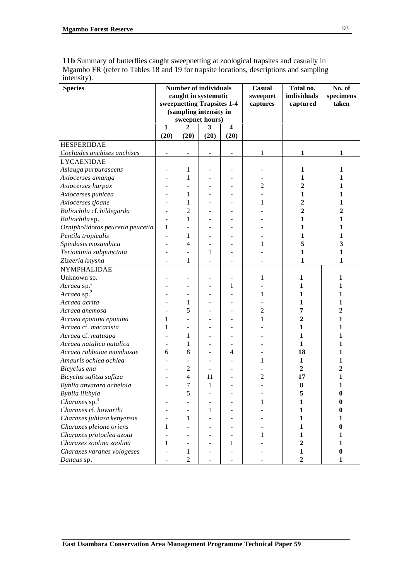**11b** Summary of butterflies caught sweepnetting at zoological trapsites and casually in Mgambo FR (refer to Tables 18 and 19 for trapsite locations, descriptions and sampling intensity).

| <b>Species</b>                                       | <b>Number of individuals</b><br>caught in systematic<br>sweepnetting Trapsites 1-4<br>(sampling intensity in<br>sweepnet hours) |                          | Casual<br>sweepnet<br>captures | Total no.<br>individuals<br>captured | No. of<br>specimens<br>taken |                                |              |
|------------------------------------------------------|---------------------------------------------------------------------------------------------------------------------------------|--------------------------|--------------------------------|--------------------------------------|------------------------------|--------------------------------|--------------|
|                                                      | 1                                                                                                                               | 2                        | 3                              | 4                                    |                              |                                |              |
|                                                      | (20)                                                                                                                            | (20)                     | (20)                           | (20)                                 |                              |                                |              |
| <b>HESPERIIDAE</b>                                   |                                                                                                                                 |                          |                                |                                      |                              |                                |              |
| Coeliades anchises anchises                          |                                                                                                                                 |                          |                                |                                      |                              | 1                              | 1            |
|                                                      |                                                                                                                                 |                          | $\qquad \qquad \blacksquare$   |                                      | 1                            |                                |              |
| <b>LYCAENIDAE</b>                                    |                                                                                                                                 |                          |                                |                                      |                              |                                |              |
| Aslauga purpurascens                                 |                                                                                                                                 | 1                        |                                |                                      |                              | 1                              | 1            |
| Axiocerses amanga                                    |                                                                                                                                 | 1                        |                                |                                      |                              | 1                              | 1            |
| Axiocerses harpax                                    |                                                                                                                                 |                          |                                |                                      | 2                            | 2                              | 1            |
| Axiocerses punicea                                   |                                                                                                                                 | 1                        |                                |                                      |                              | 1                              | 1            |
| Axiocerses tjoane                                    |                                                                                                                                 | 1                        |                                |                                      | 1                            | 2                              | 1            |
| Baliochila cf. hildegarda                            |                                                                                                                                 | $\overline{c}$           |                                |                                      |                              | 2                              | 2            |
| Baliochila sp.                                       |                                                                                                                                 | 1                        |                                |                                      |                              | 1                              | 1            |
| Ornipholidotos peucetia peucetia                     | 1                                                                                                                               |                          |                                |                                      |                              | 1                              | 1            |
| Pentila tropicalis                                   |                                                                                                                                 | 1                        |                                |                                      |                              | 1                              | 1            |
| Spindasis mozambica                                  |                                                                                                                                 | 4                        |                                |                                      | 1                            | 5                              | 3            |
| Teriominia subpunctata                               |                                                                                                                                 |                          | 1                              |                                      |                              | 1                              | 1            |
| Zizeeria knysna                                      |                                                                                                                                 | 1                        |                                |                                      |                              | 1                              | 1            |
| NYMPHALIDAE                                          |                                                                                                                                 |                          |                                |                                      |                              |                                |              |
| Unknown sp.                                          |                                                                                                                                 |                          |                                |                                      | 1                            | 1                              | 1            |
| Acraea sp.                                           |                                                                                                                                 |                          |                                | 1                                    |                              | 1                              | 1            |
| Acraea sp. <sup>2</sup>                              |                                                                                                                                 | ۰                        |                                |                                      | 1                            | 1                              | 1            |
| Acraea acrita                                        |                                                                                                                                 | 1                        |                                |                                      |                              | 1                              | 1            |
| Acraea anemosa                                       |                                                                                                                                 | 5                        |                                |                                      | 2                            | 7                              | $\mathbf{2}$ |
| Acraea eponina eponina                               | 1                                                                                                                               |                          |                                |                                      | 1                            | 2                              | 1            |
| Acraea cf. macarista                                 | 1                                                                                                                               | $\overline{\phantom{0}}$ |                                |                                      |                              | 1                              | 1            |
| Acraea cf. matuapa                                   |                                                                                                                                 | 1                        |                                |                                      |                              | 1                              | 1            |
| Acraea natalica natalica                             |                                                                                                                                 | 1                        |                                |                                      |                              | 1                              | 1            |
| Acraea rabbaiae mombasae                             | 6                                                                                                                               | 8                        |                                | 4                                    |                              | 18                             | 1            |
| Amauris ochlea ochlea                                |                                                                                                                                 |                          |                                |                                      | 1                            | 1                              | 1            |
| Bicyclus ena                                         |                                                                                                                                 | $\overline{c}$           |                                |                                      |                              | 2                              | 2            |
| Bicyclus safitza safitza                             |                                                                                                                                 | 4                        | 11                             |                                      | 2                            | 17                             | 1            |
| Byblia anvatara acheloia                             |                                                                                                                                 | 7                        | 1                              |                                      |                              | 8                              | 1            |
| Byblia ilithyia                                      |                                                                                                                                 | 5                        |                                |                                      |                              | 5                              | 0            |
| Charaxes sp. <sup>4</sup>                            |                                                                                                                                 |                          |                                |                                      | 1                            | $\mathbf{1}$                   |              |
| Charaxes cf. howarthi                                |                                                                                                                                 | $\overline{\phantom{0}}$ | 1                              |                                      |                              | 1                              | 0            |
| Charaxes juhlasa kenyensis                           |                                                                                                                                 | 1                        |                                |                                      |                              | 1                              | 1            |
| Charaxes pleione oriens                              | 1                                                                                                                               |                          |                                |                                      |                              | $\mathbf{1}$                   | $\bf{0}$     |
|                                                      |                                                                                                                                 |                          |                                |                                      | 1                            | 1                              | 1            |
| Charaxes protoclea azota<br>Charaxes zoolina zoolina | 1                                                                                                                               |                          |                                |                                      |                              | $\boldsymbol{2}$               | 1            |
|                                                      |                                                                                                                                 | ۰                        |                                | 1                                    |                              |                                | $\bf{0}$     |
| Charaxes varanes vologeses                           |                                                                                                                                 | 1<br>$\overline{2}$      |                                |                                      |                              | $\mathbf{1}$<br>$\overline{2}$ | 1            |
| Danaus sp.                                           |                                                                                                                                 |                          |                                |                                      |                              |                                |              |

93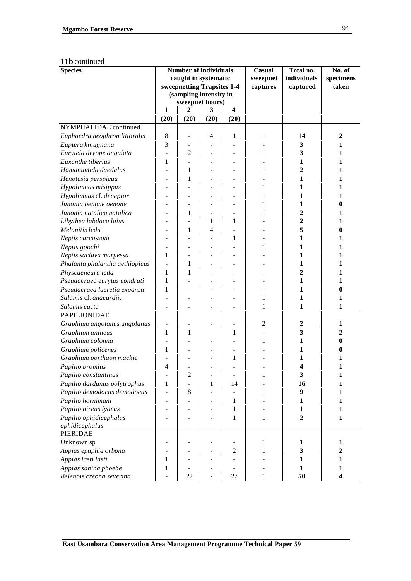#### **11b** continued

| <b>Species</b>                 |                | <b>Number of individuals</b> |                |                          | <b>Casual</b>  | Total no.        | No. of           |
|--------------------------------|----------------|------------------------------|----------------|--------------------------|----------------|------------------|------------------|
|                                |                | caught in systematic         |                |                          | sweepnet       | individuals      | specimens        |
|                                |                | sweepnetting Trapsites 1-4   |                |                          | captures       | captured         | taken            |
|                                |                | (sampling intensity in       |                |                          |                |                  |                  |
|                                |                | sweepnet hours)              |                |                          |                |                  |                  |
|                                | 1              | $\overline{2}$               | 3              | $\overline{\mathbf{4}}$  |                |                  |                  |
|                                | (20)           | (20)                         | (20)           | (20)                     |                |                  |                  |
| NYMPHALIDAE continued.         |                |                              |                |                          |                |                  |                  |
| Euphaedra neophron littoralis  | 8              |                              | 4              | 1                        | 1              | 14               | $\boldsymbol{2}$ |
| Euptera kinugnana              | 3              |                              |                |                          |                | 3                | 1                |
| Eurytela dryope angulata       |                | 2                            |                |                          | 1              | 3                | $\mathbf{1}$     |
| Euxanthe tiberius              | 1              |                              | ۰              | $\overline{\phantom{0}}$ |                | 1                | 1                |
| Hamanumida daedalus            |                | 1                            | ٠              | $\overline{\phantom{0}}$ | 1              | 2                | 1                |
| Henotesia perspicua            |                | 1                            |                |                          |                | 1                | 1                |
| Hypolimnas misippus            |                |                              |                |                          | 1              | 1                | 1                |
| Hypolimnas cf. deceptor        |                | ÷                            |                |                          | 1              | 1                | 1                |
| Junonia oenone oenone          |                |                              | ÷              |                          | 1              | 1                | 0                |
| Junonia natalica natalica      |                | $\mathbf 1$                  |                |                          | 1              | 2                | 1                |
| Libythea labdaca laius         |                |                              | 1              | 1                        |                | 2                | 1                |
| Melanitis leda                 |                | 1                            | $\overline{4}$ |                          |                | 5                | 0                |
| Neptis carcassoni              |                |                              |                | $\mathbf{1}$             |                | 1                | 1                |
| Neptis goochi                  |                |                              |                |                          | 1              | 1                | 1                |
| Neptis saclava marpessa        | 1              |                              |                | ÷                        |                | 1                | 1                |
| Phalanta phalantha aethiopicus |                | 1                            |                |                          |                | 1                | 1                |
| Physcaeneura leda              | 1              | 1                            |                |                          |                | 2                | 1                |
| Pseudacraea eurytus condrati   | 1              |                              |                |                          |                | $\mathbf{1}$     | 1                |
| Pseudacraea lucretia expansa   | 1              |                              |                |                          |                | 1                | 0                |
| Salamis cf. anacardii.         |                |                              |                |                          | 1              | 1                | 1                |
| Salamis cacta                  | $\blacksquare$ | $\overline{a}$               | ٠              | $\overline{\phantom{a}}$ | 1              | 1                | 1                |
| PAPILIONIDAE                   |                |                              |                |                          |                |                  |                  |
| Graphium angolanus angolanus   |                |                              |                |                          | $\overline{c}$ | $\boldsymbol{2}$ | 1                |
| Graphium antheus               | 1              | 1                            |                | 1                        |                | 3                | 2                |
| Graphium colonna               |                |                              |                |                          | 1              | 1                | 0                |
| Graphium policenes             | 1              |                              |                |                          |                | 1                | 0                |
| Graphium porthaon mackie       |                |                              |                | $\mathbf{1}$             |                | 1                | 1                |
| Papilio bromius                | 4              |                              |                |                          |                | 4                | 1                |
| Papilio constantinus           |                | 2                            |                |                          | 1              | 3                |                  |
| Papilio dardanus polytrophus   | 1              |                              | $\mathbf{1}$   | 14                       |                | 16               | 1                |
| Papilio demodocus demodocus    |                | $\,$ 8 $\,$                  |                |                          | 1              | $\boldsymbol{9}$ | 1                |
| Papilio hornimani              |                |                              |                | $\mathbf{1}$             |                | 1                | 1                |
| Papilio nireus lyaeus          |                |                              |                | $\mathbf{1}$             |                | $\mathbf{1}$     | $\mathbf{1}$     |
| Papilio ophidicephalus         |                |                              |                | $\mathbf{1}$             | $\mathbf{1}$   | $\boldsymbol{2}$ | $\mathbf{1}$     |
| ophidicephalus                 |                |                              |                |                          |                |                  |                  |
| PIERIDAE                       |                |                              |                |                          |                |                  |                  |
| Unknown sp                     |                |                              |                |                          | $\mathbf{1}$   | 1                | 1                |
| Appias epaphia orbona          |                |                              |                | $\overline{c}$           | 1              | 3                | $\overline{2}$   |
| Appias lasti lasti             | 1              |                              |                |                          |                | 1                | $\mathbf{1}$     |
| Appias sabina phoebe           | 1              |                              | ۰              | $\overline{\phantom{a}}$ |                | $\mathbf{1}$     | $\mathbf{1}$     |
| Belenois creona severina       |                | 22                           |                | 27                       | 1              | 50               | 4                |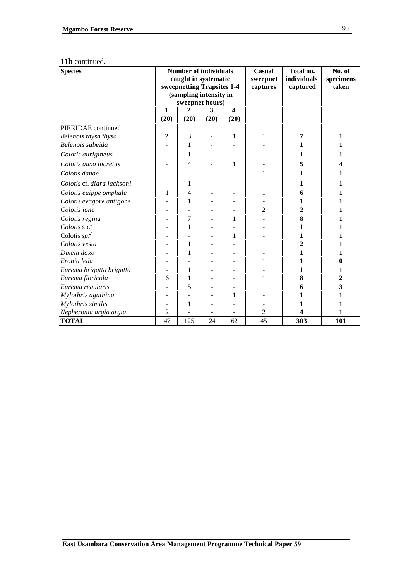#### **11b** continued.

| <b>Species</b>             | <b>Number of individuals</b><br>caught in systematic<br>sweepnetting Trapsites 1-4<br>(sampling intensity in |                 |      | Casual<br>sweepnet<br>captures | Total no.<br>individuals<br>captured | No. of<br>specimens<br>taken |              |
|----------------------------|--------------------------------------------------------------------------------------------------------------|-----------------|------|--------------------------------|--------------------------------------|------------------------------|--------------|
|                            |                                                                                                              | sweepnet hours) |      |                                |                                      |                              |              |
|                            | 1                                                                                                            | 2               | 3    | $\overline{\mathbf{4}}$        |                                      |                              |              |
|                            | (20)                                                                                                         | (20)            | (20) | (20)                           |                                      |                              |              |
| PIERIDAE continued         |                                                                                                              |                 |      |                                |                                      |                              |              |
| Belenois thysa thysa       | $\overline{2}$                                                                                               | 3               |      | 1                              | 1                                    | 7                            | 1            |
| Belenois subeida           |                                                                                                              | 1               |      |                                |                                      | 1                            |              |
| Colotis aurigineus         |                                                                                                              | 1               |      |                                |                                      | 1                            | 1            |
| Colotis auxo incretus      |                                                                                                              | 4               |      | 1                              |                                      | 5                            |              |
| Colotis danae              |                                                                                                              |                 |      |                                | 1                                    | 1                            | 1            |
| Colotis cf. diara jacksoni |                                                                                                              | 1               |      |                                |                                      | 1                            | 1            |
| Colotis euippe omphale     | 1                                                                                                            | 4               |      |                                | 1                                    | 6                            | 1            |
| Colotis evagore antigone   |                                                                                                              | 1               |      |                                |                                      | 1                            | 1            |
| Colotis ione               |                                                                                                              |                 |      |                                | $\overline{c}$                       | 2                            |              |
| Colotis regina             |                                                                                                              | 7               |      | 1                              |                                      | 8                            |              |
| Colotis $sp1$              |                                                                                                              | 1               |      |                                |                                      | 1                            | 1            |
| Colotis $sp2$              |                                                                                                              |                 |      | 1                              |                                      | 1                            |              |
| Colotis vesta              |                                                                                                              | 1               |      |                                | 1                                    | 2                            | 1            |
| Dixeia doxo                |                                                                                                              | 1               |      |                                |                                      | 1                            |              |
| Eronia leda                |                                                                                                              |                 |      | ۰                              | 1                                    | 1                            | 0            |
| Eurema brigatta brigatta   |                                                                                                              | 1               |      |                                |                                      | 1                            | 1            |
| Eurema floricola           | 6                                                                                                            | 1               |      |                                | 1                                    | 8                            | $\mathbf{2}$ |
| Eurema regularis           |                                                                                                              | 5               |      |                                |                                      | 6                            | 3            |
| Mylothris agathina         |                                                                                                              |                 |      | 1                              |                                      | 1                            | 1            |
| Mylothris similis          |                                                                                                              | 1               |      |                                |                                      | 1                            | 1            |
| Nepheronia argia argia     | 2                                                                                                            |                 |      |                                | $\overline{c}$                       | 4                            | 1            |
| <b>TOTAL</b>               | 47                                                                                                           | 125             | 24   | 62                             | 45                                   | 303                          | 101          |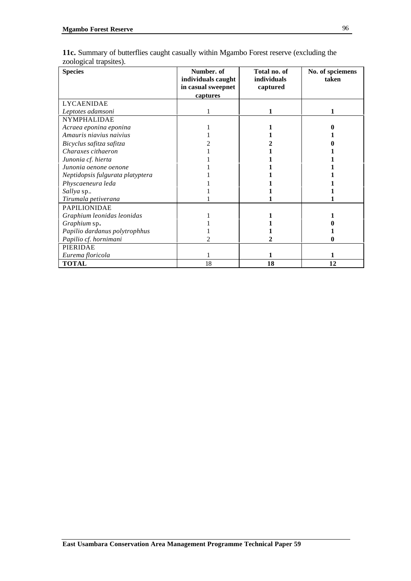| <b>Species</b>                   | Number. of<br>individuals caught<br>in casual sweepnet<br>captures | Total no. of<br>individuals<br>captured | No. of spciemens<br>taken |
|----------------------------------|--------------------------------------------------------------------|-----------------------------------------|---------------------------|
| <b>LYCAENIDAE</b>                |                                                                    |                                         |                           |
| Leptotes adamsoni                |                                                                    |                                         |                           |
| <b>NYMPHALIDAE</b>               |                                                                    |                                         |                           |
| Acraea eponina eponina           |                                                                    |                                         |                           |
| Amauris niavius naivius          |                                                                    |                                         |                           |
| Bicyclus safitza safitza         |                                                                    |                                         |                           |
| Charaxes cithaeron               |                                                                    |                                         |                           |
| Junonia cf. hierta               |                                                                    |                                         |                           |
| Junonia oenone oenone            |                                                                    |                                         |                           |
| Neptidopsis fulgurata platyptera |                                                                    |                                         |                           |
| Physcaeneura leda                |                                                                    |                                         |                           |
| Sallya sp                        |                                                                    |                                         |                           |
| Tirumala petiverana              |                                                                    |                                         |                           |
| PAPILIONIDAE                     |                                                                    |                                         |                           |
| Graphium leonidas leonidas       |                                                                    |                                         |                           |
| Graphium sp.                     |                                                                    |                                         |                           |
| Papilio dardanus polytrophhus    |                                                                    |                                         |                           |
| Papilio cf. hornimani            |                                                                    |                                         |                           |
| PIERIDAE                         |                                                                    |                                         |                           |
| Eurema floricola                 |                                                                    |                                         |                           |

**TOTAL** 18 **18 12**

**11c.** Summary of butterflies caught casually within Mgambo Forest reserve (excluding the zoological trapsites).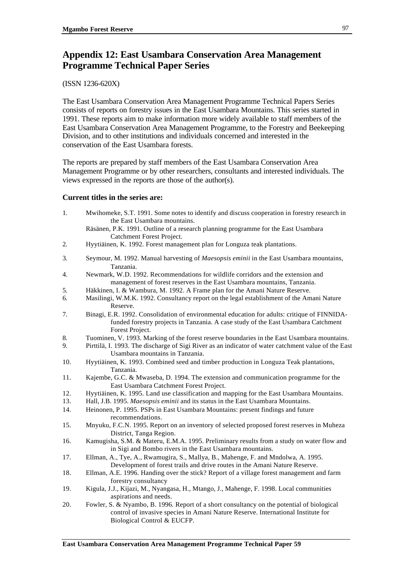## **Appendix 12: East Usambara Conservation Area Management Programme Technical Paper Series**

## (ISSN 1236-620X)

The East Usambara Conservation Area Management Programme Technical Papers Series consists of reports on forestry issues in the East Usambara Mountains. This series started in 1991. These reports aim to make information more widely available to staff members of the East Usambara Conservation Area Management Programme, to the Forestry and Beekeeping Division, and to other institutions and individuals concerned and interested in the conservation of the East Usambara forests.

The reports are prepared by staff members of the East Usambara Conservation Area Management Programme or by other researchers, consultants and interested individuals. The views expressed in the reports are those of the author(s).

## **Current titles in the series are:**

- 1. Mwihomeke, S.T. 1991. Some notes to identify and discuss cooperation in forestry research in the East Usambara mountains.
	- Räsänen, P.K. 1991. Outline of a research planning programme for the East Usambara Catchment Forest Project.
- 2. Hyytiäinen, K. 1992. Forest management plan for Longuza teak plantations.
- 3. Seymour, M. 1992. Manual harvesting of *Maesopsis eminii* in the East Usambara mountains, Tanzania.
- 4. Newmark, W.D. 1992. Recommendations for wildlife corridors and the extension and management of forest reserves in the East Usambara mountains, Tanzania.
- 5. Häkkinen, I. & Wambura, M. 1992. A Frame plan for the Amani Nature Reserve.
- 6. Masilingi, W.M.K. 1992. Consultancy report on the legal establishment of the Amani Nature Reserve.
- 7. Binagi, E.R. 1992. Consolidation of environmental education for adults: critique of FINNIDAfunded forestry projects in Tanzania. A case study of the East Usambara Catchment Forest Project.
- 8. Tuominen, V. 1993. Marking of the forest reserve boundaries in the East Usambara mountains.
- 9. Pirttilä, I. 1993. The discharge of Sigi River as an indicator of water catchment value of the East Usambara mountains in Tanzania.
- 10. Hyytiäinen, K. 1993. Combined seed and timber production in Longuza Teak plantations, Tanzania.
- 11. Kajembe, G.C. & Mwaseba, D. 1994. The extension and communication programme for the East Usambara Catchment Forest Project.
- 12. Hyytiäinen, K. 1995. Land use classification and mapping for the East Usambara Mountains.
- 13. Hall, J.B. 1995. *Maesopsis eminii* and its status in the East Usambara Mountains.
- 14. Heinonen, P. 1995. PSPs in East Usambara Mountains: present findings and future recommendations.
- 15. Mnyuku, F.C.N. 1995. Report on an inventory of selected proposed forest reserves in Muheza District, Tanga Region.
- 16. Kamugisha, S.M. & Materu, E.M.A. 1995. Preliminary results from a study on water flow and in Sigi and Bombo rivers in the East Usambara mountains.
- 17. Ellman, A., Tye, A., Rwamugira, S., Mallya, B., Mahenge, F. and Mndolwa, A. 1995. Development of forest trails and drive routes in the Amani Nature Reserve.
- 18. Ellman, A.E. 1996. Handing over the stick? Report of a village forest management and farm forestry consultancy
- 19. Kigula, J.J., Kijazi, M., Nyangasa, H., Mtango, J., Mahenge, F. 1998. Local communities aspirations and needs.
- 20. Fowler, S. & Nyambo, B. 1996. Report of a short consultancy on the potential of biological control of invasive species in Amani Nature Reserve. International Institute for Biological Control & EUCFP.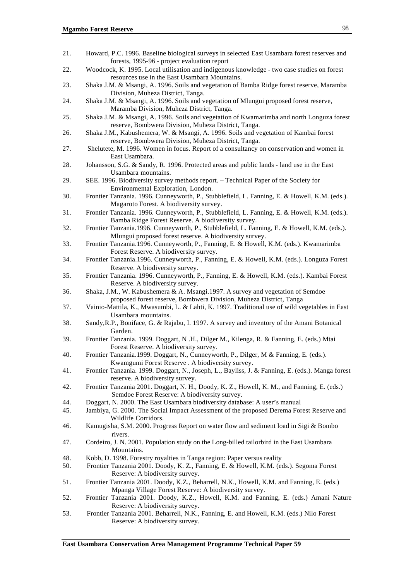| 21. | Howard, P.C. 1996. Baseline biological surveys in selected East Usambara forest reserves and<br>forests, 1995-96 - project evaluation report                                               |
|-----|--------------------------------------------------------------------------------------------------------------------------------------------------------------------------------------------|
| 22. | Woodcock, K. 1995. Local utilisation and indigenous knowledge - two case studies on forest<br>resources use in the East Usambara Mountains.                                                |
| 23. | Shaka J.M. & Msangi, A. 1996. Soils and vegetation of Bamba Ridge forest reserve, Maramba                                                                                                  |
| 24. | Division, Muheza District, Tanga.<br>Shaka J.M. & Msangi, A. 1996. Soils and vegetation of Mlungui proposed forest reserve,<br>Maramba Division, Muheza District, Tanga.                   |
| 25. | Shaka J.M. & Msangi, A. 1996. Soils and vegetation of Kwamarimba and north Longuza forest<br>reserve, Bombwera Division, Muheza District, Tanga.                                           |
| 26. | Shaka J.M., Kabushemera, W. & Msangi, A. 1996. Soils and vegetation of Kambai forest<br>reserve, Bombwera Division, Muheza District, Tanga.                                                |
| 27. | Shelutete, M. 1996. Women in focus. Report of a consultancy on conservation and women in<br>East Usambara.                                                                                 |
| 28. | Johansson, S.G. & Sandy, R. 1996. Protected areas and public lands - land use in the East<br>Usambara mountains.                                                                           |
| 29. | SEE. 1996. Biodiversity survey methods report. - Technical Paper of the Society for<br>Environmental Exploration, London.                                                                  |
| 30. | Frontier Tanzania. 1996. Cunneyworth, P., Stubblefield, L. Fanning, E. & Howell, K.M. (eds.).<br>Magaroto Forest. A biodiversity survey.                                                   |
| 31. | Frontier Tanzania. 1996. Cunneyworth, P., Stubblefield, L. Fanning, E. & Howell, K.M. (eds.).<br>Bamba Ridge Forest Reserve. A biodiversity survey.                                        |
| 32. | Frontier Tanzania.1996. Cunneyworth, P., Stubblefield, L. Fanning, E. & Howell, K.M. (eds.).<br>Mlungui proposed forest reserve. A biodiversity survey.                                    |
| 33. | Frontier Tanzania.1996. Cunneyworth, P., Fanning, E. & Howell, K.M. (eds.). Kwamarimba<br>Forest Reserve. A biodiversity survey.                                                           |
| 34. | Frontier Tanzania.1996. Cunneyworth, P., Fanning, E. & Howell, K.M. (eds.). Longuza Forest<br>Reserve. A biodiversity survey.                                                              |
| 35. | Frontier Tanzania. 1996. Cunneyworth, P., Fanning, E. & Howell, K.M. (eds.). Kambai Forest<br>Reserve. A biodiversity survey.                                                              |
| 36. | Shaka, J.M., W. Kabushemera & A. Msangi.1997. A survey and vegetation of Semdoe                                                                                                            |
| 37. | proposed forest reserve, Bombwera Division, Muheza District, Tanga<br>Vainio-Mattila, K., Mwasumbi, L. & Lahti, K. 1997. Traditional use of wild vegetables in East<br>Usambara mountains. |
| 38. | Sandy, R.P., Boniface, G. & Rajabu, I. 1997. A survey and inventory of the Amani Botanical<br>Garden.                                                                                      |
| 39. | Frontier Tanzania. 1999. Doggart, N.H., Dilger M., Kilenga, R. & Fanning, E. (eds.) Mtai<br>Forest Reserve. A biodiversity survey.                                                         |
| 40. | Frontier Tanzania.1999. Doggart, N., Cunneyworth, P., Dilger, M & Fanning, E. (eds.).<br>Kwamgumi Forest Reserve . A biodiversity survey.                                                  |
| 41. | Frontier Tanzania. 1999. Doggart, N., Joseph, L., Bayliss, J. & Fanning, E. (eds.). Manga forest<br>reserve. A biodiversity survey.                                                        |
| 42. | Frontier Tanzania 2001. Doggart, N. H., Doody, K. Z., Howell, K. M., and Fanning, E. (eds.)<br>Semdoe Forest Reserve: A biodiversity survey.                                               |
| 44. | Doggart, N. 2000. The East Usambara biodiversity database: A user's manual                                                                                                                 |
| 45. | Jambiya, G. 2000. The Social Impact Assessment of the proposed Derema Forest Reserve and<br>Wildlife Corridors.                                                                            |
| 46. | Kamugisha, S.M. 2000. Progress Report on water flow and sediment load in Sigi & Bombo<br>rivers.                                                                                           |
| 47. | Cordeiro, J. N. 2001. Population study on the Long-billed tailorbird in the East Usambara<br>Mountains.                                                                                    |
| 48. | Kobb, D. 1998. Forestry royalties in Tanga region: Paper versus reality                                                                                                                    |
| 50. | Frontier Tanzania 2001. Doody, K. Z., Fanning, E. & Howell, K.M. (eds.). Segoma Forest<br>Reserve: A biodiversity survey.                                                                  |
| 51. | Frontier Tanzania 2001. Doody, K.Z., Beharrell, N.K., Howell, K.M. and Fanning, E. (eds.)                                                                                                  |
|     | Mpanga Village Forest Reserve: A biodiversity survey.                                                                                                                                      |
| 52. | Frontier Tanzania 2001. Doody, K.Z., Howell, K.M. and Fanning, E. (eds.) Amani Nature<br>Reserve: A biodiversity survey.                                                                   |
| 53. | Frontier Tanzania 2001. Beharrell, N.K., Fanning, E. and Howell, K.M. (eds.) Nilo Forest<br>Reserve: A biodiversity survey.                                                                |